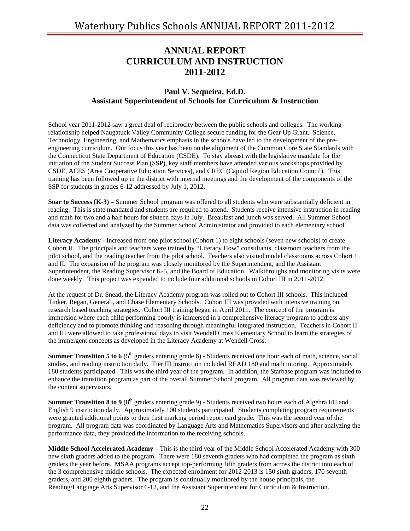# **ANNUAL REPORT CURRICULUM AND INSTRUCTION 2011-2012**

## **Paul V. Sequeira, Ed.D. Assistant Superintendent of Schools for Curriculum & Instruction**

School year 2011-2012 saw a great deal of reciprocity between the public schools and colleges. The working relationship helped Naugatuck Valley Community College secure funding for the Gear Up Grant. Science, Technology, Engineering, and Mathematics emphasis in the schools have led to the development of the preengineering curriculum. Our focus this year has been on the alignment of the Common Core State Standards with the Connecticut State Department of Education (CSDE). To stay abreast with the legislative mandate for the initiation of the Student Success Plan (SSP), key staff members have attended various workshops provided by CSDE, ACES (Area Cooperative Education Services), and CREC (Capitol Region Education Council). This training has been followed up in the district with internal meetings and the development of the components of the SSP for students in grades 6-12 addressed by July 1, 2012.

**Soar to Success (K-3)** – Summer School program was offered to all students who were substantially deficient in reading. This is state mandated and students are required to attend. Students receive intensive instruction in reading and math for two and a half hours for sixteen days in July. Breakfast and lunch was served. All Summer School data was collected and analyzed by the Summer School Administrator and provided to each elementary school.

**Literacy Academy -** Increased from one pilot school (Cohort 1) to eight schools (seven new schools) to create Cohort II. The principals and teachers were trained by "Literacy How" consultants, classroom teachers from the pilot school, and the reading teacher from the pilot school. Teachers also visited model classrooms across Cohort 1 and II. The expansion of the program was closely monitored by the Superintendent, and the Assistant Superintendent, the Reading Supervisor K-5, and the Board of Education. Walkthroughs and monitoring visits were done weekly. This project was expanded to include four additional schools in Cohort III in 2011-2012.

At the request of Dr. Snead, the Literacy Academy program was rolled out to Cohort III schools. This included Tinker, Regan, Generali, and Chase Elementary Schools. Cohort III was provided with intensive training on research based teaching strategies. Cohort III training began in April 2011. The concept of the program is immersion where each child performing poorly is immersed in a comprehensive literacy program to address any deficiency and to promote thinking and reasoning through meaningful integrated instruction. Teachers in Cohort II and III were allowed to take professional days to visit Wendell Cross Elementary School to learn the strategies of the immergent concepts as developed in the Literacy Academy at Wendell Cross.

**Summer Transition 5 to 6** (5<sup>th</sup> graders entering grade 6) - Students received one hour each of math, science, social studies, and reading instruction daily. Tier III instruction included READ 180 and math tutoring. Approximately 180 students participated. This was the third year of the program. In addition, the Starbase program was included to enhance the transition program as part of the overall Summer School program. All program data was reviewed by the content supervisors.

**Summer Transition 8 to 9** (8<sup>th</sup> graders entering grade 9) - Students received two hours each of Algebra I/II and English 9 instruction daily. Approximately 100 students participated. Students completing program requirements were granted additional points to their first marking period report card grade. This was the second year of the program. All program data was coordinated by Language Arts and Mathematics Supervisors and after analyzing the performance data, they provided the information to the receiving schools.

**Middle School Accelerated Academy –** This is the third year of the Middle School Accelerated Academy with 300 new sixth graders added to the program. There were 180 seventh graders who had completed the program as sixth graders the year before. MSAA programs accept top-performing fifth graders from across the district into each of the 3 comprehensive middle schools. The expected enrollment for 2012-2013 is 150 sixth graders, 170 seventh graders, and 200 eighth graders. The program is continually monitored by the house principals, the Reading/Language Arts Supervisor 6-12, and the Assistant Superintendent for Curriculum & Instruction.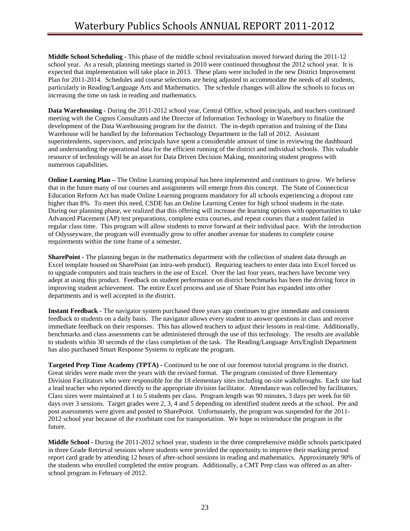**Middle School Scheduling -** This phase of the middle school revitalization moved forward during the 2011-12 school year. As a result, planning meetings started in 2010 were continued throughout the 2012 school year. It is expected that implementation will take place in 2013. These plans were included in the new District Improvement Plan for 2011-2014. Schedules and course selections are being adjusted to accommodate the needs of all students, particularly in Reading/Language Arts and Mathematics. The schedule changes will allow the schools to focus on increasing the time on task in reading and mathematics.

**Data Warehousing -** During the 2011-2012 school year, Central Office, school principals, and teachers continued meeting with the Cognos Consultants and the Director of Information Technology in Waterbury to finalize the development of the Data Warehousing program for the district. The in-depth operation and training of the Data Warehouse will be handled by the Information Technology Department in the fall of 2012. Assistant superintendents, supervisors, and principals have spent a considerable amount of time in reviewing the dashboard and understanding the operational data for the efficient running of the district and individual schools. This valuable resource of technology will be an asset for Data Driven Decision Making, monitoring student progress with numerous capabilities.

**Online Learning Plan** – The Online Learning proposal has been implemented and continues to grow. We believe that in the future many of our courses and assignments will emerge from this concept. The State of Connecticut Education Reform Act has made Online Learning programs mandatory for all schools experiencing a dropout rate higher than 8%. To meet this need, CSDE has an Online Learning Center for high school students in the state. During our planning phase, we realized that this offering will increase the learning options with opportunities to take Advanced Placement (AP) test preparations, complete extra courses, and repeat courses that a student failed in regular class time. This program will allow students to move forward at their individual pace. With the introduction of Odysseyware, the program will eventually grow to offer another avenue for students to complete course requirements within the time frame of a semester.

**SharePoint -** The planning began in the mathematics department with the collection of student data through an Excel template housed on SharePoint (an intra-web product). Requiring teachers to enter data into Excel forced us to upgrade computers and train teachers in the use of Excel. Over the last four years, teachers have become very adept at using this product. Feedback on student performance on district benchmarks has been the driving force in improving student achievement. The entire Excel process and use of Share Point has expanded into other departments and is well accepted in the district.

**Instant Feedback -** The navigator system purchased three years ago continues to give immediate and consistent feedback to students on a daily basis. The navigator allows every student to answer questions in class and receive immediate feedback on their responses. This has allowed teachers to adjust their lessons in real-time. Additionally, benchmarks and class assessments can be administered through the use of this technology. The results are available to students within 30 seconds of the class completion of the task. The Reading/Language Arts/English Department has also purchased Smart Response Systems to replicate the program.

**Targeted Prep Time Academy (TPTA) -** Continued to be one of our foremost tutorial programs in the district. Great strides were made over the years with the revised format. The program consisted of three Elementary Division Facilitators who were responsible for the 18 elementary sites including on-site walkthroughs. Each site had a lead teacher who reported directly to the appropriate division facilitator. Attendance was collected by facilitators. Class sizes were maintained at 1 to 5 students per class. Program length was 90 minutes, 3 days per week for 60 days over 3 sessions. Target grades were 2, 3, 4 and 5 depending on identified student needs at the school. Pre and post assessments were given and posted to SharePoint. Unfortunately, the program was suspended for the 2011- 2012 school year because of the exorbitant cost for transportation. We hope to reintroduce the program in the future.

**Middle School -** During the 2011-2012 school year, students in the three comprehensive middle schools participated in three Grade Retrieval sessions where students were provided the opportunity to improve their marking period report card grade by attending 12 hours of after-school sessions in reading and mathematics. Approximately 90% of the students who enrolled completed the entire program. Additionally, a CMT Prep class was offered as an afterschool program in February of 2012.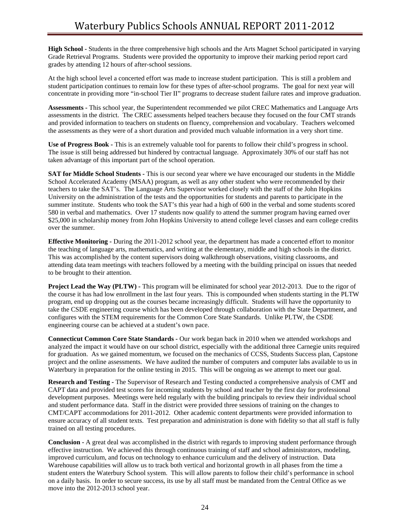**High School -** Students in the three comprehensive high schools and the Arts Magnet School participated in varying Grade Retrieval Programs. Students were provided the opportunity to improve their marking period report card grades by attending 12 hours of after-school sessions.

At the high school level a concerted effort was made to increase student participation. This is still a problem and student participation continues to remain low for these types of after-school programs. The goal for next year will concentrate in providing more "in-school Tier II" programs to decrease student failure rates and improve graduation.

**Assessments -** This school year, the Superintendent recommended we pilot CREC Mathematics and Language Arts assessments in the district. The CREC assessments helped teachers because they focused on the four CMT strands and provided information to teachers on students on fluency, comprehension and vocabulary. Teachers welcomed the assessments as they were of a short duration and provided much valuable information in a very short time.

**Use of Progress Book -** This is an extremely valuable tool for parents to follow their child's progress in school. The issue is still being addressed but hindered by contractual language. Approximately 30% of our staff has not taken advantage of this important part of the school operation.

**SAT for Middle School Students - This is our second year where we have encouraged our students in the Middle** School Accelerated Academy (MSAA) program, as well as any other student who were recommended by their teachers to take the SAT's. The Language Arts Supervisor worked closely with the staff of the John Hopkins University on the administration of the tests and the opportunities for students and parents to participate in the summer institute. Students who took the SAT's this year had a high of 600 in the verbal and some students scored 580 in verbal and mathematics. Over 17 students now qualify to attend the summer program having earned over \$25,000 in scholarship money from John Hopkins University to attend college level classes and earn college credits over the summer.

**Effective Monitoring -** During the 2011-2012 school year, the department has made a concerted effort to monitor the teaching of language arts, mathematics, and writing at the elementary, middle and high schools in the district. This was accomplished by the content supervisors doing walkthrough observations, visiting classrooms, and attending data team meetings with teachers followed by a meeting with the building principal on issues that needed to be brought to their attention.

**Project Lead the Way (PLTW) -** This program will be eliminated for school year 2012-2013. Due to the rigor of the course it has had low enrollment in the last four years. This is compounded when students starting in the PLTW program, end up dropping out as the courses became increasingly difficult. Students will have the opportunity to take the CSDE engineering course which has been developed through collaboration with the State Department, and configures with the STEM requirements for the Common Core State Standards. Unlike PLTW, the CSDE engineering course can be achieved at a student's own pace.

**Connecticut Common Core State Standards -** Our work began back in 2010 when we attended workshops and analyzed the impact it would have on our school district, especially with the additional three Carnegie units required for graduation. As we gained momentum, we focused on the mechanics of CCSS, Students Success plan, Capstone project and the online assessments. We have audited the number of computers and computer labs available to us in Waterbury in preparation for the online testing in 2015. This will be ongoing as we attempt to meet our goal.

**Research and Testing -** The Supervisor of Research and Testing conducted a comprehensive analysis of CMT and CAPT data and provided test scores for incoming students by school and teacher by the first day for professional development purposes. Meetings were held regularly with the building principals to review their individual school and student performance data. Staff in the district were provided three sessions of training on the changes to CMT/CAPT accommodations for 2011-2012. Other academic content departments were provided information to ensure accuracy of all student texts. Test preparation and administration is done with fidelity so that all staff is fully trained on all testing procedures.

**Conclusion -** A great deal was accomplished in the district with regards to improving student performance through effective instruction. We achieved this through continuous training of staff and school administrators, modeling, improved curriculum, and focus on technology to enhance curriculum and the delivery of instruction. Data Warehouse capabilities will allow us to track both vertical and horizontal growth in all phases from the time a student enters the Waterbury School system. This will allow parents to follow their child's performance in school on a daily basis. In order to secure success, its use by all staff must be mandated from the Central Office as we move into the 2012-2013 school year.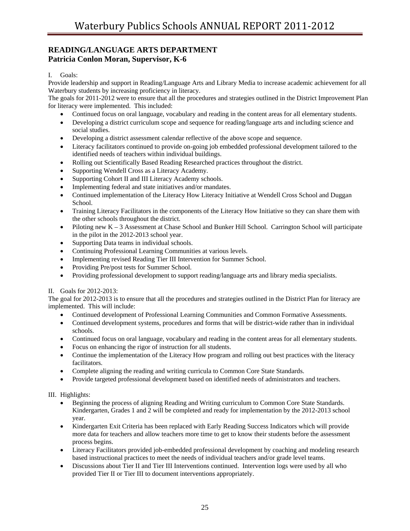## **READING/LANGUAGE ARTS DEPARTMENT Patricia Conlon Moran, Supervisor, K-6**

I. Goals:

Provide leadership and support in Reading/Language Arts and Library Media to increase academic achievement for all Waterbury students by increasing proficiency in literacy.

The goals for 2011-2012 were to ensure that all the procedures and strategies outlined in the District Improvement Plan for literacy were implemented. This included:

- Continued focus on oral language, vocabulary and reading in the content areas for all elementary students.
- Developing a district curriculum scope and sequence for reading/language arts and including science and social studies.
- Developing a district assessment calendar reflective of the above scope and sequence.
- Literacy facilitators continued to provide on-going job embedded professional development tailored to the identified needs of teachers within individual buildings.
- Rolling out Scientifically Based Reading Researched practices throughout the district.
- Supporting Wendell Cross as a Literacy Academy.
- Supporting Cohort II and III Literacy Academy schools.
- Implementing federal and state initiatives and/or mandates.
- Continued implementation of the Literacy How Literacy Initiative at Wendell Cross School and Duggan School.
- Training Literacy Facilitators in the components of the Literacy How Initiative so they can share them with the other schools throughout the district.
- Piloting new K 3 Assessment at Chase School and Bunker Hill School. Carrington School will participate in the pilot in the 2012-2013 school year.
- Supporting Data teams in individual schools.
- Continuing Professional Learning Communities at various levels.
- Implementing revised Reading Tier III Intervention for Summer School.
- Providing Pre/post tests for Summer School.
- Providing professional development to support reading/language arts and library media specialists.

II. Goals for 2012-2013:

The goal for 2012-2013 is to ensure that all the procedures and strategies outlined in the District Plan for literacy are implemented. This will include:

- Continued development of Professional Learning Communities and Common Formative Assessments.
- Continued development systems, procedures and forms that will be district-wide rather than in individual schools.
- Continued focus on oral language, vocabulary and reading in the content areas for all elementary students.
- Focus on enhancing the rigor of instruction for all students.
- Continue the implementation of the Literacy How program and rolling out best practices with the literacy facilitators.
- Complete aligning the reading and writing curricula to Common Core State Standards.
- Provide targeted professional development based on identified needs of administrators and teachers.

III. Highlights:

- Beginning the process of aligning Reading and Writing curriculum to Common Core State Standards. Kindergarten, Grades 1 and 2 will be completed and ready for implementation by the 2012-2013 school year.
- Kindergarten Exit Criteria has been replaced with Early Reading Success Indicators which will provide more data for teachers and allow teachers more time to get to know their students before the assessment process begins.
- Literacy Facilitators provided job-embedded professional development by coaching and modeling research based instructional practices to meet the needs of individual teachers and/or grade level teams.
- Discussions about Tier II and Tier III Interventions continued. Intervention logs were used by all who provided Tier II or Tier III to document interventions appropriately.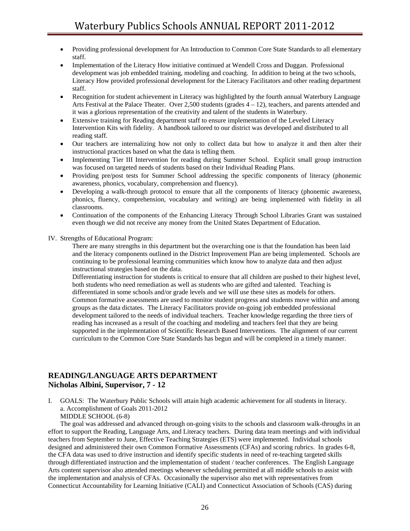- Providing professional development for An Introduction to Common Core State Standards to all elementary staff.
- Implementation of the Literacy How initiative continued at Wendell Cross and Duggan. Professional development was job embedded training, modeling and coaching. In addition to being at the two schools, Literacy How provided professional development for the Literacy Facilitators and other reading department staff.
- Recognition for student achievement in Literacy was highlighted by the fourth annual Waterbury Language Arts Festival at the Palace Theater. Over 2,500 students (grades  $4 - 12$ ), teachers, and parents attended and it was a glorious representation of the creativity and talent of the students in Waterbury.
- Extensive training for Reading department staff to ensure implementation of the Leveled Literacy Intervention Kits with fidelity. A handbook tailored to our district was developed and distributed to all reading staff.
- Our teachers are internalizing how not only to collect data but how to analyze it and then alter their instructional practices based on what the data is telling them.
- Implementing Tier III Intervention for reading during Summer School. Explicit small group instruction was focused on targeted needs of students based on their Individual Reading Plans.
- Providing pre/post tests for Summer School addressing the specific components of literacy (phonemic awareness, phonics, vocabulary, comprehension and fluency).
- Developing a walk-through protocol to ensure that all the components of literacy (phonemic awareness, phonics, fluency, comprehension, vocabulary and writing) are being implemented with fidelity in all classrooms.
- Continuation of the components of the Enhancing Literacy Through School Libraries Grant was sustained even though we did not receive any money from the United States Department of Education.

IV. Strengths of Educational Program:

There are many strengths in this department but the overarching one is that the foundation has been laid and the literacy components outlined in the District Improvement Plan are being implemented. Schools are continuing to be professional learning communities which know how to analyze data and then adjust instructional strategies based on the data.

Differentiating instruction for students is critical to ensure that all children are pushed to their highest level, both students who need remediation as well as students who are gifted and talented. Teaching is differentiated in some schools and/or grade levels and we will use these sites as models for others. Common formative assessments are used to monitor student progress and students move within and among groups as the data dictates. The Literacy Facilitators provide on-going job embedded professional development tailored to the needs of individual teachers. Teacher knowledge regarding the three tiers of reading has increased as a result of the coaching and modeling and teachers feel that they are being supported in the implementation of Scientific Research Based Interventions. The alignment of our current curriculum to the Common Core State Standards has begun and will be completed in a timely manner.

## **READING/LANGUAGE ARTS DEPARTMENT Nicholas Albini, Supervisor, 7 - 12**

I. GOALS: The Waterbury Public Schools will attain high academic achievement for all students in literacy. a. Accomplishment of Goals 2011-2012 MIDDLE SCHOOL (6-8)

 The goal was addressed and advanced through on-going visits to the schools and classroom walk-throughs in an effort to support the Reading, Language Arts, and Literacy teachers. During data team meetings and with individual teachers from September to June, Effective Teaching Strategies (ETS) were implemented. Individual schools designed and administered their own Common Formative Assessments (CFAs) and scoring rubrics. In grades 6-8, the CFA data was used to drive instruction and identify specific students in need of re-teaching targeted skills through differentiated instruction and the implementation of student / teacher conferences. The English Language Arts content supervisor also attended meetings whenever scheduling permitted at all middle schools to assist with the implementation and analysis of CFAs. Occasionally the supervisor also met with representatives from Connecticut Accountability for Learning Initiative (CALI) and Connecticut Association of Schools (CAS) during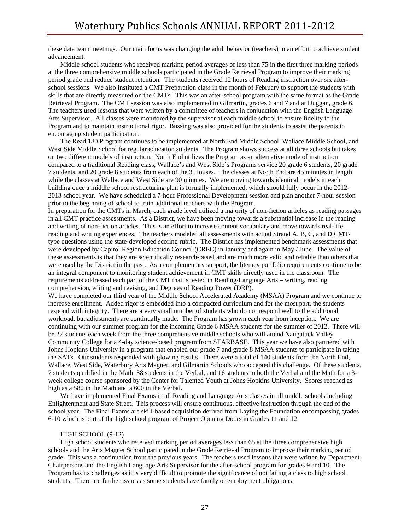these data team meetings. Our main focus was changing the adult behavior (teachers) in an effort to achieve student advancement.

 Middle school students who received marking period averages of less than 75 in the first three marking periods at the three comprehensive middle schools participated in the Grade Retrieval Program to improve their marking period grade and reduce student retention. The students received 12 hours of Reading instruction over six afterschool sessions. We also instituted a CMT Preparation class in the month of February to support the students with skills that are directly measured on the CMTs. This was an after-school program with the same format as the Grade Retrieval Program. The CMT session was also implemented in Gilmartin, grades 6 and 7 and at Duggan, grade 6. The teachers used lessons that were written by a committee of teachers in conjunction with the English Language Arts Supervisor. All classes were monitored by the supervisor at each middle school to ensure fidelity to the Program and to maintain instructional rigor. Bussing was also provided for the students to assist the parents in encouraging student participation.

The Read 180 Program continues to be implemented at North End Middle School, Wallace Middle School, and West Side Middle School for regular education students. The Program shows success at all three schools but takes on two different models of instruction. North End utilizes the Program as an alternative mode of instruction compared to a traditional Reading class, Wallace's and West Side's Programs service 20 grade 6 students, 20 grade 7 students, and 20 grade 8 students from each of the 3 Houses. The classes at North End are 45 minutes in length while the classes at Wallace and West Side are 90 minutes. We are moving towards identical models in each building once a middle school restructuring plan is formally implemented, which should fully occur in the 2012- 2013 school year. We have scheduled a 7-hour Professional Development session and plan another 7-hour session prior to the beginning of school to train additional teachers with the Program.

In preparation for the CMTs in March, each grade level utilized a majority of non-fiction articles as reading passages in all CMT practice assessments. As a District, we have been moving towards a substantial increase in the reading and writing of non-fiction articles. This is an effort to increase content vocabulary and move towards real-life reading and writing experiences. The teachers modeled all assessments with actual Strand A, B, C, and D CMTtype questions using the state-developed scoring rubric. The District has implemented benchmark assessments that were developed by Capitol Region Education Council (CREC) in January and again in May / June. The value of these assessments is that they are scientifically research-based and are much more valid and reliable than others that were used by the District in the past. As a complementary support, the literacy portfolio requirements continue to be an integral component to monitoring student achievement in CMT skills directly used in the classroom. The requirements addressed each part of the CMT that is tested in Reading/Language Arts – writing, reading comprehension, editing and revising, and Degrees of Reading Power (DRP).

We have completed our third year of the Middle School Accelerated Academy (MSAA) Program and we continue to increase enrollment. Added rigor is embedded into a compacted curriculum and for the most part, the students respond with integrity. There are a very small number of students who do not respond well to the additional workload, but adjustments are continually made. The Program has grown each year from inception. We are continuing with our summer program for the incoming Grade 6 MSAA students for the summer of 2012. There will be 22 students each week from the three comprehensive middle schools who will attend Naugatuck Valley Community College for a 4-day science-based program from STARBASE. This year we have also partnered with Johns Hopkins University in a program that enabled our grade 7 and grade 8 MSAA students to participate in taking the SATs. Our students responded with glowing results. There were a total of 140 students from the North End, Wallace, West Side, Waterbury Arts Magnet, and Gilmartin Schools who accepted this challenge. Of these students, 7 students qualified in the Math, 38 students in the Verbal, and 16 students in both the Verbal and the Math for a 3 week college course sponsored by the Center for Talented Youth at Johns Hopkins University. Scores reached as high as a 580 in the Math and a 600 in the Verbal.

 We have implemented Final Exams in all Reading and Language Arts classes in all middle schools including Enlightenment and State Street. This process will ensure continuous, effective instruction through the end of the school year. The Final Exams are skill-based acquisition derived from Laying the Foundation encompassing grades 6-10 which is part of the high school program of Project Opening Doors in Grades 11 and 12.

#### HIGH SCHOOL (9-12)

 High school students who received marking period averages less than 65 at the three comprehensive high schools and the Arts Magnet School participated in the Grade Retrieval Program to improve their marking period grade. This was a continuation from the previous years. The teachers used lessons that were written by Department Chairpersons and the English Language Arts Supervisor for the after-school program for grades 9 and 10. The Program has its challenges as it is very difficult to promote the significance of not failing a class to high school students. There are further issues as some students have family or employment obligations.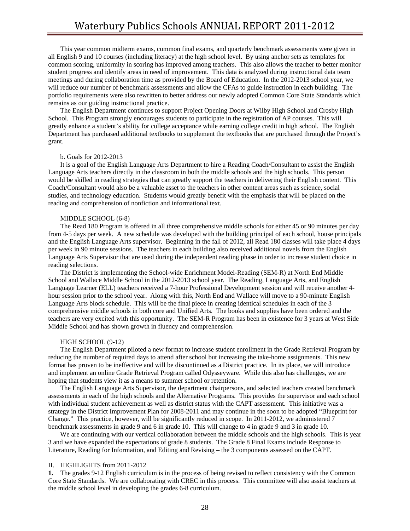This year common midterm exams, common final exams, and quarterly benchmark assessments were given in all English 9 and 10 courses (including literacy) at the high school level. By using anchor sets as templates for common scoring, uniformity in scoring has improved among teachers. This also allows the teacher to better monitor student progress and identify areas in need of improvement. This data is analyzed during instructional data team meetings and during collaboration time as provided by the Board of Education. In the 2012-2013 school year, we will reduce our number of benchmark assessments and allow the CFAs to guide instruction in each building. The portfolio requirements were also rewritten to better address our newly adopted Common Core State Standards which remains as our guiding instructional practice.

 The English Department continues to support Project Opening Doors at Wilby High School and Crosby High School. This Program strongly encourages students to participate in the registration of AP courses. This will greatly enhance a student's ability for college acceptance while earning college credit in high school. The English Department has purchased additional textbooks to supplement the textbooks that are purchased through the Project's grant.

#### b. Goals for 2012-2013

 It is a goal of the English Language Arts Department to hire a Reading Coach/Consultant to assist the English Language Arts teachers directly in the classroom in both the middle schools and the high schools. This person would be skilled in reading strategies that can greatly support the teachers in delivering their English content. This Coach/Consultant would also be a valuable asset to the teachers in other content areas such as science, social studies, and technology education. Students would greatly benefit with the emphasis that will be placed on the reading and comprehension of nonfiction and informational text.

#### MIDDLE SCHOOL (6-8)

 The Read 180 Program is offered in all three comprehensive middle schools for either 45 or 90 minutes per day from 4-5 days per week. A new schedule was developed with the building principal of each school, house principals and the English Language Arts supervisor. Beginning in the fall of 2012, all Read 180 classes will take place 4 days per week in 90 minute sessions. The teachers in each building also received additional novels from the English Language Arts Supervisor that are used during the independent reading phase in order to increase student choice in reading selections.

 The District is implementing the School-wide Enrichment Model-Reading (SEM-R) at North End Middle School and Wallace Middle School in the 2012-2013 school year. The Reading, Language Arts, and English Language Learner (ELL) teachers received a 7-hour Professional Development session and will receive another 4 hour session prior to the school year. Along with this, North End and Wallace will move to a 90-minute English Language Arts block schedule. This will be the final piece in creating identical schedules in each of the 3 comprehensive middle schools in both core and Unified Arts. The books and supplies have been ordered and the teachers are very excited with this opportunity. The SEM-R Program has been in existence for 3 years at West Side Middle School and has shown growth in fluency and comprehension.

#### HIGH SCHOOL (9-12)

 The English Department piloted a new format to increase student enrollment in the Grade Retrieval Program by reducing the number of required days to attend after school but increasing the take-home assignments. This new format has proven to be ineffective and will be discontinued as a District practice. In its place, we will introduce and implement an online Grade Retrieval Program called Odysseyware. While this also has challenges, we are hoping that students view it as a means to summer school or retention.

 The English Language Arts Supervisor, the department chairpersons, and selected teachers created benchmark assessments in each of the high schools and the Alternative Programs. This provides the supervisor and each school with individual student achievement as well as district status with the CAPT assessment. This initiative was a strategy in the District Improvement Plan for 2008-2011 and may continue in the soon to be adopted "Blueprint for Change." This practice, however, will be significantly reduced in scope. In 2011-2012, we administered 7 benchmark assessments in grade 9 and 6 in grade 10. This will change to 4 in grade 9 and 3 in grade 10.

We are continuing with our vertical collaboration between the middle schools and the high schools. This is year 3 and we have expanded the expectations of grade 8 students. The Grade 8 Final Exams include Response to Literature, Reading for Information, and Editing and Revising – the 3 components assessed on the CAPT.

#### II. HIGHLIGHTS from 2011-2012

**1.** The grades 9-12 English curriculum is in the process of being revised to reflect consistency with the Common Core State Standards. We are collaborating with CREC in this process. This committee will also assist teachers at the middle school level in developing the grades 6-8 curriculum.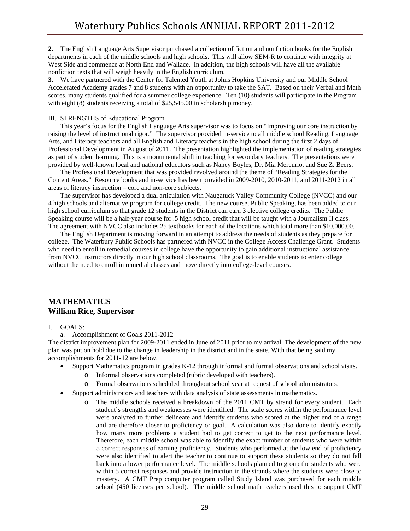**2.** The English Language Arts Supervisor purchased a collection of fiction and nonfiction books for the English departments in each of the middle schools and high schools. This will allow SEM-R to continue with integrity at West Side and commence at North End and Wallace. In addition, the high schools will have all the available nonfiction texts that will weigh heavily in the English curriculum.

**3.** We have partnered with the Center for Talented Youth at Johns Hopkins University and our Middle School Accelerated Academy grades 7 and 8 students with an opportunity to take the SAT. Based on their Verbal and Math scores, many students qualified for a summer college experience. Ten (10) students will participate in the Program with eight (8) students receiving a total of \$25,545.00 in scholarship money.

### III. STRENGTHS of Educational Program

 This year's focus for the English Language Arts supervisor was to focus on "Improving our core instruction by raising the level of instructional rigor." The supervisor provided in-service to all middle school Reading, Language Arts, and Literacy teachers and all English and Literacy teachers in the high school during the first 2 days of Professional Development in August of 2011. The presentation highlighted the implementation of reading strategies as part of student learning. This is a monumental shift in teaching for secondary teachers. The presentations were provided by well-known local and national educators such as Nancy Boyles, Dr. Mia Mercurio, and Sue Z. Beers.

 The Professional Development that was provided revolved around the theme of "Reading Strategies for the Content Areas." Resource books and in-service has been provided in 2009-2010, 2010-2011, and 2011-2012 in all areas of literacy instruction – core and non-core subjects.

 The supervisor has developed a dual articulation with Naugatuck Valley Community College (NVCC) and our 4 high schools and alternative program for college credit. The new course, Public Speaking, has been added to our high school curriculum so that grade 12 students in the District can earn 3 elective college credits. The Public Speaking course will be a half-year course for .5 high school credit that will be taught with a Journalism II class. The agreement with NVCC also includes 25 textbooks for each of the locations which total more than \$10,000.00.

 The English Department is moving forward in an attempt to address the needs of students as they prepare for college. The Waterbury Public Schools has partnered with NVCC in the College Access Challenge Grant. Students who need to enroll in remedial courses in college have the opportunity to gain additional instructional assistance from NVCC instructors directly in our high school classrooms. The goal is to enable students to enter college without the need to enroll in remedial classes and move directly into college-level courses.

## **MATHEMATICS William Rice, Supervisor**

### I. GOALS:

a. Accomplishment of Goals 2011-2012

The district improvement plan for 2009-2011 ended in June of 2011 prior to my arrival. The development of the new plan was put on hold due to the change in leadership in the district and in the state. With that being said my accomplishments for 2011-12 are below.

- Support Mathematics program in grades K-12 through informal and formal observations and school visits.
	- o Informal observations completed (rubric developed with teachers).
	- o Formal observations scheduled throughout school year at request of school administrators.
- Support administrators and teachers with data analysis of state assessments in mathematics.
	- The middle schools received a breakdown of the 2011 CMT by strand for every student. Each student's strengths and weaknesses were identified. The scale scores within the performance level were analyzed to further delineate and identify students who scored at the higher end of a range and are therefore closer to proficiency or goal. A calculation was also done to identify exactly how many more problems a student had to get correct to get to the next performance level. Therefore, each middle school was able to identify the exact number of students who were within 5 correct responses of earning proficiency. Students who performed at the low end of proficiency were also identified to alert the teacher to continue to support these students so they do not fall back into a lower performance level. The middle schools planned to group the students who were within 5 correct responses and provide instruction in the strands where the students were close to mastery. A CMT Prep computer program called Study Island was purchased for each middle school (450 licenses per school). The middle school math teachers used this to support CMT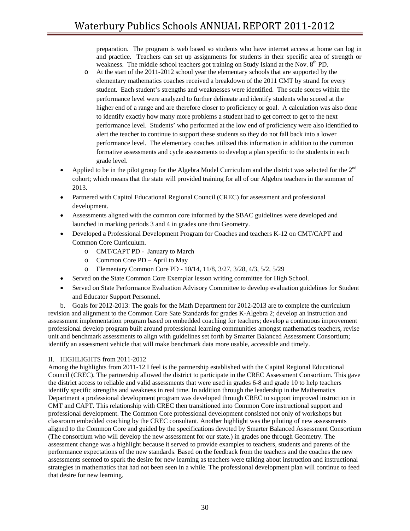preparation. The program is web based so students who have internet access at home can log in and practice. Teachers can set up assignments for students in their specific area of strength or weakness. The middle school teachers got training on Study Island at the Nov. 8<sup>th</sup> PD.

- o At the start of the 2011-2012 school year the elementary schools that are supported by the elementary mathematics coaches received a breakdown of the 2011 CMT by strand for every student. Each student's strengths and weaknesses were identified. The scale scores within the performance level were analyzed to further delineate and identify students who scored at the higher end of a range and are therefore closer to proficiency or goal. A calculation was also done to identify exactly how many more problems a student had to get correct to get to the next performance level. Students' who performed at the low end of proficiency were also identified to alert the teacher to continue to support these students so they do not fall back into a lower performance level. The elementary coaches utilized this information in addition to the common formative assessments and cycle assessments to develop a plan specific to the students in each grade level.
- Applied to be in the pilot group for the Algebra Model Curriculum and the district was selected for the 2<sup>nd</sup> cohort; which means that the state will provided training for all of our Algebra teachers in the summer of 2013.
- Partnered with Capitol Educational Regional Council (CREC) for assessment and professional development.
- Assessments aligned with the common core informed by the SBAC guidelines were developed and launched in marking periods 3 and 4 in grades one thru Geometry.
- Developed a Professional Development Program for Coaches and teachers K-12 on CMT/CAPT and Common Core Curriculum.
	- o CMT/CAPT PD January to March
	- o Common Core PD April to May
	- o Elementary Common Core PD 10/14, 11/8, 3/27, 3/28, 4/3, 5/2, 5/29
- Served on the State Common Core Exemplar lesson writing committee for High School.
- Served on State Performance Evaluation Advisory Committee to develop evaluation guidelines for Student and Educator Support Personnel.

 b. Goals for 2012-2013: The goals for the Math Department for 2012-2013 are to complete the curriculum revision and alignment to the Common Core Sate Standards for grades K-Algebra 2; develop an instruction and assessment implementation program based on embedded coaching for teachers; develop a continuous improvement professional develop program built around professional learning communities amongst mathematics teachers, revise unit and benchmark assessments to align with guidelines set forth by Smarter Balanced Assessment Consortium; identify an assessment vehicle that will make benchmark data more usable, accessible and timely.

### II. HIGHLIGHTS from 2011-2012

Among the highlights from 2011-12 I feel is the partnership established with the Capital Regional Educational Council (CREC). The partnership allowed the district to participate in the CREC Assessment Consortium. This gave the district access to reliable and valid assessments that were used in grades 6-8 and grade 10 to help teachers identify specific strengths and weakness in real time. In addition through the leadership in the Mathematics Department a professional development program was developed through CREC to support improved instruction in CMT and CAPT. This relationship with CREC then transitioned into Common Core instructional support and professional development. The Common Core professional development consisted not only of workshops but classroom embedded coaching by the CREC consultant. Another highlight was the piloting of new assessments aligned to the Common Core and guided by the specifications devoted by Smarter Balanced Assessment Consortium (The consortium who will develop the new assessment for our state.) in grades one through Geometry. The assessment change was a highlight because it served to provide examples to teachers, students and parents of the performance expectations of the new standards. Based on the feedback from the teachers and the coaches the new assessments seemed to spark the desire for new learning as teachers were talking about instruction and instructional strategies in mathematics that had not been seen in a while. The professional development plan will continue to feed that desire for new learning.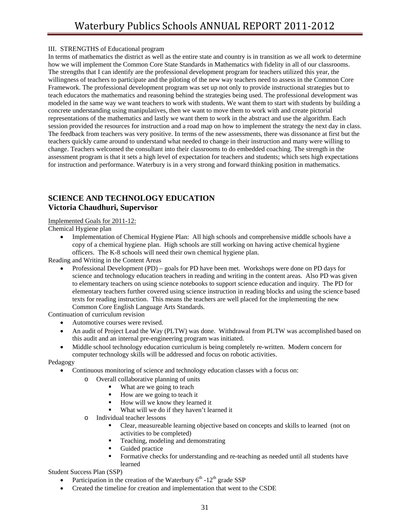### III. STRENGTHS of Educational program

In terms of mathematics the district as well as the entire state and country is in transition as we all work to determine how we will implement the Common Core State Standards in Mathematics with fidelity in all of our classrooms. The strengths that I can identify are the professional development program for teachers utilized this year, the willingness of teachers to participate and the piloting of the new way teachers need to assess in the Common Core Framework. The professional development program was set up not only to provide instructional strategies but to teach educators the mathematics and reasoning behind the strategies being used. The professional development was modeled in the same way we want teachers to work with students. We want them to start with students by building a concrete understanding using manipulatives, then we want to move them to work with and create pictorial representations of the mathematics and lastly we want them to work in the abstract and use the algorithm. Each session provided the resources for instruction and a road map on how to implement the strategy the next day in class. The feedback from teachers was very positive. In terms of the new assessments, there was dissonance at first but the teachers quickly came around to understand what needed to change in their instruction and many were willing to change. Teachers welcomed the consultant into their classrooms to do embedded coaching. The strength in the assessment program is that it sets a high level of expectation for teachers and students; which sets high expectations for instruction and performance. Waterbury is in a very strong and forward thinking position in mathematics.

## **SCIENCE AND TECHNOLOGY EDUCATION Victoria Chaudhuri, Supervisor**

### Implemented Goals for 2011-12:

Chemical Hygiene plan

• Implementation of Chemical Hygiene Plan: All high schools and comprehensive middle schools have a copy of a chemical hygiene plan. High schools are still working on having active chemical hygiene officers. The K-8 schools will need their own chemical hygiene plan.

Reading and Writing in the Content Areas

• Professional Development (PD) – goals for PD have been met. Workshops were done on PD days for science and technology education teachers in reading and writing in the content areas. Also PD was given to elementary teachers on using science notebooks to support science education and inquiry. The PD for elementary teachers further covered using science instruction in reading blocks and using the science based texts for reading instruction. This means the teachers are well placed for the implementing the new Common Core English Language Arts Standards.

Continuation of curriculum revision

- Automotive courses were revised.
- An audit of Project Lead the Way (PLTW) was done. Withdrawal from PLTW was accomplished based on this audit and an internal pre-engineering program was initiated.
- Middle school technology education curriculum is being completely re-written. Modern concern for computer technology skills will be addressed and focus on robotic activities.

Pedagogy

- Continuous monitoring of science and technology education classes with a focus on:
	- o Overall collaborative planning of units
		- What are we going to teach
		- How are we going to teach it
		- How will we know they learned it
		- What will we do if they haven't learned it
	- o Individual teacher lessons
		- Clear, measureable learning objective based on concepts and skills to learned (not on activities to be completed)
		- **Teaching, modeling and demonstrating**
		- Guided practice
		- Formative checks for understanding and re-teaching as needed until all students have learned

Student Success Plan (SSP)

- Participation in the creation of the Waterbury  $6<sup>th</sup> 12<sup>th</sup>$  grade SSP
- Created the timeline for creation and implementation that went to the CSDE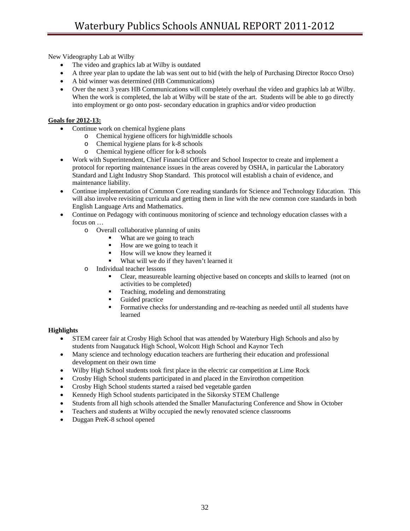New Videography Lab at Wilby

- The video and graphics lab at Wilby is outdated
- A three year plan to update the lab was sent out to bid (with the help of Purchasing Director Rocco Orso)
- A bid winner was determined (HB Communications)
- Over the next 3 years HB Communications will completely overhaul the video and graphics lab at Wilby. When the work is completed, the lab at Wilby will be state of the art. Students will be able to go directly into employment or go onto post- secondary education in graphics and/or video production

### **Goals for 2012-13:**

- Continue work on chemical hygiene plans
	- o Chemical hygiene officers for high/middle schools
	- o Chemical hygiene plans for k-8 schools
	- o Chemical hygiene officer for k-8 schools
- Work with Superintendent, Chief Financial Officer and School Inspector to create and implement a protocol for reporting maintenance issues in the areas covered by OSHA, in particular the Laboratory Standard and Light Industry Shop Standard. This protocol will establish a chain of evidence, and maintenance liability.
- Continue implementation of Common Core reading standards for Science and Technology Education. This will also involve revisiting curricula and getting them in line with the new common core standards in both English Language Arts and Mathematics.
- Continue on Pedagogy with continuous monitoring of science and technology education classes with a focus on …
	- o Overall collaborative planning of units
		- What are we going to teach
		- $\blacksquare$  How are we going to teach it
		- How will we know they learned it
		- What will we do if they haven't learned it
	- o Individual teacher lessons
		- Clear, measureable learning objective based on concepts and skills to learned (not on activities to be completed)
		- **Teaching, modeling and demonstrating**
		- Guided practice
		- Formative checks for understanding and re-teaching as needed until all students have learned

### **Highlights**

- STEM career fair at Crosby High School that was attended by Waterbury High Schools and also by students from Naugatuck High School, Wolcott High School and Kaynor Tech
- Many science and technology education teachers are furthering their education and professional development on their own time
- Wilby High School students took first place in the electric car competition at Lime Rock
- Crosby High School students participated in and placed in the Envirothon competition
- Crosby High School students started a raised bed vegetable garden
- Kennedy High School students participated in the Sikorsky STEM Challenge
- Students from all high schools attended the Smaller Manufacturing Conference and Show in October
- Teachers and students at Wilby occupied the newly renovated science classrooms
- Duggan PreK-8 school opened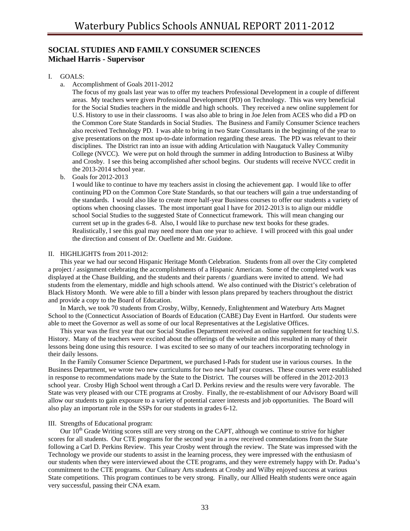## **SOCIAL STUDIES AND FAMILY CONSUMER SCIENCES Michael Harris - Supervisor**

### I. GOALS:

a. Accomplishment of Goals 2011-2012

The focus of my goals last year was to offer my teachers Professional Development in a couple of different areas. My teachers were given Professional Development (PD) on Technology. This was very beneficial for the Social Studies teachers in the middle and high schools. They received a new online supplement for U.S. History to use in their classrooms. I was also able to bring in Joe Jelen from ACES who did a PD on the Common Core State Standards in Social Studies. The Business and Family Consumer Science teachers also received Technology PD. I was able to bring in two State Consultants in the beginning of the year to give presentations on the most up-to-date information regarding these areas. The PD was relevant to their disciplines. The District ran into an issue with adding Articulation with Naugatuck Valley Community College (NVCC). We were put on hold through the summer in adding Introduction to Business at Wilby and Crosby. I see this being accomplished after school begins. Our students will receive NVCC credit in the 2013-2014 school year.

b. Goals for 2012-2013

I would like to continue to have my teachers assist in closing the achievement gap. I would like to offer continuing PD on the Common Core State Standards, so that our teachers will gain a true understanding of the standards. I would also like to create more half-year Business courses to offer our students a variety of options when choosing classes. The most important goal I have for 2012-2013 is to align our middle school Social Studies to the suggested State of Connecticut framework. This will mean changing our current set up in the grades 6-8. Also, I would like to purchase new text books for these grades. Realistically, I see this goal may need more than one year to achieve. I will proceed with this goal under the direction and consent of Dr. Ouellette and Mr. Guidone.

### II. HIGHLIGHTS from 2011-2012:

 This year we had our second Hispanic Heritage Month Celebration. Students from all over the City completed a project / assignment celebrating the accomplishments of a Hispanic American. Some of the completed work was displayed at the Chase Building, and the students and their parents / guardians were invited to attend. We had students from the elementary, middle and high schools attend. We also continued with the District's celebration of Black History Month. We were able to fill a binder with lesson plans prepared by teachers throughout the district and provide a copy to the Board of Education.

 In March, we took 70 students from Crosby, Wilby, Kennedy, Enlightenment and Waterbury Arts Magnet School to the (Connecticut Association of Boards of Education (CABE) Day Event in Hartford. Our students were able to meet the Governor as well as some of our local Representatives at the Legislative Offices.

 This year was the first year that our Social Studies Department received an online supplement for teaching U.S. History. Many of the teachers were excited about the offerings of the website and this resulted in many of their lessons being done using this resource. I was excited to see so many of our teachers incorporating technology in their daily lessons.

 In the Family Consumer Science Department, we purchased I-Pads for student use in various courses. In the Business Department, we wrote two new curriculums for two new half year courses. These courses were established in response to recommendations made by the State to the District. The courses will be offered in the 2012-2013 school year. Crosby High School went through a Carl D. Perkins review and the results were very favorable. The State was very pleased with our CTE programs at Crosby. Finally, the re-establishment of our Advisory Board will allow our students to gain exposure to a variety of potential career interests and job opportunities. The Board will also play an important role in the SSPs for our students in grades 6-12.

#### III. Strengths of Educational program:

Our  $10<sup>th</sup>$  Grade Writing scores still are very strong on the CAPT, although we continue to strive for higher scores for all students. Our CTE programs for the second year in a row received commendations from the State following a Carl D. Perkins Review. This year Crosby went through the review. The State was impressed with the Technology we provide our students to assist in the learning process, they were impressed with the enthusiasm of our students when they were interviewed about the CTE programs, and they were extremely happy with Dr. Padua's commitment to the CTE programs. Our Culinary Arts students at Crosby and Wilby enjoyed success at various State competitions. This program continues to be very strong. Finally, our Allied Health students were once again very successful, passing their CNA exam.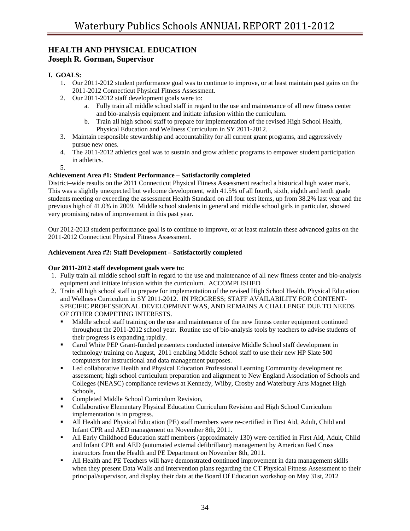## **HEALTH AND PHYSICAL EDUCATION Joseph R. Gorman, Supervisor**

## **I. GOALS:**

- 1. Our 2011-2012 student performance goal was to continue to improve, or at least maintain past gains on the 2011-2012 Connecticut Physical Fitness Assessment.
- 2. Our 2011-2012 staff development goals were to:
	- a. Fully train all middle school staff in regard to the use and maintenance of all new fitness center and bio-analysis equipment and initiate infusion within the curriculum.
	- b. Train all high school staff to prepare for implementation of the revised High School Health, Physical Education and Wellness Curriculum in SY 2011-2012.
- 3. Maintain responsible stewardship and accountability for all current grant programs, and aggressively pursue new ones.
- 4. The 2011-2012 athletics goal was to sustain and grow athletic programs to empower student participation in athletics.
- 5.

### **Achievement Area #1: Student Performance – Satisfactorily completed**

District–wide results on the 2011 Connecticut Physical Fitness Assessment reached a historical high water mark. This was a slightly unexpected but welcome development, with 41.5% of all fourth, sixth, eighth and tenth grade students meeting or exceeding the assessment Health Standard on all four test items, up from 38.2% last year and the previous high of 41.0% in 2009. Middle school students in general and middle school girls in particular, showed very promising rates of improvement in this past year.

Our 2012-2013 student performance goal is to continue to improve, or at least maintain these advanced gains on the 2011-2012 Connecticut Physical Fitness Assessment.

### **Achievement Area #2: Staff Development – Satisfactorily completed**

### **Our 2011-2012 staff development goals were to:**

- 1. Fully train all middle school staff in regard to the use and maintenance of all new fitness center and bio-analysis equipment and initiate infusion within the curriculum. ACCOMPLISHED
- 2. Train all high school staff to prepare for implementation of the revised High School Health, Physical Education and Wellness Curriculum in SY 2011-2012. IN PROGRESS; STAFF AVAILABILITY FOR CONTENT-SPECIFIC PROFESSIONAL DEVELOPMENT WAS, AND REMAINS A CHALLENGE DUE TO NEEDS OF OTHER COMPETING INTERESTS.
	- Middle school staff training on the use and maintenance of the new fitness center equipment continued throughout the 2011-2012 school year. Routine use of bio-analysis tools by teachers to advise students of their progress is expanding rapidly.
	- Carol White PEP Grant-funded presenters conducted intensive Middle School staff development in technology training on August, 2011 enabling Middle School staff to use their new HP Slate 500 computers for instructional and data management purposes.
	- Led collaborative Health and Physical Education Professional Learning Community development re: assessment; high school curriculum preparation and alignment to New England Association of Schools and Colleges (NEASC) compliance reviews at Kennedy, Wilby, Crosby and Waterbury Arts Magnet High Schools,
	- Completed Middle School Curriculum Revision,
	- Collaborative Elementary Physical Education Curriculum Revision and High School Curriculum implementation is in progress.
	- All Health and Physical Education (PE) staff members were re-certified in First Aid, Adult, Child and Infant CPR and AED management on November 8th, 2011.
	- All Early Childhood Education staff members (approximately 130) were certified in First Aid, Adult, Child and Infant CPR and AED (automated external defibrillator) management by American Red Cross instructors from the Health and PE Department on November 8th, 2011.
	- All Health and PE Teachers will have demonstrated continued improvement in data management skills when they present Data Walls and Intervention plans regarding the CT Physical Fitness Assessment to their principal/supervisor, and display their data at the Board Of Education workshop on May 31st, 2012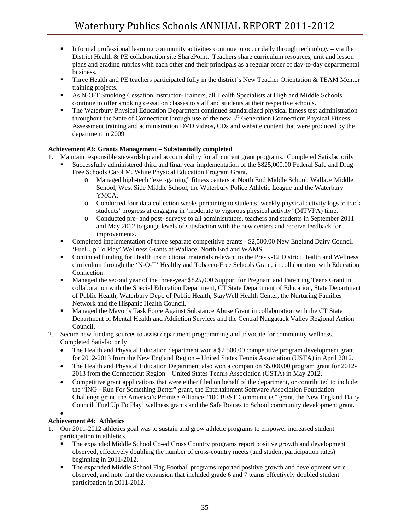- Informal professional learning community activities continue to occur daily through technology via the District Health & PE collaboration site SharePoint. Teachers share curriculum resources, unit and lesson plans and grading rubrics with each other and their principals as a regular order of day-to-day departmental business.
- Three Health and PE teachers participated fully in the district's New Teacher Orientation & TEAM Mentor training projects.
- As N-O-T Smoking Cessation Instructor-Trainers, all Health Specialists at High and Middle Schools continue to offer smoking cessation classes to staff and students at their respective schools.
- The Waterbury Physical Education Department continued standardized physical fitness test administration throughout the State of Connecticut through use of the new 3<sup>rd</sup> Generation Connecticut Physical Fitness Assessment training and administration DVD videos, CDs and website content that were produced by the department in 2009.

### **Achievement #3: Grants Management – Substantially completed**

- 1. Maintain responsible stewardship and accountability for all current grant programs. Completed Satisfactorily
	- Successfully administered third and final year implementation of the \$825,000.00 Federal Safe and Drug Free Schools Carol M. White Physical Education Program Grant.
		- o Managed high-tech "exer-gaming" fitness centers at North End Middle School, Wallace Middle School, West Side Middle School, the Waterbury Police Athletic League and the Waterbury YMCA.
		- o Conducted four data collection weeks pertaining to students' weekly physical activity logs to track students' progress at engaging in 'moderate to vigorous physical activity' (MTVPA) time.
		- o Conducted pre- and post- surveys to all administrators, teachers and students in September 2011 and May 2012 to gauge levels of satisfaction with the new centers and receive feedback for improvements.
	- Completed implementation of three separate competitive grants \$2,500.00 New England Dairy Council 'Fuel Up To Play' Wellness Grants at Wallace, North End and WAMS.
	- Continued funding for Health instructional materials relevant to the Pre-K-12 District Health and Wellness curriculum through the 'N-O-T' Healthy and Tobacco-Free Schools Grant, in collaboration with Education Connection.
	- Managed the second year of the three-year \$825,000 Support for Pregnant and Parenting Teens Grant in collaboration with the Special Education Department, CT State Department of Education, State Department of Public Health, Waterbury Dept. of Public Health, StayWell Health Center, the Nurturing Families Network and the Hispanic Health Council.
	- Managed the Mayor's Task Force Against Substance Abuse Grant in collaboration with the CT State Department of Mental Health and Addiction Services and the Central Naugatuck Valley Regional Action Council.
- 2. Secure new funding sources to assist department programming and advocate for community wellness. Completed Satisfactorily
	- The Health and Physical Education department won a \$2,500.00 competitive program development grant for 2012-2013 from the New England Region – United States Tennis Association (USTA) in April 2012.
	- The Health and Physical Education Department also won a companion \$5,000.00 program grant for 2012-2013 from the Connecticut Region – United States Tennis Association (USTA) in May 2012.
	- Competitive grant applications that were either filed on behalf of the department, or contributed to include: the "ING - Run For Something Better" grant, the Entertainment Software Association Foundation Challenge grant, the America's Promise Alliance "100 BEST Communities" grant, the New England Dairy Council 'Fuel Up To Play' wellness grants and the Safe Routes to School community development grant.

### •

### **Achievement #4: Athletics**

- 1. Our 2011-2012 athletics goal was to sustain and grow athletic programs to empower increased student participation in athletics*.* 
	- The expanded Middle School Co-ed Cross Country programs report positive growth and development observed, effectively doubling the number of cross-country meets (and student participation rates) beginning in 2011-2012.
	- The expanded Middle School Flag Football programs reported positive growth and development were observed, and note that the expansion that included grade 6 and 7 teams effectively doubled student participation in 2011-2012.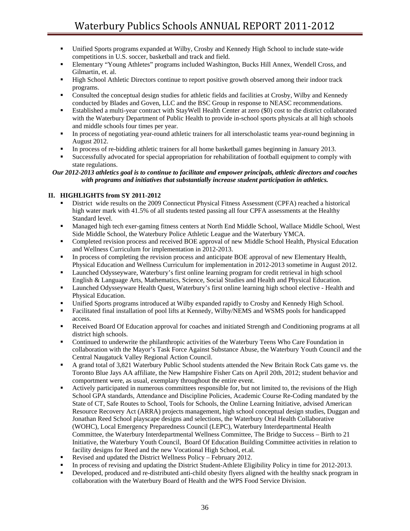- Unified Sports programs expanded at Wilby, Crosby and Kennedy High School to include state-wide competitions in U.S. soccer, basketball and track and field.
- Elementary "Young Athletes" programs included Washington, Bucks Hill Annex, Wendell Cross, and Gilmartin, et. al.
- **High School Athletic Directors continue to report positive growth observed among their indoor track** programs.
- Consulted the conceptual design studies for athletic fields and facilities at Crosby, Wilby and Kennedy conducted by Blades and Goven, LLC and the BSC Group in response to NEASC recommendations.
- Established a multi-year contract with StayWell Health Center at zero (\$0) cost to the district collaborated with the Waterbury Department of Public Health to provide in-school sports physicals at all high schools and middle schools four times per year.
- In process of negotiating year-round athletic trainers for all interscholastic teams year-round beginning in August 2012.
- In process of re-bidding athletic trainers for all home basketball games beginning in January 2013.
- Successfully advocated for special appropriation for rehabilitation of football equipment to comply with state regulations.

### *Our 2012-2013 athletics goal is to continue to facilitate and empower principals, athletic directors and coaches with programs and initiatives that substantially increase student participation in athletics.*

### **II. HIGHLIGHTS from SY 2011-2012**

- District wide results on the 2009 Connecticut Physical Fitness Assessment (CPFA) reached a historical high water mark with 41.5% of all students tested passing all four CPFA assessments at the Healthy Standard level.
- Managed high tech exer-gaming fitness centers at North End Middle School, Wallace Middle School, West Side Middle School, the Waterbury Police Athletic League and the Waterbury YMCA.
- Completed revision process and received BOE approval of new Middle School Health, Physical Education and Wellness Curriculum for implementation in 2012-2013.
- In process of completing the revision process and anticipate BOE approval of new Elementary Health, Physical Education and Wellness Curriculum for implementation in 2012-2013 sometime in August 2012.
- Launched Odysseyware, Waterbury's first online learning program for credit retrieval in high school English & Language Arts, Mathematics, Science, Social Studies and Health and Physical Education.
- Launched Odysseyware Health Quest, Waterbury's first online learning high school elective Health and Physical Education.
- Unified Sports programs introduced at Wilby expanded rapidly to Crosby and Kennedy High School.
- Facilitated final installation of pool lifts at Kennedy, Wilby/NEMS and WSMS pools for handicapped access.
- **Received Board Of Education approval for coaches and initiated Strength and Conditioning programs at all** district high schools.
- Continued to underwrite the philanthropic activities of the Waterbury Teens Who Care Foundation in collaboration with the Mayor's Task Force Against Substance Abuse, the Waterbury Youth Council and the Central Naugatuck Valley Regional Action Council.
- A grand total of 3,821 Waterbury Public School students attended the New Britain Rock Cats game vs. the Toronto Blue Jays AA affiliate, the New Hampshire Fisher Cats on April 20th, 2012; student behavior and comportment were, as usual, exemplary throughout the entire event.
- Actively participated in numerous committees responsible for, but not limited to, the revisions of the High School GPA standards, Attendance and Discipline Policies, Academic Course Re-Coding mandated by the State of CT, Safe Routes to School, Tools for Schools, the Online Learning Initiative, advised American Resource Recovery Act (ARRA) projects management, high school conceptual design studies, Duggan and Jonathan Reed School playscape designs and selections, the Waterbury Oral Health Collaborative (WOHC), Local Emergency Preparedness Council (LEPC), Waterbury Interdepartmental Health Committee, the Waterbury Interdepartmental Wellness Committee, The Bridge to Success – Birth to 21 Initiative, the Waterbury Youth Council, Board Of Education Building Committee activities in relation to facility designs for Reed and the new Vocational High School, et.al.
- Revised and updated the District Wellness Policy February 2012.
- In process of revising and updating the District Student-Athlete Eligibility Policy in time for 2012-2013.
- Developed, produced and re-distributed anti-child obesity flyers aligned with the healthy snack program in collaboration with the Waterbury Board of Health and the WPS Food Service Division.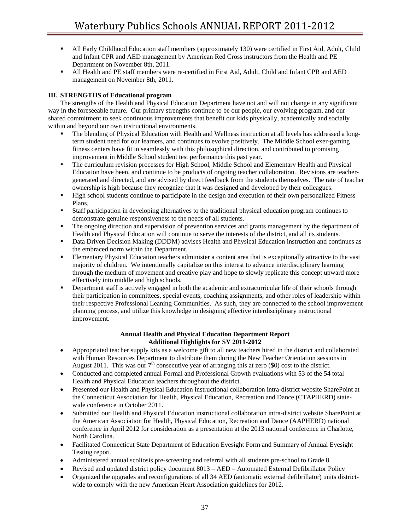- All Early Childhood Education staff members (approximately 130) were certified in First Aid, Adult, Child and Infant CPR and AED management by American Red Cross instructors from the Health and PE Department on November 8th, 2011.
- All Health and PE staff members were re-certified in First Aid, Adult, Child and Infant CPR and AED management on November 8th, 2011.

### **III. STRENGTHS of Educational program**

The strengths of the Health and Physical Education Department have not and will not change in any significant way in the foreseeable future. Our primary strengths continue to be our people, our evolving program, and our shared commitment to seek continuous improvements that benefit our kids physically, academically and socially within and beyond our own instructional environments.

- The blending of Physical Education with Health and Wellness instruction at all levels has addressed a longterm student need for our learners, and continues to evolve positively. The Middle School exer-gaming fitness centers have fit in seamlessly with this philosophical direction, and contributed to promising improvement in Middle School student test performance this past year.
- The curriculum revision processes for High School, Middle School and Elementary Health and Physical Education have been, and continue to be products of ongoing teacher collaboration. Revisions are teachergenerated and directed, and are advised by direct feedback from the students themselves. The rate of teacher ownership is high because they recognize that it was designed and developed by their colleagues.
- **High school students continue to participate in the design and execution of their own personalized Fitness** Plans.
- Staff participation in developing alternatives to the traditional physical education program continues to demonstrate genuine responsiveness to the needs of all students.
- The ongoing direction and supervision of prevention services and grants management by the department of Health and Physical Education will continue to serve the interests of the district, and all its students.
- Data Driven Decision Making (DDDM) advises Health and Physical Education instruction and continues as the embraced norm within the Department.
- Elementary Physical Education teachers administer a content area that is exceptionally attractive to the vast majority of children. We intentionally capitalize on this interest to advance interdisciplinary learning through the medium of movement and creative play and hope to slowly replicate this concept upward more effectively into middle and high schools.
- Department staff is actively engaged in both the academic and extracurricular life of their schools through their participation in committees, special events, coaching assignments, and other roles of leadership within their respective Professional Leaning Communities. As such, they are connected to the school improvement planning process, and utilize this knowledge in designing effective interdisciplinary instructional improvement.

### **Annual Health and Physical Education Department Report Additional Highlights for SY 2011-2012**

- Appropriated teacher supply kits as a welcome gift to all new teachers hired in the district and collaborated with Human Resources Department to distribute them during the New Teacher Orientation sessions in August 2011. This was our  $7<sup>th</sup>$  consecutive year of arranging this at zero (\$0) cost to the district.
- Conducted and completed annual Formal and Professional Growth evaluations with 53 of the 54 total Health and Physical Education teachers throughout the district.
- Presented our Health and Physical Education instructional collaboration intra-district website SharePoint at the Connecticut Association for Health, Physical Education, Recreation and Dance (CTAPHERD) statewide conference in October 2011.
- Submitted our Health and Physical Education instructional collaboration intra-district website SharePoint at the American Association for Health, Physical Education, Recreation and Dance (AAPHERD) national conference in April 2012 for consideration as a presentation at the 2013 national conference in Charlotte, North Carolina.
- Facilitated Connecticut State Department of Education Eyesight Form and Summary of Annual Eyesight Testing report.
- Administered annual scoliosis pre-screening and referral with all students pre-school to Grade 8.
- Revised and updated district policy document 8013 AED Automated External Defibrillator Policy
- Organized the upgrades and reconfigurations of all 34 AED (automatic external defibrillator) units districtwide to comply with the new American Heart Association guidelines for 2012.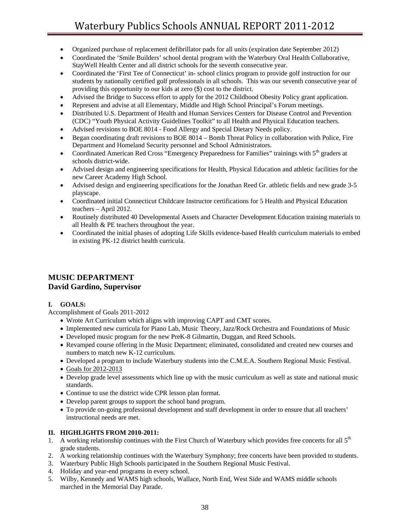- Organized purchase of replacement defibrillator pads for all units (expiration date September 2012)
- Coordinated the 'Smile Builders' school dental program with the Waterbury Oral Health Collaborative, StayWell Health Center and all district schools for the seventh consecutive year.
- Coordinated the 'First Tee of Connecticut' in- school clinics program to provide golf instruction for our students by nationally certified golf professionals in all schools. This was our seventh consecutive year of providing this opportunity to our kids at zero (\$) cost to the district.
- Advised the Bridge to Success effort to apply for the 2012 Childhood Obesity Policy grant application.
- Represent and advise at all Elementary, Middle and High School Principal's Forum meetings.
- Distributed U.S. Department of Health and Human Services Centers for Disease Control and Prevention (CDC) "Youth Physical Activity Guidelines Toolkit" to all Health and Physical Education teachers.
- Advised revisions to BOE 8014 Food Allergy and Special Dietary Needs policy.
- Began coordinating draft revisions to BOE 8014 Bomb Threat Policy in collaboration with Police, Fire Department and Homeland Security personnel and School Administrators.
- Coordinated American Red Cross "Emergency Preparedness for Families" trainings with 5th graders at schools district-wide.
- Advised design and engineering specifications for Health, Physical Education and athletic facilities for the new Career Academy High School.
- Advised design and engineering specifications for the Jonathan Reed Gr. athletic fields and new grade 3-5 playscape.
- Coordinated initial Connecticut Childcare Instructor certifications for 5 Health and Physical Education teachers – April 2012.
- Routinely distributed 40 Developmental Assets and Character Development Education training materials to all Health & PE teachers throughout the year.
- Coordinated the initial phases of adopting Life Skills evidence-based Health curriculum materials to embed in existing PK-12 district health curricula.

## **MUSIC DEPARTMENT David Gardino, Supervisor**

### **I. GOALS:**

Accomplishment of Goals 2011-2012

- Wrote Art Curriculum which aligns with improving CAPT and CMT scores.
- Implemented new curricula for Piano Lab, Music Theory, Jazz/Rock Orchestra and Foundations of Music
- Developed music program for the new PreK-8 Gilmartin, Duggan, and Reed Schools.
- Revamped course offering in the Music Department; eliminated, consolidated and created new courses and numbers to match new K-12 curriculum.
- Developed a program to include Waterbury students into the C.M.E.A. Southern Regional Music Festival.
- Goals for 2012-2013
- Develop grade level assessments which line up with the music curriculum as well as state and national music standards.
- Continue to use the district wide CPR lesson plan format.
- Develop parent groups to support the school band program.
- To provide on-going professional development and staff development in order to ensure that all teachers' instructional needs are met.

### **II. HIGHLIGHTS FROM 2010-2011:**

- 1. A working relationship continues with the First Church of Waterbury which provides free concerts for all  $5<sup>th</sup>$ grade students.
- 2. A working relationship continues with the Waterbury Symphony; free concerts have been provided to students.
- 3. Waterbury Public High Schools participated in the Southern Regional Music Festival.
- 4. Holiday and year-end programs in every school.
- 5. Wilby, Kennedy and WAMS high schools, Wallace, North End, West Side and WAMS middle schools marched in the Memorial Day Parade.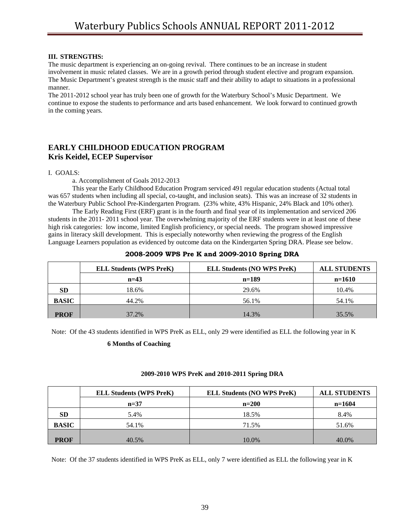### **III. STRENGTHS:**

The music department is experiencing an on-going revival. There continues to be an increase in student involvement in music related classes. We are in a growth period through student elective and program expansion. The Music Department's greatest strength is the music staff and their ability to adapt to situations in a professional manner.

The 2011-2012 school year has truly been one of growth for the Waterbury School's Music Department. We continue to expose the students to performance and arts based enhancement. We look forward to continued growth in the coming years.

## **EARLY CHILDHOOD EDUCATION PROGRAM Kris Keidel, ECEP Supervisor**

I. GOALS:

a. Accomplishment of Goals 2012-2013

This year the Early Childhood Education Program serviced 491 regular education students (Actual total was 657 students when including all special, co-taught, and inclusion seats). This was an increase of 32 students in the Waterbury Public School Pre-Kindergarten Program. (23% white, 43% Hispanic, 24% Black and 10% other).

The Early Reading First (ERF) grant is in the fourth and final year of its implementation and serviced 206 students in the 2011- 2011 school year. The overwhelming majority of the ERF students were in at least one of these high risk categories: low income, limited English proficiency, or special needs. The program showed impressive gains in literacy skill development. This is especially noteworthy when reviewing the progress of the English Language Learners population as evidenced by outcome data on the Kindergarten Spring DRA. Please see below.

|              | <b>ELL Students (WPS PreK)</b> | <b>ELL Students (NO WPS PreK)</b> | <b>ALL STUDENTS</b> |
|--------------|--------------------------------|-----------------------------------|---------------------|
|              | $n=43$                         | $n=189$                           | $n=1610$            |
| <b>SD</b>    | 18.6%                          | 29.6%                             | 10.4%               |
| <b>BASIC</b> | 44.2%                          | 56.1%                             | 54.1%               |
| <b>PROF</b>  | 37.2%                          | 14.3%                             | 35.5%               |

### **2008-2009 WPS Pre K and 2009-2010 Spring DRA**

Note: Of the 43 students identified in WPS PreK as ELL, only 29 were identified as ELL the following year in K

### **6 Months of Coaching**

### **2009-2010 WPS PreK and 2010-2011 Spring DRA**

|              | <b>ELL Students (WPS PreK)</b> | <b>ELL Students (NO WPS PreK)</b> | <b>ALL STUDENTS</b> |
|--------------|--------------------------------|-----------------------------------|---------------------|
|              | $n=37$                         | $n=200$                           | $n=1604$            |
| <b>SD</b>    | 5.4%                           | 18.5%                             | 8.4%                |
| <b>BASIC</b> | 54.1%                          | 71.5%                             | 51.6%               |
| <b>PROF</b>  | 40.5%                          | 10.0%                             | 40.0%               |

Note: Of the 37 students identified in WPS PreK as ELL, only 7 were identified as ELL the following year in K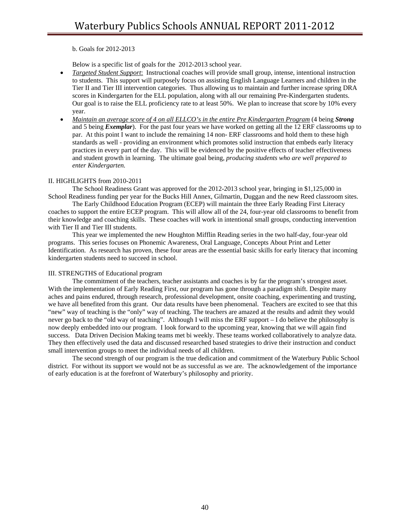b. Goals for 2012-2013

Below is a specific list of goals for the 2012-2013 school year.

- *Targeted Student Support*: Instructional coaches will provide small group, intense, intentional instruction to students. This support will purposely focus on assisting English Language Learners and children in the Tier II and Tier III intervention categories. Thus allowing us to maintain and further increase spring DRA scores in Kindergarten for the ELL population, along with all our remaining Pre-Kindergarten students. Our goal is to raise the ELL proficiency rate to at least 50%. We plan to increase that score by 10% every year.
- *Maintain an average score of 4 on all ELLCO's in the entire Pre Kindergarten Program* (4 being *Strong* and 5 being *Exemplar*). For the past four years we have worked on getting all the 12 ERF classrooms up to par. At this point I want to include the remaining 14 non- ERF classrooms and hold them to these high standards as well - providing an environment which promotes solid instruction that embeds early literacy practices in every part of the day. This will be evidenced by the positive effects of teacher effectiveness and student growth in learning. The ultimate goal being, *producing students who are well prepared to enter Kindergarten.*

### II. HIGHLIGHTS from 2010-2011

The School Readiness Grant was approved for the 2012-2013 school year, bringing in \$1,125,000 in School Readiness funding per year for the Bucks Hill Annex, Gilmartin, Duggan and the new Reed classroom sites.

The Early Childhood Education Program (ECEP) will maintain the three Early Reading First Literacy coaches to support the entire ECEP program. This will allow all of the 24, four-year old classrooms to benefit from their knowledge and coaching skills. These coaches will work in intentional small groups, conducting intervention with Tier II and Tier III students.

This year we implemented the new Houghton Mifflin Reading series in the two half-day, four-year old programs. This series focuses on Phonemic Awareness, Oral Language, Concepts About Print and Letter Identification. As research has proven, these four areas are the essential basic skills for early literacy that incoming kindergarten students need to succeed in school.

### III. STRENGTHS of Educational program

The commitment of the teachers, teacher assistants and coaches is by far the program's strongest asset. With the implementation of Early Reading First, our program has gone through a paradigm shift. Despite many aches and pains endured, through research, professional development, onsite coaching, experimenting and trusting, we have all benefited from this grant. Our data results have been phenomenal. Teachers are excited to see that this "new" way of teaching is the "only" way of teaching. The teachers are amazed at the results and admit they would never go back to the "old way of teaching". Although I will miss the ERF support – I do believe the philosophy is now deeply embedded into our program. I look forward to the upcoming year, knowing that we will again find success. Data Driven Decision Making teams met bi weekly. These teams worked collaboratively to analyze data. They then effectively used the data and discussed researched based strategies to drive their instruction and conduct small intervention groups to meet the individual needs of all children.

The second strength of our program is the true dedication and commitment of the Waterbury Public School district. For without its support we would not be as successful as we are. The acknowledgement of the importance of early education is at the forefront of Waterbury's philosophy and priority.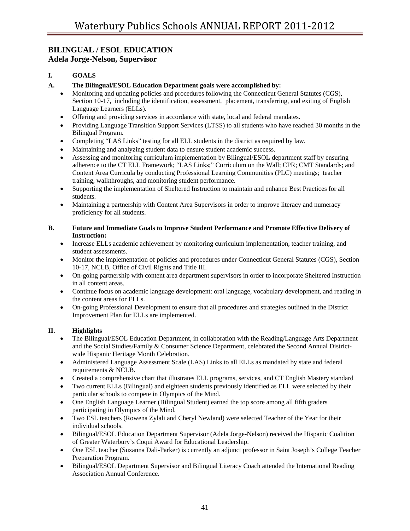# **BILINGUAL / ESOL EDUCATION**

**Adela Jorge-Nelson, Supervisor** 

## **I. GOALS**

- **A. The Bilingual/ESOL Education Department goals were accomplished by:** 
	- Monitoring and updating policies and procedures following the Connecticut General Statutes (CGS), Section 10-17, including the identification, assessment, placement, transferring, and exiting of English Language Learners (ELLs).
	- Offering and providing services in accordance with state, local and federal mandates.
	- Providing Language Transition Support Services (LTSS) to all students who have reached 30 months in the Bilingual Program.
	- Completing "LAS Links" testing for all ELL students in the district as required by law.
	- Maintaining and analyzing student data to ensure student academic success.
	- Assessing and monitoring curriculum implementation by Bilingual/ESOL department staff by ensuring adherence to the CT ELL Framework; "LAS Links;" Curriculum on the Wall; CPR; CMT Standards; and Content Area Curricula by conducting Professional Learning Communities (PLC) meetings; teacher training, walkthroughs, and monitoring student performance.
	- Supporting the implementation of Sheltered Instruction to maintain and enhance Best Practices for all students.
	- Maintaining a partnership with Content Area Supervisors in order to improve literacy and numeracy proficiency for all students.

### **B. Future and Immediate Goals to Improve Student Performance and Promote Effective Delivery of Instruction:**

- Increase ELLs academic achievement by monitoring curriculum implementation, teacher training, and student assessments.
- Monitor the implementation of policies and procedures under Connecticut General Statutes (CGS), Section 10-17, NCLB, Office of Civil Rights and Title III.
- On-going partnership with content area department supervisors in order to incorporate Sheltered Instruction in all content areas.
- Continue focus on academic language development: oral language, vocabulary development, and reading in the content areas for ELLs.
- On-going Professional Development to ensure that all procedures and strategies outlined in the District Improvement Plan for ELLs are implemented.

## **II. Highlights**

- The Bilingual/ESOL Education Department, in collaboration with the Reading/Language Arts Department and the Social Studies/Family & Consumer Science Department, celebrated the Second Annual Districtwide Hispanic Heritage Month Celebration.
- Administered Language Assessment Scale (LAS) Links to all ELLs as mandated by state and federal requirements & NCLB.
- Created a comprehensive chart that illustrates ELL programs, services, and CT English Mastery standard
- Two current ELLs (Bilingual) and eighteen students previously identified as ELL were selected by their particular schools to compete in Olympics of the Mind.
- One English Language Learner (Bilingual Student) earned the top score among all fifth graders participating in Olympics of the Mind.
- Two ESL teachers (Rowena Zylali and Cheryl Newland) were selected Teacher of the Year for their individual schools.
- Bilingual/ESOL Education Department Supervisor (Adela Jorge-Nelson) received the Hispanic Coalition of Greater Waterbury's Coqui Award for Educational Leadership.
- One ESL teacher (Suzanna Dali-Parker) is currently an adjunct professor in Saint Joseph's College Teacher Preparation Program.
- Bilingual/ESOL Department Supervisor and Bilingual Literacy Coach attended the International Reading Association Annual Conference.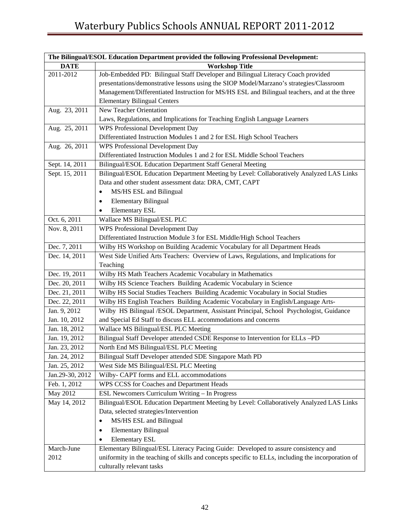| The Bilingual/ESOL Education Department provided the following Professional Development: |                                                                                                    |  |  |
|------------------------------------------------------------------------------------------|----------------------------------------------------------------------------------------------------|--|--|
| <b>DATE</b>                                                                              | <b>Workshop Title</b>                                                                              |  |  |
| 2011-2012                                                                                | Job-Embedded PD: Bilingual Staff Developer and Bilingual Literacy Coach provided                   |  |  |
|                                                                                          | presentations/demonstrative lessons using the SIOP Model/Marzano's strategies/Classroom            |  |  |
|                                                                                          | Management/Differentiated Instruction for MS/HS ESL and Bilingual teachers, and at the three       |  |  |
|                                                                                          | <b>Elementary Bilingual Centers</b>                                                                |  |  |
| Aug. 23, 2011                                                                            | New Teacher Orientation                                                                            |  |  |
|                                                                                          | Laws, Regulations, and Implications for Teaching English Language Learners                         |  |  |
| Aug. 25, 2011                                                                            | WPS Professional Development Day                                                                   |  |  |
|                                                                                          | Differentiated Instruction Modules 1 and 2 for ESL High School Teachers                            |  |  |
| Aug. 26, 2011                                                                            | WPS Professional Development Day                                                                   |  |  |
|                                                                                          | Differentiated Instruction Modules 1 and 2 for ESL Middle School Teachers                          |  |  |
| Sept. 14, 2011                                                                           | Bilingual/ESOL Education Department Staff General Meeting                                          |  |  |
| Sept. 15, 2011                                                                           | Bilingual/ESOL Education Department Meeting by Level: Collaboratively Analyzed LAS Links           |  |  |
|                                                                                          | Data and other student assessment data: DRA, CMT, CAPT                                             |  |  |
|                                                                                          | MS/HS ESL and Bilingual<br>٠                                                                       |  |  |
|                                                                                          | <b>Elementary Bilingual</b><br>٠                                                                   |  |  |
|                                                                                          | <b>Elementary ESL</b>                                                                              |  |  |
| Oct. 6, 2011                                                                             | Wallace MS Bilingual/ESL PLC                                                                       |  |  |
| Nov. 8, 2011                                                                             | WPS Professional Development Day                                                                   |  |  |
|                                                                                          | Differentiated Instruction Module 3 for ESL Middle/High School Teachers                            |  |  |
| Dec. 7, 2011                                                                             | Wilby HS Workshop on Building Academic Vocabulary for all Department Heads                         |  |  |
| Dec. 14, 2011                                                                            | West Side Unified Arts Teachers: Overview of Laws, Regulations, and Implications for               |  |  |
|                                                                                          | Teaching                                                                                           |  |  |
| Dec. 19, 2011                                                                            | Wilby HS Math Teachers Academic Vocabulary in Mathematics                                          |  |  |
| Dec. 20, 2011                                                                            | Wilby HS Science Teachers Building Academic Vocabulary in Science                                  |  |  |
| Dec. 21, 2011                                                                            | Wilby HS Social Studies Teachers Building Academic Vocabulary in Social Studies                    |  |  |
| Dec. 22, 2011                                                                            | Wilby HS English Teachers Building Academic Vocabulary in English/Language Arts-                   |  |  |
| Jan. 9, 2012                                                                             | Wilby HS Bilingual /ESOL Department, Assistant Principal, School Psychologist, Guidance            |  |  |
| Jan. 10, 2012                                                                            | and Special Ed Staff to discuss ELL accommodations and concerns                                    |  |  |
| Jan. 18, 2012                                                                            | Wallace MS Bilingual/ESL PLC Meeting                                                               |  |  |
| Jan. 19, 2012                                                                            | Bilingual Staff Developer attended CSDE Response to Intervention for ELLs -PD                      |  |  |
| Jan. 23, 2012                                                                            | North End MS Bilingual/ESL PLC Meeting                                                             |  |  |
| Jan. 24, 2012                                                                            | Bilingual Staff Developer attended SDE Singapore Math PD                                           |  |  |
| Jan. 25, 2012                                                                            | West Side MS Bilingual/ESL PLC Meeting                                                             |  |  |
| Jan.29-30, 2012                                                                          | Wilby- CAPT forms and ELL accommodations                                                           |  |  |
| Feb. 1, 2012                                                                             | WPS CCSS for Coaches and Department Heads                                                          |  |  |
| May 2012                                                                                 | ESL Newcomers Curriculum Writing - In Progress                                                     |  |  |
| May 14, 2012                                                                             | Bilingual/ESOL Education Department Meeting by Level: Collaboratively Analyzed LAS Links           |  |  |
|                                                                                          | Data, selected strategies/Intervention                                                             |  |  |
|                                                                                          | MS/HS ESL and Bilingual<br>٠                                                                       |  |  |
|                                                                                          | <b>Elementary Bilingual</b>                                                                        |  |  |
|                                                                                          | <b>Elementary ESL</b><br>٠                                                                         |  |  |
| March-June                                                                               | Elementary Bilingual/ESL Literacy Pacing Guide: Developed to assure consistency and                |  |  |
| 2012                                                                                     | uniformity in the teaching of skills and concepts specific to ELLs, including the incorporation of |  |  |
|                                                                                          | culturally relevant tasks                                                                          |  |  |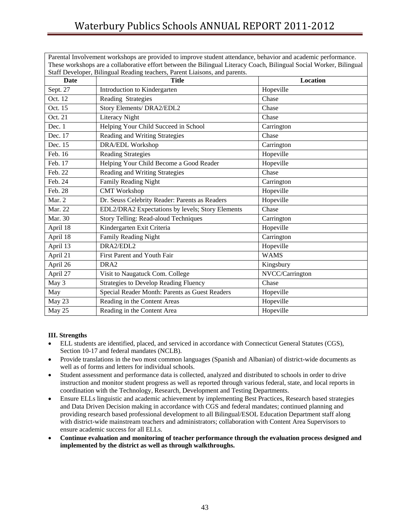Parental Involvement workshops are provided to improve student attendance, behavior and academic performance.

| These workshops are a collaborative effort between the Bilingual Literacy Coach, Bilingual Social Worker, Bilingual |                                                  |                 |  |  |
|---------------------------------------------------------------------------------------------------------------------|--------------------------------------------------|-----------------|--|--|
| Staff Developer, Bilingual Reading teachers, Parent Liaisons, and parents.<br><b>Title</b><br>Date                  |                                                  | <b>Location</b> |  |  |
| Sept. 27                                                                                                            | Introduction to Kindergarten                     | Hopeville       |  |  |
| Oct. 12                                                                                                             | Reading Strategies                               | Chase           |  |  |
| Oct. 15                                                                                                             | Story Elements/ DRA2/EDL2                        | Chase           |  |  |
| Oct. 21                                                                                                             | Literacy Night                                   | Chase           |  |  |
| Dec. 1                                                                                                              | Helping Your Child Succeed in School             | Carrington      |  |  |
| Dec. 17                                                                                                             | Reading and Writing Strategies                   | Chase           |  |  |
| Dec. 15                                                                                                             | DRA/EDL Workshop                                 | Carrington      |  |  |
| Feb. 16                                                                                                             | <b>Reading Strategies</b>                        | Hopeville       |  |  |
| Feb. 17                                                                                                             | Helping Your Child Become a Good Reader          | Hopeville       |  |  |
| Feb. 22                                                                                                             | Reading and Writing Strategies                   | Chase           |  |  |
| Feb. 24                                                                                                             | Family Reading Night                             | Carrington      |  |  |
| Feb. 28                                                                                                             | <b>CMT</b> Workshop                              | Hopeville       |  |  |
| Mar. 2                                                                                                              | Dr. Seuss Celebrity Reader: Parents as Readers   | Hopeville       |  |  |
| Mar. 22                                                                                                             | EDL2/DRA2 Expectations by levels; Story Elements | Chase           |  |  |
| Mar. 30                                                                                                             | Story Telling: Read-aloud Techniques             | Carrington      |  |  |
| April 18                                                                                                            | Kindergarten Exit Criteria                       | Hopeville       |  |  |
| April 18                                                                                                            | <b>Family Reading Night</b>                      | Carrington      |  |  |
| April 13                                                                                                            | DRA2/EDL2                                        | Hopeville       |  |  |
| April 21                                                                                                            | First Parent and Youth Fair                      | <b>WAMS</b>     |  |  |
| April 26                                                                                                            | DRA <sub>2</sub>                                 | Kingsbury       |  |  |
| April 27                                                                                                            | Visit to Naugatuck Com. College                  | NVCC/Carrington |  |  |
| May 3                                                                                                               | <b>Strategies to Develop Reading Fluency</b>     | Chase           |  |  |
| May                                                                                                                 | Special Reader Month: Parents as Guest Readers   | Hopeville       |  |  |
| May 23                                                                                                              | Reading in the Content Areas                     | Hopeville       |  |  |
| May 25                                                                                                              | Reading in the Content Area                      | Hopeville       |  |  |

### **III. Strengths**

- ELL students are identified, placed, and serviced in accordance with Connecticut General Statutes (CGS), Section 10-17 and federal mandates (NCLB).
- Provide translations in the two most common languages (Spanish and Albanian) of district-wide documents as well as of forms and letters for individual schools.
- Student assessment and performance data is collected, analyzed and distributed to schools in order to drive instruction and monitor student progress as well as reported through various federal, state, and local reports in coordination with the Technology, Research, Development and Testing Departments.
- Ensure ELLs linguistic and academic achievement by implementing Best Practices, Research based strategies and Data Driven Decision making in accordance with CGS and federal mandates; continued planning and providing research based professional development to all Bilingual/ESOL Education Department staff along with district-wide mainstream teachers and administrators; collaboration with Content Area Supervisors to ensure academic success for all ELLs.
- **Continue evaluation and monitoring of teacher performance through the evaluation process designed and implemented by the district as well as through walkthroughs.**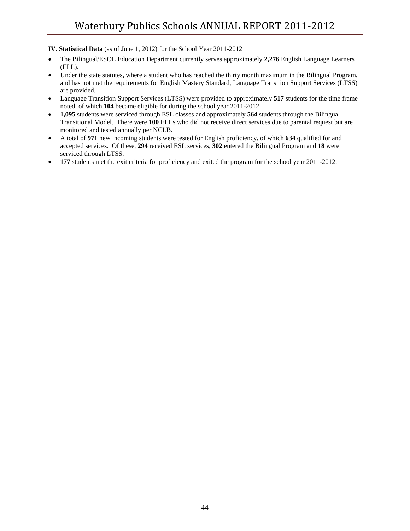**IV. Statistical Data** (as of June 1, 2012) for the School Year 2011-2012

- The Bilingual/ESOL Education Department currently serves approximately **2,276** English Language Learners (ELL).
- Under the state statutes, where a student who has reached the thirty month maximum in the Bilingual Program, and has not met the requirements for English Mastery Standard, Language Transition Support Services (LTSS) are provided.
- Language Transition Support Services (LTSS) were provided to approximately **517** students for the time frame noted, of which **104** became eligible for during the school year 2011-2012.
- **1,095** students were serviced through ESL classes and approximately **564** students through the Bilingual Transitional Model. There were **100** ELLs who did not receive direct services due to parental request but are monitored and tested annually per NCLB.
- A total of **971** new incoming students were tested for English proficiency, of which **634** qualified for and accepted services. Of these, **294** received ESL services, **302** entered the Bilingual Program and **18** were serviced through LTSS.
- **177** students met the exit criteria for proficiency and exited the program for the school year 2011-2012.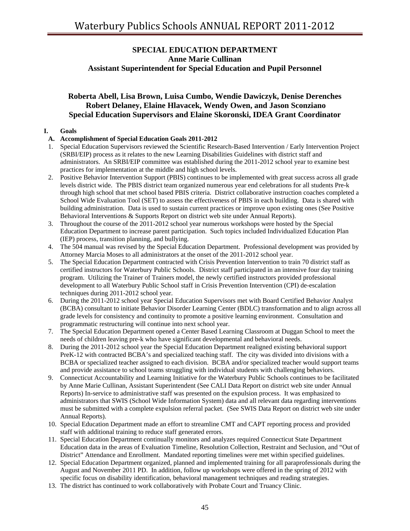## **SPECIAL EDUCATION DEPARTMENT Anne Marie Cullinan Assistant Superintendent for Special Education and Pupil Personnel**

## **Roberta Abell, Lisa Brown, Luisa Cumbo, Wendie Dawiczyk, Denise Derenches Robert Delaney, Elaine Hlavacek, Wendy Owen, and Jason Sconziano Special Education Supervisors and Elaine Skoronski, IDEA Grant Coordinator**

### **I. Goals**

### **A. Accomplishment of Special Education Goals 2011-2012**

- 1. Special Education Supervisors reviewed the Scientific Research-Based Intervention / Early Intervention Project (SRBI/EIP) process as it relates to the new Learning Disabilities Guidelines with district staff and administrators. An SRBI/EIP committee was established during the 2011-2012 school year to examine best practices for implementation at the middle and high school levels.
- 2. Positive Behavior Intervention Support (PBIS) continues to be implemented with great success across all grade levels district wide. The PBIS district team organized numerous year end celebrations for all students Pre-k through high school that met school based PBIS criteria. District collaborative instruction coaches completed a School Wide Evaluation Tool (SET) to assess the effectiveness of PBIS in each building. Data is shared with building administration. Data is used to sustain current practices or improve upon existing ones (See Positive Behavioral Interventions & Supports Report on district web site under Annual Reports).
- 3. Throughout the course of the 2011-2012 school year numerous workshops were hosted by the Special Education Department to increase parent participation. Such topics included Individualized Education Plan (IEP) process, transition planning, and bullying.
- 4. The 504 manual was revised by the Special Education Department. Professional development was provided by Attorney Marcia Moses to all administrators at the onset of the 2011-2012 school year.
- 5. The Special Education Department contracted with Crisis Prevention Intervention to train 70 district staff as certified instructors for Waterbury Public Schools. District staff participated in an intensive four day training program. Utilizing the Trainer of Trainers model, the newly certified instructors provided professional development to all Waterbury Public School staff in Crisis Prevention Intervention (CPI) de-escalation techniques during 2011-2012 school year.
- 6. During the 2011-2012 school year Special Education Supervisors met with Board Certified Behavior Analyst (BCBA) consultant to initiate Behavior Disorder Learning Center (BDLC) transformation and to align across all grade levels for consistency and continuity to promote a positive learning environment. Consultation and programmatic restructuring will continue into next school year.
- 7. The Special Education Department opened a Center Based Learning Classroom at Duggan School to meet the needs of children leaving pre-k who have significant developmental and behavioral needs.
- 8. During the 2011-2012 school year the Special Education Department realigned existing behavioral support PreK-12 with contracted BCBA's and specialized teaching staff. The city was divided into divisions with a BCBA or specialized teacher assigned to each division. BCBA and/or specialized teacher would support teams and provide assistance to school teams struggling with individual students with challenging behaviors.
- 9. Connecticut Accountability and Learning Initiative for the Waterbury Public Schools continues to be facilitated by Anne Marie Cullinan, Assistant Superintendent (See CALI Data Report on district web site under Annual Reports) In-service to administrative staff was presented on the expulsion process. It was emphasized to administrators that SWIS (School Wide Information System) data and all relevant data regarding interventions must be submitted with a complete expulsion referral packet. (See SWIS Data Report on district web site under Annual Reports).
- 10. Special Education Department made an effort to streamline CMT and CAPT reporting process and provided staff with additional training to reduce staff generated errors.
- 11. Special Education Department continually monitors and analyzes required Connecticut State Department Education data in the areas of Evaluation Timeline, Resolution Collection, Restraint and Seclusion, and "Out of District" Attendance and Enrollment. Mandated reporting timelines were met within specified guidelines.
- 12. Special Education Department organized, planned and implemented training for all paraprofessionals during the August and November 2011 PD. In addition, follow up workshops were offered in the spring of 2012 with specific focus on disability identification, behavioral management techniques and reading strategies.
- 13. The district has continued to work collaboratively with Probate Court and Truancy Clinic.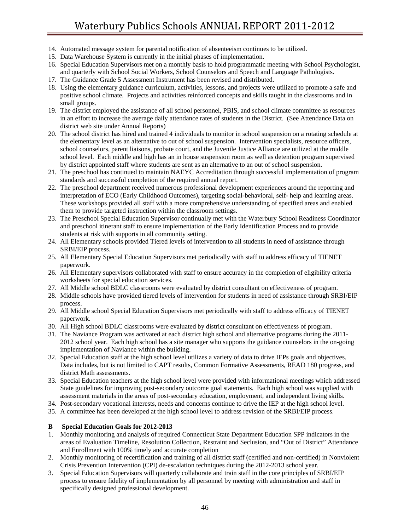- 14. Automated message system for parental notification of absenteeism continues to be utilized.
- 15. Data Warehouse System is currently in the initial phases of implementation.
- 16. Special Education Supervisors met on a monthly basis to hold programmatic meeting with School Psychologist, and quarterly with School Social Workers, School Counselors and Speech and Language Pathologists.
- 17. The Guidance Grade 5 Assessment Instrument has been revised and distributed.
- 18. Using the elementary guidance curriculum, activities, lessons, and projects were utilized to promote a safe and positive school climate. Projects and activities reinforced concepts and skills taught in the classrooms and in small groups.
- 19. The district employed the assistance of all school personnel, PBIS, and school climate committee as resources in an effort to increase the average daily attendance rates of students in the District. (See Attendance Data on district web site under Annual Reports)
- 20. The school district has hired and trained 4 individuals to monitor in school suspension on a rotating schedule at the elementary level as an alternative to out of school suspension. Intervention specialists, resource officers, school counselors, parent liaisons, probate court, and the Juvenile Justice Alliance are utilized at the middle school level. Each middle and high has an in house suspension room as well as detention program supervised by district appointed staff where students are sent as an alternative to an out of school suspension.
- 21. The preschool has continued to maintain NAEYC Accreditation through successful implementation of program standards and successful completion of the required annual report.
- 22. The preschool department received numerous professional development experiences around the reporting and interpretation of ECO (Early Childhood Outcomes), targeting social-behavioral, self- help and learning areas. These workshops provided all staff with a more comprehensive understanding of specified areas and enabled them to provide targeted instruction within the classroom settings.
- 23. The Preschool Special Education Supervisor continually met with the Waterbury School Readiness Coordinator and preschool itinerant staff to ensure implementation of the Early Identification Process and to provide students at risk with supports in all community setting.
- 24. All Elementary schools provided Tiered levels of intervention to all students in need of assistance through SRBI/EIP process.
- 25. All Elementary Special Education Supervisors met periodically with staff to address efficacy of TIENET paperwork.
- 26. All Elementary supervisors collaborated with staff to ensure accuracy in the completion of eligibility criteria worksheets for special education services.
- 27. All Middle school BDLC classrooms were evaluated by district consultant on effectiveness of program.
- 28. Middle schools have provided tiered levels of intervention for students in need of assistance through SRBI/EIP process.
- 29. All Middle school Special Education Supervisors met periodically with staff to address efficacy of TIENET paperwork.
- 30. All High school BDLC classrooms were evaluated by district consultant on effectiveness of program.
- 31. The Naviance Program was activated at each district high school and alternative programs during the 2011- 2012 school year. Each high school has a site manager who supports the guidance counselors in the on-going implementation of Naviance within the building.
- 32. Special Education staff at the high school level utilizes a variety of data to drive IEPs goals and objectives. Data includes, but is not limited to CAPT results, Common Formative Assessments, READ 180 progress, and district Math assessments.
- 33. Special Education teachers at the high school level were provided with informational meetings which addressed State guidelines for improving post-secondary outcome goal statements. Each high school was supplied with assessment materials in the areas of post-secondary education, employment, and independent living skills.
- 34. Post-secondary vocational interests, needs and concerns continue to drive the IEP at the high school level.
- 35. A committee has been developed at the high school level to address revision of the SRBI/EIP process.

### **B Special Education Goals for 2012-2013**

- 1. Monthly monitoring and analysis of required Connecticut State Department Education SPP indicators in the areas of Evaluation Timeline, Resolution Collection, Restraint and Seclusion, and "Out of District" Attendance and Enrollment with 100% timely and accurate completion
- 2. Monthly monitoring of recertification and training of all district staff (certified and non-certified) in Nonviolent Crisis Prevention Intervention (CPI) de-escalation techniques during the 2012-2013 school year.
- 3. Special Education Supervisors will quarterly collaborate and train staff in the core principles of SRBI/EIP process to ensure fidelity of implementation by all personnel by meeting with administration and staff in specifically designed professional development.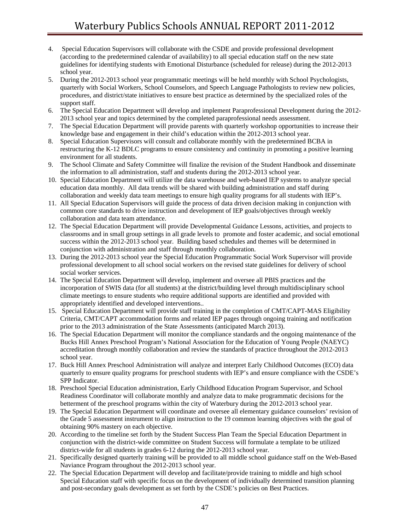- 4. Special Education Supervisors will collaborate with the CSDE and provide professional development (according to the predetermined calendar of availability) to all special education staff on the new state guidelines for identifying students with Emotional Disturbance (scheduled for release) during the 2012-2013 school year.
- 5. During the 2012-2013 school year programmatic meetings will be held monthly with School Psychologists, quarterly with Social Workers, School Counselors, and Speech Language Pathologists to review new policies, procedures, and district/state initiatives to ensure best practice as determined by the specialized roles of the support staff.
- 6. The Special Education Department will develop and implement Paraprofessional Development during the 2012- 2013 school year and topics determined by the completed paraprofessional needs assessment.
- 7. The Special Education Department will provide parents with quarterly workshop opportunities to increase their knowledge base and engagement in their child's education within the 2012-2013 school year.
- 8. Special Education Supervisors will consult and collaborate monthly with the predetermined BCBA in restructuring the K-12 BDLC programs to ensure consistency and continuity in promoting a positive learning environment for all students.
- 9. The School Climate and Safety Committee will finalize the revision of the Student Handbook and disseminate the information to all administration, staff and students during the 2012-2013 school year.
- 10. Special Education Department will utilize the data warehouse and web-based IEP systems to analyze special education data monthly. All data trends will be shared with building administration and staff during collaboration and weekly data team meetings to ensure high quality programs for all students with IEP's.
- 11. All Special Education Supervisors will guide the process of data driven decision making in conjunction with common core standards to drive instruction and development of IEP goals/objectives through weekly collaboration and data team attendance.
- 12. The Special Education Department will provide Developmental Guidance Lessons, activities, and projects to classrooms and in small group settings in all grade levels to promote and foster academic, and social emotional success within the 2012-2013 school year. Building based schedules and themes will be determined in conjunction with administration and staff through monthly collaboration.
- 13. During the 2012-2013 school year the Special Education Programmatic Social Work Supervisor will provide professional development to all school social workers on the revised state guidelines for delivery of school social worker services.
- 14. The Special Education Department will develop, implement and oversee all PBIS practices and the incorporation of SWIS data (for all students) at the district/building level through multidisciplinary school climate meetings to ensure students who require additional supports are identified and provided with appropriately identified and developed interventions..
- 15. Special Education Department will provide staff training in the completion of CMT/CAPT-MAS Eligibility Criteria, CMT/CAPT accommodation forms and related IEP pages through ongoing training and notification prior to the 2013 administration of the State Assessments (anticipated March 2013).
- 16. The Special Education Department will monitor the compliance standards and the ongoing maintenance of the Bucks Hill Annex Preschool Program's National Association for the Education of Young People (NAEYC) accreditation through monthly collaboration and review the standards of practice throughout the 2012-2013 school year.
- 17. Buck Hill Annex Preschool Administration will analyze and interpret Early Childhood Outcomes (ECO) data quarterly to ensure quality programs for preschool students with IEP's and ensure compliance with the CSDE's SPP Indicator.
- 18. Preschool Special Education administration, Early Childhood Education Program Supervisor, and School Readiness Coordinator will collaborate monthly and analyze data to make programmatic decisions for the betterment of the preschool programs within the city of Waterbury during the 2012-2013 school year.
- 19. The Special Education Department will coordinate and oversee all elementary guidance counselors' revision of the Grade 5 assessment instrument to align instruction to the 19 common learning objectives with the goal of obtaining 90% mastery on each objective.
- 20. According to the timeline set forth by the Student Success Plan Team the Special Education Department in conjunction with the district-wide committee on Student Success will formulate a template to be utilized district-wide for all students in grades 6-12 during the 2012-2013 school year.
- 21. Specifically designed quarterly training will be provided to all middle school guidance staff on the Web-Based Naviance Program throughout the 2012-2013 school year.
- 22. The Special Education Department will develop and facilitate/provide training to middle and high school Special Education staff with specific focus on the development of individually determined transition planning and post-secondary goals development as set forth by the CSDE's policies on Best Practices.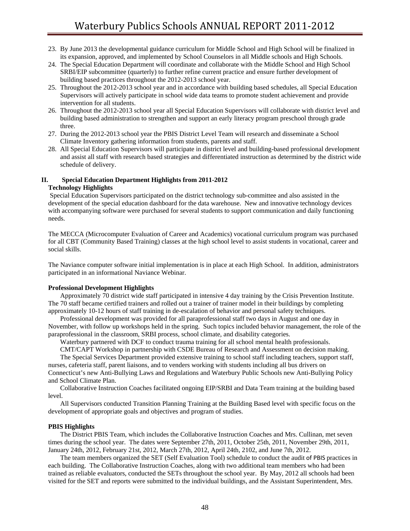- 23. By June 2013 the developmental guidance curriculum for Middle School and High School will be finalized in its expansion, approved, and implemented by School Counselors in all Middle schools and High Schools.
- 24. The Special Education Department will coordinate and collaborate with the Middle School and High School SRBI/EIP subcommittee (quarterly) to further refine current practice and ensure further development of building based practices throughout the 2012-2013 school year.
- 25. Throughout the 2012-2013 school year and in accordance with building based schedules, all Special Education Supervisors will actively participate in school wide data teams to promote student achievement and provide intervention for all students.
- 26. Throughout the 2012-2013 school year all Special Education Supervisors will collaborate with district level and building based administration to strengthen and support an early literacy program preschool through grade three.
- 27. During the 2012-2013 school year the PBIS District Level Team will research and disseminate a School Climate Inventory gathering information from students, parents and staff.
- 28. All Special Education Supervisors will participate in district level and building-based professional development and assist all staff with research based strategies and differentiated instruction as determined by the district wide schedule of delivery.

### **II. Special Education Department Highlights from 2011-2012 Technology Highlights**

 Special Education Supervisors participated on the district technology sub-committee and also assisted in the development of the special education dashboard for the data warehouse. New and innovative technology devices with accompanying software were purchased for several students to support communication and daily functioning needs.

The MECCA (Microcomputer Evaluation of Career and Academics) vocational curriculum program was purchased for all CBT (Community Based Training) classes at the high school level to assist students in vocational, career and social skills.

The Naviance computer software initial implementation is in place at each High School. In addition, administrators participated in an informational Naviance Webinar.

### **Professional Development Highlights**

 Approximately 70 district wide staff participated in intensive 4 day training by the Crisis Prevention Institute. The 70 staff became certified trainers and rolled out a trainer of trainer model in their buildings by completing approximately 10-12 hours of staff training in de-escalation of behavior and personal safety techniques.

 Professional development was provided for all paraprofessional staff two days in August and one day in November, with follow up workshops held in the spring. Such topics included behavior management, the role of the paraprofessional in the classroom, SRBI process, school climate, and disability categories.

Waterbury partnered with DCF to conduct trauma training for all school mental health professionals.

 CMT/CAPT Workshop in partnership with CSDE Bureau of Research and Assessment on decision making. The Special Services Department provided extensive training to school staff including teachers, support staff,

nurses, cafeteria staff, parent liaisons, and to venders working with students including all bus drivers on Connecticut's new Anti-Bullying Laws and Regulations and Waterbury Public Schools new Anti-Bullying Policy and School Climate Plan.

 Collaborative Instruction Coaches facilitated ongoing EIP/SRBI and Data Team training at the building based level.

 All Supervisors conducted Transition Planning Training at the Building Based level with specific focus on the development of appropriate goals and objectives and program of studies.

#### **PBIS Highlights**

 The District PBIS Team, which includes the Collaborative Instruction Coaches and Mrs. Cullinan, met seven times during the school year. The dates were September 27th, 2011, October 25th, 2011, November 29th, 2011, January 24th, 2012, February 21st, 2012, March 27th, 2012, April 24th, 2102, and June 7th, 2012.

 The team members organized the SET (Self Evaluation Tool) schedule to conduct the audit of PBIS practices in each building. The Collaborative Instruction Coaches, along with two additional team members who had been trained as reliable evaluators, conducted the SETs throughout the school year. By May, 2012 all schools had been visited for the SET and reports were submitted to the individual buildings, and the Assistant Superintendent, Mrs.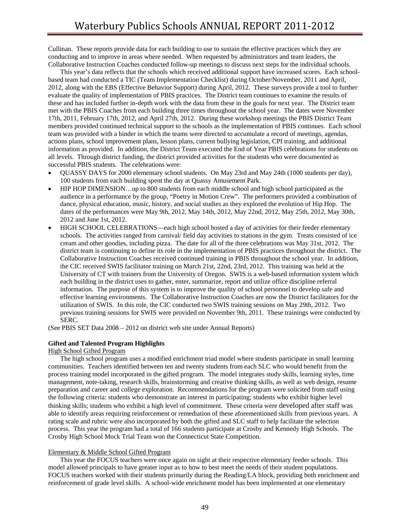Cullinan. These reports provide data for each building to use to sustain the effective practices which they are conducting and to improve in areas where needed. When requested by administrators and team leaders, the Collaborative Instruction Coaches conducted follow-up meetings to discuss next steps for the individual schools.

 This year's data reflects that the schools which received additional support have increased scores. Each schoolbased team had conducted a TIC (Team Implementation Checklist) during October/November, 2011 and April, 2012, along with the EBS (Effective Behavior Support) during April, 2012. These surveys provide a tool to further evaluate the quality of implementation of PBIS practices. The District team continues to examine the results of these and has included further in-depth work with the data from these in the goals for next year. The District team met with the PBIS Coaches from each building three times throughout the school year. The dates were November 17th, 2011, February 17th, 2012, and April 27th, 2012. During these workshop meetings the PBIS District Team members provided continued technical support to the schools as the implementation of PBIS continues. Each school team was provided with a binder in which the teams were directed to accumulate a record of meetings, agendas, actions plans, school improvement plans, lesson plans, current bullying legislation, CPI training, and additional information as provided. In addition, the District Team executed the End of Year PBIS celebrations for students on all levels. Through district funding, the district provided activities for the students who were documented as successful PBIS students. The celebrations were:

- QUASSY DAYS for 2000 elementary school students. On May 23rd and May 24th (1000 students per day), 100 students from each building spent the day at Quassy Amusement Park.
- HIP HOP DIMENSION…up to 800 students from each middle school and high school participated as the audience in a performance by the group, "Poetry in Motion Crew". The performers provided a combination of dance, physical education, music, history, and social studies as they explored the evolution of Hip Hop. The dates of the performances were May 9th, 2012, May 14th, 2012, May 22nd, 2012, May 25th, 2012, May 30th, 2012 and June 1st, 2012.
- HIGH SCHOOL CELEBRATIONS—each high school hosted a day of activities for their feeder elementary schools. The activities ranged from carnival/ field day activities to stations in the gym. Treats consisted of ice cream and other goodies, including pizza. The date for all of the three celebrations was May 31st, 2012. The district team is continuing to define its role in the implementation of PBIS practices throughout the district. The Collaborative Instruction Coaches received continued training in PBIS throughout the school year. In addition, the CIC received SWIS facilitator training on March 21st, 22nd, 23rd, 2012. This training was held at the University of CT with trainers from the University of Oregon. SWIS is a web-based information system which each building in the district uses to gather, enter, summarize, report and utilize office discipline referral information. The purpose of this system is to improve the quality of school personnel to develop safe and effective learning environments. The Collaborative Instruction Coaches are now the District facilitators for the utilization of SWIS. In this role, the CIC conducted two SWIS training sessions on May 29th, 2012. Two previous training sessions for SWIS were provided on November 9th, 2011. These trainings were conducted by SERC.

(See PBIS SET Data 2008 – 2012 on district web site under Annual Reports)

### **Gifted and Talented Program Highlights**

#### High School Gifted Program

 The high school program uses a modified enrichment triad model where students participate in small learning communities. Teachers identified between ten and twenty students from each SLC who would benefit from the process training model incorporated in the gifted program. The model integrates study skills, learning styles, time management, note-taking, research skills, brainstorming and creative thinking skills, as well as web design, resume preparation and career and college exploration. Recommendations for the program were solicited from staff using the following criteria: students who demonstrate an interest in participating; students who exhibit higher level thinking skills; students who exhibit a high level of commitment. These criteria were developed after staff was able to identify areas requiring reinforcement or remediation of these aforementioned skills from previous years. A rating scale and rubric were also incorporated by both the gifted and SLC staff to help facilitate the selection process. This year the program had a total of 166 students participate at Crosby and Kennedy High Schools. The Crosby High School Mock Trial Team won the Connecticut State Competition.

#### Elementary & Middle School Gifted Program

 This year the FOCUS teachers were once again on sight at their respective elementary feeder schools. This model allowed principals to have greater input as to how to best meet the needs of their student populations. FOCUS teachers worked with their students primarily during the Reading/LA block, providing both enrichment and reinforcement of grade level skills. A school-wide enrichment model has been implemented at one elementary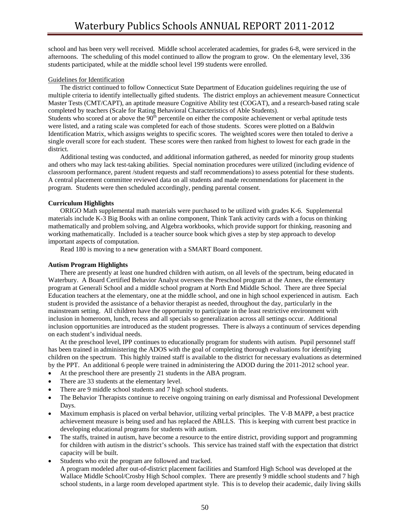school and has been very well received. Middle school accelerated academies, for grades 6-8, were serviced in the afternoons. The scheduling of this model continued to allow the program to grow. On the elementary level, 336 students participated, while at the middle school level 199 students were enrolled.

### Guidelines for Identification

 The district continued to follow Connecticut State Department of Education guidelines requiring the use of multiple criteria to identify intellectually gifted students. The district employs an achievement measure Connecticut Master Tests (CMT/CAPT), an aptitude measure Cognitive Ability test (COGAT), and a research-based rating scale completed by teachers (Scale for Rating Behavioral Characteristics of Able Students).

Students who scored at or above the 90<sup>th</sup> percentile on either the composite achievement or verbal aptitude tests were listed, and a rating scale was completed for each of those students. Scores were plotted on a Baldwin Identification Matrix, which assigns weights to specific scores. The weighted scores were then totaled to derive a single overall score for each student. These scores were then ranked from highest to lowest for each grade in the district.

 Additional testing was conducted, and additional information gathered, as needed for minority group students and others who may lack test-taking abilities. Special nomination procedures were utilized (including evidence of classroom performance, parent /student requests and staff recommendations) to assess potential for these students. A central placement committee reviewed data on all students and made recommendations for placement in the program. Students were then scheduled accordingly, pending parental consent.

### **Curriculum Highlights**

 ORIGO Math supplemental math materials were purchased to be utilized with grades K-6. Supplemental materials include K-3 Big Books with an online component, Think Tank activity cards with a focus on thinking mathematically and problem solving, and Algebra workbooks, which provide support for thinking, reasoning and working mathematically. Included is a teacher source book which gives a step by step approach to develop important aspects of computation.

Read 180 is moving to a new generation with a SMART Board component.

### **Autism Program Highlights**

 There are presently at least one hundred children with autism, on all levels of the spectrum, being educated in Waterbury. A Board Certified Behavior Analyst oversees the Preschool program at the Annex, the elementary program at Generali School and a middle school program at North End Middle School. There are three Special Education teachers at the elementary, one at the middle school, and one in high school experienced in autism. Each student is provided the assistance of a behavior therapist as needed, throughout the day, particularly in the mainstream setting. All children have the opportunity to participate in the least restrictive environment with inclusion in homeroom, lunch, recess and all specials so generalization across all settings occur. Additional inclusion opportunities are introduced as the student progresses. There is always a continuum of services depending on each student's individual needs.

 At the preschool level, IPP continues to educationally program for students with autism. Pupil personnel staff has been trained in administering the ADOS with the goal of completing thorough evaluations for identifying children on the spectrum. This highly trained staff is available to the district for necessary evaluations as determined by the PPT. An additional 6 people were trained in administering the ADOD during the 2011-2012 school year.

- At the preschool there are presently 21 students in the ABA program.
- There are 33 students at the elementary level.
- There are 9 middle school students and 7 high school students.
- The Behavior Therapists continue to receive ongoing training on early dismissal and Professional Development Days.
- Maximum emphasis is placed on verbal behavior, utilizing verbal principles. The V-B MAPP, a best practice achievement measure is being used and has replaced the ABLLS. This is keeping with current best practice in developing educational programs for students with autism.
- The staffs, trained in autism, have become a resource to the entire district, providing support and programming for children with autism in the district's schools. This service has trained staff with the expectation that district capacity will be built.
- Students who exit the program are followed and tracked.

 A program modeled after out-of-district placement facilities and Stamford High School was developed at the Wallace Middle School/Crosby High School complex. There are presently 9 middle school students and 7 high school students, in a large room developed apartment style. This is to develop their academic, daily living skills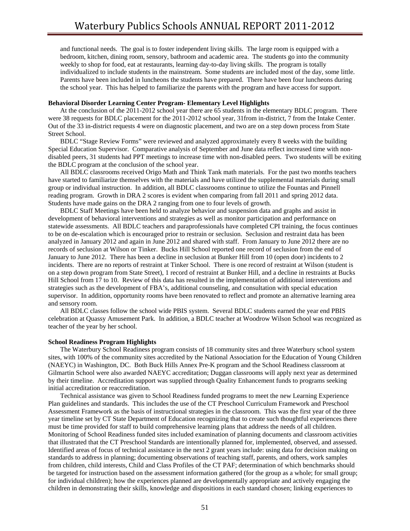and functional needs. The goal is to foster independent living skills. The large room is equipped with a bedroom, kitchen, dining room, sensory, bathroom and academic area. The students go into the community weekly to shop for food, eat at restaurants, learning day-to-day living skills. The program is totally individualized to include students in the mainstream. Some students are included most of the day, some little. Parents have been included in luncheons the students have prepared. There have been four luncheons during the school year. This has helped to familiarize the parents with the program and have access for support.

### **Behavioral Disorder Learning Center Program- Elementary Level Highlights**

 At the conclusion of the 2011-2012 school year there are 65 students in the elementary BDLC program. There were 38 requests for BDLC placement for the 2011-2012 school year, 31from in-district, 7 from the Intake Center. Out of the 33 in-district requests 4 were on diagnostic placement, and two are on a step down process from State Street School.

 BDLC "Stage Review Forms" were reviewed and analyzed approximately every 8 weeks with the building Special Education Supervisor. Comparative analysis of September and June data reflect increased time with nondisabled peers, 31 students had PPT meetings to increase time with non-disabled peers. Two students will be exiting the BDLC program at the conclusion of the school year.

 All BDLC classrooms received Origo Math and Think Tank math materials. For the past two months teachers have started to familiarize themselves with the materials and have utilized the supplemental materials during small group or individual instruction. In addition, all BDLC classrooms continue to utilize the Fountas and Pinnell reading program. Growth in DRA 2 scores is evident when comparing from fall 2011 and spring 2012 data. Students have made gains on the DRA 2 ranging from one to four levels of growth.

 BDLC Staff Meetings have been held to analyze behavior and suspension data and graphs and assist in development of behavioral interventions and strategies as well as monitor participation and performance on statewide assessments. All BDLC teachers and paraprofessionals have completed CPI training, the focus continues to be on de-escalation which is encouraged prior to restrain or seclusion. Seclusion and restraint data has been analyzed in January 2012 and again in June 2012 and shared with staff. From January to June 2012 there are no records of seclusion at Wilson or Tinker. Bucks Hill School reported one record of seclusion from the end of January to June 2012. There has been a decline in seclusion at Bunker Hill from 10 (open door) incidents to 2 incidents. There are no reports of restraint at Tinker School. There is one record of restraint at Wilson (student is on a step down program from State Street), 1 record of restraint at Bunker Hill, and a decline in restraints at Bucks Hill School from 17 to 10. Review of this data has resulted in the implementation of additional interventions and strategies such as the development of FBA's, additional counseling, and consultation with special education supervisor. In addition, opportunity rooms have been renovated to reflect and promote an alternative learning area and sensory room.

 All BDLC classes follow the school wide PBIS system. Several BDLC students earned the year end PBIS celebration at Quassy Amusement Park. In addition, a BDLC teacher at Woodrow Wilson School was recognized as teacher of the year by her school.

#### **School Readiness Program Highlights**

 The Waterbury School Readiness program consists of 18 community sites and three Waterbury school system sites, with 100% of the community sites accredited by the National Association for the Education of Young Children (NAEYC) in Washington, DC. Both Buck Hills Annex Pre-K program and the School Readiness classroom at Gilmartin School were also awarded NAEYC accreditation; Duggan classrooms will apply next year as determined by their timeline. Accreditation support was supplied through Quality Enhancement funds to programs seeking initial accreditation or reaccreditation.

 Technical assistance was given to School Readiness funded programs to meet the new Learning Experience Plan guidelines and standards. This includes the use of the CT Preschool Curriculum Framework and Preschool Assessment Framework as the basis of instructional strategies in the classroom. This was the first year of the three year timeline set by CT State Department of Education recognizing that to create such thoughtful experiences there must be time provided for staff to build comprehensive learning plans that address the needs of all children. Monitoring of School Readiness funded sites included examination of planning documents and classroom activities that illustrated that the CT Preschool Standards are intentionally planned for, implemented, observed, and assessed. Identified areas of focus of technical assistance in the next 2 grant years include: using data for decision making on standards to address in planning; documenting observations of teaching staff, parents, and others, work samples from children, child interests, Child and Class Profiles of the CT PAF; determination of which benchmarks should be targeted for instruction based on the assessment information gathered (for the group as a whole; for small group; for individual children); how the experiences planned are developmentally appropriate and actively engaging the children in demonstrating their skills, knowledge and dispositions in each standard chosen; linking experiences to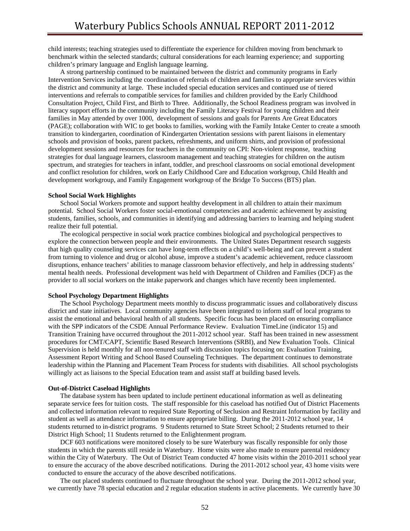child interests; teaching strategies used to differentiate the experience for children moving from benchmark to benchmark within the selected standards; cultural considerations for each learning experience; and supporting children's primary language and English language learning.

 A strong partnership continued to be maintained between the district and community programs in Early Intervention Services including the coordination of referrals of children and families to appropriate services within the district and community at large. These included special education services and continued use of tiered interventions and referrals to compatible services for families and children provided by the Early Childhood Consultation Project, Child First, and Birth to Three. Additionally, the School Readiness program was involved in literacy support efforts in the community including the Family Literacy Festival for young children and their families in May attended by over 1000, development of sessions and goals for Parents Are Great Educators (PAGE); collaboration with WIC to get books to families, working with the Family Intake Center to create a smooth transition to kindergarten, coordination of Kindergarten Orientation sessions with parent liaisons in elementary schools and provision of books, parent packets, refreshments, and uniform shirts, and provision of professional development sessions and resources for teachers in the community on CPI: Non-violent response, teaching strategies for dual language learners, classroom management and teaching strategies for children on the autism spectrum, and strategies for teachers in infant, toddler, and preschool classrooms on social emotional development and conflict resolution for children, work on Early Childhood Care and Education workgroup, Child Health and development workgroup, and Family Engagement workgroup of the Bridge To Success (BTS) plan.

#### **School Social Work Highlights**

 School Social Workers promote and support healthy development in all children to attain their maximum potential. School Social Workers foster social-emotional competencies and academic achievement by assisting students, families, schools, and communities in identifying and addressing barriers to learning and helping student realize their full potential.

 The ecological perspective in social work practice combines biological and psychological perspectives to explore the connection between people and their environments. The United States Department research suggests that high quality counseling services can have long-term effects on a child's well-being and can prevent a student from turning to violence and drug or alcohol abuse, improve a student's academic achievement, reduce classroom disruptions, enhance teachers' abilities to manage classroom behavior effectively, and help in addressing students' mental health needs. Professional development was held with Department of Children and Families (DCF) as the provider to all social workers on the intake paperwork and changes which have recently been implemented.

#### **School Psychology Department Highlights**

 The School Psychology Department meets monthly to discuss programmatic issues and collaboratively discuss district and state initiatives. Local community agencies have been integrated to inform staff of local programs to assist the emotional and behavioral health of all students. Specific focus has been placed on ensuring compliance with the SPP indicators of the CSDE Annual Performance Review. Evaluation TimeLine (indicator 15) and Transition Training have occurred throughout the 2011-2012 school year. Staff has been trained in new assessment procedures for CMT/CAPT, Scientific Based Research Interventions (SRBI), and New Evaluation Tools. Clinical Supervision is held monthly for all non-tenured staff with discussion topics focusing on: Evaluation Training, Assessment Report Writing and School Based Counseling Techniques. The department continues to demonstrate leadership within the Planning and Placement Team Process for students with disabilities. All school psychologists willingly act as liaisons to the Special Education team and assist staff at building based levels.

#### **Out-of-District Caseload Highlights**

 The database system has been updated to include pertinent educational information as well as delineating separate service fees for tuition costs. The staff responsible for this caseload has notified Out of District Placements and collected information relevant to required State Reporting of Seclusion and Restraint Information by facility and student as well as attendance information to ensure appropriate billing. During the 2011-2012 school year, 14 students returned to in-district programs. 9 Students returned to State Street School; 2 Students returned to their District High School; 11 Students returned to the Enlightenment program.

DCF 603 notifications were monitored closely to be sure Waterbury was fiscally responsible for only those students in which the parents still reside in Waterbury. Home visits were also made to ensure parental residency within the City of Waterbury. The Out of District Team conducted 47 home visits within the 2010-2011 school year to ensure the accuracy of the above described notifications. During the 2011-2012 school year, 43 home visits were conducted to ensure the accuracy of the above described notifications.

 The out placed students continued to fluctuate throughout the school year. During the 2011-2012 school year, we currently have 78 special education and 2 regular education students in active placements. We currently have 30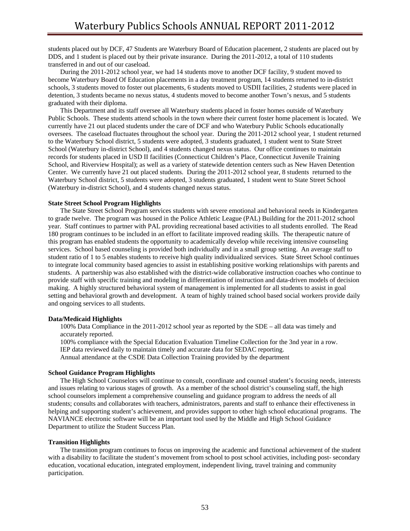students placed out by DCF, 47 Students are Waterbury Board of Education placement, 2 students are placed out by DDS, and 1 student is placed out by their private insurance. During the 2011-2012, a total of 110 students transferred in and out of our caseload.

 During the 2011-2012 school year, we had 14 students move to another DCF facility, 9 student moved to become Waterbury Board Of Education placements in a day treatment program, 14 students returned to in-district schools, 3 students moved to foster out placements, 6 students moved to USDII facilities, 2 students were placed in detention, 3 students became no nexus status, 4 students moved to become another Town's nexus, and 5 students graduated with their diploma.

 This Department and its staff oversee all Waterbury students placed in foster homes outside of Waterbury Public Schools. These students attend schools in the town where their current foster home placement is located. We currently have 21 out placed students under the care of DCF and who Waterbury Public Schools educationally oversees. The caseload fluctuates throughout the school year. During the 2011-2012 school year, 1 student returned to the Waterbury School district, 5 students were adopted, 3 students graduated, 1 student went to State Street School (Waterbury in-district School), and 4 students changed nexus status. Our office continues to maintain records for students placed in USD II facilities (Connecticut Children's Place, Connecticut Juvenile Training School, and Riverview Hospital); as well as a variety of statewide detention centers such as New Haven Detention Center. We currently have 21 out placed students. During the 2011-2012 school year, 8 students returned to the Waterbury School district, 5 students were adopted, 3 students graduated, 1 student went to State Street School (Waterbury in-district School), and 4 students changed nexus status.

#### **State Street School Program Highlights**

The State Street School Program services students with severe emotional and behavioral needs in Kindergarten to grade twelve. The program was housed in the Police Athletic League (PAL) Building for the 2011-2012 school year. Staff continues to partner with PAL providing recreational based activities to all students enrolled. The Read 180 program continues to be included in an effort to facilitate improved reading skills. The therapeutic nature of this program has enabled students the opportunity to academically develop while receiving intensive counseling services. School based counseling is provided both individually and in a small group setting. An average staff to student ratio of 1 to 5 enables students to receive high quality individualized services. State Street School continues to integrate local community based agencies to assist in establishing positive working relationships with parents and students. A partnership was also established with the district-wide collaborative instruction coaches who continue to provide staff with specific training and modeling in differentiation of instruction and data-driven models of decision making. A highly structured behavioral system of management is implemented for all students to assist in goal setting and behavioral growth and development. A team of highly trained school based social workers provide daily and ongoing services to all students.

#### **Data/Medicaid Highlights**

 100% Data Compliance in the 2011-2012 school year as reported by the SDE – all data was timely and accurately reported.

 100% compliance with the Special Education Evaluation Timeline Collection for the 3nd year in a row. IEP data reviewed daily to maintain timely and accurate data for SEDAC reporting. Annual attendance at the CSDE Data Collection Training provided by the department

#### **School Guidance Program Highlights**

 The High School Counselors will continue to consult, coordinate and counsel student's focusing needs, interests and issues relating to various stages of growth. As a member of the school district's counseling staff, the high school counselors implement a comprehensive counseling and guidance program to address the needs of all students; consults and collaborates with teachers, administrators, parents and staff to enhance their effectiveness in helping and supporting student's achievement, and provides support to other high school educational programs. The NAVIANCE electronic software will be an important tool used by the Middle and High School Guidance Department to utilize the Student Success Plan.

#### **Transition Highlights**

 The transition program continues to focus on improving the academic and functional achievement of the student with a disability to facilitate the student's movement from school to post school activities, including post- secondary education, vocational education, integrated employment, independent living, travel training and community participation.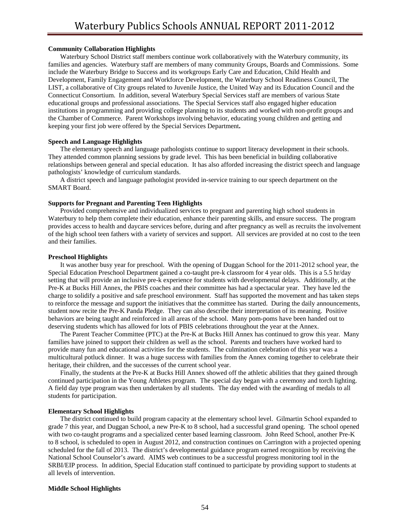#### **Community Collaboration Highlights**

 Waterbury School District staff members continue work collaboratively with the Waterbury community, its families and agencies. Waterbury staff are members of many community Groups, Boards and Commissions. Some include the Waterbury Bridge to Success and its workgroups Early Care and Education, Child Health and Development, Family Engagement and Workforce Development, the Waterbury School Readiness Council, The LIST, a collaborative of City groups related to Juvenile Justice, the United Way and its Education Council and the Connecticut Consortium. In addition, several Waterbury Special Services staff are members of various State educational groups and professional associations. The Special Services staff also engaged higher education institutions in programming and providing college planning to its students and worked with non-profit groups and the Chamber of Commerce. Parent Workshops involving behavior, educating young children and getting and keeping your first job were offered by the Special Services Department**.** 

#### **Speech and Language Highlights**

 The elementary speech and language pathologists continue to support literacy development in their schools. They attended common planning sessions by grade level. This has been beneficial in building collaborative relationships between general and special education. It has also afforded increasing the district speech and language pathologists' knowledge of curriculum standards.

 A district speech and language pathologist provided in-service training to our speech department on the SMART Board.

#### **Supports for Pregnant and Parenting Teen Highlights**

 Provided comprehensive and individualized services to pregnant and parenting high school students in Waterbury to help them complete their education, enhance their parenting skills, and ensure success. The program provides access to health and daycare services before, during and after pregnancy as well as recruits the involvement of the high school teen fathers with a variety of services and support. All services are provided at no cost to the teen and their families.

#### **Preschool Highlights**

 It was another busy year for preschool. With the opening of Duggan School for the 2011-2012 school year, the Special Education Preschool Department gained a co-taught pre-k classroom for 4 year olds. This is a 5.5 hr/day setting that will provide an inclusive pre-k experience for students with developmental delays. Additionally, at the Pre-K at Bucks Hill Annex, the PBIS coaches and their committee has had a spectacular year. They have led the charge to solidify a positive and safe preschool environment. Staff has supported the movement and has taken steps to reinforce the message and support the initiatives that the committee has started. During the daily announcements, student now recite the Pre-K Panda Pledge. They can also describe their interpretation of its meaning. Positive behaviors are being taught and reinforced in all areas of the school. Many pom-poms have been handed out to deserving students which has allowed for lots of PBIS celebrations throughout the year at the Annex.

 The Parent Teacher Committee (PTC) at the Pre-K at Bucks Hill Annex has continued to grow this year. Many families have joined to support their children as well as the school. Parents and teachers have worked hard to provide many fun and educational activities for the students. The culmination celebration of this year was a multicultural potluck dinner. It was a huge success with families from the Annex coming together to celebrate their heritage, their children, and the successes of the current school year.

 Finally, the students at the Pre-K at Bucks Hill Annex showed off the athletic abilities that they gained through continued participation in the Young Athletes program. The special day began with a ceremony and torch lighting. A field day type program was then undertaken by all students. The day ended with the awarding of medals to all students for participation.

#### **Elementary School Highlights**

 The district continued to build program capacity at the elementary school level. Gilmartin School expanded to grade 7 this year, and Duggan School, a new Pre-K to 8 school, had a successful grand opening. The school opened with two co-taught programs and a specialized center based learning classroom. John Reed School, another Pre-K to 8 school, is scheduled to open in August 2012, and construction continues on Carrington with a projected opening scheduled for the fall of 2013. The district's developmental guidance program earned recognition by receiving the National School Counselor's award. AIMS web continues to be a successful progress monitoring tool in the SRBI/EIP process. In addition, Special Education staff continued to participate by providing support to students at all levels of intervention.

#### **Middle School Highlights**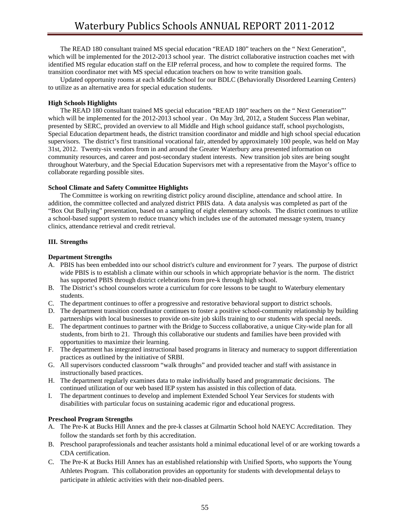The READ 180 consultant trained MS special education "READ 180" teachers on the " Next Generation", which will be implemented for the 2012-2013 school year. The district collaborative instruction coaches met with identified MS regular education staff on the EIP referral process, and how to complete the required forms. The transition coordinator met with MS special education teachers on how to write transition goals.

 Updated opportunity rooms at each Middle School for our BDLC (Behaviorally Disordered Learning Centers) to utilize as an alternative area for special education students.

### **High Schools Highlights**

 The READ 180 consultant trained MS special education "READ 180" teachers on the " Next Generation"' which will be implemented for the 2012-2013 school year. On May 3rd, 2012, a Student Success Plan webinar, presented by SERC, provided an overview to all Middle and High school guidance staff, school psychologists, Special Education department heads, the district transition coordinator and middle and high school special education supervisors. The district's first transitional vocational fair, attended by approximately 100 people, was held on May 31st, 2012. Twenty-six vendors from in and around the Greater Waterbury area presented information on community resources, and career and post-secondary student interests. New transition job sites are being sought throughout Waterbury, and the Special Education Supervisors met with a representative from the Mayor's office to collaborate regarding possible sites.

### **School Climate and Safety Committee Highlights**

 The Committee is working on rewriting district policy around discipline, attendance and school attire. In addition, the committee collected and analyzed district PBIS data. A data analysis was completed as part of the "Box Out Bullying" presentation, based on a sampling of eight elementary schools. The district continues to utilize a school-based support system to reduce truancy which includes use of the automated message system, truancy clinics, attendance retrieval and credit retrieval.

### **III. Strengths**

### **Department Strengths**

- A. PBIS has been embedded into our school district's culture and environment for 7 years. The purpose of district wide PBIS is to establish a climate within our schools in which appropriate behavior is the norm. The district has supported PBIS through district celebrations from pre-k through high school.
- B. The District's school counselors wrote a curriculum for core lessons to be taught to Waterbury elementary students.
- C. The department continues to offer a progressive and restorative behavioral support to district schools.
- D. The department transition coordinator continues to foster a positive school-community relationship by building partnerships with local businesses to provide on-site job skills training to our students with special needs.
- E. The department continues to partner with the Bridge to Success collaborative, a unique City-wide plan for all students, from birth to 21. Through this collaborative our students and families have been provided with opportunities to maximize their learning.
- F. The department has integrated instructional based programs in literacy and numeracy to support differentiation practices as outlined by the initiative of SRBI.
- G. All supervisors conducted classroom "walk throughs" and provided teacher and staff with assistance in instructionally based practices.
- H. The department regularly examines data to make individually based and programmatic decisions. The continued utilization of our web based IEP system has assisted in this collection of data.
- I. The department continues to develop and implement Extended School Year Services for students with disabilities with particular focus on sustaining academic rigor and educational progress.

#### **Preschool Program Strengths**

- A. The Pre-K at Bucks Hill Annex and the pre-k classes at Gilmartin School hold NAEYC Accreditation. They follow the standards set forth by this accreditation.
- B. Preschool paraprofessionals and teacher assistants hold a minimal educational level of or are working towards a CDA certification.
- C. The Pre-K at Bucks Hill Annex has an established relationship with Unified Sports, who supports the Young Athletes Program. This collaboration provides an opportunity for students with developmental delays to participate in athletic activities with their non-disabled peers.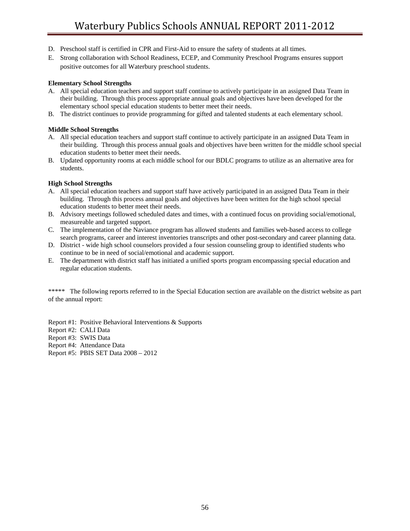- D. Preschool staff is certified in CPR and First-Aid to ensure the safety of students at all times.
- E. Strong collaboration with School Readiness, ECEP, and Community Preschool Programs ensures support positive outcomes for all Waterbury preschool students.

### **Elementary School Strengths**

- A. All special education teachers and support staff continue to actively participate in an assigned Data Team in their building. Through this process appropriate annual goals and objectives have been developed for the elementary school special education students to better meet their needs.
- B. The district continues to provide programming for gifted and talented students at each elementary school.

### **Middle School Strengths**

- A. All special education teachers and support staff continue to actively participate in an assigned Data Team in their building. Through this process annual goals and objectives have been written for the middle school special education students to better meet their needs.
- B. Updated opportunity rooms at each middle school for our BDLC programs to utilize as an alternative area for students.

### **High School Strengths**

- A. All special education teachers and support staff have actively participated in an assigned Data Team in their building. Through this process annual goals and objectives have been written for the high school special education students to better meet their needs.
- B. Advisory meetings followed scheduled dates and times, with a continued focus on providing social/emotional, measureable and targeted support.
- C. The implementation of the Naviance program has allowed students and families web-based access to college search programs, career and interest inventories transcripts and other post-secondary and career planning data.
- D. District wide high school counselors provided a four session counseling group to identified students who continue to be in need of social/emotional and academic support.
- E. The department with district staff has initiated a unified sports program encompassing special education and regular education students.

\*\*\*\*\* The following reports referred to in the Special Education section are available on the district website as part of the annual report:

Report #1: Positive Behavioral Interventions & Supports

Report #2: CALI Data

Report #3: SWIS Data

Report #4: Attendance Data

Report #5: PBIS SET Data 2008 – 2012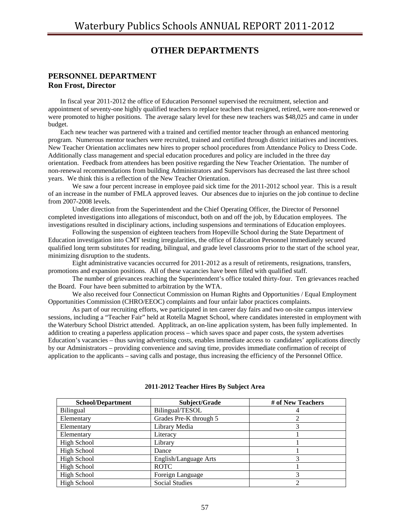# **OTHER DEPARTMENTS**

### **PERSONNEL DEPARTMENT Ron Frost, Director**

 In fiscal year 2011-2012 the office of Education Personnel supervised the recruitment, selection and appointment of seventy-one highly qualified teachers to replace teachers that resigned, retired, were non-renewed or were promoted to higher positions. The average salary level for these new teachers was \$48,025 and came in under budget.

 Each new teacher was partnered with a trained and certified mentor teacher through an enhanced mentoring program. Numerous mentor teachers were recruited, trained and certified through district initiatives and incentives. New Teacher Orientation acclimates new hires to proper school procedures from Attendance Policy to Dress Code. Additionally class management and special education procedures and policy are included in the three day orientation. Feedback from attendees has been positive regarding the New Teacher Orientation. The number of non-renewal recommendations from building Administrators and Supervisors has decreased the last three school years. We think this is a reflection of the New Teacher Orientation.

We saw a four percent increase in employee paid sick time for the 2011-2012 school year. This is a result of an increase in the number of FMLA approved leaves. Our absences due to injuries on the job continue to decline from 2007-2008 levels.

Under direction from the Superintendent and the Chief Operating Officer, the Director of Personnel completed investigations into allegations of misconduct, both on and off the job, by Education employees. The investigations resulted in disciplinary actions, including suspensions and terminations of Education employees.

Following the suspension of eighteen teachers from Hopeville School during the State Department of Education investigation into CMT testing irregularities, the office of Education Personnel immediately secured qualified long term substitutes for reading, bilingual, and grade level classrooms prior to the start of the school year, minimizing disruption to the students.

Eight administrative vacancies occurred for 2011-2012 as a result of retirements, resignations, transfers, promotions and expansion positions. All of these vacancies have been filled with qualified staff.

The number of grievances reaching the Superintendent's office totaled thirty-four. Ten grievances reached the Board. Four have been submitted to arbitration by the WTA.

We also received four Connecticut Commission on Human Rights and Opportunities / Equal Employment Opportunities Commission (CHRO/EEOC) complaints and four unfair labor practices complaints.

As part of our recruiting efforts, we participated in ten career day fairs and two on-site campus interview sessions, including a "Teacher Fair" held at Rotella Magnet School, where candidates interested in employment with the Waterbury School District attended. Applitrack, an on-line application system, has been fully implemented. In addition to creating a paperless application process – which saves space and paper costs, the system advertises Education's vacancies – thus saving advertising costs, enables immediate access to candidates' applications directly by our Administrators – providing convenience and saving time, provides immediate confirmation of receipt of application to the applicants – saving calls and postage, thus increasing the efficiency of the Personnel Office.

| <b>School/Department</b> | Subject/Grade          | # of New Teachers |
|--------------------------|------------------------|-------------------|
| Bilingual                | Bilingual/TESOL        |                   |
| Elementary               | Grades Pre-K through 5 |                   |
| Elementary               | Library Media          |                   |
| Elementary               | Literacy               |                   |
| High School              | Library                |                   |
| High School              | Dance                  |                   |
| High School              | English/Language Arts  |                   |
| High School              | <b>ROTC</b>            |                   |
| <b>High School</b>       | Foreign Language       |                   |
| High School              | <b>Social Studies</b>  |                   |

**2011-2012 Teacher Hires By Subject Area**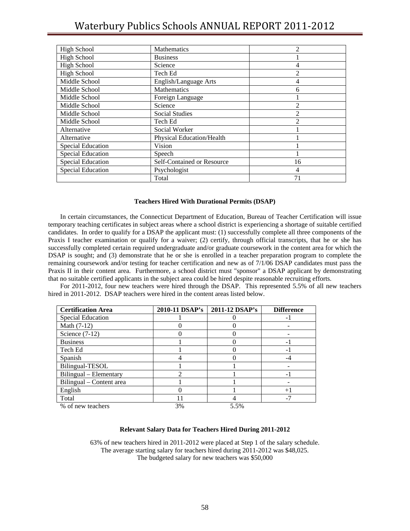| <b>High School</b>       | Mathematics                      | 2  |
|--------------------------|----------------------------------|----|
| <b>High School</b>       | <b>Business</b>                  |    |
| <b>High School</b>       | Science                          | 4  |
| <b>High School</b>       | Tech Ed                          | 2  |
| Middle School            | English/Language Arts            | 4  |
| Middle School            | Mathematics                      | 6  |
| Middle School            | Foreign Language                 |    |
| Middle School            | Science                          | 2  |
| Middle School            | <b>Social Studies</b>            | 2  |
| Middle School            | Tech Ed                          | 2  |
| Alternative              | Social Worker                    |    |
| Alternative              | <b>Physical Education/Health</b> |    |
| Special Education        | Vision                           |    |
| <b>Special Education</b> | Speech                           |    |
| <b>Special Education</b> | Self-Contained or Resource       | 16 |
| <b>Special Education</b> | Psychologist                     | 4  |
|                          | Total                            | 71 |

#### **Teachers Hired With Durational Permits (DSAP)**

 In certain circumstances, the Connecticut Department of Education, Bureau of Teacher Certification will issue temporary teaching certificates in subject areas where a school district is experiencing a shortage of suitable certified candidates. In order to qualify for a DSAP the applicant must: (1) successfully complete all three components of the Praxis I teacher examination or qualify for a waiver; (2) certify, through official transcripts, that he or she has successfully completed certain required undergraduate and/or graduate coursework in the content area for which the DSAP is sought; and (3) demonstrate that he or she is enrolled in a teacher preparation program to complete the remaining coursework and/or testing for teacher certification and new as of 7/1/06 DSAP candidates must pass the Praxis II in their content area. Furthermore, a school district must "sponsor" a DSAP applicant by demonstrating that no suitable certified applicants in the subject area could be hired despite reasonable recruiting efforts.

 For 2011-2012, four new teachers were hired through the DSAP. This represented 5.5% of all new teachers hired in 2011-2012. DSAP teachers were hired in the content areas listed below.

| <b>Certification Area</b> | 2010-11 DSAP's | 2011-12 DSAP's | <b>Difference</b>        |
|---------------------------|----------------|----------------|--------------------------|
| Special Education         |                |                | $\overline{a}$           |
| Math (7-12)               |                |                |                          |
| Science $(7-12)$          |                |                |                          |
| <b>Business</b>           |                |                | $\overline{\phantom{0}}$ |
| Tech Ed                   |                |                | $\overline{\phantom{0}}$ |
| Spanish                   |                |                | -4                       |
| Bilingual-TESOL           |                |                |                          |
| Bilingual - Elementary    | $\mathfrak{D}$ |                | $\overline{\phantom{0}}$ |
| Bilingual – Content area  |                |                |                          |
| English                   |                |                | $+1$                     |
| Total                     |                |                | $-7$                     |
| % of new teachers         | 3%             | 5.5%           |                          |

### **Relevant Salary Data for Teachers Hired During 2011-2012**

63% of new teachers hired in 2011-2012 were placed at Step 1 of the salary schedule. The average starting salary for teachers hired during 2011-2012 was \$48,025. The budgeted salary for new teachers was \$50,000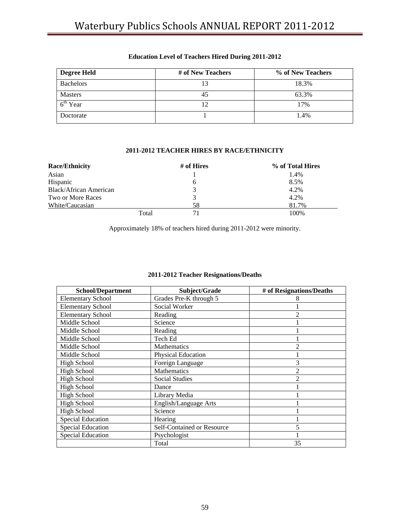| <b>Degree Held</b> | # of New Teachers | % of New Teachers |
|--------------------|-------------------|-------------------|
| <b>Bachelors</b>   |                   | 18.3%             |
| <b>Masters</b>     | 45                | 63.3%             |
| $6th$ Year         | ר ו               | 17%               |
| Doctorate          |                   | 1.4%              |

## **Education Level of Teachers Hired During 2011-2012**

### **2011-2012 TEACHER HIRES BY RACE/ETHNICITY**

| <b>Race/Ethnicity</b>  |       | # of Hires | % of Total Hires |
|------------------------|-------|------------|------------------|
| Asian                  |       |            | 1.4%             |
| Hispanic               |       | 6          | 8.5%             |
| Black/African American |       | 3          | 4.2%             |
| Two or More Races      |       | 3          | 4.2%             |
| White/Caucasian        |       | 58         | 81.7%            |
|                        | Total | 71         | 100%             |

Approximately 18% of teachers hired during 2011-2012 were minority.

| <b>School/Department</b> | Subject/Grade              | # of Resignations/Deaths |
|--------------------------|----------------------------|--------------------------|
| <b>Elementary School</b> | Grades Pre-K through 5     |                          |
| <b>Elementary School</b> | Social Worker              |                          |
| <b>Elementary School</b> | Reading                    | 2                        |
| Middle School            | Science                    |                          |
| Middle School            | Reading                    |                          |
| Middle School            | Tech Ed                    |                          |
| Middle School            | <b>Mathematics</b>         | 2                        |
| Middle School            | Physical Education         |                          |
| <b>High School</b>       | Foreign Language           | 3                        |
| <b>High School</b>       | Mathematics                | 2                        |
| <b>High School</b>       | <b>Social Studies</b>      | 2                        |
| <b>High School</b>       | Dance                      |                          |
| <b>High School</b>       | Library Media              |                          |
| <b>High School</b>       | English/Language Arts      |                          |
| <b>High School</b>       | Science                    |                          |
| <b>Special Education</b> | Hearing                    |                          |
| <b>Special Education</b> | Self-Contained or Resource | 5                        |
| <b>Special Education</b> | Psychologist               |                          |
|                          | Total                      | 35                       |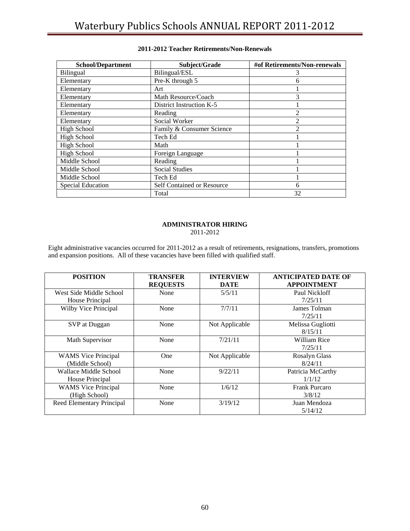| <b>School/Department</b> | Subject/Grade                     | #of Retirements/Non-renewals |
|--------------------------|-----------------------------------|------------------------------|
| <b>Bilingual</b>         | Bilingual/ESL                     |                              |
| Elementary               | Pre-K through 5                   | 6                            |
| Elementary               | Art                               |                              |
| Elementary               | Math Resource/Coach               | 3                            |
| Elementary               | District Instruction K-5          |                              |
| Elementary               | Reading                           | 2                            |
| Elementary               | Social Worker                     | $\mathfrak{D}$               |
| <b>High School</b>       | Family & Consumer Science         | っ                            |
| <b>High School</b>       | Tech Ed                           |                              |
| <b>High School</b>       | Math                              |                              |
| <b>High School</b>       | Foreign Language                  |                              |
| Middle School            | Reading                           |                              |
| Middle School            | <b>Social Studies</b>             |                              |
| Middle School            | Tech Ed                           |                              |
| Special Education        | <b>Self Contained or Resource</b> | 6                            |
|                          | Total                             | 32                           |

### **2011-2012 Teacher Retirements/Non-Renewals**

#### **ADMINISTRATOR HIRING**  2011-2012

Eight administrative vacancies occurred for 2011-2012 as a result of retirements, resignations, transfers, promotions and expansion positions. All of these vacancies have been filled with qualified staff.

| <b>POSITION</b>                               | <b>TRANSFER</b><br><b>REQUESTS</b> | <b>INTERVIEW</b><br><b>DATE</b> | <b>ANTICIPATED DATE OF</b><br><b>APPOINTMENT</b> |
|-----------------------------------------------|------------------------------------|---------------------------------|--------------------------------------------------|
| West Side Middle School<br>House Principal    | None                               | 5/5/11                          | Paul Nickloff<br>7/25/11                         |
| Wilby Vice Principal                          | None                               | 7/7/11                          | James Tolman<br>7/25/11                          |
| SVP at Duggan                                 | None                               | Not Applicable                  | Melissa Gugliotti<br>8/15/11                     |
| Math Supervisor                               | None                               | 7/21/11                         | William Rice<br>7/25/11                          |
| <b>WAMS</b> Vice Principal<br>(Middle School) | One                                | Not Applicable                  | <b>Rosalyn Glass</b><br>8/24/11                  |
| Wallace Middle School<br>House Principal      | None                               | 9/22/11                         | Patricia McCarthy<br>1/1/12                      |
| <b>WAMS</b> Vice Principal<br>(High School)   | None                               | 1/6/12                          | Frank Purcaro<br>3/8/12                          |
| Reed Elementary Principal                     | None                               | 3/19/12                         | Juan Mendoza<br>5/14/12                          |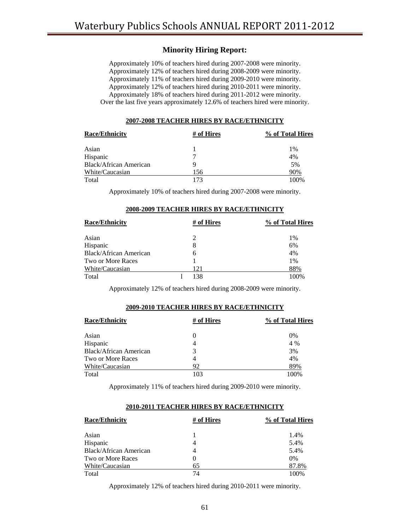# **Minority Hiring Report:**

Approximately 10% of teachers hired during 2007-2008 were minority. Approximately 12% of teachers hired during 2008-2009 were minority. Approximately 11% of teachers hired during 2009-2010 were minority. Approximately 12% of teachers hired during 2010-2011 were minority. Approximately 18% of teachers hired during 2011-2012 were minority. Over the last five years approximately 12.6% of teachers hired were minority.

#### **2007-2008 TEACHER HIRES BY RACE/ETHNICITY**

| <b>Race/Ethnicity</b>         | # of Hires | % of Total Hires |
|-------------------------------|------------|------------------|
| Asian                         |            | $1\%$            |
| Hispanic                      |            | 4%               |
| <b>Black/African American</b> | Q          | 5%               |
| White/Caucasian               | 156        | 90%              |
| Total                         | 173        | 100\%            |

Approximately 10% of teachers hired during 2007-2008 were minority.

| <b>Race/Ethnicity</b>  | # of Hires | % of Total Hires |
|------------------------|------------|------------------|
| Asian                  | 2          | 1%               |
| Hispanic               | 8          | 6%               |
| Black/African American | 6          | 4%               |
| Two or More Races      |            | 1%               |
| White/Caucasian        | 121        | 88%              |
| Total                  | 138        | 100%             |

#### **2008-2009 TEACHER HIRES BY RACE/ETHNICITY**

Approximately 12% of teachers hired during 2008-2009 were minority.

#### **2009-2010 TEACHER HIRES BY RACE/ETHNICITY**

| <b>Race/Ethnicity</b>  | # of Hires | % of Total Hires |
|------------------------|------------|------------------|
| Asian                  | $\theta$   | 0%               |
| Hispanic               | 4          | 4 %              |
| Black/African American | 3          | 3%               |
| Two or More Races      | 4          | 4%               |
| White/Caucasian        | 92         | 89%              |
| Total                  | 103        | 100%             |

Approximately 11% of teachers hired during 2009-2010 were minority.

#### **2010-2011 TEACHER HIRES BY RACE/ETHNICITY**

| <b>Race/Ethnicity</b>  | # of Hires | % of Total Hires |
|------------------------|------------|------------------|
| Asian                  |            | 1.4%             |
| Hispanic               | 4          | 5.4%             |
| Black/African American | 4          | 5.4%             |
| Two or More Races      | $\theta$   | $0\%$            |
| White/Caucasian        | 65         | 87.8%            |
| Total                  | 74         | 100%             |

Approximately 12% of teachers hired during 2010-2011 were minority.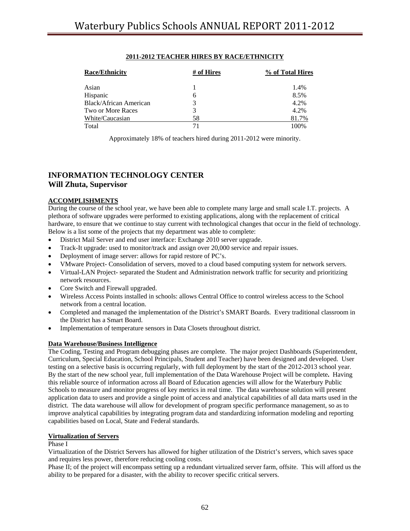## **2011-2012 TEACHER HIRES BY RACE/ETHNICITY**

| <b>Race/Ethnicity</b>    | # of Hires | % of Total Hires |
|--------------------------|------------|------------------|
| Asian                    |            | 1.4%             |
| Hispanic                 | 6          | 8.5%             |
| Black/African American   | 3          | 4.2%             |
| <b>Two or More Races</b> | 3          | 4.2%             |
| White/Caucasian          | 58         | 81.7%            |
| Total                    | 71         | 100%             |

Approximately 18% of teachers hired during 2011-2012 were minority.

# **INFORMATION TECHNOLOGY CENTER Will Zhuta, Supervisor**

### **ACCOMPLISHMENTS**

During the course of the school year, we have been able to complete many large and small scale I.T. projects. A plethora of software upgrades were performed to existing applications, along with the replacement of critical hardware, to ensure that we continue to stay current with technological changes that occur in the field of technology. Below is a list some of the projects that my department was able to complete:

- District Mail Server and end user interface: Exchange 2010 server upgrade.
- Track-It upgrade: used to monitor/track and assign over 20,000 service and repair issues.
- Deployment of image server: allows for rapid restore of PC's.
- VMware Project- Consolidation of servers, moved to a cloud based computing system for network servers.
- Virtual-LAN Project- separated the Student and Administration network traffic for security and prioritizing network resources.
- Core Switch and Firewall upgraded.
- Wireless Access Points installed in schools: allows Central Office to control wireless access to the School network from a central location.
- Completed and managed the implementation of the District's SMART Boards. Every traditional classroom in the District has a Smart Board.
- Implementation of temperature sensors in Data Closets throughout district.

### **Data Warehouse/Business Intelligence**

The Coding, Testing and Program debugging phases are complete. The major project Dashboards (Superintendent, Curriculum, Special Education, School Principals, Student and Teacher) have been designed and developed. User testing on a selective basis is occurring regularly, with full deployment by the start of the 2012-2013 school year. By the start of the new school year, full implementation of the Data Warehouse Project will be complete**.** Having this reliable source of information across all Board of Education agencies will allow for the Waterbury Public Schools to measure and monitor progress of key metrics in real time. The data warehouse solution will present application data to users and provide a single point of access and analytical capabilities of all data marts used in the district. The data warehouse will allow for development of program specific performance management, so as to improve analytical capabilities by integrating program data and standardizing information modeling and reporting capabilities based on Local, State and Federal standards.

### **Virtualization of Servers**

### Phase I

Virtualization of the District Servers has allowed for higher utilization of the District's servers, which saves space and requires less power, therefore reducing cooling costs.

Phase II; of the project will encompass setting up a redundant virtualized server farm, offsite. This will afford us the ability to be prepared for a disaster, with the ability to recover specific critical servers.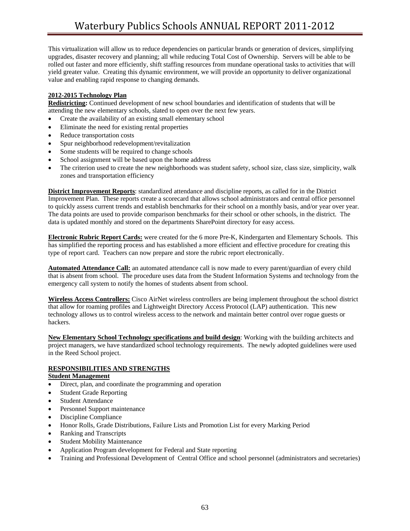This virtualization will allow us to reduce dependencies on particular brands or generation of devices, simplifying upgrades, disaster recovery and planning; all while reducing Total Cost of Ownership. Servers will be able to be rolled out faster and more efficiently, shift staffing resources from mundane operational tasks to activities that will yield greater value. Creating this dynamic environment, we will provide an opportunity to deliver organizational value and enabling rapid response to changing demands.

### **2012-2015 Technology Plan**

**Redistricting:** Continued development of new school boundaries and identification of students that will be attending the new elementary schools, slated to open over the next few years.

- Create the availability of an existing small elementary school
- Eliminate the need for existing rental properties
- Reduce transportation costs
- Spur neighborhood redevelopment/revitalization
- Some students will be required to change schools
- School assignment will be based upon the home address
- The criterion used to create the new neighborhoods was student safety, school size, class size, simplicity, walk zones and transportation efficiency

**District Improvement Reports**: standardized attendance and discipline reports, as called for in the District Improvement Plan. These reports create a scorecard that allows school administrators and central office personnel to quickly assess current trends and establish benchmarks for their school on a monthly basis, and/or year over year. The data points are used to provide comparison benchmarks for their school or other schools, in the district. The data is updated monthly and stored on the departments SharePoint directory for easy access.

**Electronic Rubric Report Cards:** were created for the 6 more Pre-K, Kindergarten and Elementary Schools. This has simplified the reporting process and has established a more efficient and effective procedure for creating this type of report card. Teachers can now prepare and store the rubric report electronically.

**Automated Attendance Call:** an automated attendance call is now made to every parent/guardian of every child that is absent from school. The procedure uses data from the Student Information Systems and technology from the emergency call system to notify the homes of students absent from school.

**Wireless Access Controllers:** Cisco AirNet wireless controllers are being implement throughout the school district that allow for roaming profiles and Lightweight Directory Access Protocol (LAP) authentication. This new technology allows us to control wireless access to the network and maintain better control over rogue guests or hackers.

**New Elementary School Technology specifications and build design**: Working with the building architects and project managers, we have standardized school technology requirements. The newly adopted guidelines were used in the Reed School project.

## **RESPONSIBILITIES AND STRENGTHS**

### **Student Management**

- Direct, plan, and coordinate the programming and operation
- Student Grade Reporting
- Student Attendance
- Personnel Support maintenance
- Discipline Compliance
- Honor Rolls, Grade Distributions, Failure Lists and Promotion List for every Marking Period
- Ranking and Transcripts
- Student Mobility Maintenance
- Application Program development for Federal and State reporting
- Training and Professional Development of Central Office and school personnel (administrators and secretaries)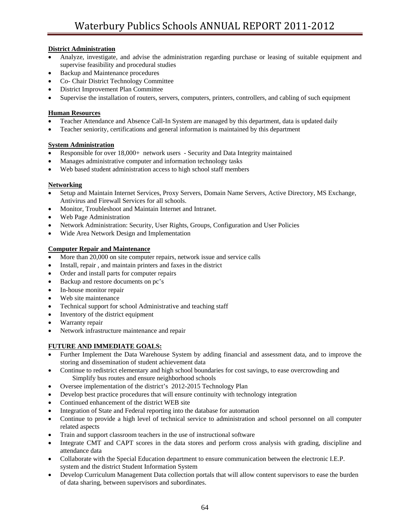## **District Administration**

- Analyze, investigate, and advise the administration regarding purchase or leasing of suitable equipment and supervise feasibility and procedural studies
- Backup and Maintenance procedures
- Co- Chair District Technology Committee
- District Improvement Plan Committee
- Supervise the installation of routers, servers, computers, printers, controllers, and cabling of such equipment

### **Human Resources**

- Teacher Attendance and Absence Call-In System are managed by this department, data is updated daily
- Teacher seniority, certifications and general information is maintained by this department

### **System Administration**

- Responsible for over 18,000+ network users Security and Data Integrity maintained
- Manages administrative computer and information technology tasks
- Web based student administration access to high school staff members

### **Networking**

- Setup and Maintain Internet Services, Proxy Servers, Domain Name Servers, Active Directory, MS Exchange, Antivirus and Firewall Services for all schools.
- Monitor, Troubleshoot and Maintain Internet and Intranet.
- Web Page Administration
- Network Administration: Security, User Rights, Groups, Configuration and User Policies
- Wide Area Network Design and Implementation

### **Computer Repair and Maintenance**

- More than 20,000 on site computer repairs, network issue and service calls
- Install, repair , and maintain printers and faxes in the district
- Order and install parts for computer repairs
- Backup and restore documents on pc's
- In-house monitor repair
- Web site maintenance
- Technical support for school Administrative and teaching staff
- Inventory of the district equipment
- Warranty repair
- Network infrastructure maintenance and repair

## **FUTURE AND IMMEDIATE GOALS:**

- Further Implement the Data Warehouse System by adding financial and assessment data, and to improve the storing and dissemination of student achievement data
- Continue to redistrict elementary and high school boundaries for cost savings, to ease overcrowding and Simplify bus routes and ensure neighborhood schools
- Oversee implementation of the district's 2012-2015 Technology Plan
- Develop best practice procedures that will ensure continuity with technology integration
- Continued enhancement of the district WEB site
- Integration of State and Federal reporting into the database for automation
- Continue to provide a high level of technical service to administration and school personnel on all computer related aspects
- Train and support classroom teachers in the use of instructional software
- Integrate CMT and CAPT scores in the data stores and perform cross analysis with grading, discipline and attendance data
- Collaborate with the Special Education department to ensure communication between the electronic I.E.P. system and the district Student Information System
- Develop Curriculum Management Data collection portals that will allow content supervisors to ease the burden of data sharing, between supervisors and subordinates.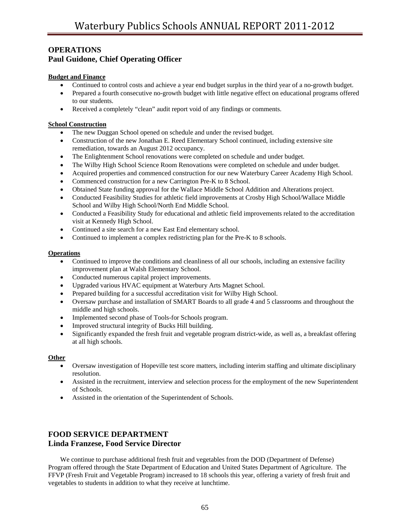# **OPERATIONS Paul Guidone, Chief Operating Officer**

### **Budget and Finance**

- Continued to control costs and achieve a year end budget surplus in the third year of a no-growth budget.
- Prepared a fourth consecutive no-growth budget with little negative effect on educational programs offered to our students.
- Received a completely "clean" audit report void of any findings or comments.

### **School Construction**

- The new Duggan School opened on schedule and under the revised budget.
- Construction of the new Jonathan E. Reed Elementary School continued, including extensive site remediation, towards an August 2012 occupancy.
- The Enlightenment School renovations were completed on schedule and under budget.
- The Wilby High School Science Room Renovations were completed on schedule and under budget.
- Acquired properties and commenced construction for our new Waterbury Career Academy High School.
- Commenced construction for a new Carrington Pre-K to 8 School.
- Obtained State funding approval for the Wallace Middle School Addition and Alterations project.
- Conducted Feasibility Studies for athletic field improvements at Crosby High School/Wallace Middle School and Wilby High School/North End Middle School.
- Conducted a Feasibility Study for educational and athletic field improvements related to the accreditation visit at Kennedy High School.
- Continued a site search for a new East End elementary school.
- Continued to implement a complex redistricting plan for the Pre-K to 8 schools.

### **Operations**

- Continued to improve the conditions and cleanliness of all our schools, including an extensive facility improvement plan at Walsh Elementary School.
- Conducted numerous capital project improvements.
- Upgraded various HVAC equipment at Waterbury Arts Magnet School.
- Prepared building for a successful accreditation visit for Wilby High School.
- Oversaw purchase and installation of SMART Boards to all grade 4 and 5 classrooms and throughout the middle and high schools.
- Implemented second phase of Tools-for Schools program.
- Improved structural integrity of Bucks Hill building.
- Significantly expanded the fresh fruit and vegetable program district-wide, as well as, a breakfast offering at all high schools.

### **Other**

- Oversaw investigation of Hopeville test score matters, including interim staffing and ultimate disciplinary resolution.
- Assisted in the recruitment, interview and selection process for the employment of the new Superintendent of Schools.
- Assisted in the orientation of the Superintendent of Schools.

# **FOOD SERVICE DEPARTMENT Linda Franzese, Food Service Director**

 We continue to purchase additional fresh fruit and vegetables from the DOD (Department of Defense) Program offered through the State Department of Education and United States Department of Agriculture. The FFVP (Fresh Fruit and Vegetable Program) increased to 18 schools this year, offering a variety of fresh fruit and vegetables to students in addition to what they receive at lunchtime.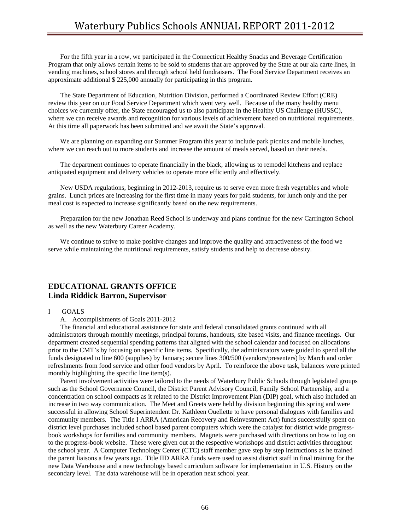For the fifth year in a row, we participated in the Connecticut Healthy Snacks and Beverage Certification Program that only allows certain items to be sold to students that are approved by the State at our ala carte lines, in vending machines, school stores and through school held fundraisers. The Food Service Department receives an approximate additional \$ 225,000 annually for participating in this program.

 The State Department of Education, Nutrition Division, performed a Coordinated Review Effort (CRE) review this year on our Food Service Department which went very well. Because of the many healthy menu choices we currently offer, the State encouraged us to also participate in the Healthy US Challenge (HUSSC), where we can receive awards and recognition for various levels of achievement based on nutritional requirements. At this time all paperwork has been submitted and we await the State's approval.

We are planning on expanding our Summer Program this year to include park picnics and mobile lunches, where we can reach out to more students and increase the amount of meals served, based on their needs.

 The department continues to operate financially in the black, allowing us to remodel kitchens and replace antiquated equipment and delivery vehicles to operate more efficiently and effectively.

 New USDA regulations, beginning in 2012-2013, require us to serve even more fresh vegetables and whole grains. Lunch prices are increasing for the first time in many years for paid students, for lunch only and the per meal cost is expected to increase significantly based on the new requirements.

 Preparation for the new Jonathan Reed School is underway and plans continue for the new Carrington School as well as the new Waterbury Career Academy.

 We continue to strive to make positive changes and improve the quality and attractiveness of the food we serve while maintaining the nutritional requirements, satisfy students and help to decrease obesity.

## **EDUCATIONAL GRANTS OFFICE Linda Riddick Barron, Supervisor**

#### I GOALS

A. Accomplishments of Goals 2011-2012

 The financial and educational assistance for state and federal consolidated grants continued with all administrators through monthly meetings, principal forums, handouts, site based visits, and finance meetings. Our department created sequential spending patterns that aligned with the school calendar and focused on allocations prior to the CMT's by focusing on specific line items. Specifically, the administrators were guided to spend all the funds designated to line 600 (supplies) by January; secure lines 300/500 (vendors/presenters) by March and order refreshments from food service and other food vendors by April. To reinforce the above task, balances were printed monthly highlighting the specific line item(s).

 Parent involvement activities were tailored to the needs of Waterbury Public Schools through legislated groups such as the School Governance Council, the District Parent Advisory Council, Family School Partnership, and a concentration on school compacts as it related to the District Improvement Plan (DIP) goal, which also included an increase in two way communication. The Meet and Greets were held by division beginning this spring and were successful in allowing School Superintendent Dr. Kathleen Ouellette to have personal dialogues with families and community members. The Title I ARRA (American Recovery and Reinvestment Act) funds successfully spent on district level purchases included school based parent computers which were the catalyst for district wide progressbook workshops for families and community members. Magnets were purchased with directions on how to log on to the progress-book website. These were given out at the respective workshops and district activities throughout the school year. A Computer Technology Center (CTC) staff member gave step by step instructions as he trained the parent liaisons a few years ago. Title IID ARRA funds were used to assist district staff in final training for the new Data Warehouse and a new technology based curriculum software for implementation in U.S. History on the secondary level. The data warehouse will be in operation next school year.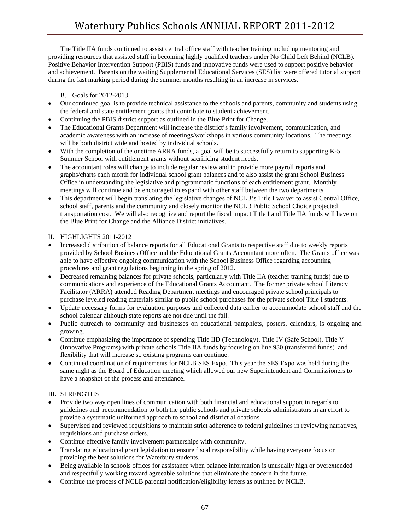The Title IIA funds continued to assist central office staff with teacher training including mentoring and providing resources that assisted staff in becoming highly qualified teachers under No Child Left Behind (NCLB). Positive Behavior Intervention Support (PBIS) funds and innovative funds were used to support positive behavior and achievement. Parents on the waiting Supplemental Educational Services (SES) list were offered tutorial support during the last marking period during the summer months resulting in an increase in services.

### B. Goals for 2012-2013

- Our continued goal is to provide technical assistance to the schools and parents, community and students using the federal and state entitlement grants that contribute to student achievement.
- Continuing the PBIS district support as outlined in the Blue Print for Change.
- The Educational Grants Department will increase the district's family involvement, communication, and academic awareness with an increase of meetings/workshops in various community locations. The meetings will be both district wide and hosted by individual schools.
- With the completion of the onetime ARRA funds, a goal will be to successfully return to supporting K-5 Summer School with entitlement grants without sacrificing student needs.
- The accountant roles will change to include regular review and to provide more payroll reports and graphs/charts each month for individual school grant balances and to also assist the grant School Business Office in understanding the legislative and programmatic functions of each entitlement grant. Monthly meetings will continue and be encouraged to expand with other staff between the two departments.
- This department will begin translating the legislative changes of NCLB's Title I waiver to assist Central Office, school staff, parents and the community and closely monitor the NCLB Public School Choice projected transportation cost. We will also recognize and report the fiscal impact Title I and Title IIA funds will have on the Blue Print for Change and the Alliance District initiatives.

### II. HIGHLIGHTS 2011-2012

- Increased distribution of balance reports for all Educational Grants to respective staff due to weekly reports provided by School Business Office and the Educational Grants Accountant more often. The Grants office was able to have effective ongoing communication with the School Business Office regarding accounting procedures and grant regulations beginning in the spring of 2012.
- Decreased remaining balances for private schools, particularly with Title IIA (teacher training funds) due to communications and experience of the Educational Grants Accountant. The former private school Literacy Facilitator (ARRA) attended Reading Department meetings and encouraged private school principals to purchase leveled reading materials similar to public school purchases for the private school Title I students.
- Update necessary forms for evaluation purposes and collected data earlier to accommodate school staff and the school calendar although state reports are not due until the fall.
- Public outreach to community and businesses on educational pamphlets, posters, calendars, is ongoing and growing.
- Continue emphasizing the importance of spending Title IID (Technology), Title IV (Safe School), Title V (Innovative Programs) with private schools Title IIA funds by focusing on line 930 (transferred funds) and flexibility that will increase so existing programs can continue.
- Continued coordination of requirements for NCLB SES Expo. This year the SES Expo was held during the same night as the Board of Education meeting which allowed our new Superintendent and Commissioners to have a snapshot of the process and attendance.

## III. STRENGTHS

- Provide two way open lines of communication with both financial and educational support in regards to guidelines and recommendation to both the public schools and private schools administrators in an effort to provide a systematic uniformed approach to school and district allocations.
- Supervised and reviewed requisitions to maintain strict adherence to federal guidelines in reviewing narratives, requisitions and purchase orders.
- Continue effective family involvement partnerships with community.
- Translating educational grant legislation to ensure fiscal responsibility while having everyone focus on providing the best solutions for Waterbury students.
- Being available in schools offices for assistance when balance information is unusually high or overextended and respectfully working toward agreeable solutions that eliminate the concern in the future.
- Continue the process of NCLB parental notification/eligibility letters as outlined by NCLB.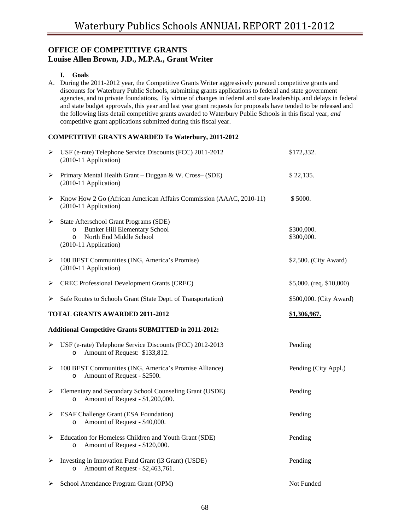# **OFFICE OF COMPETITIVE GRANTS Louise Allen Brown, J.D., M.P.A., Grant Writer**

### **I. Goals**

A. During the 2011-2012 year, the Competitive Grants Writer aggressively pursued competitive grants and discounts for Waterbury Public Schools, submitting grants applications to federal and state government agencies, and to private foundations. By virtue of changes in federal and state leadership, and delays in federal and state budget approvals, this year and last year grant requests for proposals have tended to be released and the following lists detail competitive grants awarded to Waterbury Public Schools in this fiscal year, *and*  competitive grant applications submitted during this fiscal year.

### **COMPETITIVE GRANTS AWARDED To Waterbury, 2011-2012**

| ➤ | USF (e-rate) Telephone Service Discounts (FCC) 2011-2012<br>(2010-11 Application)                                                                         | \$172,332.                 |
|---|-----------------------------------------------------------------------------------------------------------------------------------------------------------|----------------------------|
| ➤ | Primary Mental Health Grant - Duggan & W. Cross- (SDE)<br>(2010-11 Application)                                                                           | \$22,135.                  |
| ➤ | Know How 2 Go (African American Affairs Commission (AAAC, 2010-11)<br>(2010-11 Application)                                                               | \$5000.                    |
| ➤ | State Afterschool Grant Programs (SDE)<br><b>Bunker Hill Elementary School</b><br>$\Omega$<br>North End Middle School<br>$\circ$<br>(2010-11 Application) | \$300,000.<br>\$300,000.   |
| ➤ | 100 BEST Communities (ING, America's Promise)<br>(2010-11 Application)                                                                                    | \$2,500. (City Award)      |
| ➤ | <b>CREC Professional Development Grants (CREC)</b>                                                                                                        | \$5,000. (req. $$10,000$ ) |
| ➤ | Safe Routes to Schools Grant (State Dept. of Transportation)                                                                                              | \$500,000. (City Award)    |
|   | <b>TOTAL GRANTS AWARDED 2011-2012</b>                                                                                                                     | \$1,306,967.               |
|   | <b>Additional Competitive Grants SUBMITTED in 2011-2012:</b>                                                                                              |                            |
| ⋗ | USF (e-rate) Telephone Service Discounts (FCC) 2012-2013<br>Amount of Request: \$133,812.<br>$\circ$                                                      | Pending                    |
|   |                                                                                                                                                           |                            |
| ➤ | 100 BEST Communities (ING, America's Promise Alliance)<br>Amount of Request - \$2500.<br>$\circ$                                                          | Pending (City Appl.)       |
| ➤ | Elementary and Secondary School Counseling Grant (USDE)<br>Amount of Request - \$1,200,000.<br>$\circ$                                                    | Pending                    |
| ➤ | <b>ESAF Challenge Grant (ESA Foundation)</b><br>Amount of Request - \$40,000.<br>$\circ$                                                                  | Pending                    |
| ➤ | Education for Homeless Children and Youth Grant (SDE)<br>Amount of Request - \$120,000.<br>$\circ$                                                        | Pending                    |
| ➤ | Investing in Innovation Fund Grant (i3 Grant) (USDE)<br>Amount of Request - \$2,463,761.<br>$\circ$                                                       | Pending                    |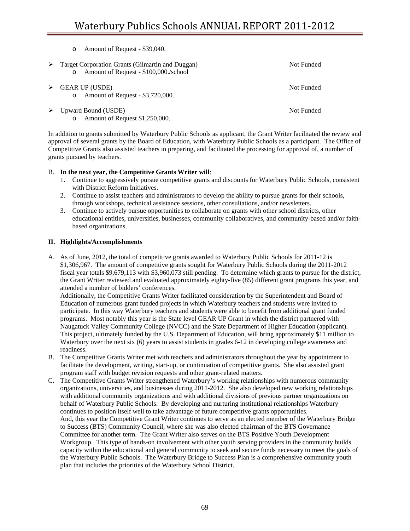| Amount of Request - \$39,040.<br>$\circ$                                                             |            |
|------------------------------------------------------------------------------------------------------|------------|
| Target Corporation Grants (Gilmartin and Duggan)<br>Amount of Request - \$100,000./school<br>$\circ$ | Not Funded |
| <b>GEAR UP (USDE)</b><br>Amount of Request - \$3,720,000.<br>$\circ$                                 | Not Funded |
| Upward Bound (USDE)<br>Amount of Request \$1,250,000.<br>$\circ$                                     | Not Funded |

In addition to grants submitted by Waterbury Public Schools as applicant, the Grant Writer facilitated the review and approval of several grants by the Board of Education, with Waterbury Public Schools as a participant. The Office of Competitive Grants also assisted teachers in preparing, and facilitated the processing for approval of, a number of grants pursued by teachers.

### B. **In the next year, the Competitive Grants Writer will**:

- 1. Continue to aggressively pursue competitive grants and discounts for Waterbury Public Schools, consistent with District Reform Initiatives.
- 2. Continue to assist teachers and administrators to develop the ability to pursue grants for their schools, through workshops, technical assistance sessions, other consultations, and/or newsletters.
- 3. Continue to actively pursue opportunities to collaborate on grants with other school districts, other educational entities, universities, businesses, community collaboratives, and community-based and/or faithbased organizations.

### **II. Highlights/Accomplishments**

A. As of June, 2012, the total of competitive grants awarded to Waterbury Public Schools for 2011-12 is \$1,306,967. The amount of competitive grants sought for Waterbury Public Schools during the 2011-2012 fiscal year totals \$9,679,113 with \$3,960,073 still pending. To determine which grants to pursue for the district, the Grant Writer reviewed and evaluated approximately eighty-five (85) different grant programs this year, and attended a number of bidders' conferences.

Additionally, the Competitive Grants Writer facilitated consideration by the Superintendent and Board of Education of numerous grant funded projects in which Waterbury teachers and students were invited to participate. In this way Waterbury teachers and students were able to benefit from additional grant funded programs. Most notably this year is the State level GEAR UP Grant in which the district partnered with Naugatuck Valley Community College (NVCC) and the State Department of Higher Education (applicant). This project, ultimately funded by the U.S. Department of Education, will bring approximately \$11 million to Waterbury over the next six (6) years to assist students in grades 6-12 in developing college awareness and readiness.

- B. The Competitive Grants Writer met with teachers and administrators throughout the year by appointment to facilitate the development, writing, start-up, or continuation of competitive grants. She also assisted grant program staff with budget revision requests and other grant-related matters.
- C. The Competitive Grants Writer strengthened Waterbury's working relationships with numerous community organizations, universities, and businesses during 2011-2012. She also developed new working relationships with additional community organizations and with additional divisions of previous partner organizations on behalf of Waterbury Public Schools. By developing and nurturing institutional relationships Waterbury continues to position itself well to take advantage of future competitive grants opportunities. And, this year the Competitive Grant Writer continues to serve as an elected member of the Waterbury Bridge to Success (BTS) Community Council, where she was also elected chairman of the BTS Governance Committee for another term. The Grant Writer also serves on the BTS Positive Youth Development Workgroup. This type of hands-on involvement with other youth serving providers in the community builds capacity within the educational and general community to seek and secure funds necessary to meet the goals of the Waterbury Public Schools. The Waterbury Bridge to Success Plan is a comprehensive community youth plan that includes the priorities of the Waterbury School District.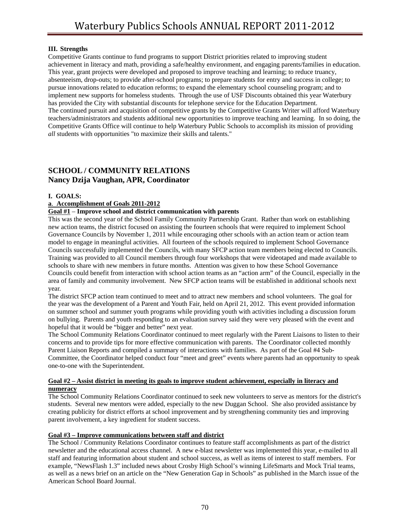### **III. Strengths**

Competitive Grants continue to fund programs to support District priorities related to improving student achievement in literacy and math, providing a safe/healthy environment, and engaging parents/families in education. This year, grant projects were developed and proposed to improve teaching and learning; to reduce truancy, absenteeism, drop-outs; to provide after-school programs; to prepare students for entry and success in college; to pursue innovations related to education reforms; to expand the elementary school counseling program; and to implement new supports for homeless students. Through the use of USF Discounts obtained this year Waterbury has provided the City with substantial discounts for telephone service for the Education Department. The continued pursuit and acquisition of competitive grants by the Competitive Grants Writer will afford Waterbury teachers/administrators and students additional new opportunities to improve teaching and learning. In so doing, the Competitive Grants Office will continue to help Waterbury Public Schools to accomplish its mission of providing *all* students with opportunities "to maximize their skills and talents."

# **SCHOOL / COMMUNITY RELATIONS Nancy Dzija Vaughan, APR, Coordinator**

### **I. GOALS:**

### **a**. **Accomplishment of Goals 2011-2012**

### **Goal #1** – **Improve school and district communication with parents**

This was the second year of the School Family Community Partnership Grant. Rather than work on establishing new action teams, the district focused on assisting the fourteen schools that were required to implement School Governance Councils by November 1, 2011 while encouraging other schools with an action team or action team model to engage in meaningful activities. All fourteen of the schools required to implement School Governance Councils successfully implemented the Councils, with many SFCP action team members being elected to Councils. Training was provided to all Council members through four workshops that were videotaped and made available to schools to share with new members in future months. Attention was given to how these School Governance Councils could benefit from interaction with school action teams as an "action arm" of the Council, especially in the area of family and community involvement. New SFCP action teams will be established in additional schools next year.

The district SFCP action team continued to meet and to attract new members and school volunteers. The goal for the year was the development of a Parent and Youth Fair, held on April 21, 2012. This event provided information on summer school and summer youth programs while providing youth with activities including a discussion forum on bullying. Parents and youth responding to an evaluation survey said they were very pleased with the event and hopeful that it would be "bigger and better" next year.

The School Community Relations Coordinator continued to meet regularly with the Parent Liaisons to listen to their concerns and to provide tips for more effective communication with parents. The Coordinator collected monthly Parent Liaison Reports and compiled a summary of interactions with families. As part of the Goal #4 Sub-Committee, the Coordinator helped conduct four "meet and greet" events where parents had an opportunity to speak one-to-one with the Superintendent.

### **Goal #2 – Assist district in meeting its goals to improve student achievement, especially in literacy and numeracy**

The School Community Relations Coordinator continued to seek new volunteers to serve as mentors for the district's students. Several new mentors were added, especially to the new Duggan School. She also provided assistance by creating publicity for district efforts at school improvement and by strengthening community ties and improving parent involvement, a key ingredient for student success.

## **Goal #3 – Improve communications between staff and district**

The School / Community Relations Coordinator continues to feature staff accomplishments as part of the district newsletter and the educational access channel. A new e-blast newsletter was implemented this year, e-mailed to all staff and featuring information about student and school success, as well as items of interest to staff members. For example, "NewsFlash 1.3" included news about Crosby High School's winning LifeSmarts and Mock Trial teams, as well as a news brief on an article on the "New Generation Gap in Schools" as published in the March issue of the American School Board Journal.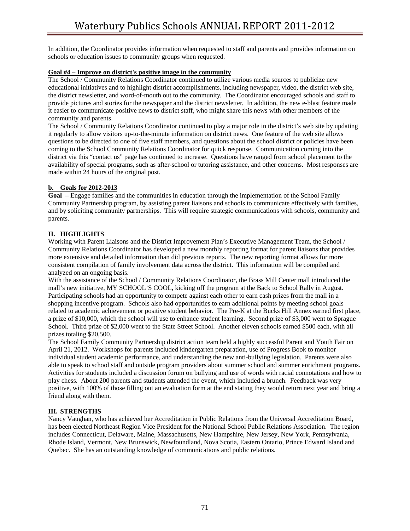In addition, the Coordinator provides information when requested to staff and parents and provides information on schools or education issues to community groups when requested.

### **Goal #4 – Improve on district's positive image in the community**

The School / Community Relations Coordinator continued to utilize various media sources to publicize new educational initiatives and to highlight district accomplishments, including newspaper, video, the district web site, the district newsletter, and word-of-mouth out to the community. The Coordinator encouraged schools and staff to provide pictures and stories for the newspaper and the district newsletter. In addition, the new e-blast feature made it easier to communicate positive news to district staff, who might share this news with other members of the community and parents.

The School / Community Relations Coordinator continued to play a major role in the district's web site by updating it regularly to allow visitors up-to-the-minute information on district news. One feature of the web site allows questions to be directed to one of five staff members, and questions about the school district or policies have been coming to the School Community Relations Coordinator for quick response. Communication coming into the district via this "contact us" page has continued to increase. Questions have ranged from school placement to the availability of special programs, such as after-school or tutoring assistance, and other concerns. Most responses are made within 24 hours of the original post.

### **b. Goals for 2012-2013**

**Goal –** Engage families and the communities in education through the implementation of the School Family Community Partnership program, by assisting parent liaisons and schools to communicate effectively with families, and by soliciting community partnerships. This will require strategic communications with schools, community and parents.

## **II. HIGHLIGHTS**

Working with Parent Liaisons and the District Improvement Plan's Executive Management Team, the School / Community Relations Coordinator has developed a new monthly reporting format for parent liaisons that provides more extensive and detailed information than did previous reports. The new reporting format allows for more consistent compilation of family involvement data across the district. This information will be compiled and analyzed on an ongoing basis.

With the assistance of the School / Community Relations Coordinator, the Brass Mill Center mall introduced the mall's new initiative, MY SCHOOL'S COOL, kicking off the program at the Back to School Rally in August. Participating schools had an opportunity to compete against each other to earn cash prizes from the mall in a shopping incentive program. Schools also had opportunities to earn additional points by meeting school goals related to academic achievement or positive student behavior. The Pre-K at the Bucks Hill Annex earned first place, a prize of \$10,000, which the school will use to enhance student learning. Second prize of \$3,000 went to Sprague School. Third prize of \$2,000 went to the State Street School. Another eleven schools earned \$500 each, with all prizes totaling \$20,500.

The School Family Community Partnership district action team held a highly successful Parent and Youth Fair on April 21, 2012. Workshops for parents included kindergarten preparation, use of Progress Book to monitor individual student academic performance, and understanding the new anti-bullying legislation. Parents were also able to speak to school staff and outside program providers about summer school and summer enrichment programs. Activities for students included a discussion forum on bullying and use of words with racial connotations and how to play chess. About 200 parents and students attended the event, which included a brunch. Feedback was very positive, with 100% of those filling out an evaluation form at the end stating they would return next year and bring a friend along with them.

## **III. STRENGTHS**

Nancy Vaughan, who has achieved her Accreditation in Public Relations from the Universal Accreditation Board, has been elected Northeast Region Vice President for the National School Public Relations Association. The region includes Connecticut, Delaware, Maine, Massachusetts, New Hampshire, New Jersey, New York, Pennsylvania, Rhode Island, Vermont, New Brunswick, Newfoundland, Nova Scotia, Eastern Ontario, Prince Edward Island and Quebec. She has an outstanding knowledge of communications and public relations.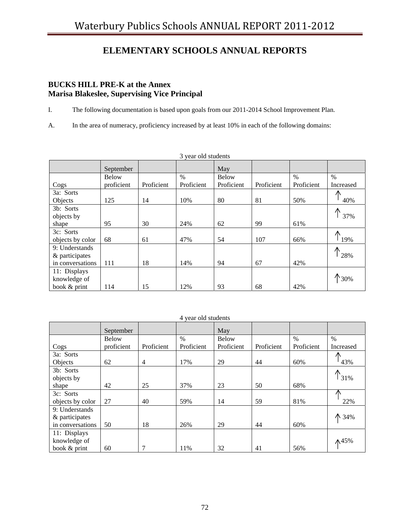# **ELEMENTARY SCHOOLS ANNUAL REPORTS**

# **BUCKS HILL PRE-K at the Annex Marisa Blakeslee, Supervising Vice Principal**

I. The following documentation is based upon goals from our 2011-2014 School Improvement Plan.

A. In the area of numeracy, proficiency increased by at least 10% in each of the following domains:

| 3 year old students |              |            |            |              |            |            |                |
|---------------------|--------------|------------|------------|--------------|------------|------------|----------------|
|                     | September    |            |            | May          |            |            |                |
|                     | <b>Below</b> |            | $\%$       | <b>Below</b> |            | $\%$       | $\%$           |
| Cogs                | proficient   | Proficient | Proficient | Proficient   | Proficient | Proficient | Increased      |
| 3a: Sorts           |              |            |            |              |            |            | ∧              |
| Objects             | 125          | 14         | 10%        | 80           | 81         | 50%        | 40%            |
| 3b: Sorts           |              |            |            |              |            |            |                |
| objects by          |              |            |            |              |            |            | 37%            |
| shape               | 95           | 30         | 24%        | 62           | 99         | 61%        |                |
| 3c: Sorts           |              |            |            |              |            |            | ∧              |
| objects by color    | 68           | 61         | 47%        | 54           | 107        | 66%        | 19%            |
| 9: Understands      |              |            |            |              |            |            | ∧              |
| & participates      |              |            |            |              |            |            | 28%            |
| in conversations    | 111          | 18         | 14%        | 94           | 67         | 42%        |                |
| 11: Displays        |              |            |            |              |            |            |                |
| knowledge of        |              |            |            |              |            |            | $\uparrow$ 30% |
| book & print        | 114          | 15         | 12%        | 93           | 68         | 42%        |                |

|                  | September    |                |               | May          |            |            |               |
|------------------|--------------|----------------|---------------|--------------|------------|------------|---------------|
|                  | <b>Below</b> |                | $\frac{0}{0}$ | <b>Below</b> |            | $\%$       | $\frac{0}{0}$ |
| Cogs             | proficient   | Proficient     | Proficient    | Proficient   | Proficient | Proficient | Increased     |
| 3a: Sorts        |              |                |               |              |            |            | ⋀             |
| Objects          | 62           | $\overline{4}$ | 17%           | 29           | 44         | 60%        | 43%           |
| 3b: Sorts        |              |                |               |              |            |            |               |
| objects by       |              |                |               |              |            |            | 31%           |
| shape            | 42           | 25             | 37%           | 23           | 50         | 68%        |               |
| 3c: Sorts        |              |                |               |              |            |            |               |
| objects by color | 27           | 40             | 59%           | 14           | 59         | 81%        | 22%           |
| 9: Understands   |              |                |               |              |            |            |               |
| & participates   |              |                |               |              |            |            | ↑ 34%         |
| in conversations | 50           | 18             | 26%           | 29           | 44         | 60%        |               |
| 11: Displays     |              |                |               |              |            |            |               |
| knowledge of     |              |                |               |              |            |            | ₼45%          |
| book & print     | 60           | 7              | 11%           | 32           | 41         | 56%        |               |

#### 4 year old students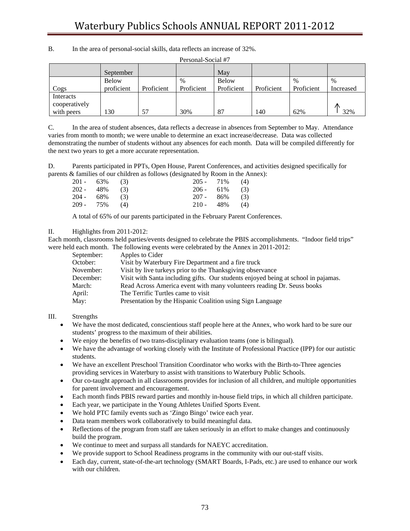| Personal-Social #7 |            |            |            |              |            |            |           |
|--------------------|------------|------------|------------|--------------|------------|------------|-----------|
|                    | September  |            |            | May          |            |            |           |
|                    | Below      |            | $\%$       | <b>Below</b> |            | $\%$       | $\%$      |
| Cogs               | proficient | Proficient | Proficient | Proficient   | Proficient | Proficient | Increased |
| Interacts          |            |            |            |              |            |            |           |
| cooperatively      |            |            |            |              |            |            |           |
| with peers         | 130        | 57         | 30%        | 87           | 140        | 62%        | 32%       |

B. In the area of personal-social skills, data reflects an increase of 32%.

C. In the area of student absences, data reflects a decrease in absences from September to May. Attendance varies from month to month; we were unable to determine an exact increase/decrease. Data was collected demonstrating the number of students without any absences for each month. Data will be compiled differently for the next two years to get a more accurate representation.

D. Parents participated in PPTs, Open House, Parent Conferences, and activities designed specifically for parents & families of our children as follows (designated by Room in the Annex):

| 201 - 63% (3) |  | $205 - 71\%$ (4) |  |
|---------------|--|------------------|--|
| 202 - 48% (3) |  | $206 - 61\%$ (3) |  |
| 204 - 68% (3) |  | $207 - 86\%$ (3) |  |
| 209 - 75% (4) |  | 210 - 48% (4)    |  |

A total of 65% of our parents participated in the February Parent Conferences.

### II. Highlights from 2011-2012:

Each month, classrooms held parties/events designed to celebrate the PBIS accomplishments. "Indoor field trips" were held each month. The following events were celebrated by the Annex in 2011-2012:

| September: | Apples to Cider                                                                    |
|------------|------------------------------------------------------------------------------------|
| October:   | Visit by Waterbury Fire Department and a fire truck                                |
| November:  | Visit by live turkeys prior to the Thanksgiving observance                         |
| December:  | Visit with Santa including gifts. Our students enjoyed being at school in pajamas. |
| March:     | Read Across America event with many volunteers reading Dr. Seuss books             |
| April:     | The Terrific Turtles came to visit                                                 |
| May:       | Presentation by the Hispanic Coalition using Sign Language                         |

### III. Strengths

- We have the most dedicated, conscientious staff people here at the Annex, who work hard to be sure our students' progress to the maximum of their abilities.
- We enjoy the benefits of two trans-disciplinary evaluation teams (one is bilingual).
- We have the advantage of working closely with the Institute of Professional Practice (IPP) for our autistic students.
- We have an excellent Preschool Transition Coordinator who works with the Birth-to-Three agencies providing services in Waterbury to assist with transitions to Waterbury Public Schools.
- Our co-taught approach in all classrooms provides for inclusion of all children, and multiple opportunities for parent involvement and encouragement.
- Each month finds PBIS reward parties and monthly in-house field trips, in which all children participate.
- Each year, we participate in the Young Athletes Unified Sports Event.
- We hold PTC family events such as 'Zingo Bingo' twice each year.
- Data team members work collaboratively to build meaningful data.
- Reflections of the program from staff are taken seriously in an effort to make changes and continuously build the program.
- We continue to meet and surpass all standards for NAEYC accreditation.
- We provide support to School Readiness programs in the community with our out-staff visits.
- Each day, current, state-of-the-art technology (SMART Boards, I-Pads, etc.) are used to enhance our work with our children.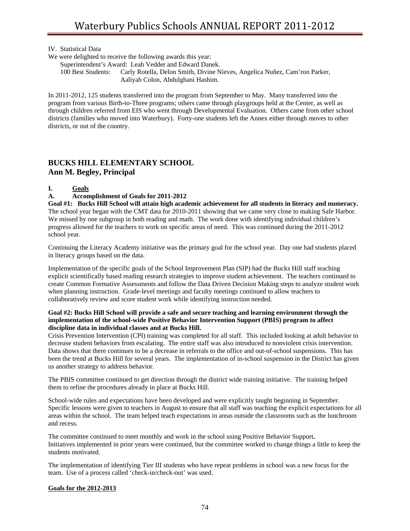IV. Statistical Data

- We were delighted to receive the following awards this year:
	- Superintendent's Award: Leah Vedder and Edward Danek.
	- 100 Best Students: Carly Rotella, Delon Smith, Divine Nieves, Angelica Nuñez, Cam'ron Parker, Aaliyah Colon, Abdulghani Hashim.

In 2011-2012, 125 students transferred into the program from September to May. Many transferred into the program from various Birth-to-Three programs; others came through playgroups held at the Center, as well as through children referred from EIS who went through Developmental Evaluation. Others came from other school districts (families who moved into Waterbury). Forty-one students left the Annex either through moves to other districts, or out of the country.

# **BUCKS HILL ELEMENTARY SCHOOL Ann M. Begley, Principal**

## **I. Goals**

### **A. Accomplishment of Goals for 2011-2012**

**Goal #1: Bucks Hill School will attain high academic achievement for all students in literacy and numeracy.**  The school year began with the CMT data for 2010-2011 showing that we came very close to making Safe Harbor. We missed by one subgroup in both reading and math. The work done with identifying individual children's progress allowed for the teachers to work on specific areas of need. This was continued during the 2011-2012 school year.

Continuing the Literacy Academy initiative was the primary goal for the school year. Day one had students placed in literacy groups based on the data.

Implementation of the specific goals of the School Improvement Plan (SIP) had the Bucks Hill staff teaching explicit scientifically based reading research strategies to improve student achievement. The teachers continued to create Common Formative Assessments and follow the Data Driven Decision Making steps to analyze student work when planning instruction. Grade-level meetings and faculty meetings continued to allow teachers to collaboratively review and score student work while identifying instruction needed.

#### **Goal #2: Bucks Hill School will provide a safe and secure teaching and learning environment through the implementation of the school-wide Positive Behavior Intervention Support (PBIS) program to affect discipline data in individual classes and at Bucks Hill.**

Crisis Prevention Intervention (CPI) training was completed for all staff. This included looking at adult behavior to decrease student behaviors from escalating. The entire staff was also introduced to nonviolent crisis intervention. Data shows that there continues to be a decrease in referrals to the office and out-of-school suspensions. This has been the trend at Bucks Hill for several years. The implementation of in-school suspension in the District has given us another strategy to address behavior.

The PBIS committee continued to get direction through the district wide training initiative. The training helped them to refine the procedures already in place at Bucks Hill.

School-wide rules and expectations have been developed and were explicitly taught beginning in September. Specific lessons were given to teachers in August to ensure that all staff was teaching the explicit expectations for all areas within the school. The team helped teach expectations in areas outside the classrooms such as the lunchroom and recess.

The committee continued to meet monthly and work in the school using Positive Behavior Support**.**  Initiatives implemented in prior years were continued, but the committee worked to change things a little to keep the students motivated.

The implementation of identifying Tier III students who have repeat problems in school was a new focus for the team. Use of a process called 'check-in/check-out' was used.

### **Goals for the 2012-2013**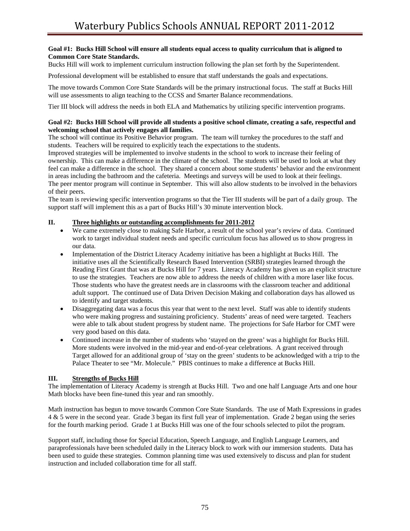### **Goal #1: Bucks Hill School will ensure all students equal access to quality curriculum that is aligned to Common Core State Standards.**

Bucks Hill will work to implement curriculum instruction following the plan set forth by the Superintendent.

Professional development will be established to ensure that staff understands the goals and expectations.

The move towards Common Core State Standards will be the primary instructional focus. The staff at Bucks Hill will use assessments to align teaching to the CCSS and Smarter Balance recommendations.

Tier III block will address the needs in both ELA and Mathematics by utilizing specific intervention programs.

#### **Goal #2: Bucks Hill School will provide all students a positive school climate, creating a safe, respectful and welcoming school that actively engages all families.**

The school will continue its Positive Behavior program. The team will turnkey the procedures to the staff and students. Teachers will be required to explicitly teach the expectations to the students.

Improved strategies will be implemented to involve students in the school to work to increase their feeling of ownership. This can make a difference in the climate of the school. The students will be used to look at what they feel can make a difference in the school. They shared a concern about some students' behavior and the environment in areas including the bathroom and the cafeteria. Meetings and surveys will be used to look at their feelings. The peer mentor program will continue in September. This will also allow students to be involved in the behaviors of their peers.

The team is reviewing specific intervention programs so that the Tier III students will be part of a daily group. The support staff will implement this as a part of Bucks Hill's 30 minute intervention block.

### **II. Three highlights or outstanding accomplishments for 2011-2012**

- We came extremely close to making Safe Harbor, a result of the school year's review of data. Continued work to target individual student needs and specific curriculum focus has allowed us to show progress in our data.
- Implementation of the District Literacy Academy initiative has been a highlight at Bucks Hill. The initiative uses all the Scientifically Research Based Intervention (SRBI) strategies learned through the Reading First Grant that was at Bucks Hill for 7 years. Literacy Academy has given us an explicit structure to use the strategies. Teachers are now able to address the needs of children with a more laser like focus. Those students who have the greatest needs are in classrooms with the classroom teacher and additional adult support. The continued use of Data Driven Decision Making and collaboration days has allowed us to identify and target students.
- Disaggregating data was a focus this year that went to the next level. Staff was able to identify students who were making progress and sustaining proficiency. Students' areas of need were targeted. Teachers were able to talk about student progress by student name. The projections for Safe Harbor for CMT were very good based on this data.
- Continued increase in the number of students who 'stayed on the green' was a highlight for Bucks Hill. More students were involved in the mid-year and end-of-year celebrations. A grant received through Target allowed for an additional group of 'stay on the green' students to be acknowledged with a trip to the Palace Theater to see "Mr. Molecule." PBIS continues to make a difference at Bucks Hill.

## **III. Strengths of Bucks Hill**

The implementation of Literacy Academy is strength at Bucks Hill. Two and one half Language Arts and one hour Math blocks have been fine-tuned this year and ran smoothly.

Math instruction has begun to move towards Common Core State Standards. The use of Math Expressions in grades 4 & 5 were in the second year. Grade 3 began its first full year of implementation. Grade 2 began using the series for the fourth marking period. Grade 1 at Bucks Hill was one of the four schools selected to pilot the program.

Support staff, including those for Special Education, Speech Language, and English Language Learners, and paraprofessionals have been scheduled daily in the Literacy block to work with our immersion students. Data has been used to guide these strategies. Common planning time was used extensively to discuss and plan for student instruction and included collaboration time for all staff.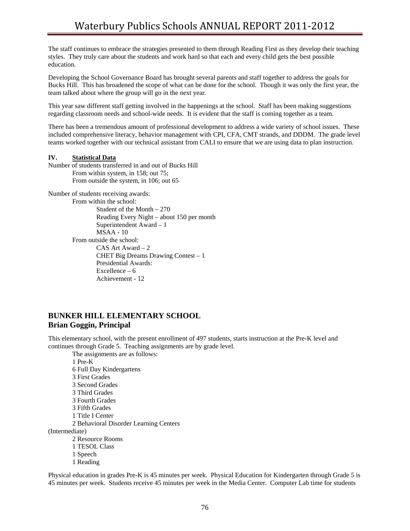The staff continues to embrace the strategies presented to them through Reading First as they develop their teaching styles. They truly care about the students and work hard so that each and every child gets the best possible education.

Developing the School Governance Board has brought several parents and staff together to address the goals for Bucks Hill. This has broadened the scope of what can be done for the school. Though it was only the first year, the team talked about where the group will go in the next year.

This year saw different staff getting involved in the happenings at the school. Staff has been making suggestions regarding classroom needs and school-wide needs. It is evident that the staff is coming together as a team.

There has been a tremendous amount of professional development to address a wide variety of school issues. These included comprehensive literacy, behavior management with CPI, CFA, CMT strands, and DDDM. The grade level teams worked together with our technical assistant from CALI to ensure that we are using data to plan instruction.

#### **IV. Statistical Data**

Number of students transferred in and out of Bucks Hill From within system, in 158; out 75; From outside the system, in 106; out 65

Number of students receiving awards:

From within the school:

 Student of the Month – 270 Reading Every Night – about 150 per month Superintendent Award – 1 MSAA - 10 From outside the school: CAS Art Award – 2 CHET Big Dreams Drawing Contest – 1 Presidential Awards: Excellence – 6 Achievement - 12

# **BUNKER HILL ELEMENTARY SCHOOL Brian Goggin, Principal**

This elementary school, with the present enrollment of 497 students, starts instruction at the Pre-K level and continues through Grade 5. Teaching assignments are by grade level.

 The assignments are as follows: 1 Pre-K 6 Full Day Kindergartens 3 First Grades 3 Second Grades 3 Third Grades 3 Fourth Grades 3 Fifth Grades 1 Title I Center 2 Behavioral Disorder Learning Centers (Intermediate) 2 Resource Rooms 1 TESOL Class 1 Speech 1 Reading

Physical education in grades Pre-K is 45 minutes per week. Physical Education for Kindergarten through Grade 5 is 45 minutes per week. Students receive 45 minutes per week in the Media Center. Computer Lab time for students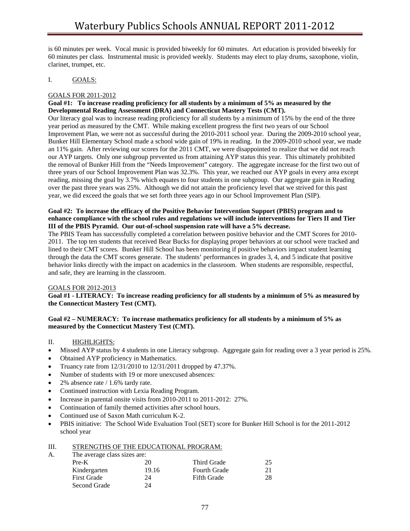is 60 minutes per week. Vocal music is provided biweekly for 60 minutes. Art education is provided biweekly for 60 minutes per class. Instrumental music is provided weekly. Students may elect to play drums, saxophone, violin, clarinet, trumpet, etc.

### I. GOALS:

### GOALS FOR 2011-2012

### **Goal #1: To increase reading proficiency for all students by a minimum of 5% as measured by the Developmental Reading Assessment (DRA) and Connecticut Mastery Tests (CMT).**

Our literacy goal was to increase reading proficiency for all students by a minimum of 15% by the end of the three year period as measured by the CMT. While making excellent progress the first two years of our School Improvement Plan, we were not as successful during the 2010-2011 school year. During the 2009-2010 school year, Bunker Hill Elementary School made a school wide gain of 19% in reading. In the 2009-2010 school year, we made an 11% gain. After reviewing our scores for the 2011 CMT, we were disappointed to realize that we did not reach our AYP targets. Only one subgroup prevented us from attaining AYP status this year. This ultimately prohibited the removal of Bunker Hill from the "Needs Improvement" category. The aggregate increase for the first two out of three years of our School Improvement Plan was 32.3%. This year, we reached our AYP goals in every area except reading, missing the goal by 3.7% which equates to four students in one subgroup. Our aggregate gain in Reading over the past three years was 25%. Although we did not attain the proficiency level that we strived for this past year, we did exceed the goals that we set forth three years ago in our School Improvement Plan (SIP).

### **Goal #2: To increase the efficacy of the Positive Behavior Intervention Support (PBIS) program and to enhance compliance with the school rules and regulations we will include interventions for Tiers II and Tier III of the PBIS Pyramid. Our out-of-school suspension rate will have a 5% decrease.**

The PBIS Team has successfully completed a correlation between positive behavior and the CMT Scores for 2010- 2011. The top ten students that received Bear Bucks for displaying proper behaviors at our school were tracked and lined to their CMT scores. Bunker Hill School has been monitoring if positive behaviors impact student learning through the data the CMT scores generate. The students' performances in grades 3, 4, and 5 indicate that positive behavior links directly with the impact on academics in the classroom. When students are responsible, respectful, and safe, they are learning in the classroom.

### GOALS FOR 2012-2013

### **Goal #1 - LITERACY: To increase reading proficiency for all students by a minimum of 5% as measured by the Connecticut Mastery Test (CMT).**

### **Goal #2 – NUMERACY: To increase mathematics proficiency for all students by a minimum of 5% as measured by the Connecticut Mastery Test (CMT).**

## II. HIGHLIGHTS:

- Missed AYP status by 4 students in one Literacy subgroup. Aggregate gain for reading over a 3 year period is 25%.
- Obtained AYP proficiency in Mathematics.
- Truancy rate from 12/31/2010 to 12/31/2011 dropped by 47.37%.
- Number of students with 19 or more unexcused absences:
- 2% absence rate / 1.6% tardy rate.
- Continued instruction with Lexia Reading Program.
- Increase in parental onsite visits from 2010-2011 to 2011-2012: 27%.
- Continuation of family themed activities after school hours.
- Continued use of Saxon Math curriculum K-2.
- PBIS initiative: The School Wide Evaluation Tool (SET) score for Bunker Hill School is for the 2011-2012 school year

| STRENGTHS OF THE EDUCATIONAL PROGRAM:<br>III. |  |
|-----------------------------------------------|--|
|-----------------------------------------------|--|

| $Pre-K$            | 20    | Third Grade                  | 25 |  |  |  |
|--------------------|-------|------------------------------|----|--|--|--|
| Kindergarten       | 19.16 | <b>Fourth Grade</b>          |    |  |  |  |
| <b>First Grade</b> | 24    | <b>Fifth Grade</b>           | 28 |  |  |  |
| Second Grade       | 24    |                              |    |  |  |  |
|                    |       | The average class sizes are: |    |  |  |  |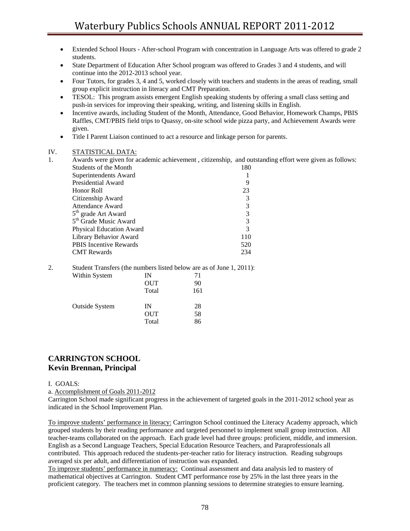• Extended School Hours - After-school Program with concentration in Language Arts was offered to grade 2

|           | students.                                                                                                                                                                                                             |     |
|-----------|-----------------------------------------------------------------------------------------------------------------------------------------------------------------------------------------------------------------------|-----|
| $\bullet$ | State Department of Education After School program was offered to Grades 3 and 4 students, and will<br>continue into the 2012-2013 school year.                                                                       |     |
| $\bullet$ | Four Tutors, for grades 3, 4 and 5, worked closely with teachers and students in the areas of reading, small<br>group explicit instruction in literacy and CMT Preparation.                                           |     |
| $\bullet$ | TESOL: This program assists emergent English speaking students by offering a small class setting and<br>push-in services for improving their speaking, writing, and listening skills in English.                      |     |
| $\bullet$ | Incentive awards, including Student of the Month, Attendance, Good Behavior, Homework Champs, PBIS<br>Raffles, CMT/PBIS field trips to Quassy, on-site school wide pizza party, and Achievement Awards were<br>given. |     |
| $\bullet$ | Title I Parent Liaison continued to act a resource and linkage person for parents.                                                                                                                                    |     |
| IV.       | STATISTICAL DATA:                                                                                                                                                                                                     |     |
| 1.        | Awards were given for academic achievement, citizenship, and outstanding effort were given as follows:                                                                                                                |     |
|           | Students of the Month                                                                                                                                                                                                 | 180 |
|           | Superintendents Award                                                                                                                                                                                                 |     |
|           | Presidential Award                                                                                                                                                                                                    | 9   |
|           | Honor Roll                                                                                                                                                                                                            | 23  |
|           | Citizenship Award                                                                                                                                                                                                     | 3   |
|           | <b>Attendance Award</b>                                                                                                                                                                                               | 3   |

| Citizenship Award                 |               |
|-----------------------------------|---------------|
| <b>Attendance Award</b>           | 3             |
| 5 <sup>th</sup> grade Art Award   | 3             |
| 5 <sup>th</sup> Grade Music Award | $\mathcal{R}$ |
| <b>Physical Education Award</b>   | $\mathcal{R}$ |
| Library Behavior Award            | 110           |
| <b>PBIS</b> Incentive Rewards     | 520           |
| <b>CMT</b> Rewards                | 234           |

#### 2. Student Transfers (the numbers listed below are as of June 1, 2011):

| Within System         | IN         | 71  |
|-----------------------|------------|-----|
|                       | <b>OUT</b> | 90  |
|                       | Total      | 161 |
| <b>Outside System</b> | IN         | 28  |
|                       | <b>OUT</b> | 58  |
|                       | Total      | 86  |

# **CARRINGTON SCHOOL Kevin Brennan, Principal**

### I. GOALS:

a. Accomplishment of Goals 2011-2012

Carrington School made significant progress in the achievement of targeted goals in the 2011-2012 school year as indicated in the School Improvement Plan.

To improve students' performance in literacy: Carrington School continued the Literacy Academy approach, which grouped students by their reading performance and targeted personnel to implement small group instruction. All teacher-teams collaborated on the approach. Each grade level had three groups: proficient, middle, and immersion. English as a Second Language Teachers, Special Education Resource Teachers, and Paraprofessionals all contributed. This approach reduced the students-per-teacher ratio for literacy instruction. Reading subgroups averaged six per adult, and differentiation of instruction was expanded.

To improve students' performance in numeracy:Continual assessment and data analysis led to mastery of mathematical objectives at Carrington. Student CMT performance rose by 25% in the last three years in the proficient category. The teachers met in common planning sessions to determine strategies to ensure learning.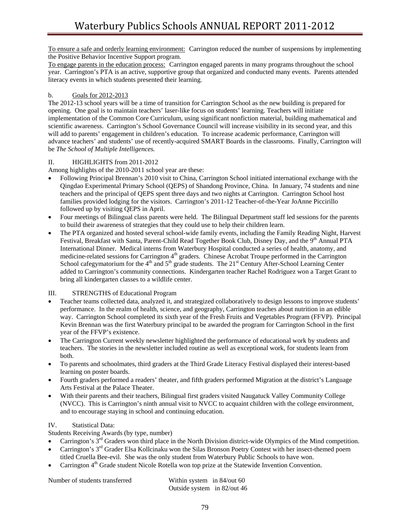To ensure a safe and orderly learning environment: Carrington reduced the number of suspensions by implementing the Positive Behavior Incentive Support program.

To engage parents in the education process: Carrington engaged parents in many programs throughout the school year. Carrington's PTA is an active, supportive group that organized and conducted many events. Parents attended literacy events in which students presented their learning.

## b. Goals for 2012-2013

The 2012-13 school years will be a time of transition for Carrington School as the new building is prepared for opening. One goal is to maintain teachers' laser-like focus on students' learning. Teachers will initiate implementation of the Common Core Curriculum, using significant nonfiction material, building mathematical and scientific awareness. Carrington's School Governance Council will increase visibility in its second year, and this will add to parents' engagement in children's education. To increase academic performance, Carrington will advance teachers' and students' use of recently-acquired SMART Boards in the classrooms. Finally, Carrington will be *The School of Multiple Intelligences.* 

## II. HIGHLIGHTS from 2011-2012

Among highlights of the 2010-2011 school year are these:

- Following Principal Brennan's 2010 visit to China, Carrington School initiated international exchange with the Qingdao Experimental Primary School (QEPS) of Shandong Province, China. In January, 74 students and nine teachers and the principal of QEPS spent three days and two nights at Carrington. Carrington School host families provided lodging for the visitors. Carrington's 2011-12 Teacher-of-the-Year JoAnne Piccirillo followed up by visiting QEPS in April.
- Four meetings of Bilingual class parents were held. The Bilingual Department staff led sessions for the parents to build their awareness of strategies that they could use to help their children learn.
- The PTA organized and hosted several school-wide family events, including the Family Reading Night, Harvest Festival, Breakfast with Santa, Parent-Child Read Together Book Club, Disney Day, and the 9th Annual PTA International Dinner. Medical interns from Waterbury Hospital conducted a series of health, anatomy, and medicine-related sessions for Carrington 4<sup>th</sup> graders. Chinese Acrobat Troupe performed in the Carrington School cafegymatorium for the  $4<sup>th</sup>$  and  $5<sup>th</sup>$  grade students. The 21<sup>st</sup> Century After-School Learning Center added to Carrington's community connections. Kindergarten teacher Rachel Rodriguez won a Target Grant to bring all kindergarten classes to a wildlife center.

## III. STRENGTHS of Educational Program

- Teacher teams collected data, analyzed it, and strategized collaboratively to design lessons to improve students' performance. In the realm of health, science, and geography, Carrington teaches about nutrition in an edible way. Carrington School completed its sixth year of the Fresh Fruits and Vegetables Program (FFVP). Principal Kevin Brennan was the first Waterbury principal to be awarded the program for Carrington School in the first year of the FFVP's existence.
- The Carrington Current weekly newsletter highlighted the performance of educational work by students and teachers. The stories in the newsletter included routine as well as exceptional work, for students learn from both.
- To parents and schoolmates, third graders at the Third Grade Literacy Festival displayed their interest-based learning on poster boards.
- Fourth graders performed a readers' theater, and fifth graders performed Migration at the district's Language Arts Festival at the Palace Theater.
- With their parents and their teachers, Bilingual first graders visited Naugatuck Valley Community College (NVCC). This is Carrington's ninth annual visit to NVCC to acquaint children with the college environment, and to encourage staying in school and continuing education.

## IV. Statistical Data:

Students Receiving Awards (by type, number)

- Carrington's 3<sup>rd</sup> Graders won third place in the North Division district-wide Olympics of the Mind competition.
- Carrington's 3<sup>rd</sup> Grader Elsa Kollcinaku won the Silas Bronson Poetry Contest with her insect-themed poem titled Cruella Bee-evil.She was the only student from Waterbury Public Schools to have won.
- Carrington 4<sup>th</sup> Grade student Nicole Rotella won top prize at the Statewide Invention Convention.

Number of students transferred Within system in 84/out 60

Outside system in 82/out 46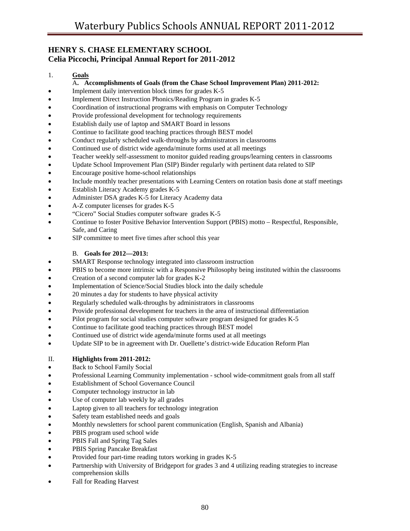# **HENRY S. CHASE ELEMENTARY SCHOOL Celia Piccochi, Principal Annual Report for 2011-2012**

## 1. **Goals**

### A**. Accomplishments of Goals (from the Chase School Improvement Plan) 2011-2012:**

- Implement daily intervention block times for grades K-5
- Implement Direct Instruction Phonics/Reading Program in grades K-5
- Coordination of instructional programs with emphasis on Computer Technology
- Provide professional development for technology requirements
- Establish daily use of laptop and SMART Board in lessons
- Continue to facilitate good teaching practices through BEST model
- Conduct regularly scheduled walk-throughs by administrators in classrooms
- Continued use of district wide agenda/minute forms used at all meetings
- Teacher weekly self-assessment to monitor guided reading groups/learning centers in classrooms
- Update School Improvement Plan (SIP) Binder regularly with pertinent data related to SIP
- Encourage positive home-school relationships
- Include monthly teacher presentations with Learning Centers on rotation basis done at staff meetings
- Establish Literacy Academy grades K-5
- Administer DSA grades K-5 for Literacy Academy data
- A-Z computer licenses for grades K-5
- "Cicero" Social Studies computer software grades K-5
- Continue to foster Positive Behavior Intervention Support (PBIS) motto Respectful, Responsible, Safe, and Caring
- SIP committee to meet five times after school this year

## B. **Goals for 2012—2013:**

- SMART Response technology integrated into classroom instruction
- PBIS to become more intrinsic with a Responsive Philosophy being instituted within the classrooms
- Creation of a second computer lab for grades K-2
- Implementation of Science/Social Studies block into the daily schedule
- 20 minutes a day for students to have physical activity
- Regularly scheduled walk-throughs by administrators in classrooms
- Provide professional development for teachers in the area of instructional differentiation
- Pilot program for social studies computer software program designed for grades K-5
- Continue to facilitate good teaching practices through BEST model
- Continued use of district wide agenda/minute forms used at all meetings
- Update SIP to be in agreement with Dr. Ouellette's district-wide Education Reform Plan

## II. **Highlights from 2011-2012:**

- Back to School Family Social
- Professional Learning Community implementation school wide-commitment goals from all staff
- Establishment of School Governance Council
- Computer technology instructor in lab
- Use of computer lab weekly by all grades
- Laptop given to all teachers for technology integration
- Safety team established needs and goals
- Monthly newsletters for school parent communication (English, Spanish and Albania)
- PBIS program used school wide
- PBIS Fall and Spring Tag Sales
- PBIS Spring Pancake Breakfast
- Provided four part-time reading tutors working in grades K-5
- Partnership with University of Bridgeport for grades 3 and 4 utilizing reading strategies to increase comprehension skills
- Fall for Reading Harvest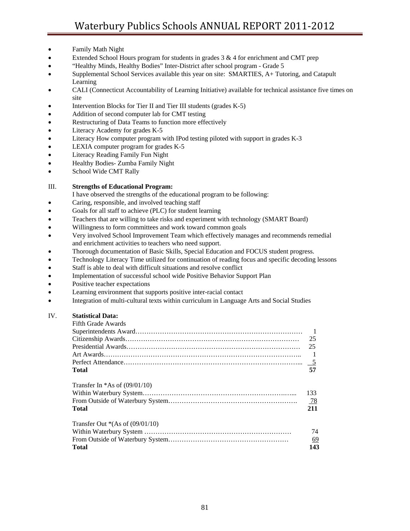- Family Math Night
- Extended School Hours program for students in grades 3 & 4 for enrichment and CMT prep
- "Healthy Minds, Healthy Bodies" Inter-District after school program Grade 5
- Supplemental School Services available this year on site: SMARTIES, A+ Tutoring, and Catapult Learning
- CALI (Connecticut Accountability of Learning Initiative) available for technical assistance five times on site
- Intervention Blocks for Tier II and Tier III students (grades K-5)
- Addition of second computer lab for CMT testing
- Restructuring of Data Teams to function more effectively
- Literacy Academy for grades K-5
- Literacy How computer program with IPod testing piloted with support in grades K-3
- LEXIA computer program for grades K-5
- Literacy Reading Family Fun Night
- Healthy Bodies- Zumba Family Night
- School Wide CMT Rally

## III. **Strengths of Educational Program:**

- I have observed the strengths of the educational program to be following:
- Caring, responsible, and involved teaching staff
- Goals for all staff to achieve (PLC) for student learning
- Teachers that are willing to take risks and experiment with technology (SMART Board)
- Willingness to form committees and work toward common goals
- Very involved School Improvement Team which effectively manages and recommends remedial and enrichment activities to teachers who need support.
- Thorough documentation of Basic Skills, Special Education and FOCUS student progress.
- Technology Literacy Time utilized for continuation of reading focus and specific decoding lessons
- Staff is able to deal with difficult situations and resolve conflict
- Implementation of successful school wide Positive Behavior Support Plan
- Positive teacher expectations
- Learning environment that supports positive inter-racial contact
- Integration of multi-cultural texts within curriculum in Language Arts and Social Studies

## IV. **Statistical Data:**

| Fifth Grade Awards                 |                |
|------------------------------------|----------------|
|                                    |                |
|                                    | 25             |
|                                    | 25             |
|                                    | $\overline{1}$ |
|                                    | $\overline{5}$ |
| Total                              | 57             |
| Transfer In $*As$ of (09/01/10)    |                |
|                                    | 133            |
|                                    | $\frac{78}{2}$ |
| Total                              | 211            |
| Transfer Out $*(As of (09/01/10))$ |                |
|                                    | 74             |
|                                    | 69             |
| <b>Total</b>                       | 143            |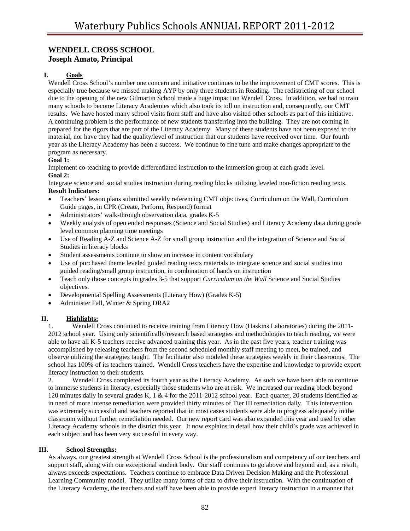# **WENDELL CROSS SCHOOL Joseph Amato, Principal**

## **I. Goals**

Wendell Cross School's number one concern and initiative continues to be the improvement of CMT scores. This is especially true because we missed making AYP by only three students in Reading. The redistricting of our school due to the opening of the new Gilmartin School made a huge impact on Wendell Cross. In addition, we had to train many schools to become Literacy Academies which also took its toll on instruction and, consequently, our CMT results. We have hosted many school visits from staff and have also visited other schools as part of this initiative. A continuing problem is the performance of new students transferring into the building. They are not coming in prepared for the rigors that are part of the Literacy Academy. Many of these students have not been exposed to the material, nor have they had the quality/level of instruction that our students have received over time. Our fourth year as the Literacy Academy has been a success. We continue to fine tune and make changes appropriate to the program as necessary.

## **Goal 1:**

Implement co-teaching to provide differentiated instruction to the immersion group at each grade level. **Goal 2:** 

Integrate science and social studies instruction during reading blocks utilizing leveled non-fiction reading texts. **Result Indicators:** 

- Teachers' lesson plans submitted weekly referencing CMT objectives, Curriculum on the Wall, Curriculum Guide pages, in CPR (Create, Perform, Respond) format
- Administrators' walk-through observation data, grades K-5
- Weekly analysis of open ended responses (Science and Social Studies) and Literacy Academy data during grade level common planning time meetings
- Use of Reading A-Z and Science A-Z for small group instruction and the integration of Science and Social Studies in literacy blocks
- Student assessments continue to show an increase in content vocabulary
- Use of purchased theme leveled guided reading texts materials to integrate science and social studies into guided reading/small group instruction, in combination of hands on instruction
- Teach only those concepts in grades 3-5 that support *Curriculum on the Wall* Science and Social Studies objectives.
- Developmental Spelling Assessments (Literacy How) (Grades K-5)
- Administer Fall, Winter & Spring DRA2

### **II. Highlights:**

1. Wendell Cross continued to receive training from Literacy How (Haskins Laboratories) during the 2011- 2012 school year. Using only scientifically/research based strategies and methodologies to teach reading, we were able to have all K-5 teachers receive advanced training this year. As in the past five years, teacher training was accomplished by releasing teachers from the second scheduled monthly staff meeting to meet, be trained, and observe utilizing the strategies taught. The facilitator also modeled these strategies weekly in their classrooms. The school has 100% of its teachers trained. Wendell Cross teachers have the expertise and knowledge to provide expert literacy instruction to their students.

2. Wendell Cross completed its fourth year as the Literacy Academy. As such we have been able to continue to immerse students in literacy, especially those students who are at risk. We increased our reading block beyond 120 minutes daily in several grades K, 1 & 4 for the 2011-2012 school year. Each quarter, 20 students identified as in need of more intense remediation were provided thirty minutes of Tier III remediation daily. This intervention was extremely successful and teachers reported that in most cases students were able to progress adequately in the classroom without further remediation needed. Our new report card was also expanded this year and used by other Literacy Academy schools in the district this year. It now explains in detail how their child's grade was achieved in each subject and has been very successful in every way.

#### **III. School Strengths:**

As always, our greatest strength at Wendell Cross School is the professionalism and competency of our teachers and support staff, along with our exceptional student body. Our staff continues to go above and beyond and, as a result, always exceeds expectations. Teachers continue to embrace Data Driven Decision Making and the Professional Learning Community model. They utilize many forms of data to drive their instruction. With the continuation of the Literacy Academy, the teachers and staff have been able to provide expert literacy instruction in a manner that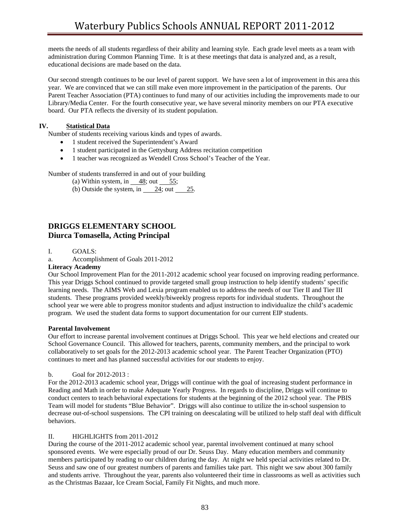meets the needs of all students regardless of their ability and learning style. Each grade level meets as a team with administration during Common Planning Time. It is at these meetings that data is analyzed and, as a result, educational decisions are made based on the data.

Our second strength continues to be our level of parent support. We have seen a lot of improvement in this area this year. We are convinced that we can still make even more improvement in the participation of the parents. Our Parent Teacher Association (PTA) continues to fund many of our activities including the improvements made to our Library/Media Center. For the fourth consecutive year, we have several minority members on our PTA executive board. Our PTA reflects the diversity of its student population.

### **IV. Statistical Data**

Number of students receiving various kinds and types of awards.

- 1 student received the Superintendent's Award
- 1 student participated in the Gettysburg Address recitation competition
- 1 teacher was recognized as Wendell Cross School's Teacher of the Year.

Number of students transferred in and out of your building

(a) Within system, in  $\frac{48}{3}$ ; out  $\frac{55}{3}$ ;

(b) Outside the system, in  $24$ ; out  $25$ .

# **DRIGGS ELEMENTARY SCHOOL Diurca Tomasella, Acting Principal**

I. GOALS:

a. Accomplishment of Goals 2011-2012

### **Literacy Academy**

Our School Improvement Plan for the 2011-2012 academic school year focused on improving reading performance. This year Driggs School continued to provide targeted small group instruction to help identify students' specific learning needs. The AIMS Web and Lexia program enabled us to address the needs of our Tier II and Tier III students. These programs provided weekly/biweekly progress reports for individual students. Throughout the school year we were able to progress monitor students and adjust instruction to individualize the child's academic program. We used the student data forms to support documentation for our current EIP students.

### **Parental Involvement**

Our effort to increase parental involvement continues at Driggs School. This year we held elections and created our School Governance Council. This allowed for teachers, parents, community members, and the principal to work collaboratively to set goals for the 2012-2013 academic school year. The Parent Teacher Organization (PTO) continues to meet and has planned successful activities for our students to enjoy.

### b. Goal for 2012-2013 :

For the 2012-2013 academic school year, Driggs will continue with the goal of increasing student performance in Reading and Math in order to make Adequate Yearly Progress. In regards to discipline, Driggs will continue to conduct centers to teach behavioral expectations for students at the beginning of the 2012 school year. The PBIS Team will model for students "Blue Behavior". Driggs will also continue to utilize the in-school suspension to decrease out-of-school suspensions. The CPI training on deescalating will be utilized to help staff deal with difficult behaviors.

### II. HIGHLIGHTS from 2011-2012

During the course of the 2011-2012 academic school year, parental involvement continued at many school sponsored events. We were especially proud of our Dr. Seuss Day. Many education members and community members participated by reading to our children during the day. At night we held special activities related to Dr. Seuss and saw one of our greatest numbers of parents and families take part. This night we saw about 300 family and students arrive. Throughout the year, parents also volunteered their time in classrooms as well as activities such as the Christmas Bazaar, Ice Cream Social, Family Fit Nights, and much more.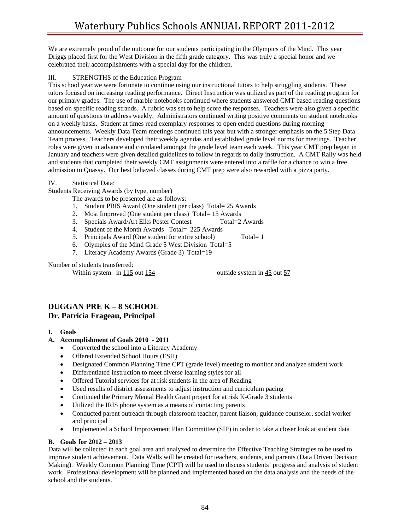We are extremely proud of the outcome for our students participating in the Olympics of the Mind. This year Driggs placed first for the West Division in the fifth grade category. This was truly a special honor and we celebrated their accomplishments with a special day for the children.

### III. STRENGTHS of the Education Program

This school year we were fortunate to continue using our instructional tutors to help struggling students. These tutors focused on increasing reading performance. Direct Instruction was utilized as part of the reading program for our primary grades. The use of marble notebooks continued where students answered CMT based reading questions based on specific reading strands. A rubric was set to help score the responses. Teachers were also given a specific amount of questions to address weekly. Administrators continued writing positive comments on student notebooks on a weekly basis. Student at times read exemplary responses to open ended questions during morning announcements. Weekly Data Team meetings continued this year but with a stronger emphasis on the 5 Step Data Team process. Teachers developed their weekly agendas and established grade level norms for meetings. Teacher roles were given in advance and circulated amongst the grade level team each week. This year CMT prep began in January and teachers were given detailed guidelines to follow in regards to daily instruction. A CMT Rally was held and students that completed their weekly CMT assignments were entered into a raffle for a chance to win a free admission to Quassy. Our best behaved classes during CMT prep were also rewarded with a pizza party.

### IV. Statistical Data:

Students Receiving Awards (by type, number)

The awards to be presented are as follows:

- 1. Student PBIS Award (One student per class) Total= 25 Awards
- 2. Most Improved (One student per class) Total= 15 Awards
- 3. Specials Award/Art Elks Poster Contest Total=2 Awards
- 4. Student of the Month Awards Total= 225 Awards
- 5. Principals Award (One student for entire school) Total= 1
- 6. Olympics of the Mind Grade 5 West Division Total=5
- 7. Literacy Academy Awards (Grade 3) Total=19

Number of students transferred:

Within system in 115 out 154 outside system in 45 out 57

# **DUGGAN PRE K – 8 SCHOOL Dr. Patricia Frageau, Principal**

- **I. Goals**
- **A. Accomplishment of Goals 2010 2011** 
	- Converted the school into a Literacy Academy
	- Offered Extended School Hours (ESH)
	- Designated Common Planning Time CPT (grade level) meeting to monitor and analyze student work
	- Differentiated instruction to meet diverse learning styles for all
	- Offered Tutorial services for at risk students in the area of Reading
	- Used results of district assessments to adjust instruction and curriculum pacing
	- Continued the Primary Mental Health Grant project for at risk K-Grade 3 students
	- Utilized the IRIS phone system as a means of contacting parents
	- Conducted parent outreach through classroom teacher, parent liaison, guidance counselor, social worker and principal
	- Implemented a School Improvement Plan Committee (SIP) in order to take a closer look at student data

### **B. Goals for 2012 – 2013**

Data will be collected in each goal area and analyzed to determine the Effective Teaching Strategies to be used to improve student achievement. Data Walls will be created for teachers, students, and parents (Data Driven Decision Making). Weekly Common Planning Time (CPT) will be used to discuss students' progress and analysis of student work. Professional development will be planned and implemented based on the data analysis and the needs of the school and the students.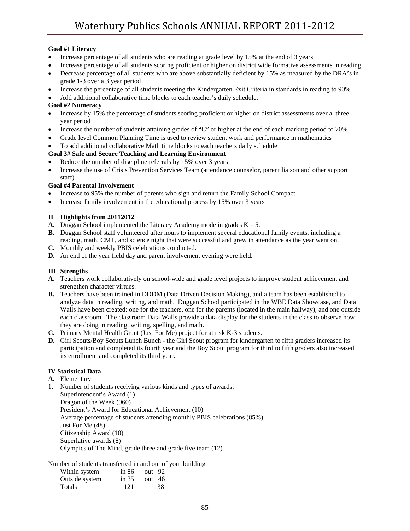### **Goal #1 Literacy**

- Increase percentage of all students who are reading at grade level by 15% at the end of 3 years
- Increase percentage of all students scoring proficient or higher on district wide formative assessments in reading
- Decrease percentage of all students who are above substantially deficient by 15% as measured by the DRA's in grade 1-3 over a 3 year period
- Increase the percentage of all students meeting the Kindergarten Exit Criteria in standards in reading to 90%
- Add additional collaborative time blocks to each teacher's daily schedule.

### **Goal #2 Numeracy**

- Increase by 15% the percentage of students scoring proficient or higher on district assessments over a three year period
- Increase the number of students attaining grades of "C" or higher at the end of each marking period to 70%
- Grade level Common Planning Time is used to review student work and performance in mathematics
- To add additional collaborative Math time blocks to each teachers daily schedule

### **Goal 3# Safe and Secure Teaching and Learning Environment**

- Reduce the number of discipline referrals by 15% over 3 years
- Increase the use of Crisis Prevention Services Team (attendance counselor, parent liaison and other support staff).

### **Goal #4 Parental Involvement**

- Increase to 95% the number of parents who sign and return the Family School Compact
- Increase family involvement in the educational process by 15% over 3 years

### **II Highlights from 20112012**

- **A.** Duggan School implemented the Literacy Academy mode in grades  $K 5$ .
- **B.** Duggan School staff volunteered after hours to implement several educational family events, including a reading, math, CMT, and science night that were successful and grew in attendance as the year went on.
- **C.** Monthly and weekly PBIS celebrations conducted.
- **D.** An end of the year field day and parent involvement evening were held.

## **III Strengths**

- **A.** Teachers work collaboratively on school-wide and grade level projects to improve student achievement and strengthen character virtues.
- **B.** Teachers have been trained in DDDM (Data Driven Decision Making), and a team has been established to analyze data in reading, writing, and math. Duggan School participated in the WBE Data Showcase, and Data Walls have been created: one for the teachers, one for the parents (located in the main hallway), and one outside each classroom. The classroom Data Walls provide a data display for the students in the class to observe how they are doing in reading, writing, spelling, and math.
- **C.** Primary Mental Health Grant (Just For Me) project for at risk K-3 students.
- **D.** Girl Scouts/Boy Scouts Lunch Bunch the Girl Scout program for kindergarten to fifth graders increased its participation and completed its fourth year and the Boy Scout program for third to fifth graders also increased its enrollment and completed its third year.

## **IV Statistical Data**

- **A.** Elementary
- 1. Number of students receiving various kinds and types of awards: Superintendent's Award (1) Dragon of the Week (960) President's Award for Educational Achievement (10) Average percentage of students attending monthly PBIS celebrations (85%) Just For Me (48) Citizenship Award (10) Superlative awards (8) Olympics of The Mind, grade three and grade five team (12)

Number of students transferred in and out of your building

| Within system  | in 86   | out 92   |
|----------------|---------|----------|
| Outside system | in $35$ | out $46$ |
| <b>Totals</b>  | -121    | -138     |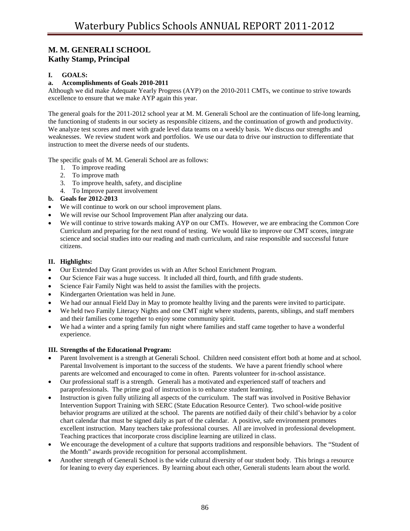# **M. M. GENERALI SCHOOL Kathy Stamp, Principal**

## **I. GOALS:**

## **a. Accomplishments of Goals 2010-2011**

Although we did make Adequate Yearly Progress (AYP) on the 2010-2011 CMTs, we continue to strive towards excellence to ensure that we make AYP again this year.

The general goals for the 2011-2012 school year at M. M. Generali School are the continuation of life-long learning, the functioning of students in our society as responsible citizens, and the continuation of growth and productivity. We analyze test scores and meet with grade level data teams on a weekly basis. We discuss our strengths and weaknesses. We review student work and portfolios. We use our data to drive our instruction to differentiate that instruction to meet the diverse needs of our students.

The specific goals of M. M. Generali School are as follows:

- 1. To improve reading
- 2. To improve math
- 3. To improve health, safety, and discipline
- 4. To Improve parent involvement

### **b. Goals for 2012-2013**

- We will continue to work on our school improvement plans.
- We will revise our School Improvement Plan after analyzing our data.
- We will continue to strive towards making AYP on our CMTs. However, we are embracing the Common Core Curriculum and preparing for the next round of testing. We would like to improve our CMT scores, integrate science and social studies into our reading and math curriculum, and raise responsible and successful future citizens.

### **II. Highlights:**

- Our Extended Day Grant provides us with an After School Enrichment Program.
- Our Science Fair was a huge success. It included all third, fourth, and fifth grade students.
- Science Fair Family Night was held to assist the families with the projects.
- Kindergarten Orientation was held in June.
- We had our annual Field Day in May to promote healthy living and the parents were invited to participate.
- We held two Family Literacy Nights and one CMT night where students, parents, siblings, and staff members and their families come together to enjoy some community spirit.
- We had a winter and a spring family fun night where families and staff came together to have a wonderful experience.

### **III. Strengths of the Educational Program:**

- Parent Involvement is a strength at Generali School. Children need consistent effort both at home and at school. Parental Involvement is important to the success of the students. We have a parent friendly school where parents are welcomed and encouraged to come in often. Parents volunteer for in-school assistance.
- Our professional staff is a strength. Generali has a motivated and experienced staff of teachers and paraprofessionals. The prime goal of instruction is to enhance student learning.
- Instruction is given fully utilizing all aspects of the curriculum. The staff was involved in Positive Behavior Intervention Support Training with SERC (State Education Resource Center). Two school-wide positive behavior programs are utilized at the school. The parents are notified daily of their child's behavior by a color chart calendar that must be signed daily as part of the calendar. A positive, safe environment promotes excellent instruction. Many teachers take professional courses. All are involved in professional development. Teaching practices that incorporate cross discipline learning are utilized in class.
- We encourage the development of a culture that supports traditions and responsible behaviors. The "Student of the Month" awards provide recognition for personal accomplishment.
- Another strength of Generali School is the wide cultural diversity of our student body. This brings a resource for leaning to every day experiences. By learning about each other, Generali students learn about the world.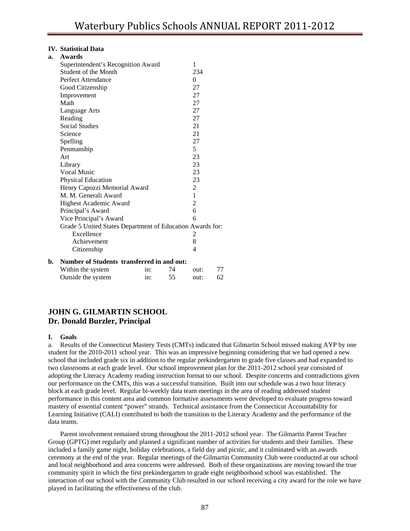#### **IV. Statistical Data**

| a. | <b>Awards</b>                                             |     |    |                |    |
|----|-----------------------------------------------------------|-----|----|----------------|----|
|    | Superintendent's Recognition Award                        |     |    | 1              |    |
|    | Student of the Month                                      |     |    | 234            |    |
|    | Perfect Attendance                                        |     |    | 0              |    |
|    | Good Citizenship                                          |     |    | 27             |    |
|    | Improvement                                               |     |    | 27             |    |
|    | Math                                                      |     |    | 27             |    |
|    | Language Arts                                             |     |    | 27             |    |
|    | Reading                                                   |     |    | 27             |    |
|    | <b>Social Studies</b>                                     |     |    | 21             |    |
|    | Science                                                   |     |    | 21             |    |
|    | Spelling                                                  |     |    | 27             |    |
|    | Penmanship                                                |     |    | 5              |    |
|    | Art                                                       |     |    | 23             |    |
|    | Library                                                   |     |    | 23             |    |
|    | <b>Vocal Music</b>                                        |     |    | 23             |    |
|    | Physical Education                                        |     |    | 23             |    |
|    | Henry Capozzi Memorial Award                              |     |    | 2              |    |
|    | M. M. Generali Award                                      |     |    | 1              |    |
|    | Highest Academic Award                                    |     |    | $\overline{c}$ |    |
|    | Principal's Award                                         |     |    | 6              |    |
|    | Vice Principal's Award                                    |     |    | 6              |    |
|    | Grade 5 United States Department of Education Awards for: |     |    |                |    |
|    | Excellence                                                |     |    | 2              |    |
|    | Achievement                                               |     |    | 8              |    |
|    | Citizenship                                               |     |    | 4              |    |
| b. | Number of Students transferred in and out:                |     |    |                |    |
|    | Within the system                                         | in: | 74 | out:           | 77 |
|    | Outside the system                                        | in: | 55 | out:           | 62 |

# **JOHN G. GILMARTIN SCHOOL Dr. Donald Burzler, Principal**

#### **I. Goals**

a. Results of the Connecticut Mastery Tests (CMTs) indicated that Gilmartin School missed making AYP by one student for the 2010-2011 school year. This was an impressive beginning considering that we had opened a new school that included grade six in addition to the regular prekindergarten to grade five classes and had expanded to two classrooms at each grade level. Our school improvement plan for the 2011-2012 school year consisted of adopting the Literacy Academy reading instruction format to our school. Despite concerns and contradictions given our performance on the CMTs, this was a successful transition. Built into our schedule was a two hour literacy block at each grade level. Regular bi-weekly data team meetings in the area of reading addressed student performance in this content area and common formative assessments were developed to evaluate progress toward mastery of essential content "power" strands. Technical assistance from the Connecticut Accountability for Learning Initiative (CALI) contributed to both the transition to the Literacy Academy and the performance of the data teams.

 Parent involvement remained strong throughout the 2011-2012 school year. The Gilmartin Parent Teacher Group (GPTG) met regularly and planned a significant number of activities for students and their families. These included a family game night, holiday celebrations, a field day and picnic, and it culminated with an awards ceremony at the end of the year. Regular meetings of the Gilmartin Community Club were conducted at our school and local neighborhood and area concerns were addressed. Both of these organizations are moving toward the true community spirit in which the first prekindergarten to grade eight neighborhood school was established. The interaction of our school with the Community Club resulted in our school receiving a city award for the role we have played in facilitating the effectiveness of the club.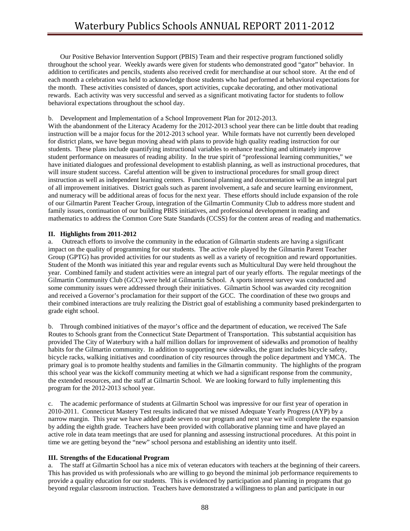Our Positive Behavior Intervention Support (PBIS) Team and their respective program functioned solidly throughout the school year. Weekly awards were given for students who demonstrated good "gator" behavior. In addition to certificates and pencils, students also received credit for merchandise at our school store. At the end of each month a celebration was held to acknowledge those students who had performed at behavioral expectations for the month. These activities consisted of dances, sport activities, cupcake decorating, and other motivational rewards. Each activity was very successful and served as a significant motivating factor for students to follow behavioral expectations throughout the school day.

#### b. Development and Implementation of a School Improvement Plan for 2012-2013.

With the abandonment of the Literacy Academy for the 2012-2013 school year there can be little doubt that reading instruction will be a major focus for the 2012-2013 school year. While formats have not currently been developed for district plans, we have begun moving ahead with plans to provide high quality reading instruction for our students. These plans include quantifying instructional variables to enhance teaching and ultimately improve student performance on measures of reading ability. In the true spirit of "professional learning communities," we have initiated dialogues and professional development to establish planning, as well as instructional procedures, that will insure student success. Careful attention will be given to instructional procedures for small group direct instruction as well as independent learning centers. Functional planning and documentation will be an integral part of all improvement initiatives. District goals such as parent involvement, a safe and secure learning environment, and numeracy will be additional areas of focus for the next year. These efforts should include expansion of the role of our Gilmartin Parent Teacher Group, integration of the Gilmartin Community Club to address more student and family issues, continuation of our building PBIS initiatives, and professional development in reading and mathematics to address the Common Core State Standards (CCSS) for the content areas of reading and mathematics.

#### **II. Highlights from 2011-2012**

a. Outreach efforts to involve the community in the education of Gilmartin students are having a significant impact on the quality of programming for our students. The active role played by the Gilmartin Parent Teacher Group (GPTG) has provided activities for our students as well as a variety of recognition and reward opportunities. Student of the Month was initiated this year and regular events such as Multicultural Day were held throughout the year. Combined family and student activities were an integral part of our yearly efforts. The regular meetings of the Gilmartin Community Club (GCC) were held at Gilmartin School. A sports interest survey was conducted and some community issues were addressed through their initiatives. Gilmartin School was awarded city recognition and received a Governor's proclamation for their support of the GCC. The coordination of these two groups and their combined interactions are truly realizing the District goal of establishing a community based prekindergarten to grade eight school.

b. Through combined initiatives of the mayor's office and the department of education, we received The Safe Routes to Schools grant from the Connecticut State Department of Transportation. This substantial acquisition has provided The City of Waterbury with a half million dollars for improvement of sidewalks and promotion of healthy habits for the Gilmartin community. In addition to supporting new sidewalks, the grant includes bicycle safety, bicycle racks, walking initiatives and coordination of city resources through the police department and YMCA. The primary goal is to promote healthy students and families in the Gilmartin community. The highlights of the program this school year was the kickoff community meeting at which we had a significant response from the community, the extended resources, and the staff at Gilmartin School. We are looking forward to fully implementing this program for the 2012-2013 school year.

c. The academic performance of students at Gilmartin School was impressive for our first year of operation in 2010-2011. Connecticut Mastery Test results indicated that we missed Adequate Yearly Progress (AYP) by a narrow margin. This year we have added grade seven to our program and next year we will complete the expansion by adding the eighth grade. Teachers have been provided with collaborative planning time and have played an active role in data team meetings that are used for planning and assessing instructional procedures. At this point in time we are getting beyond the "new" school persona and establishing an identity unto itself.

### **III. Strengths of the Educational Program**

a. The staff at Gilmartin School has a nice mix of veteran educators with teachers at the beginning of their careers. This has provided us with professionals who are willing to go beyond the minimal job performance requirements to provide a quality education for our students. This is evidenced by participation and planning in programs that go beyond regular classroom instruction. Teachers have demonstrated a willingness to plan and participate in our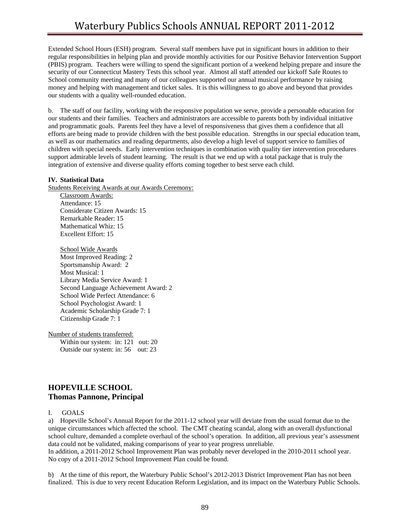Extended School Hours (ESH) program. Several staff members have put in significant hours in addition to their regular responsibilities in helping plan and provide monthly activities for our Positive Behavior Intervention Support (PBIS) program. Teachers were willing to spend the significant portion of a weekend helping prepare and insure the security of our Connecticut Mastery Tests this school year. Almost all staff attended our kickoff Safe Routes to School community meeting and many of our colleagues supported our annual musical performance by raising money and helping with management and ticket sales. It is this willingness to go above and beyond that provides our students with a quality well-rounded education.

b. The staff of our facility, working with the responsive population we serve, provide a personable education for our students and their families. Teachers and administrators are accessible to parents both by individual initiative and programmatic goals. Parents feel they have a level of responsiveness that gives them a confidence that all efforts are being made to provide children with the best possible education. Strengths in our special education team, as well as our mathematics and reading departments, also develop a high level of support service to families of children with special needs. Early intervention techniques in combination with quality tier intervention procedures support admirable levels of student learning. The result is that we end up with a total package that is truly the integration of extensive and diverse quality efforts coming together to best serve each child.

### **IV. Statistical Data**

Students Receiving Awards at our Awards Ceremony:

Classroom Awards: Attendance: 15 Considerate Citizen Awards: 15 Remarkable Reader: 15 Mathematical Whiz: 15 Excellent Effort: 15

School Wide Awards Most Improved Reading: 2 Sportsmanship Award: 2 Most Musical: 1 Library Media Service Award: 1 Second Language Achievement Award: 2 School Wide Perfect Attendance: 6 School Psychologist Award: 1 Academic Scholarship Grade 7: 1 Citizenship Grade 7: 1

Number of students transferred: Within our system: in: 121 out: 20 Outside our system: in: 56 out: 23

# **HOPEVILLE SCHOOL Thomas Pannone, Principal**

I. GOALS

a) Hopeville School's Annual Report for the 2011-12 school year will deviate from the usual format due to the unique circumstances which affected the school. The CMT cheating scandal, along with an overall dysfunctional school culture, demanded a complete overhaul of the school's operation. In addition, all previous year's assessment data could not be validated, making comparisons of year to year progress unreliable.

In addition, a 2011-2012 School Improvement Plan was probably never developed in the 2010-2011 school year. No copy of a 2011-2012 School Improvement Plan could be found.

b) At the time of this report, the Waterbury Public School's 2012-2013 District Improvement Plan has not been finalized. This is due to very recent Education Reform Legislation, and its impact on the Waterbury Public Schools.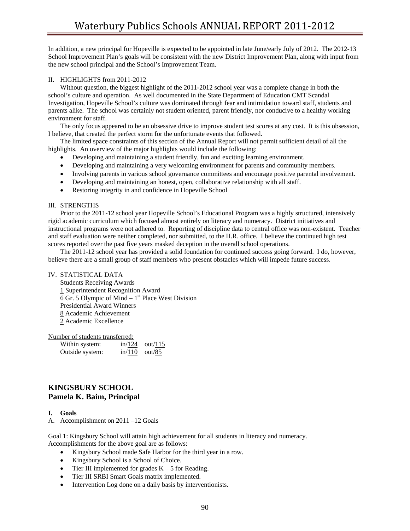In addition, a new principal for Hopeville is expected to be appointed in late June/early July of 2012. The 2012-13 School Improvement Plan's goals will be consistent with the new District Improvement Plan, along with input from the new school principal and the School's Improvement Team.

#### II. HIGHLIGHTS from 2011-2012

 Without question, the biggest highlight of the 2011-2012 school year was a complete change in both the school's culture and operation. As well documented in the State Department of Education CMT Scandal Investigation, Hopeville School's culture was dominated through fear and intimidation toward staff, students and parents alike. The school was certainly not student oriented, parent friendly, nor conducive to a healthy working environment for staff.

 The only focus appeared to be an obsessive drive to improve student test scores at any cost. It is this obsession, I believe, that created the perfect storm for the unfortunate events that followed.

 The limited space constraints of this section of the Annual Report will not permit sufficient detail of all the highlights. An overview of the major highlights would include the following:

- Developing and maintaining a student friendly, fun and exciting learning environment.
- Developing and maintaining a very welcoming environment for parents and community members.
- Involving parents in various school governance committees and encourage positive parental involvement.
- Developing and maintaining an honest, open, collaborative relationship with all staff.
- Restoring integrity in and confidence in Hopeville School

#### III. STRENGTHS

 Prior to the 2011-12 school year Hopeville School's Educational Program was a highly structured, intensively rigid academic curriculum which focused almost entirely on literacy and numeracy. District initiatives and instructional programs were not adhered to. Reporting of discipline data to central office was non-existent. Teacher and staff evaluation were neither completed, nor submitted, to the H.R. office. I believe the continued high test scores reported over the past five years masked deception in the overall school operations.

 The 2011-12 school year has provided a solid foundation for continued success going forward. I do, however, believe there are a small group of staff members who present obstacles which will impede future success.

#### IV. STATISTICAL DATA

 Students Receiving Awards 1 Superintendent Recognition Award  $6$  Gr. 5 Olympic of Mind – 1<sup>st</sup> Place West Division Presidential Award Winners 8 Academic Achievement 2 Academic Excellence

Number of students transferred:

| Within system:  | in/124 | out/115 |
|-----------------|--------|---------|
| Outside system: | in/110 | out/85  |

# **KINGSBURY SCHOOL Pamela K. Baim, Principal**

#### **I. Goals**

A. Accomplishment on 2011 –12 Goals

Goal 1: Kingsbury School will attain high achievement for all students in literacy and numeracy. Accomplishments for the above goal are as follows:

- Kingsbury School made Safe Harbor for the third year in a row.
- Kingsbury School is a School of Choice.
- Tier III implemented for grades  $K 5$  for Reading.
- Tier III SRBI Smart Goals matrix implemented.
- Intervention Log done on a daily basis by interventionists.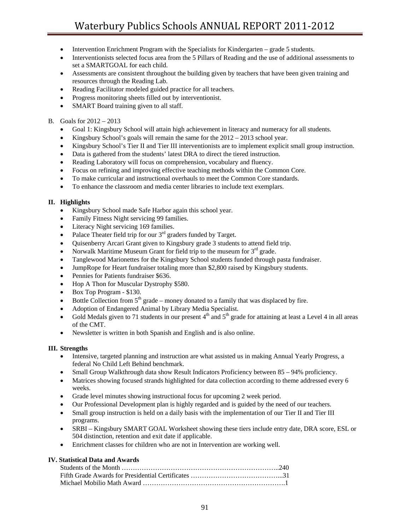- Intervention Enrichment Program with the Specialists for Kindergarten grade 5 students.
- Interventionists selected focus area from the 5 Pillars of Reading and the use of additional assessments to set a SMARTGOAL for each child.
- Assessments are consistent throughout the building given by teachers that have been given training and resources through the Reading Lab.
- Reading Facilitator modeled guided practice for all teachers.
- Progress monitoring sheets filled out by interventionist.
- SMART Board training given to all staff.

### B. Goals for 2012 – 2013

- Goal 1: Kingsbury School will attain high achievement in literacy and numeracy for all students.
- Kingsbury School's goals will remain the same for the  $2012 2013$  school year.
- Kingsbury School's Tier II and Tier III interventionists are to implement explicit small group instruction.
- Data is gathered from the students' latest DRA to direct the tiered instruction.
- Reading Laboratory will focus on comprehension, vocabulary and fluency.
- Focus on refining and improving effective teaching methods within the Common Core.
- To make curricular and instructional overhauls to meet the Common Core standards.
- To enhance the classroom and media center libraries to include text exemplars.

### **II. Highlights**

- Kingsbury School made Safe Harbor again this school year.
- Family Fitness Night servicing 99 families.
- Literacy Night servicing 169 families.
- Palace Theater field trip for our  $3<sup>rd</sup>$  graders funded by Target.
- Quisenberry Arcari Grant given to Kingsbury grade 3 students to attend field trip.
- Norwalk Maritime Museum Grant for field trip to the museum for  $3<sup>rd</sup>$  grade.
- Tanglewood Marionettes for the Kingsbury School students funded through pasta fundraiser.
- JumpRope for Heart fundraiser totaling more than \$2,800 raised by Kingsbury students.
- Pennies for Patients fundraiser \$636.
- Hop A Thon for Muscular Dystrophy \$580.
- Box Top Program \$130.
- Bottle Collection from  $5<sup>th</sup>$  grade money donated to a family that was displaced by fire.
- Adoption of Endangered Animal by Library Media Specialist.
- Gold Medals given to 71 students in our present  $4<sup>th</sup>$  and  $5<sup>th</sup>$  grade for attaining at least a Level 4 in all areas of the CMT.
- Newsletter is written in both Spanish and English and is also online.

### **III. Strengths**

- Intensive, targeted planning and instruction are what assisted us in making Annual Yearly Progress, a federal No Child Left Behind benchmark.
- Small Group Walkthrough data show Result Indicators Proficiency between 85 94% proficiency.
- Matrices showing focused strands highlighted for data collection according to theme addressed every 6 weeks.
- Grade level minutes showing instructional focus for upcoming 2 week period.
- Our Professional Development plan is highly regarded and is guided by the need of our teachers.
- Small group instruction is held on a daily basis with the implementation of our Tier II and Tier III programs.
- SRBI Kingsbury SMART GOAL Worksheet showing these tiers include entry date, DRA score, ESL or 504 distinction, retention and exit date if applicable.
- Enrichment classes for children who are not in Intervention are working well.

### **IV. Statistical Data and Awards**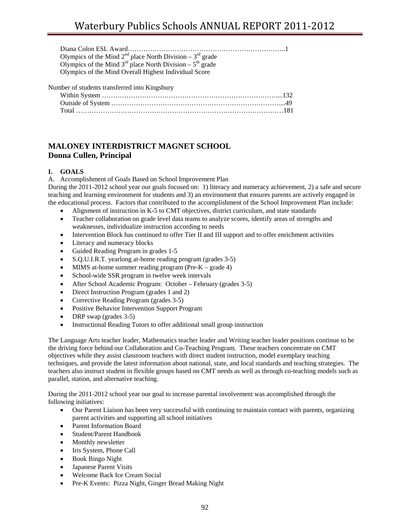| Olympics of the Mind $2^{nd}$ place North Division – $3^{rd}$ grade |
|---------------------------------------------------------------------|
| Olympics of the Mind $3rd$ place North Division – $5th$ grade       |
| Olympics of the Mind Overall Highest Individual Score               |

### Number of students transferred into Kingsbury

# **MALONEY INTERDISTRICT MAGNET SCHOOL Donna Cullen, Principal**

### **I. GOALS**

A. Accomplishment of Goals Based on School Improvement Plan

During the 2011-2012 school year our goals focused on: 1) literacy and numeracy achievement, 2) a safe and secure teaching and learning environment for students and 3) an environment that ensures parents are actively engaged in the educational process. Factors that contributed to the accomplishment of the School Improvement Plan include:

- Alignment of instruction in K-5 to CMT objectives, district curriculum, and state standards
- Teacher collaboration on grade level data teams to analyze scores, identify areas of strengths and weaknesses, individualize instruction according to needs
- Intervention Block has continued to offer Tier II and III support and to offer enrichment activities
- Literacy and numeracy blocks
- Guided Reading Program in grades 1-5
- S.Q.U.I.R.T. yearlong at-home reading program (grades 3-5)
- MIMS at-home summer reading program (Pre-K grade 4)
- School-wide SSR program in twelve week intervals
- After School Academic Program: October February (grades 3-5)
- Direct Instruction Program (grades 1 and 2)
- Corrective Reading Program (grades 3-5)
- Positive Behavior Intervention Support Program
- DRP swap (grades 3-5)
- Instructional Reading Tutors to offer additional small group instruction

The Language Arts teacher leader, Mathematics teacher leader and Writing teacher leader positions continue to be the driving force behind our Collaboration and Co-Teaching Program. These teachers concentrate on CMT objectives while they assist classroom teachers with direct student instruction, model exemplary teaching techniques, and provide the latest information about national, state, and local standards and teaching strategies. The teachers also instruct student in flexible groups based on CMT needs as well as through co-teaching models such as parallel, station, and alternative teaching.

During the 2011-2012 school year our goal to increase parental involvement was accomplished through the following initiatives:

- Our Parent Liaison has been very successful with continuing to maintain contact with parents, organizing parent activities and supporting all school initiatives
- Parent Information Board
- Student/Parent Handbook
- Monthly newsletter
- Iris System, Phone Call
- Book Bingo Night
- Japanese Parent Visits
- Welcome Back Ice Cream Social
- Pre-K Events: Pizza Night, Ginger Bread Making Night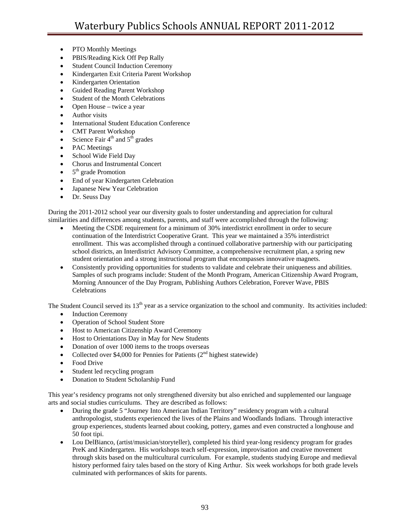- PTO Monthly Meetings
- PBIS/Reading Kick Off Pep Rally
- Student Council Induction Ceremony
- Kindergarten Exit Criteria Parent Workshop
- Kindergarten Orientation
- Guided Reading Parent Workshop
- Student of the Month Celebrations
- Open House twice a year
- Author visits
- International Student Education Conference
- CMT Parent Workshop
- Science Fair  $4<sup>th</sup>$  and  $5<sup>th</sup>$  grades
- PAC Meetings
- School Wide Field Day
- Chorus and Instrumental Concert
- $\bullet$  5<sup>th</sup> grade Promotion
- End of year Kindergarten Celebration
- Japanese New Year Celebration
- Dr. Seuss Day

During the 2011-2012 school year our diversity goals to foster understanding and appreciation for cultural similarities and differences among students, parents, and staff were accomplished through the following:

- Meeting the CSDE requirement for a minimum of 30% interdistrict enrollment in order to secure continuation of the Interdistrict Cooperative Grant. This year we maintained a 35% interdistrict enrollment. This was accomplished through a continued collaborative partnership with our participating school districts, an Interdistrict Advisory Committee, a comprehensive recruitment plan, a spring new student orientation and a strong instructional program that encompasses innovative magnets.
- Consistently providing opportunities for students to validate and celebrate their uniqueness and abilities. Samples of such programs include: Student of the Month Program, American Citizenship Award Program, Morning Announcer of the Day Program, Publishing Authors Celebration, Forever Wave, PBIS Celebrations

The Student Council served its 13<sup>th</sup> year as a service organization to the school and community. Its activities included:

- Induction Ceremony
- Operation of School Student Store
- Host to American Citizenship Award Ceremony
- Host to Orientations Day in May for New Students
- Donation of over 1000 items to the troops overseas
- Collected over \$4,000 for Pennies for Patients  $(2<sup>nd</sup>$  highest statewide)
- Food Drive
- Student led recycling program
- Donation to Student Scholarship Fund

This year's residency programs not only strengthened diversity but also enriched and supplemented our language arts and social studies curriculums. They are described as follows:

- During the grade 5 "Journey Into American Indian Territory" residency program with a cultural anthropologist, students experienced the lives of the Plains and Woodlands Indians. Through interactive group experiences, students learned about cooking, pottery, games and even constructed a longhouse and 50 foot tipi.
- Lou DelBianco, (artist/musician/storyteller), completed his third year-long residency program for grades PreK and Kindergarten. His workshops teach self-expression, improvisation and creative movement through skits based on the multicultural curriculum. For example, students studying Europe and medieval history performed fairy tales based on the story of King Arthur. Six week workshops for both grade levels culminated with performances of skits for parents.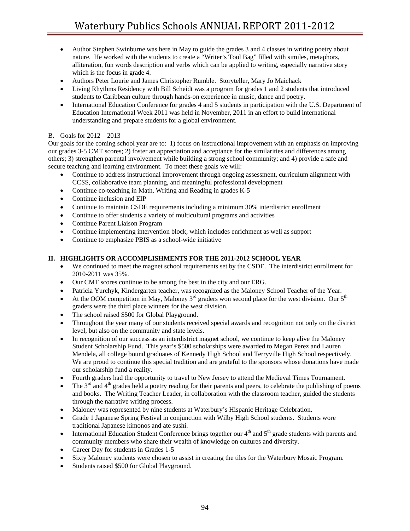- Author Stephen Swinburne was here in May to guide the grades 3 and 4 classes in writing poetry about nature. He worked with the students to create a "Writer's Tool Bag" filled with similes, metaphors, alliteration, fun words description and verbs which can be applied to writing, especially narrative story which is the focus in grade 4.
- Authors Peter Lourie and James Christopher Rumble. Storyteller, Mary Jo Maichack
- Living Rhythms Residency with Bill Scheidt was a program for grades 1 and 2 students that introduced students to Caribbean culture through hands-on experience in music, dance and poetry.
- International Education Conference for grades 4 and 5 students in participation with the U.S. Department of Education International Week 2011 was held in November, 2011 in an effort to build international understanding and prepare students for a global environment.

## B. Goals for 2012 – 2013

Our goals for the coming school year are to: 1) focus on instructional improvement with an emphasis on improving our grades 3-5 CMT scores; 2) foster an appreciation and acceptance for the similarities and differences among others; 3) strengthen parental involvement while building a strong school community; and 4) provide a safe and secure teaching and learning environment. To meet these goals we will:

- Continue to address instructional improvement through ongoing assessment, curriculum alignment with CCSS, collaborative team planning, and meaningful professional development
- Continue co-teaching in Math, Writing and Reading in grades K-5
- Continue inclusion and EIP
- Continue to maintain CSDE requirements including a minimum 30% interdistrict enrollment
- Continue to offer students a variety of multicultural programs and activities
- Continue Parent Liaison Program
- Continue implementing intervention block, which includes enrichment as well as support
- Continue to emphasize PBIS as a school-wide initiative

## **II. HIGHLIGHTS OR ACCOMPLISHMENTS FOR THE 2011-2012 SCHOOL YEAR**

- We continued to meet the magnet school requirements set by the CSDE. The interdistrict enrollment for 2010-2011 was 35%.
- Our CMT scores continue to be among the best in the city and our ERG.
- Patricia Yurchyk, Kindergarten teacher, was recognized as the Maloney School Teacher of the Year.
- At the OOM competition in May, Maloney  $3<sup>rd</sup>$  graders won second place for the west division. Our  $5<sup>th</sup>$ graders were the third place winners for the west division.
- The school raised \$500 for Global Playground.
- Throughout the year many of our students received special awards and recognition not only on the district level, but also on the community and state levels.
- In recognition of our success as an interdistrict magnet school, we continue to keep alive the Maloney Student Scholarship Fund. This year's \$500 scholarships were awarded to Megan Perez and Lauren Mendela, all college bound graduates of Kennedy High School and Terryville High School respectively. We are proud to continue this special tradition and are grateful to the sponsors whose donations have made our scholarship fund a reality.
- Fourth graders had the opportunity to travel to New Jersey to attend the Medieval Times Tournament.
- The  $3<sup>rd</sup>$  and  $4<sup>th</sup>$  grades held a poetry reading for their parents and peers, to celebrate the publishing of poems and books. The Writing Teacher Leader, in collaboration with the classroom teacher, guided the students through the narrative writing process.
- Maloney was represented by nine students at Waterbury's Hispanic Heritage Celebration.
- Grade 1 Japanese Spring Festival in conjunction with Wilby High School students. Students wore traditional Japanese kimonos and ate sushi.
- International Education Student Conference brings together our 4<sup>th</sup> and 5<sup>th</sup> grade students with parents and community members who share their wealth of knowledge on cultures and diversity.
- Career Day for students in Grades 1-5
- Sixty Maloney students were chosen to assist in creating the tiles for the Waterbury Mosaic Program.
- Students raised \$500 for Global Playground.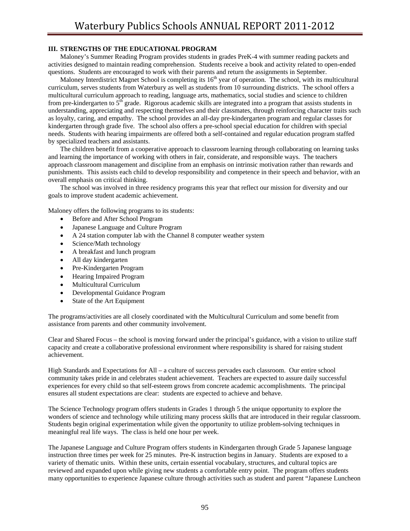## **III. STRENGTHS OF THE EDUCATIONAL PROGRAM**

 Maloney's Summer Reading Program provides students in grades PreK-4 with summer reading packets and activities designed to maintain reading comprehension. Students receive a book and activity related to open-ended questions. Students are encouraged to work with their parents and return the assignments in September.

Maloney Interdistrict Magnet School is completing its  $16<sup>th</sup>$  year of operation. The school, with its multicultural curriculum, serves students from Waterbury as well as students from 10 surrounding districts. The school offers a multicultural curriculum approach to reading, language arts, mathematics, social studies and science to children from pre-kindergarten to  $5<sup>th</sup>$  grade. Rigorous academic skills are integrated into a program that assists students in understanding, appreciating and respecting themselves and their classmates, through reinforcing character traits such as loyalty, caring, and empathy. The school provides an all-day pre-kindergarten program and regular classes for kindergarten through grade five. The school also offers a pre-school special education for children with special needs. Students with hearing impairments are offered both a self-contained and regular education program staffed by specialized teachers and assistants.

 The children benefit from a cooperative approach to classroom learning through collaborating on learning tasks and learning the importance of working with others in fair, considerate, and responsible ways. The teachers approach classroom management and discipline from an emphasis on intrinsic motivation rather than rewards and punishments. This assists each child to develop responsibility and competence in their speech and behavior, with an overall emphasis on critical thinking.

 The school was involved in three residency programs this year that reflect our mission for diversity and our goals to improve student academic achievement.

Maloney offers the following programs to its students:

- Before and After School Program
- Japanese Language and Culture Program
- A 24 station computer lab with the Channel 8 computer weather system
- Science/Math technology
- A breakfast and lunch program
- All day kindergarten
- Pre-Kindergarten Program
- Hearing Impaired Program
- Multicultural Curriculum
- Developmental Guidance Program
- State of the Art Equipment

The programs/activities are all closely coordinated with the Multicultural Curriculum and some benefit from assistance from parents and other community involvement.

Clear and Shared Focus – the school is moving forward under the principal's guidance, with a vision to utilize staff capacity and create a collaborative professional environment where responsibility is shared for raising student achievement.

High Standards and Expectations for All – a culture of success pervades each classroom. Our entire school community takes pride in and celebrates student achievement. Teachers are expected to assure daily successful experiences for every child so that self-esteem grows from concrete academic accomplishments. The principal ensures all student expectations are clear: students are expected to achieve and behave.

The Science Technology program offers students in Grades 1 through 5 the unique opportunity to explore the wonders of science and technology while utilizing many process skills that are introduced in their regular classroom. Students begin original experimentation while given the opportunity to utilize problem-solving techniques in meaningful real life ways. The class is held one hour per week.

The Japanese Language and Culture Program offers students in Kindergarten through Grade 5 Japanese language instruction three times per week for 25 minutes. Pre-K instruction begins in January. Students are exposed to a variety of thematic units. Within these units, certain essential vocabulary, structures, and cultural topics are reviewed and expanded upon while giving new students a comfortable entry point. The program offers students many opportunities to experience Japanese culture through activities such as student and parent "Japanese Luncheon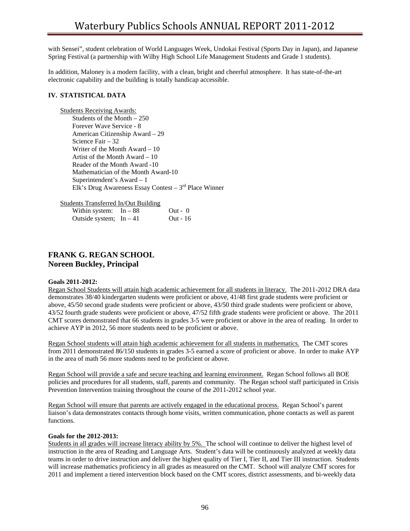with Sensei", student celebration of World Languages Week, Undokai Festival (Sports Day in Japan), and Japanese Spring Festival (a partnership with Wilby High School Life Management Students and Grade 1 students).

In addition, Maloney is a modern facility, with a clean, bright and cheerful atmosphere. It has state-of-the-art electronic capability and the building is totally handicap accessible.

## **IV. STATISTICAL DATA**

Students Receiving Awards: Students of the Month – 250 Forever Wave Service - 8 American Citizenship Award – 29 Science Fair – 32 Writer of the Month Award – 10 Artist of the Month Award – 10 Reader of the Month Award -10 Mathematician of the Month Award-10 Superintendent's Award – 1 Elk's Drug Awareness Essay Contest –  $3<sup>rd</sup>$  Place Winner

Students Transferred In/Out Building

| Within system: $In-88$  | $Out - 0$ |
|-------------------------|-----------|
| Outside system; $In-41$ | Out - 16  |

# **FRANK G. REGAN SCHOOL Noreen Buckley, Principal**

## **Goals 2011-2012:**

Regan School Students will attain high academic achievement for all students in literacy. The 2011-2012 DRA data demonstrates 38/40 kindergarten students were proficient or above, 41/48 first grade students were proficient or above, 45/50 second grade students were proficient or above, 43/50 third grade students were proficient or above, 43/52 fourth grade students were proficient or above, 47/52 fifth grade students were proficient or above. The 2011 CMT scores demonstrated that 66 students in grades 3-5 were proficient or above in the area of reading. In order to achieve AYP in 2012, 56 more students need to be proficient or above.

Regan School students will attain high academic achievement for all students in mathematics. The CMT scores from 2011 demonstrated 86/150 students in grades 3-5 earned a score of proficient or above. In order to make AYP in the area of math 56 more students need to be proficient or above.

Regan School will provide a safe and secure teaching and learning environment. Regan School follows all BOE policies and procedures for all students, staff, parents and community. The Regan school staff participated in Crisis Prevention Intervention training throughout the course of the 2011-2012 school year.

Regan School will ensure that parents are actively engaged in the educational process. Regan School's parent liaison's data demonstrates contacts through home visits, written communication, phone contacts as well as parent functions.

## **Goals for the 2012-2013:**

Students in all grades will increase literacy ability by 5%. The school will continue to deliver the highest level of instruction in the area of Reading and Language Arts. Student's data will be continuously analyzed at weekly data teams in order to drive instruction and deliver the highest quality of Tier I, Tier II, and Tier III instruction. Students will increase mathematics proficiency in all grades as measured on the CMT. School will analyze CMT scores for 2011 and implement a tiered intervention block based on the CMT scores, district assessments, and bi-weekly data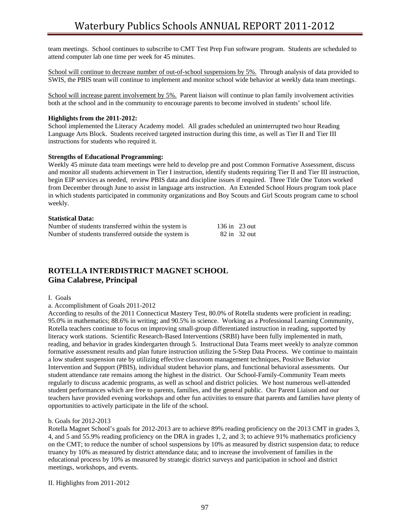team meetings. School continues to subscribe to CMT Test Prep Fun software program. Students are scheduled to attend computer lab one time per week for 45 minutes.

School will continue to decrease number of out-of-school suspensions by 5%. Through analysis of data provided to SWIS, the PBIS team will continue to implement and monitor school wide behavior at weekly data team meetings.

School will increase parent involvement by 5%. Parent liaison will continue to plan family involvement activities both at the school and in the community to encourage parents to become involved in students' school life.

#### **Highlights from the 2011-2012:**

School implemented the Literacy Academy model. All grades scheduled an uninterrupted two hour Reading Language Arts Block. Students received targeted instruction during this time, as well as Tier II and Tier III instructions for students who required it.

### **Strengths of Educational Programming:**

Weekly 45 minute data team meetings were held to develop pre and post Common Formative Assessment, discuss and monitor all students achievement in Tier I instruction, identify students requiring Tier II and Tier III instruction, begin EIP services as needed, review PBIS data and discipline issues if required. Three Title One Tutors worked from December through June to assist in language arts instruction. An Extended School Hours program took place in which students participated in community organizations and Boy Scouts and Girl Scouts program came to school weekly.

#### **Statistical Data:**

| Number of students transferred within the system is  | $136$ in $23$ out |              |
|------------------------------------------------------|-------------------|--------------|
| Number of students transferred outside the system is |                   | 82 in 32 out |

# **ROTELLA INTERDISTRICT MAGNET SCHOOL Gina Calabrese, Principal**

#### I. Goals

a. Accomplishment of Goals 2011-2012

According to results of the 2011 Connecticut Mastery Test, 80.0% of Rotella students were proficient in reading; 95.0% in mathematics; 88.6% in writing; and 90.5% in science. Working as a Professional Learning Community, Rotella teachers continue to focus on improving small-group differentiated instruction in reading, supported by literacy work stations. Scientific Research-Based Interventions (SRBI) have been fully implemented in math, reading, and behavior in grades kindergarten through 5. Instructional Data Teams meet weekly to analyze common formative assessment results and plan future instruction utilizing the 5-Step Data Process. We continue to maintain a low student suspension rate by utilizing effective classroom management techniques, Positive Behavior Intervention and Support (PBIS), individual student behavior plans, and functional behavioral assessments. Our student attendance rate remains among the highest in the district. Our School-Family-Community Team meets regularly to discuss academic programs, as well as school and district policies. We host numerous well-attended student performances which are free to parents, families, and the general public. Our Parent Liaison and our teachers have provided evening workshops and other fun activities to ensure that parents and families have plenty of opportunities to actively participate in the life of the school.

#### b. Goals for 2012-2013

Rotella Magnet School's goals for 2012-2013 are to achieve 89% reading proficiency on the 2013 CMT in grades 3, 4, and 5 and 55.9% reading proficiency on the DRA in grades 1, 2, and 3; to achieve 91% mathematics proficiency on the CMT; to reduce the number of school suspensions by 10% as measured by district suspension data; to reduce truancy by 10% as measured by district attendance data; and to increase the involvement of families in the educational process by 10% as measured by strategic district surveys and participation in school and district meetings, workshops, and events.

II. Highlights from 2011-2012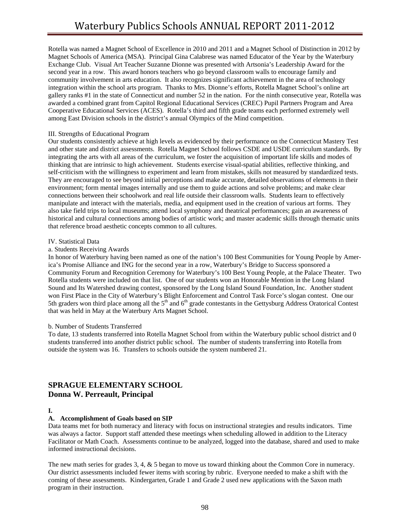Rotella was named a Magnet School of Excellence in 2010 and 2011 and a Magnet School of Distinction in 2012 by Magnet Schools of America (MSA). Principal Gina Calabrese was named Educator of the Year by the Waterbury Exchange Club. Visual Art Teacher Suzanne Dionne was presented with Artsonia's Leadership Award for the second year in a row.This award honors teachers who go beyond classroom walls to encourage family and community involvement in arts education.It also recognizes significant achievement in the area of technology integration within the school arts program.Thanks to Mrs. Dionne's efforts, Rotella Magnet School's online art gallery ranks #1 in the state of Connecticut and number 52 in the nation. For the ninth consecutive year, Rotella was awarded a combined grant from Capitol Regional Educational Services (CREC) Pupil Partners Program and Area Cooperative Educational Services (ACES). Rotella's third and fifth grade teams each performed extremely well among East Division schools in the district's annual Olympics of the Mind competition.

### III. Strengths of Educational Program

Our students consistently achieve at high levels as evidenced by their performance on the Connecticut Mastery Test and other state and district assessments. Rotella Magnet School follows CSDE and USDE curriculum standards. By integrating the arts with all areas of the curriculum, we foster the acquisition of important life skills and modes of thinking that are intrinsic to high achievement. Students exercise visual-spatial abilities, reflective thinking, and self-criticism with the willingness to experiment and learn from mistakes, skills not measured by standardized tests. They are encouraged to see beyond initial perceptions and make accurate, detailed observations of elements in their environment; form mental images internally and use them to guide actions and solve problems; and make clear connections between their schoolwork and real life outside their classroom walls. Students learn to effectively manipulate and interact with the materials, media, and equipment used in the creation of various art forms. They also take field trips to local museums; attend local symphony and theatrical performances; gain an awareness of historical and cultural connections among bodies of artistic work; and master academic skills through thematic units that reference broad aesthetic concepts common to all cultures.

### IV. Statistical Data

## a. Students Receiving Awards

In honor of Waterbury having been named as one of the nation's 100 Best Communities for Young People by America's Promise Alliance and ING for the second year in a row, Waterbury's Bridge to Success sponsored a Community Forum and Recognition Ceremony for Waterbury's 100 Best Young People, at the Palace Theater. Two Rotella students were included on that list.One of our students won an Honorable Mention in the Long Island Sound and Its Watershed drawing contest, sponsored by the Long Island Sound Foundation, Inc. Another student won First Place in the City of Waterbury's Blight Enforcement and Control Task Force's slogan contest. One our 5th graders won third place among all the  $5<sup>th</sup>$  and  $6<sup>th</sup>$  grade contestants in the Gettysburg Address Oratorical Contest that was held in May at the Waterbury Arts Magnet School.

## b. Number of Students Transferred

To date, 13 students transferred into Rotella Magnet School from within the Waterbury public school district and 0 students transferred into another district public school. The number of students transferring into Rotella from outside the system was 16. Transfers to schools outside the system numbered 21.

# **SPRAGUE ELEMENTARY SCHOOL Donna W. Perreault, Principal**

## **I.**

## **A. Accomplishment of Goals based on SIP**

Data teams met for both numeracy and literacy with focus on instructional strategies and results indicators. Time was always a factor. Support staff attended these meetings when scheduling allowed in addition to the Literacy Facilitator or Math Coach. Assessments continue to be analyzed, logged into the database, shared and used to make informed instructional decisions.

The new math series for grades 3, 4, & 5 began to move us toward thinking about the Common Core in numeracy. Our district assessments included fewer items with scoring by rubric. Everyone needed to make a shift with the coming of these assessments. Kindergarten, Grade 1 and Grade 2 used new applications with the Saxon math program in their instruction.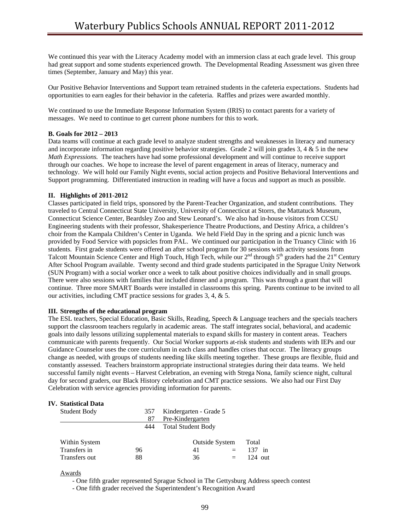We continued this year with the Literacy Academy model with an immersion class at each grade level. This group had great support and some students experienced growth. The Developmental Reading Assessment was given three times (September, January and May) this year.

Our Positive Behavior Interventions and Support team retrained students in the cafeteria expectations. Students had opportunities to earn eagles for their behavior in the cafeteria. Raffles and prizes were awarded monthly.

We continued to use the Immediate Response Information System (IRIS) to contact parents for a variety of messages. We need to continue to get current phone numbers for this to work.

### **B. Goals for 2012 – 2013**

Data teams will continue at each grade level to analyze student strengths and weaknesses in literacy and numeracy and incorporate information regarding positive behavior strategies. Grade 2 will join grades  $3, 4 \& 5$  in the new *Math Expressions.* The teachers have had some professional development and will continue to receive support through our coaches. We hope to increase the level of parent engagement in areas of literacy, numeracy and technology. We will hold our Family Night events, social action projects and Positive Behavioral Interventions and Support programming. Differentiated instruction in reading will have a focus and support as much as possible.

### **II. Highlights of 2011-2012**

Classes participated in field trips, sponsored by the Parent-Teacher Organization, and student contributions. They traveled to Central Connecticut State University, University of Connecticut at Storrs, the Mattatuck Museum, Connecticut Science Center, Beardsley Zoo and Stew Leonard's. We also had in-house visitors from CCSU Engineering students with their professor, Shakesperience Theatre Productions, and Destiny Africa, a children's choir from the Kampala Children's Center in Uganda. We held Field Day in the spring and a picnic lunch was provided by Food Service with popsicles from PAL. We continued our participation in the Truancy Clinic with 16 students. First grade students were offered an after school program for 30 sessions with activity sessions from Talcott Mountain Science Center and High Touch, High Tech, while our 2<sup>nd</sup> through 5<sup>th</sup> graders had the 21<sup>st</sup> Century After School Program available. Twenty second and third grade students participated in the Sprague Unity Network (SUN Program) with a social worker once a week to talk about positive choices individually and in small groups. There were also sessions with families that included dinner and a program. This was through a grant that will continue. Three more SMART Boards were installed in classrooms this spring. Parents continue to be invited to all our activities, including CMT practice sessions for grades 3, 4, & 5.

#### **III. Strengths of the educational program**

The ESL teachers, Special Education, Basic Skills, Reading, Speech & Language teachers and the specials teachers support the classroom teachers regularly in academic areas. The staff integrates social, behavioral, and academic goals into daily lessons utilizing supplemental materials to expand skills for mastery in content areas. Teachers communicate with parents frequently. Our Social Worker supports at-risk students and students with IEPs and our Guidance Counselor uses the core curriculum in each class and handles crises that occur. The literacy groups change as needed, with groups of students needing like skills meeting together. These groups are flexible, fluid and constantly assessed. Teachers brainstorm appropriate instructional strategies during their data teams. We held successful family night events – Harvest Celebration, an evening with Strega Nona, family science night, cultural day for second graders, our Black History celebration and CMT practice sessions. We also had our First Day Celebration with service agencies providing information for parents.

## **IV. Statistical Data**

| <b>Student Body</b> | 357<br>87 | Kindergarten - Grade 5<br>Pre-Kindergarten |           |
|---------------------|-----------|--------------------------------------------|-----------|
|                     |           |                                            |           |
|                     | 444       | <b>Total Student Body</b>                  |           |
|                     |           |                                            |           |
| Within System       |           | <b>Outside System</b>                      | Total     |
| Transfers in        | 96        | 41                                         | $137$ in  |
| Transfers out       | 88        | 36                                         | $124$ out |

Awards

- One fifth grader represented Sprague School in The Gettysburg Address speech contest

- One fifth grader received the Superintendent's Recognition Award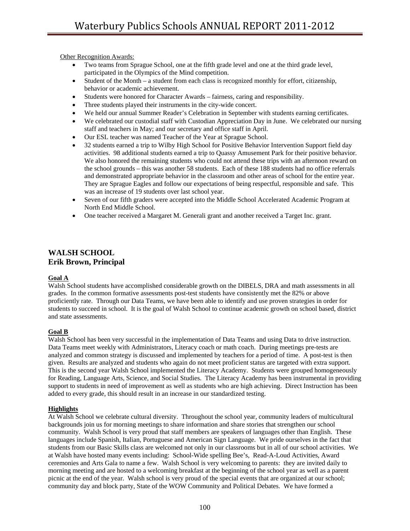Other Recognition Awards:

- Two teams from Sprague School, one at the fifth grade level and one at the third grade level, participated in the Olympics of the Mind competition.
- Student of the Month a student from each class is recognized monthly for effort, citizenship, behavior or academic achievement.
- Students were honored for Character Awards fairness, caring and responsibility.
- Three students played their instruments in the city-wide concert.
- We held our annual Summer Reader's Celebration in September with students earning certificates.
- We celebrated our custodial staff with Custodian Appreciation Day in June. We celebrated our nursing staff and teachers in May; and our secretary and office staff in April.
- Our ESL teacher was named Teacher of the Year at Sprague School.
- 32 students earned a trip to Wilby High School for Positive Behavior Intervention Support field day activities. 98 additional students earned a trip to Quassy Amusement Park for their positive behavior. We also honored the remaining students who could not attend these trips with an afternoon reward on the school grounds – this was another 58 students. Each of these 188 students had no office referrals and demonstrated appropriate behavior in the classroom and other areas of school for the entire year. They are Sprague Eagles and follow our expectations of being respectful, responsible and safe. This was an increase of 19 students over last school year.
- Seven of our fifth graders were accepted into the Middle School Accelerated Academic Program at North End Middle School.
- One teacher received a Margaret M. Generali grant and another received a Target Inc. grant.

# **WALSH SCHOOL Erik Brown, Principal**

## **Goal A**

Walsh School students have accomplished considerable growth on the DIBELS, DRA and math assessments in all grades. In the common formative assessments post-test students have consistently met the 82% or above proficiently rate. Through our Data Teams, we have been able to identify and use proven strategies in order for students to succeed in school. It is the goal of Walsh School to continue academic growth on school based, district and state assessments.

## **Goal B**

Walsh School has been very successful in the implementation of Data Teams and using Data to drive instruction. Data Teams meet weekly with Administrators, Literacy coach or math coach. During meetings pre-tests are analyzed and common strategy is discussed and implemented by teachers for a period of time. A post-test is then given. Results are analyzed and students who again do not meet proficient status are targeted with extra support. This is the second year Walsh School implemented the Literacy Academy. Students were grouped homogeneously for Reading, Language Arts, Science, and Social Studies. The Literacy Academy has been instrumental in providing support to students in need of improvement as well as students who are high achieving. Direct Instruction has been added to every grade, this should result in an increase in our standardized testing.

## **Highlights**

At Walsh School we celebrate cultural diversity. Throughout the school year, community leaders of multicultural backgrounds join us for morning meetings to share information and share stories that strengthen our school community. Walsh School is very proud that staff members are speakers of languages other than English. These languages include Spanish, Italian, Portuguese and American Sign Language. We pride ourselves in the fact that students from our Basic Skills class are welcomed not only in our classrooms but in all of our school activities. We at Walsh have hosted many events including: School-Wide spelling Bee's, Read-A-Loud Activities, Award ceremonies and Arts Gala to name a few. Walsh School is very welcoming to parents: they are invited daily to morning meeting and are hosted to a welcoming breakfast at the beginning of the school year as well as a parent picnic at the end of the year. Walsh school is very proud of the special events that are organized at our school; community day and block party, State of the WOW Community and Political Debates. We have formed a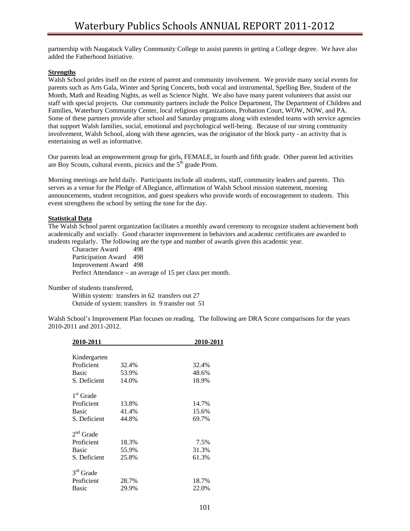partnership with Naugatuck Valley Community College to assist parents in getting a College degree. We have also added the Fatherhood Initiative.

## **Strengths**

Walsh School prides itself on the extent of parent and community involvement. We provide many social events for parents such as Arts Gala, Winter and Spring Concerts, both vocal and instrumental, Spelling Bee, Student of the Month, Math and Reading Nights, as well as Science Night. We also have many parent volunteers that assist our staff with special projects. Our community partners include the Police Department, The Department of Children and Families, Waterbury Community Center, local religious organizations, Probation Court, WOW, NOW, and PA. Some of these partners provide after school and Saturday programs along with extended teams with service agencies that support Walsh families, social, emotional and psychological well-being. Because of our strong community involvement, Walsh School, along with these agencies, was the originator of the block party - an activity that is entertaining as well as informative.

Our parents lead an empowerment group for girls, FEMALE, in fourth and fifth grade. Other parent led activities are Boy Scouts, cultural events, picnics and the 5<sup>th</sup> grade Prom.

Morning meetings are held daily. Participants include all students, staff, community leaders and parents. This serves as a venue for the Pledge of Allegiance, affirmation of Walsh School mission statement, morning announcements, student recognition, and guest speakers who provide words of encouragement to students. This event strengthens the school by setting the tone for the day.

## **Statistical Data**

The Walsh School parent organization facilitates a monthly award ceremony to recognize student achievement both academically and socially. Good character improvement in behaviors and academic certificates are awarded to students regularly. The following are the type and number of awards given this academic year.

Character Award 498 Participation Award 498 Improvement Award 498 Perfect Attendance – an average of 15 per class per month.

Number of students transferred,

Within system: transfers in 62 transfers out 27 Outside of system: transfers in 9 transfer out 51

Walsh School's Improvement Plan focuses on reading. The following are DRA Score comparisons for the years 2010-2011 and 2011-2012.

|       | 2010-2011 |
|-------|-----------|
|       |           |
|       |           |
| 32.4% | 32.4%     |
| 53.9% | 48.6%     |
| 14.0% | 18.9%     |
|       |           |
| 13.8% | 14.7%     |
| 41.4% | 15.6%     |
| 44.8% | 69.7%     |
|       |           |
| 18.3% | 7.5%      |
| 55.9% | 31.3%     |
| 25.8% | 61.3%     |
|       |           |
|       | 18.7%     |
| 29.9% | 22.0%     |
|       | 28.7%     |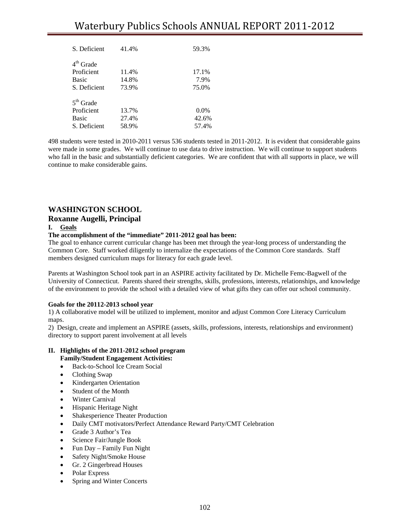| S. Deficient | 41.4% | 59.3%   |
|--------------|-------|---------|
| $4th$ Grade  |       |         |
| Proficient   | 11.4% | 17.1%   |
| <b>Basic</b> | 14.8% | 7.9%    |
| S. Deficient | 73.9% | 75.0%   |
| $5th$ Grade  |       |         |
| Proficient   | 13.7% | $0.0\%$ |
| <b>Basic</b> | 27.4% | 42.6%   |
| S. Deficient | 58.9% | 57.4%   |

498 students were tested in 2010-2011 versus 536 students tested in 2011-2012. It is evident that considerable gains were made in some grades. We will continue to use data to drive instruction. We will continue to support students who fall in the basic and substantially deficient categories. We are confident that with all supports in place, we will continue to make considerable gains.

# **WASHINGTON SCHOOL**

## **Roxanne Augelli, Principal**

## **I. Goals**

## **The accomplishment of the "immediate" 2011-2012 goal has been:**

The goal to enhance current curricular change has been met through the year-long process of understanding the Common Core. Staff worked diligently to internalize the expectations of the Common Core standards. Staff members designed curriculum maps for literacy for each grade level.

Parents at Washington School took part in an ASPIRE activity facilitated by Dr. Michelle Femc-Bagwell of the University of Connecticut. Parents shared their strengths, skills, professions, interests, relationships, and knowledge of the environment to provide the school with a detailed view of what gifts they can offer our school community.

## **Goals for the 20112-2013 school year**

1) A collaborative model will be utilized to implement, monitor and adjust Common Core Literacy Curriculum maps.

2) Design, create and implement an ASPIRE (assets, skills, professions, interests, relationships and environment) directory to support parent involvement at all levels

#### **II. Highlights of the 2011-2012 school program Family/Student Engagement Activities:**

- Back-to-School Ice Cream Social
- Clothing Swap
- Kindergarten Orientation
- Student of the Month
- Winter Carnival
- Hispanic Heritage Night
- Shakesperience Theater Production
- Daily CMT motivators/Perfect Attendance Reward Party/CMT Celebration
- Grade 3 Author's Tea
- Science Fair/Jungle Book
- Fun Day Family Fun Night
- Safety Night/Smoke House
- Gr. 2 Gingerbread Houses
- Polar Express
- Spring and Winter Concerts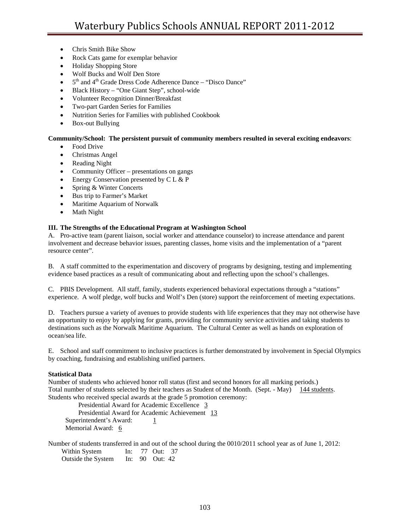- Chris Smith Bike Show
- Rock Cats game for exemplar behavior
- Holiday Shopping Store
- Wolf Bucks and Wolf Den Store
- $\bullet$  5<sup>th</sup> and 4<sup>th</sup> Grade Dress Code Adherence Dance "Disco Dance"
- Black History "One Giant Step", school-wide
- Volunteer Recognition Dinner/Breakfast
- Two-part Garden Series for Families
- Nutrition Series for Families with published Cookbook
- Box-out Bullying

## **Community/School: The persistent pursuit of community members resulted in several exciting endeavors**:

- Food Drive
- Christmas Angel
- Reading Night
- Community Officer presentations on gangs
- Energy Conservation presented by C L & P
- Spring & Winter Concerts
- Bus trip to Farmer's Market
- Maritime Aquarium of Norwalk
- Math Night

## **III. The Strengths of the Educational Program at Washington School**

A. Pro-active team (parent liaison, social worker and attendance counselor) to increase attendance and parent involvement and decrease behavior issues, parenting classes, home visits and the implementation of a "parent resource center".

B. A staff committed to the experimentation and discovery of programs by designing, testing and implementing evidence based practices as a result of communicating about and reflecting upon the school's challenges.

C. PBIS Development. All staff, family, students experienced behavioral expectations through a "stations" experience. A wolf pledge, wolf bucks and Wolf's Den (store) support the reinforcement of meeting expectations.

D. Teachers pursue a variety of avenues to provide students with life experiences that they may not otherwise have an opportunity to enjoy by applying for grants, providing for community service activities and taking students to destinations such as the Norwalk Maritime Aquarium. The Cultural Center as well as hands on exploration of ocean/sea life.

E. School and staff commitment to inclusive practices is further demonstrated by involvement in Special Olympics by coaching, fundraising and establishing unified partners.

## **Statistical Data**

Number of students who achieved honor roll status (first and second honors for all marking periods.) Total number of students selected by their teachers as Student of the Month. (Sept. - May) 144 students. Students who received special awards at the grade 5 promotion ceremony:

Presidential Award for Academic Excellence 3 Presidential Award for Academic Achievement 13 Superintendent's Award:  $\frac{1}{1}$ Memorial Award: 6

Number of students transferred in and out of the school during the 0010/2011 school year as of June 1, 2012: Within System In: 77 Out: 37

Outside the System In: 90 Out: 42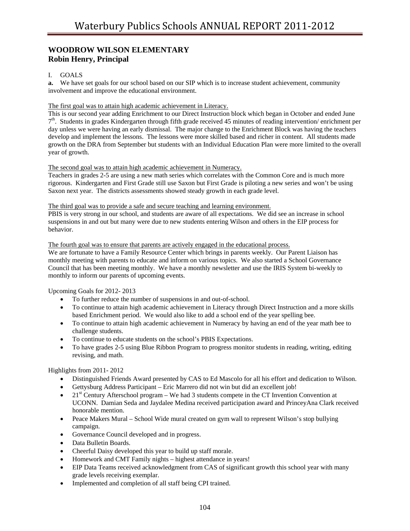# **WOODROW WILSON ELEMENTARY Robin Henry, Principal**

## I. GOALS

**a.** We have set goals for our school based on our SIP which is to increase student achievement, community involvement and improve the educational environment.

## The first goal was to attain high academic achievement in Literacy.

This is our second year adding Enrichment to our Direct Instruction block which began in October and ended June  $7<sup>th</sup>$ . Students in grades Kindergarten through fifth grade received 45 minutes of reading intervention/enrichment per day unless we were having an early dismissal. The major change to the Enrichment Block was having the teachers develop and implement the lessons. The lessons were more skilled based and richer in content. All students made growth on the DRA from September but students with an Individual Education Plan were more limited to the overall year of growth.

## The second goal was to attain high academic achievement in Numeracy.

Teachers in grades 2-5 are using a new math series which correlates with the Common Core and is much more rigorous. Kindergarten and First Grade still use Saxon but First Grade is piloting a new series and won't be using Saxon next year. The districts assessments showed steady growth in each grade level.

## The third goal was to provide a safe and secure teaching and learning environment.

PBIS is very strong in our school, and students are aware of all expectations. We did see an increase in school suspensions in and out but many were due to new students entering Wilson and others in the EIP process for behavior.

## The fourth goal was to ensure that parents are actively engaged in the educational process.

We are fortunate to have a Family Resource Center which brings in parents weekly. Our Parent Liaison has monthly meeting with parents to educate and inform on various topics. We also started a School Governance Council that has been meeting monthly. We have a monthly newsletter and use the IRIS System bi-weekly to monthly to inform our parents of upcoming events.

Upcoming Goals for 2012- 2013

- To further reduce the number of suspensions in and out-of-school.
- To continue to attain high academic achievement in Literacy through Direct Instruction and a more skills based Enrichment period. We would also like to add a school end of the year spelling bee.
- To continue to attain high academic achievement in Numeracy by having an end of the year math bee to challenge students.
- To continue to educate students on the school's PBIS Expectations.
- To have grades 2-5 using Blue Ribbon Program to progress monitor students in reading, writing, editing revising, and math.

Highlights from 2011- 2012

- Distinguished Friends Award presented by CAS to Ed Mascolo for all his effort and dedication to Wilson.
- Gettysburg Address Participant Eric Marrero did not win but did an excellent job!
- $21<sup>st</sup>$  Century Afterschool program We had 3 students compete in the CT Invention Convention at UCONN. Damian Seda and Jaydalee Medina received participation award and PrinceyAna Clark received honorable mention.
- Peace Makers Mural School Wide mural created on gym wall to represent Wilson's stop bullying campaign.
- Governance Council developed and in progress.
- Data Bulletin Boards.
- Cheerful Daisy developed this year to build up staff morale.
- Homework and CMT Family nights highest attendance in years!
- EIP Data Teams received acknowledgment from CAS of significant growth this school year with many grade levels receiving exemplar.
- Implemented and completion of all staff being CPI trained.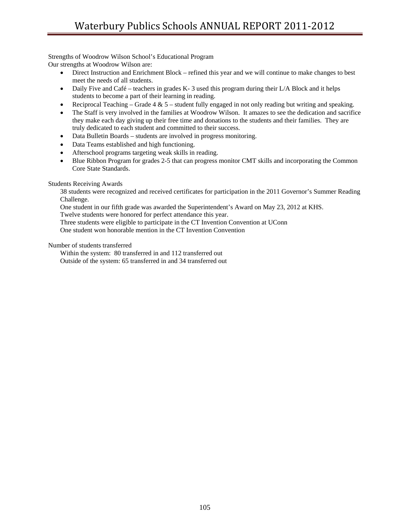Strengths of Woodrow Wilson School's Educational Program Our strengths at Woodrow Wilson are:

- Direct Instruction and Enrichment Block refined this year and we will continue to make changes to best meet the needs of all students.
- Daily Five and Café teachers in grades K-3 used this program during their L/A Block and it helps students to become a part of their learning in reading.
- Reciprocal Teaching Grade  $4 \& 5$  student fully engaged in not only reading but writing and speaking.
- The Staff is very involved in the families at Woodrow Wilson. It amazes to see the dedication and sacrifice they make each day giving up their free time and donations to the students and their families. They are truly dedicated to each student and committed to their success.
- Data Bulletin Boards students are involved in progress monitoring.
- Data Teams established and high functioning.
- Afterschool programs targeting weak skills in reading.
- Blue Ribbon Program for grades 2-5 that can progress monitor CMT skills and incorporating the Common Core State Standards.

## Students Receiving Awards

38 students were recognized and received certificates for participation in the 2011 Governor's Summer Reading Challenge.

One student in our fifth grade was awarded the Superintendent's Award on May 23, 2012 at KHS. Twelve students were honored for perfect attendance this year.

Three students were eligible to participate in the CT Invention Convention at UConn

One student won honorable mention in the CT Invention Convention

Number of students transferred

Within the system: 80 transferred in and 112 transferred out Outside of the system: 65 transferred in and 34 transferred out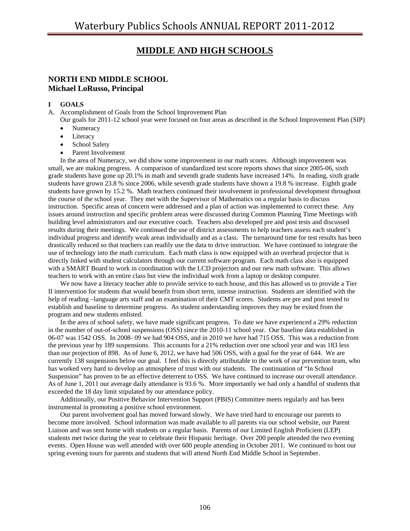# **MIDDLE AND HIGH SCHOOLS**

# **NORTH END MIDDLE SCHOOL Michael LoRusso, Principal**

## **I GOALS**

- A. Accomplishment of Goals from the School Improvement Plan
	- Our goals for 2011-12 school year were focused on four areas as described in the School Improvement Plan (SIP) **Numeracy**
	- Literacy
	- School Safety
	- Parent Involvement

 In the area of Numeracy, we did show some improvement in our math scores. Although improvement was small, we are making progress. A comparison of standardized test score reports shows that since 2005-06, sixth grade students have gone up 20.1% in math and seventh grade students have increased 14%. In reading, sixth grade students have grown 23.8 % since 2006, while seventh grade students have shown a 19.8 % increase. Eighth grade students have grown by 15.2 %. Math teachers continued their involvement in professional development throughout the course of the school year. They met with the Supervisor of Mathematics on a regular basis to discuss instruction. Specific areas of concern were addressed and a plan of action was implemented to correct these. Any issues around instruction and specific problem areas were discussed during Common Planning Time Meetings with building level administrators and our executive coach. Teachers also developed pre and post tests and discussed results during their meetings. We continued the use of district assessments to help teachers assess each student's individual progress and identify weak areas individually and as a class. The turnaround time for test results has been drastically reduced so that teachers can readily use the data to drive instruction. We have continued to integrate the use of technology into the math curriculum. Each math class is now equipped with an overhead projector that is directly linked with student calculators through our current software program. Each math class also is equipped with a SMART Board to work in coordination with the LCD projectors and our new math software. This allows teachers to work with an entire class but view the individual work from a laptop or desktop computer.

 We now have a literacy teacher able to provide service to each house, and this has allowed us to provide a Tier II intervention for students that would benefit from short term, intense instruction. Students are identified with the help of reading –language arts staff and an examination of their CMT scores. Students are pre and post tested to establish and baseline to determine progress. As student understanding improves they may be exited from the program and new students enlisted.

 In the area of school safety, we have made significant progress. To date we have experienced a 29% reduction in the number of out-of-school suspensions (OSS) since the 2010-11 school year. Our baseline data established in 06-07 was 1542 OSS. In 2008- 09 we had 904 OSS, and in 2010 we have had 715 OSS. This was a reduction from the previous year by 189 suspensions. This accounts for a 21% reduction over one school year and was 183 less than our projection of 898. As of June 6, 2012, we have had 506 OSS, with a goal for the year of 644. We are currently 138 suspensions below our goal. I feel this is directly attributable to the work of our prevention team, who has worked very hard to develop an atmosphere of trust with our students. The continuation of "In School Suspension" has proven to be an effective deterrent to OSS. We have continued to increase our overall attendance. As of June 1, 2011 our average daily attendance is 93.6 %. More importantly we had only a handful of students that exceeded the 18 day limit stipulated by our attendance policy.

 Additionally, our Positive Behavior Intervention Support (PBIS) Committee meets regularly and has been instrumental in promoting a positive school environment.

 Our parent involvement goal has moved forward slowly. We have tried hard to encourage our parents to become more involved. School information was made available to all parents via our school website, our Parent Liaison and was sent home with students on a regular basis. Parents of our Limited English Proficient (LEP) students met twice during the year to celebrate their Hispanic heritage. Over 200 people attended the two evening events. Open House was well attended with over 600 people attending in October 2011. We continued to host our spring evening tours for parents and students that will attend North End Middle School in September.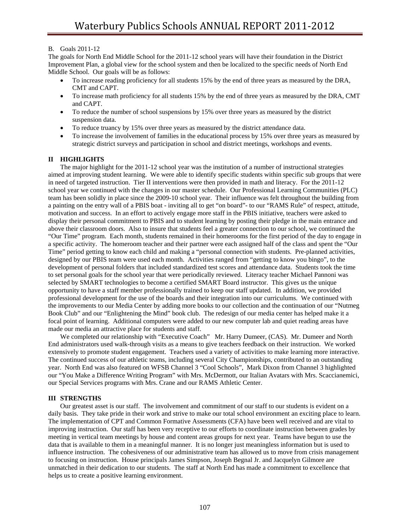## B. Goals 2011-12

The goals for North End Middle School for the 2011-12 school years will have their foundation in the District Improvement Plan, a global view for the school system and then be localized to the specific needs of North End Middle School. Our goals will be as follows:

- To increase reading proficiency for all students 15% by the end of three years as measured by the DRA, CMT and CAPT.
- To increase math proficiency for all students 15% by the end of three years as measured by the DRA, CMT and CAPT.
- To reduce the number of school suspensions by 15% over three years as measured by the district suspension data.
- To reduce truancy by 15% over three years as measured by the district attendance data.
- To increase the involvement of families in the educational process by 15% over three years as measured by strategic district surveys and participation in school and district meetings, workshops and events.

## **II HIGHLIGHTS**

 The major highlight for the 2011-12 school year was the institution of a number of instructional strategies aimed at improving student learning. We were able to identify specific students within specific sub groups that were in need of targeted instruction. Tier II interventions were then provided in math and literacy. For the 2011-12 school year we continued with the changes in our master schedule. Our Professional Learning Communities (PLC) team has been solidly in place since the 2009-10 school year. Their influence was felt throughout the building from a painting on the entry wall of a PBIS boat - inviting all to get "on board"- to our "RAMS Rule" of respect, attitude, motivation and success. In an effort to actively engage more staff in the PBIS initiative, teachers were asked to display their personal commitment to PBIS and to student learning by posting their pledge in the main entrance and above their classroom doors. Also to insure that students feel a greater connection to our school, we continued the "Our Time" program. Each month, students remained in their homerooms for the first period of the day to engage in a specific activity. The homeroom teacher and their partner were each assigned half of the class and spent the "Our Time" period getting to know each child and making a "personal connection with students. Pre-planned activities, designed by our PBIS team were used each month. Activities ranged from "getting to know you bingo", to the development of personal folders that included standardized test scores and attendance data. Students took the time to set personal goals for the school year that were periodically reviewed. Literacy teacher Michael Pannoni was selected by SMART technologies to become a certified SMART Board instructor. This gives us the unique opportunity to have a staff member professionally trained to keep our staff updated. In addition, we provided professional development for the use of the boards and their integration into our curriculums. We continued with the improvements to our Media Center by adding more books to our collection and the continuation of our "Nutmeg Book Club" and our "Enlightening the Mind" book club. The redesign of our media center has helped make it a focal point of learning. Additional computers were added to our new computer lab and quiet reading areas have made our media an attractive place for students and staff.

 We completed our relationship with "Executive Coach" Mr. Harry Dumeer, (CAS). Mr. Dumeer and North End administrators used walk-through visits as a means to give teachers feedback on their instruction. We worked extensively to promote student engagement. Teachers used a variety of activities to make learning more interactive. The continued success of our athletic teams, including several City Championships, contributed to an outstanding year. North End was also featured on WFSB Channel 3 "Cool Schools", Mark Dixon from Channel 3 highlighted our "You Make a Difference Writing Program" with Mrs. McDermott, our Italian Avatars with Mrs. Scaccianemici, our Special Services programs with Mrs. Crane and our RAMS Athletic Center.

## **III STRENGTHS**

 Our greatest asset is our staff. The involvement and commitment of our staff to our students is evident on a daily basis. They take pride in their work and strive to make our total school environment an exciting place to learn. The implementation of CPT and Common Formative Assessments (CFA) have been well received and are vital to improving instruction. Our staff has been very receptive to our efforts to coordinate instruction between grades by meeting in vertical team meetings by house and content areas groups for next year. Teams have begun to use the data that is available to them in a meaningful manner. It is no longer just meaningless information but is used to influence instruction. The cohesiveness of our administrative team has allowed us to move from crisis management to focusing on instruction. House principals James Simpson, Joseph Begnal Jr. and Jacquelyn Gilmore are unmatched in their dedication to our students. The staff at North End has made a commitment to excellence that helps us to create a positive learning environment.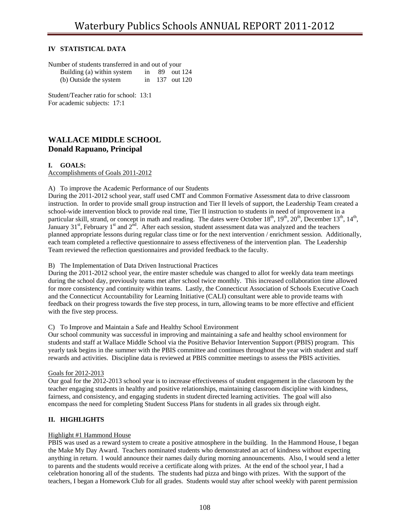## **IV STATISTICAL DATA**

| Number of students transferred in and out of your |    |             |
|---------------------------------------------------|----|-------------|
| Building (a) within system                        | in | 89 out 124  |
| (b) Outside the system                            | in | 137 out 120 |
|                                                   |    |             |

Student/Teacher ratio for school: 13:1 For academic subjects: 17:1

# **WALLACE MIDDLE SCHOOL Donald Rapuano, Principal**

## **I. GOALS:**

Accomplishments of Goals 2011-2012

## A) To improve the Academic Performance of our Students

During the 2011-2012 school year, staff used CMT and Common Formative Assessment data to drive classroom instruction. In order to provide small group instruction and Tier II levels of support, the Leadership Team created a school-wide intervention block to provide real time, Tier II instruction to students in need of improvement in a particular skill, strand, or concept in math and reading. The dates were October  $18<sup>th</sup>$ ,  $19<sup>th</sup>$ ,  $20<sup>th</sup>$ , December  $13<sup>th</sup>$ ,  $14<sup>th</sup>$ , January 31<sup>st</sup>, February 1<sup>st</sup> and 2<sup>nd</sup>. After each session, student assessment data was analyzed and the teachers planned appropriate lessons during regular class time or for the next intervention / enrichment session. Additionally, each team completed a reflective questionnaire to assess effectiveness of the intervention plan. The Leadership Team reviewed the reflection questionnaires and provided feedback to the faculty.

## B) The Implementation of Data Driven Instructional Practices

During the 2011-2012 school year, the entire master schedule was changed to allot for weekly data team meetings during the school day, previously teams met after school twice monthly. This increased collaboration time allowed for more consistency and continuity within teams. Lastly, the Connecticut Association of Schools Executive Coach and the Connecticut Accountability for Learning Initiative (CALI) consultant were able to provide teams with feedback on their progress towards the five step process, in turn, allowing teams to be more effective and efficient with the five step process.

## C) To Improve and Maintain a Safe and Healthy School Environment

Our school community was successful in improving and maintaining a safe and healthy school environment for students and staff at Wallace Middle School via the Positive Behavior Intervention Support (PBIS) program. This yearly task begins in the summer with the PBIS committee and continues throughout the year with student and staff rewards and activities. Discipline data is reviewed at PBIS committee meetings to assess the PBIS activities.

## Goals for 2012-2013

Our goal for the 2012-2013 school year is to increase effectiveness of student engagement in the classroom by the teacher engaging students in healthy and positive relationships, maintaining classroom discipline with kindness, fairness, and consistency, and engaging students in student directed learning activities. The goal will also encompass the need for completing Student Success Plans for students in all grades six through eight.

## **II. HIGHLIGHTS**

## Highlight #1 Hammond House

PBIS was used as a reward system to create a positive atmosphere in the building. In the Hammond House, I began the Make My Day Award. Teachers nominated students who demonstrated an act of kindness without expecting anything in return. I would announce their names daily during morning announcements. Also, I would send a letter to parents and the students would receive a certificate along with prizes. At the end of the school year, I had a celebration honoring all of the students. The students had pizza and bingo with prizes. With the support of the teachers, I began a Homework Club for all grades. Students would stay after school weekly with parent permission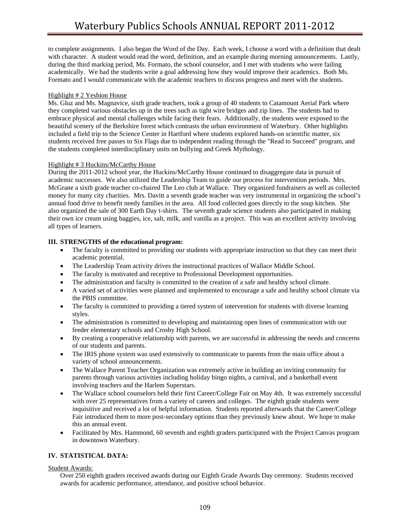to complete assignments. I also began the Word of the Day. Each week, I choose a word with a definition that dealt with character. A student would read the word, definition, and an example during morning announcements. Lastly, during the third marking period, Ms. Formato, the school counselor, and I met with students who were failing academically. We had the students write a goal addressing how they would improve their academics. Both Ms. Formato and I would communicate with the academic teachers to discuss progress and meet with the students.

## Highlight # 2 Yeshion House

Ms. Gluz and Ms. Magnavice, sixth grade teachers, took a group of 40 students to Catamount Aerial Park where they completed various obstacles up in the trees such as tight wire bridges and zip lines. The students had to embrace physical and mental challenges while facing their fears. Additionally, the students were exposed to the beautiful scenery of the Berkshire forest which contrasts the urban environment of Waterbury. Other highlights included a field trip to the Science Center in Hartford where students explored hands-on scientific matter, six students received free passes to Six Flags due to independent reading through the "Read to Succeed" program, and the students completed interdisciplinary units on bullying and Greek Mythology.

## Highlight # 3 Huckins/McCarthy House

During the 2011-2012 school year, the Huckins/McCarthy House continued to disaggregate data in pursuit of academic successes. We also utilized the Leadership Team to guide our process for intervention periods. Mrs. McGrane a sixth grade teacher co-chaired The Leo club at Wallace. They organized fundraisers as well as collected money for many city charities. Mrs. Davitt a seventh grade teacher was very instrumental in organizing the school's annual food drive to benefit needy families in the area. All food collected goes directly to the soup kitchen. She also organized the sale of 300 Earth Day t-shirts. The seventh grade science students also participated in making their own ice cream using baggies, ice, salt, milk, and vanilla as a project. This was an excellent activity involving all types of learners.

## **III. STRENGTHS of the educational program:**

- The faculty is committed to providing our students with appropriate instruction so that they can meet their academic potential.
- The Leadership Team activity drives the instructional practices of Wallace Middle School.
- The faculty is motivated and receptive to Professional Development opportunities.
- The administration and faculty is committed to the creation of a safe and healthy school climate.
- A varied set of activities were planned and implemented to encourage a safe and healthy school climate via the PBIS committee.
- The faculty is committed to providing a tiered system of intervention for students with diverse learning styles.
- The administration is committed to developing and maintaining open lines of communication with our feeder elementary schools and Crosby High School.
- By creating a cooperative relationship with parents, we are successful in addressing the needs and concerns of our students and parents.
- The IRIS phone system was used extensively to communicate to parents from the main office about a variety of school announcements.
- The Wallace Parent Teacher Organization was extremely active in building an inviting community for parents through various activities including holiday bingo nights, a carnival, and a basketball event involving teachers and the Harlem Superstars.
- The Wallace school counselors held their first Career/College Fair on May 4th. It was extremely successful with over 25 representatives from a variety of careers and colleges. The eighth grade students were inquisitive and received a lot of helpful information. Students reported afterwards that the Career/College Fair introduced them to more post-secondary options than they previously knew about. We hope to make this an annual event.
- Facilitated by Mrs. Hammond, 60 seventh and eighth graders participated with the Project Canvas program in downtown Waterbury.

## **IV. STATISTICAL DATA:**

Student Awards:

Over 250 eighth graders received awards during our Eighth Grade Awards Day ceremony. Students received awards for academic performance, attendance, and positive school behavior.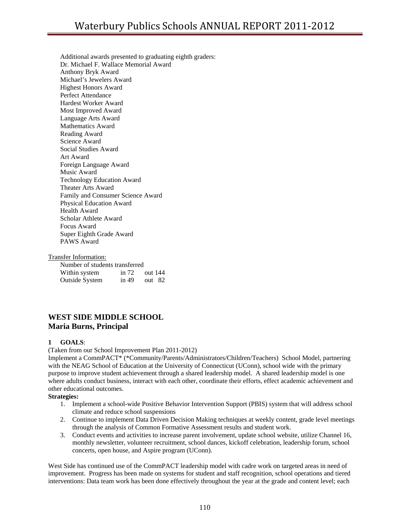Additional awards presented to graduating eighth graders: Dr. Michael F. Wallace Memorial Award Anthony Bryk Award Michael's Jewelers Award Highest Honors Award Perfect Attendance Hardest Worker Award Most Improved Award Language Arts Award Mathematics Award Reading Award Science Award Social Studies Award Art Award Foreign Language Award Music Award Technology Education Award Theater Arts Award Family and Consumer Science Award Physical Education Award Health Award Scholar Athlete Award Focus Award Super Eighth Grade Award PAWS Award

#### Transfer Information:

| Number of students transferred |         |          |  |
|--------------------------------|---------|----------|--|
| Within system                  | in $72$ | out 144  |  |
| <b>Outside System</b>          | in 49   | out $82$ |  |

# **WEST SIDE MIDDLE SCHOOL Maria Burns, Principal**

#### **1 GOALS**:

(Taken from our School Improvement Plan 2011-2012)

Implement a CommPACT\* (\*Community/Parents/Administrators/Children/Teachers) School Model, partnering with the NEAG School of Education at the University of Connecticut (UConn), school wide with the primary purpose to improve student achievement through a shared leadership model. A shared leadership model is one where adults conduct business, interact with each other, coordinate their efforts, effect academic achievement and other educational outcomes.

#### **Strategies:**

- 1. Implement a school-wide Positive Behavior Intervention Support (PBIS) system that will address school climate and reduce school suspensions
- 2. Continue to implement Data Driven Decision Making techniques at weekly content, grade level meetings through the analysis of Common Formative Assessment results and student work.
- 3. Conduct events and activities to increase parent involvement, update school website, utilize Channel 16, monthly newsletter, volunteer recruitment, school dances, kickoff celebration, leadership forum, school concerts, open house, and Aspire program (UConn).

West Side has continued use of the CommPACT leadership model with cadre work on targeted areas in need of improvement. Progress has been made on systems for student and staff recognition, school operations and tiered interventions: Data team work has been done effectively throughout the year at the grade and content level; each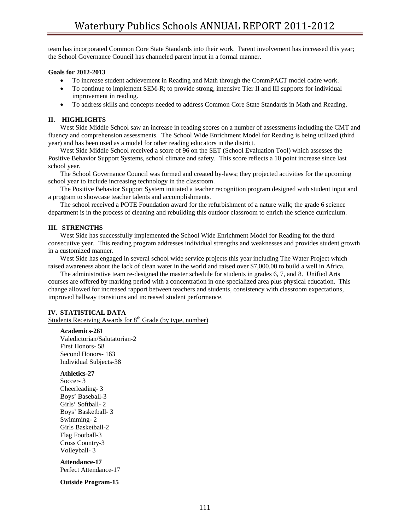team has incorporated Common Core State Standards into their work. Parent involvement has increased this year; the School Governance Council has channeled parent input in a formal manner.

#### **Goals for 2012-2013**

- To increase student achievement in Reading and Math through the CommPACT model cadre work.
- To continue to implement SEM-R; to provide strong, intensive Tier II and III supports for individual improvement in reading.
- To address skills and concepts needed to address Common Core State Standards in Math and Reading.

### **II. HIGHLIGHTS**

 West Side Middle School saw an increase in reading scores on a number of assessments including the CMT and fluency and comprehension assessments. The School Wide Enrichment Model for Reading is being utilized (third year) and has been used as a model for other reading educators in the district.

 West Side Middle School received a score of 96 on the SET (School Evaluation Tool) which assesses the Positive Behavior Support Systems, school climate and safety. This score reflects a 10 point increase since last school year.

 The School Governance Council was formed and created by-laws; they projected activities for the upcoming school year to include increasing technology in the classroom.

 The Positive Behavior Support System initiated a teacher recognition program designed with student input and a program to showcase teacher talents and accomplishments.

 The school received a POTE Foundation award for the refurbishment of a nature walk; the grade 6 science department is in the process of cleaning and rebuilding this outdoor classroom to enrich the science curriculum.

### **III. STRENGTHS**

 West Side has successfully implemented the School Wide Enrichment Model for Reading for the third consecutive year. This reading program addresses individual strengths and weaknesses and provides student growth in a customized manner.

 West Side has engaged in several school wide service projects this year including The Water Project which raised awareness about the lack of clean water in the world and raised over \$7,000.00 to build a well in Africa.

 The administrative team re-designed the master schedule for students in grades 6, 7, and 8. Unified Arts courses are offered by marking period with a concentration in one specialized area plus physical education. This change allowed for increased rapport between teachers and students, consistency with classroom expectations, improved hallway transitions and increased student performance.

#### **IV. STATISTICAL DATA**

Students Receiving Awards for 8<sup>th</sup> Grade (by type, number)

#### **Academics-261**

 Valedictorian/Salutatorian-2 First Honors- 58 Second Honors- 163 Individual Subjects-38

#### **Athletics-27**

 Soccer- 3 Cheerleading- 3 Boys' Baseball-3 Girls' Softball- 2 Boys' Basketball- 3 Swimming- 2 Girls Basketball-2 Flag Football-3 Cross Country-3 Volleyball- 3

**Attendance-17**  Perfect Attendance-17

#### **Outside Program-15**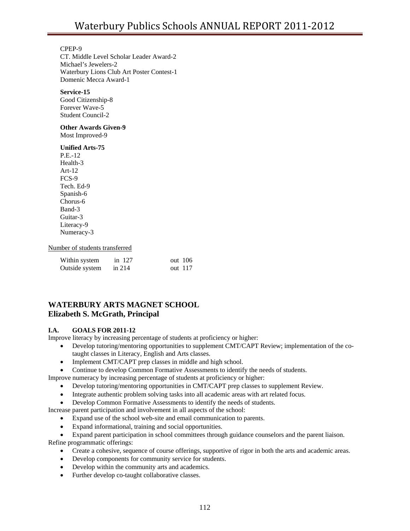## CPEP-9

 CT. Middle Level Scholar Leader Award-2 Michael's Jewelers-2 Waterbury Lions Club Art Poster Contest-1 Domenic Mecca Award-1

## **Service-15**

Good Citizenship-8 Forever Wave-5 Student Council-2

## **Other Awards Given-9**

Most Improved-9

## **Unified Arts-75**

 P.E.-12 Health-3 Art-12 FCS-9 Tech. Ed-9 Spanish-6 Chorus-6 Band-3 Guitar-3 Literacy-9 Numeracy-3

## Number of students transferred

| Within system  | in 127   | out $106$ |
|----------------|----------|-----------|
| Outside system | in $214$ | out 117   |

# **WATERBURY ARTS MAGNET SCHOOL Elizabeth S. McGrath, Principal**

## **I.A. GOALS FOR 2011-12**

Improve literacy by increasing percentage of students at proficiency or higher:

- Develop tutoring/mentoring opportunities to supplement CMT/CAPT Review; implementation of the cotaught classes in Literacy, English and Arts classes.
- Implement CMT/CAPT prep classes in middle and high school.
- Continue to develop Common Formative Assessments to identify the needs of students.

Improve numeracy by increasing percentage of students at proficiency or higher:

- Develop tutoring/mentoring opportunities in CMT/CAPT prep classes to supplement Review.
- Integrate authentic problem solving tasks into all academic areas with art related focus.
- Develop Common Formative Assessments to identify the needs of students.

Increase parent participation and involvement in all aspects of the school:

- Expand use of the school web-site and email communication to parents.
- Expand informational, training and social opportunities.

• Expand parent participation in school committees through guidance counselors and the parent liaison. Refine programmatic offerings:

- Create a cohesive, sequence of course offerings, supportive of rigor in both the arts and academic areas.
- Develop components for community service for students.
- Develop within the community arts and academics.
- Further develop co-taught collaborative classes.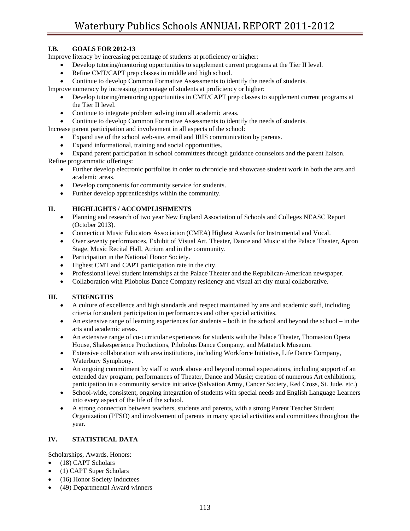## **I.B. GOALS FOR 2012-13**

Improve literacy by increasing percentage of students at proficiency or higher:

- Develop tutoring/mentoring opportunities to supplement current programs at the Tier II level.
- Refine CMT/CAPT prep classes in middle and high school.
- Continue to develop Common Formative Assessments to identify the needs of students.

Improve numeracy by increasing percentage of students at proficiency or higher:

- Develop tutoring/mentoring opportunities in CMT/CAPT prep classes to supplement current programs at the Tier II level.
- Continue to integrate problem solving into all academic areas.

• Continue to develop Common Formative Assessments to identify the needs of students.

- Increase parent participation and involvement in all aspects of the school:
	- Expand use of the school web-site, email and IRIS communication by parents.
	- Expand informational, training and social opportunities.

• Expand parent participation in school committees through guidance counselors and the parent liaison.

Refine programmatic offerings:

- Further develop electronic portfolios in order to chronicle and showcase student work in both the arts and academic areas.
- Develop components for community service for students.
- Further develop apprenticeships within the community.

## **II. HIGHLIGHTS / ACCOMPLISHMENTS**

- Planning and research of two year New England Association of Schools and Colleges NEASC Report (October 2013).
- Connecticut Music Educators Association (CMEA) Highest Awards for Instrumental and Vocal.
- Over seventy performances, Exhibit of Visual Art, Theater, Dance and Music at the Palace Theater, Apron Stage, Music Recital Hall, Atrium and in the community.
- Participation in the National Honor Society.
- Highest CMT and CAPT participation rate in the city.
- Professional level student internships at the Palace Theater and the Republican-American newspaper.
- Collaboration with Pilobolus Dance Company residency and visual art city mural collaborative.

## **III. STRENGTHS**

- A culture of excellence and high standards and respect maintained by arts and academic staff, including criteria for student participation in performances and other special activities.
- An extensive range of learning experiences for students both in the school and beyond the school in the arts and academic areas.
- An extensive range of co-curricular experiences for students with the Palace Theater, Thomaston Opera House, Shakesperience Productions, Pilobolus Dance Company, and Mattatuck Museum.
- Extensive collaboration with area institutions, including Workforce Initiative, Life Dance Company, Waterbury Symphony.
- An ongoing commitment by staff to work above and beyond normal expectations, including support of an extended day program; performances of Theater, Dance and Music; creation of numerous Art exhibitions; participation in a community service initiative (Salvation Army, Cancer Society, Red Cross, St. Jude, etc.)
- School-wide, consistent, ongoing integration of students with special needs and English Language Learners into every aspect of the life of the school.
- A strong connection between teachers, students and parents, with a strong Parent Teacher Student Organization (PTSO) and involvement of parents in many special activities and committees throughout the year.

## **IV. STATISTICAL DATA**

Scholarships, Awards, Honors:

- (18) CAPT Scholars
- (1) CAPT Super Scholars
- (16) Honor Society Inductees
- (49) Departmental Award winners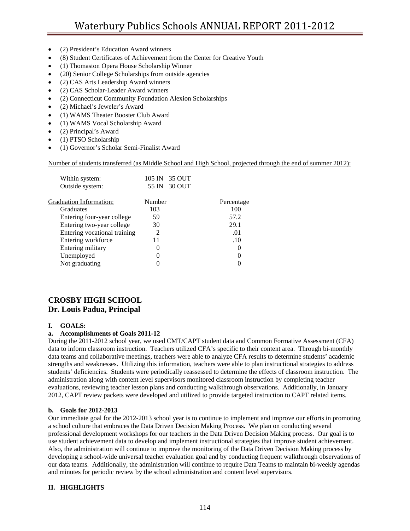- (2) President's Education Award winners
- (8) Student Certificates of Achievement from the Center for Creative Youth
- (1) Thomaston Opera House Scholarship Winner
- (20) Senior College Scholarships from outside agencies
- (2) CAS Arts Leadership Award winners
- (2) CAS Scholar-Leader Award winners
- (2) Connecticut Community Foundation Alexion Scholarships
- (2) Michael's Jeweler's Award
- (1) WAMS Theater Booster Club Award
- (1) WAMS Vocal Scholarship Award
- (2) Principal's Award
- (1) PTSO Scholarship
- (1) Governor's Scholar Semi-Finalist Award

## Number of students transferred (as Middle School and High School, projected through the end of summer 2012):

| Within system:               | 105 IN 35 OUT |            |
|------------------------------|---------------|------------|
| Outside system:              | 55 IN 30 OUT  |            |
| Graduation Information:      | Number        | Percentage |
| Graduates                    | 103           | 100        |
| Entering four-year college   | 59            | 57.2       |
| Entering two-year college    | 30            | 29.1       |
| Entering vocational training | 2             | .01        |
| Entering workforce           | 11            | .10        |
| Entering military            | $\theta$      | $\theta$   |
| Unemployed                   | 0             | 0          |
| Not graduating               |               |            |

# **CROSBY HIGH SCHOOL Dr. Louis Padua, Principal**

## **I. GOALS:**

## **a. Accomplishments of Goals 2011-12**

During the 2011-2012 school year, we used CMT/CAPT student data and Common Formative Assessment (CFA) data to inform classroom instruction. Teachers utilized CFA's specific to their content area. Through bi-monthly data teams and collaborative meetings, teachers were able to analyze CFA results to determine students' academic strengths and weaknesses. Utilizing this information, teachers were able to plan instructional strategies to address students' deficiencies. Students were periodically reassessed to determine the effects of classroom instruction. The administration along with content level supervisors monitored classroom instruction by completing teacher evaluations, reviewing teacher lesson plans and conducting walkthrough observations. Additionally, in January 2012, CAPT review packets were developed and utilized to provide targeted instruction to CAPT related items.

## **b. Goals for 2012-2013**

Our immediate goal for the 2012-2013 school year is to continue to implement and improve our efforts in promoting a school culture that embraces the Data Driven Decision Making Process. We plan on conducting several professional development workshops for our teachers in the Data Driven Decision Making process. Our goal is to use student achievement data to develop and implement instructional strategies that improve student achievement. Also, the administration will continue to improve the monitoring of the Data Driven Decision Making process by developing a school-wide universal teacher evaluation goal and by conducting frequent walkthrough observations of our data teams. Additionally, the administration will continue to require Data Teams to maintain bi-weekly agendas and minutes for periodic review by the school administration and content level supervisors.

## **II. HIGHLIGHTS**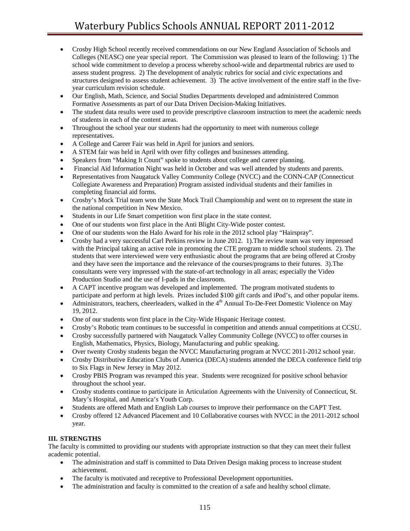- Crosby High School recently received commendations on our New England Association of Schools and Colleges (NEASC) one year special report. The Commission was pleased to learn of the following: 1) The school wide commitment to develop a process whereby school-wide and departmental rubrics are used to assess student progress. 2) The development of analytic rubrics for social and civic expectations and structures designed to assess student achievement. 3) The active involvement of the entire staff in the fiveyear curriculum revision schedule.
- Our English, Math, Science, and Social Studies Departments developed and administered Common Formative Assessments as part of our Data Driven Decision-Making Initiatives.
- The student data results were used to provide prescriptive classroom instruction to meet the academic needs of students in each of the content areas.
- Throughout the school year our students had the opportunity to meet with numerous college representatives.
- A College and Career Fair was held in April for juniors and seniors.
- A STEM fair was held in April with over fifty colleges and businesses attending.
- Speakers from "Making It Count" spoke to students about college and career planning.
- Financial Aid Information Night was held in October and was well attended by students and parents.
- Representatives from Naugatuck Valley Community College (NVCC) and the CONN-CAP (Connecticut Collegiate Awareness and Preparation) Program assisted individual students and their families in completing financial aid forms.
- Crosby's Mock Trial team won the State Mock Trail Championship and went on to represent the state in the national competition in New Mexico.
- Students in our Life Smart competition won first place in the state contest.
- One of our students won first place in the Anti Blight City-Wide poster contest.
- One of our students won the Halo Award for his role in the 2012 school play "Hairspray".
- Crosby had a very successful Carl Perkins review in June 2012. 1).The review team was very impressed with the Principal taking an active role in promoting the CTE program to middle school students. 2). The students that were interviewed were very enthusiastic about the programs that are being offered at Crosby and they have seen the importance and the relevance of the courses/programs to their futures. 3).The consultants were very impressed with the state-of-art technology in all areas; especially the Video Production Studio and the use of I-pads in the classroom.
- A CAPT incentive program was developed and implemented. The program motivated students to participate and perform at high levels. Prizes included \$100 gift cards and iPod's, and other popular items.
- Administrators, teachers, cheerleaders, walked in the  $4<sup>th</sup>$  Annual To-De-Feet Domestic Violence on May 19, 2012.
- One of our students won first place in the City-Wide Hispanic Heritage contest.
- Crosby's Robotic team continues to be successful in competition and attends annual competitions at CCSU.
- Crosby successfully partnered with Naugatuck Valley Community College (NVCC) to offer courses in English, Mathematics, Physics, Biology, Manufacturing and public speaking.
- Over twenty Crosby students began the NVCC Manufacturing program at NVCC 2011-2012 school year.
- Crosby Distributive Education Clubs of America (DECA) students attended the DECA conference field trip to Six Flags in New Jersey in May 2012.
- Crosby PBIS Program was revamped this year. Students were recognized for positive school behavior throughout the school year.
- Crosby students continue to participate in Articulation Agreements with the University of Connecticut, St. Mary's Hospital, and America's Youth Corp.
- Students are offered Math and English Lab courses to improve their performance on the CAPT Test.
- Crosby offered 12 Advanced Placement and 10 Collaborative courses with NVCC in the 2011-2012 school year.

## **III. STRENGTHS**

The faculty is committed to providing our students with appropriate instruction so that they can meet their fullest academic potential.

- The administration and staff is committed to Data Driven Design making process to increase student achievement.
- The faculty is motivated and receptive to Professional Development opportunities.
- The administration and faculty is committed to the creation of a safe and healthy school climate.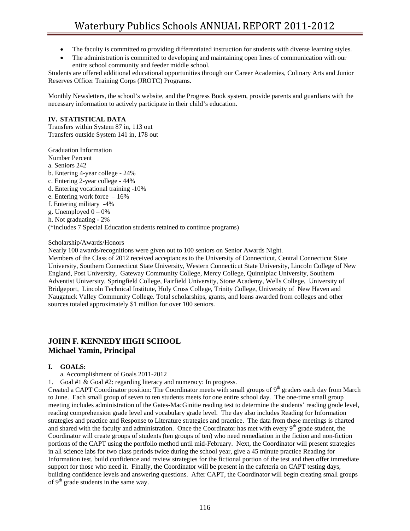- The faculty is committed to providing differentiated instruction for students with diverse learning styles.
- The administration is committed to developing and maintaining open lines of communication with our entire school community and feeder middle school.

Students are offered additional educational opportunities through our Career Academies, Culinary Arts and Junior Reserves Officer Training Corps (JROTC) Programs.

Monthly Newsletters, the school's website, and the Progress Book system, provide parents and guardians with the necessary information to actively participate in their child's education.

## **IV. STATISTICAL DATA**

Transfers within System 87 in, 113 out Transfers outside System 141 in, 178 out

Graduation Information

Number Percent

- a. Seniors 242
- b. Entering 4-year college 24%
- c. Entering 2-year college 44%
- d. Entering vocational training -10%
- e. Entering work force 16%
- f. Entering military -4%
- g. Unemployed  $0 0\%$
- h. Not graduating 2%

(\*includes 7 Special Education students retained to continue programs)

## Scholarship/Awards/Honors

Nearly 100 awards/recognitions were given out to 100 seniors on Senior Awards Night.

Members of the Class of 2012 received acceptances to the University of Connecticut, Central Connecticut State University, Southern Connecticut State University, Western Connecticut State University, Lincoln College of New England, Post University, Gateway Community College, Mercy College, Quinnipiac University, Southern Adventist University, Springfield College, Fairfield University, Stone Academy, Wells College, University of Bridgeport, Lincoln Technical Institute, Holy Cross College, Trinity College, University of New Haven and Naugatuck Valley Community College. Total scholarships, grants, and loans awarded from colleges and other sources totaled approximately \$1 million for over 100 seniors.

# **JOHN F. KENNEDY HIGH SCHOOL Michael Yamin, Principal**

## **I. GOALS:**

- a. Accomplishment of Goals 2011-2012
- Goal #1 & Goal #2: regarding literacy and numeracy: In progress.

Created a CAPT Coordinator position: The Coordinator meets with small groups of 9<sup>th</sup> graders each day from March to June. Each small group of seven to ten students meets for one entire school day. The one-time small group meeting includes administration of the Gates-MacGinitie reading test to determine the students' reading grade level, reading comprehension grade level and vocabulary grade level. The day also includes Reading for Information strategies and practice and Response to Literature strategies and practice. The data from these meetings is charted and shared with the faculty and administration. Once the Coordinator has met with every 9<sup>th</sup> grade student, the Coordinator will create groups of students (ten groups of ten) who need remediation in the fiction and non-fiction portions of the CAPT using the portfolio method until mid-February. Next, the Coordinator will present strategies in all science labs for two class periods twice during the school year, give a 45 minute practice Reading for Information test, build confidence and review strategies for the fictional portion of the test and then offer immediate support for those who need it. Finally, the Coordinator will be present in the cafeteria on CAPT testing days, building confidence levels and answering questions. After CAPT, the Coordinator will begin creating small groups of  $9<sup>th</sup>$  grade students in the same way.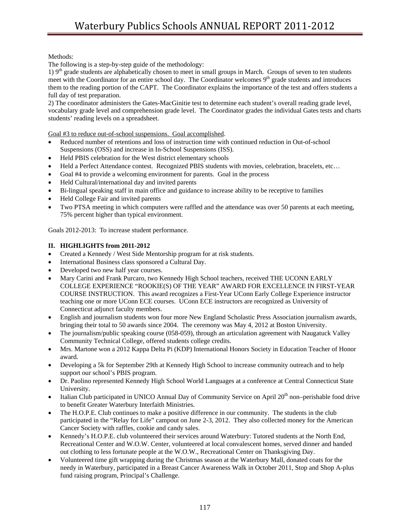Methods:

The following is a step-by-step guide of the methodology:

1)  $9<sup>th</sup>$  grade students are alphabetically chosen to meet in small groups in March. Groups of seven to ten students meet with the Coordinator for an entire school day. The Coordinator welcomes  $9<sup>th</sup>$  grade students and introduces them to the reading portion of the CAPT. The Coordinator explains the importance of the test and offers students a full day of test preparation.

2) The coordinator administers the Gates-MacGinitie test to determine each student's overall reading grade level, vocabulary grade level and comprehension grade level. The Coordinator grades the individual Gates tests and charts students' reading levels on a spreadsheet.

Goal #3 to reduce out-of-school suspensions. Goal accomplished.

- Reduced number of retentions and loss of instruction time with continued reduction in Out-of-school Suspensions (OSS) and increase in In-School Suspensions (ISS).
- Held PBIS celebration for the West district elementary schools
- Held a Perfect Attendance contest. Recognized PBIS students with movies, celebration, bracelets, etc…
- Goal #4 to provide a welcoming environment for parents. Goal in the process
- Held Cultural/international day and invited parents
- Bi-lingual speaking staff in main office and guidance to increase ability to be receptive to families
- Held College Fair and invited parents
- Two PTSA meeting in which computers were raffled and the attendance was over 50 parents at each meeting, 75% percent higher than typical environment.

Goals 2012-2013: To increase student performance.

## **II. HIGHLIGHTS from 2011-2012**

- Created a Kennedy / West Side Mentorship program for at risk students.
- International Business class sponsored a Cultural Day.
- Developed two new half year courses.
- Mary Carini and Frank Purcaro, two Kennedy High School teachers, received THE UCONN EARLY COLLEGE EXPERIENCE "ROOKIE(S) OF THE YEAR" AWARD FOR EXCELLENCE IN FIRST-YEAR COURSE INSTRUCTION. This award recognizes a First-Year UConn Early College Experience instructor teaching one or more UConn ECE courses. UConn ECE instructors are recognized as University of Connecticut adjunct faculty members.
- English and journalism students won four more New England Scholastic Press Association journalism awards, bringing their total to 50 awards since 2004. The ceremony was May 4, 2012 at Boston University.
- The journalism/public speaking course (058-059), through an articulation agreement with Naugatuck Valley Community Technical College, offered students college credits.
- Mrs. Martone won a 2012 Kappa Delta Pi (KDP) International Honors Society in Education Teacher of Honor award.
- Developing a 5k for September 29th at Kennedy High School to increase community outreach and to help support our school's PBIS program.
- Dr. Paolino represented Kennedy High School World Languages at a conference at Central Connecticut State University.
- Italian Club participated in UNICO Annual Day of Community Service on April 20<sup>th</sup> non–perishable food drive to benefit Greater Waterbury Interfaith Ministries.
- The H.O.P.E. Club continues to make a positive difference in our community. The students in the club participated in the "Relay for Life" campout on June 2-3, 2012. They also collected money for the American Cancer Society with raffles, cookie and candy sales.
- Kennedy's H.O.P.E. club volunteered their services around Waterbury: Tutored students at the North End, Recreational Center and W.O.W. Center, volunteered at local convalescent homes, served dinner and handed out clothing to less fortunate people at the W.O.W., Recreational Center on Thanksgiving Day.
- Volunteered time gift wrapping during the Christmas season at the Waterbury Mall, donated coats for the needy in Waterbury, participated in a Breast Cancer Awareness Walk in October 2011, Stop and Shop A-plus fund raising program, Principal's Challenge.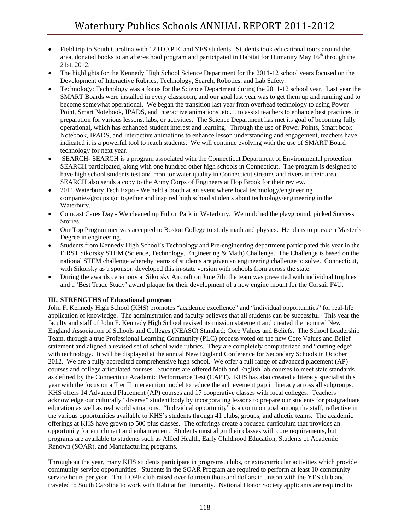- Field trip to South Carolina with 12 H.O.P.E. and YES students. Students took educational tours around the area, donated books to an after-school program and participated in Habitat for Humanity May  $16<sup>th</sup>$  through the 21st, 2012.
- The highlights for the Kennedy High School Science Department for the 2011-12 school years focused on the Development of Interactive Rubrics, Technology, Search, Robotics, and Lab Safety.
- Technology: Technology was a focus for the Science Department during the 2011-12 school year. Last year the SMART Boards were installed in every classroom, and our goal last year was to get them up and running and to become somewhat operational. We began the transition last year from overhead technology to using Power Point, Smart Notebook, IPADS, and interactive animations, etc… to assist teachers to enhance best practices, in preparation for various lessons, labs, or activities. The Science Department has met its goal of becoming fully operational, which has enhanced student interest and learning. Through the use of Power Points, Smart book Notebook, IPADS, and Interactive animations to enhance lesson understanding and engagement, teachers have indicated it is a powerful tool to reach students. We will continue evolving with the use of SMART Board technology for next year.
- SEARCH- SEARCH is a program associated with the Connecticut Department of Environmental protection. SEARCH participated, along with one hundred other high schools in Connecticut. The program is designed to have high school students test and monitor water quality in Connecticut streams and rivers in their area. SEARCH also sends a copy to the Army Corps of Engineers at Hop Brook for their review.
- 2011 Waterbury Tech Expo We held a booth at an event where local technology/engineering companies/groups got together and inspired high school students about technology/engineering in the Waterbury.
- Comcast Cares Day We cleaned up Fulton Park in Waterbury. We mulched the playground, picked Success Stories.
- Our Top Programmer was accepted to Boston College to study math and physics. He plans to pursue a Master's Degree in engineering.
- Students from Kennedy High School's Technology and Pre-engineering department participated this year in the FIRST Sikorsky STEM (Science, Technology, Engineering & Math) Challenge. The Challenge is based on the national STEM challenge whereby teams of students are given an engineering challenge to solve. Connecticut, with Sikorsky as a sponsor, developed this in-state version with schools from across the state.
- During the awards ceremony at Sikorsky Aircraft on June 7th, the team was presented with individual trophies and a 'Best Trade Study' award plaque for their development of a new engine mount for the Corsair F4U.

## **III. STRENGTHS of Educational program**

John F. Kennedy High School (KHS) promotes "academic excellence" and "individual opportunities" for real-life application of knowledge. The administration and faculty believes that all students can be successful. This year the faculty and staff of John F. Kennedy High School revised its mission statement and created the required New England Association of Schools and Colleges (NEASC) Standard; Core Values and Beliefs. The School Leadership Team, through a true Professional Learning Community (PLC) process voted on the new Core Values and Belief statement and aligned a revised set of school wide rubrics. They are completely computerized and "cutting edge" with technology. It will be displayed at the annual New England Conference for Secondary Schools in October 2012. We are a fully accredited comprehensive high school. We offer a full range of advanced placement (AP) courses and college articulated courses. Students are offered Math and English lab courses to meet state standards as defined by the Connecticut Academic Performance Test (CAPT). KHS has also created a literacy specialist this year with the focus on a Tier II intervention model to reduce the achievement gap in literacy across all subgroups. KHS offers 14 Advanced Placement (AP) courses and 17 cooperative classes with local colleges. Teachers acknowledge our culturally "diverse" student body by incorporating lessons to prepare our students for postgraduate education as well as real world situations. "Individual opportunity" is a common goal among the staff, reflective in the various opportunities available to KHS's students through 41 clubs, groups, and athletic teams. The academic offerings at KHS have grown to 500 plus classes. The offerings create a focused curriculum that provides an opportunity for enrichment and enhancement. Students must align their classes with core requirements, but programs are available to students such as Allied Health, Early Childhood Education, Students of Academic Renown (SOAR), and Manufacturing programs.

Throughout the year, many KHS students participate in programs, clubs, or extracurricular activities which provide community service opportunities. Students in the SOAR Program are required to perform at least 10 community service hours per year. The HOPE club raised over fourteen thousand dollars in unison with the YES club and traveled to South Carolina to work with Habitat for Humanity. National Honor Society applicants are required to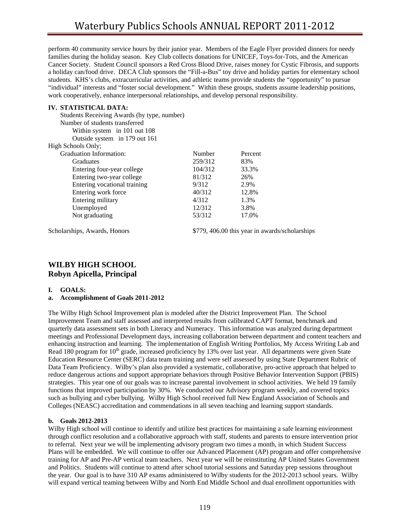perform 40 community service hours by their junior year. Members of the Eagle Flyer provided dinners for needy families during the holiday season. Key Club collects donations for UNICEF, Toys-for-Tots, and the American Cancer Society. Student Council sponsors a Red Cross Blood Drive, raises money for Cystic Fibrosis, and supports a holiday can/food drive. DECA Club sponsors the "Fill-a-Bus" toy drive and holiday parties for elementary school students. KHS's clubs, extracurricular activities, and athletic teams provide students the "opportunity" to pursue "individual" interests and "foster social development." Within these groups, students assume leadership positions, work cooperatively, enhance interpersonal relationships, and develop personal responsibility.

## **IV. STATISTICAL DATA:**

| Students Receiving Awards (by type, number) |         |         |
|---------------------------------------------|---------|---------|
| Number of students transferred              |         |         |
| Within system in 101 out 108                |         |         |
| Outside system in 179 out 161               |         |         |
| High Schools Only;                          |         |         |
| Graduation Information:                     | Number  | Percent |
| Graduates                                   | 259/312 | 83%     |
| Entering four-year college                  | 104/312 | 33.3%   |
| Entering two-year college                   | 81/312  | 26%     |
| Entering vocational training                | 9/312   | 2.9%    |
| Entering work force                         | 40/312  | 12.8%   |
| Entering military                           | 4/312   | 1.3%    |
| Unemployed                                  | 12/312  | 3.8%    |
| Not graduating                              | 53/312  | 17.0%   |
|                                             |         |         |

Scholarships, Awards, Honors \$779, 406.00 this year in awards/scholarships

## **WILBY HIGH SCHOOL Robyn Apicella, Principal**

#### **I. GOALS:**

## **a. Accomplishment of Goals 2011-2012**

The Wilby High School Improvement plan is modeled after the District Improvement Plan. The School Improvement Team and staff assessed and interpreted results from calibrated CAPT format, benchmark and quarterly data assessment sets in both Literacy and Numeracy. This information was analyzed during department meetings and Professional Development days, increasing collaboration between department and content teachers and enhancing instruction and learning. The implementation of English Writing Portfolios, My Access Writing Lab and Read 180 program for  $10<sup>th</sup>$  grade, increased proficiency by 13% over last year. All departments were given State Education Resource Center (SERC) data team training and were self assessed by using State Department Rubric of Data Team Proficiency. Wilby's plan also provided a systematic, collaborative, pro-active approach that helped to reduce dangerous actions and support appropriate behaviors through Positive Behavior Intervention Support (PBIS) strategies. This year one of our goals was to increase parental involvement in school activities. We held 19 family functions that improved participation by 30%. We conducted our Advisory program weekly, and covered topics such as bullying and cyber bullying. Wilby High School received full New England Association of Schools and Colleges (NEASC) accreditation and commendations in all seven teaching and learning support standards.

## **b. Goals 2012-2013**

Wilby High school will continue to identify and utilize best practices for maintaining a safe learning environment through conflict resolution and a collaborative approach with staff, students and parents to ensure intervention prior to referral. Next year we will be implementing advisory program two times a month, in which Student Success Plans will be embedded. We will continue to offer our Advanced Placement (AP) program and offer comprehensive training for AP and Pre-AP vertical team teachers. Next year we will be reinstituting AP United States Government and Politics. Students will continue to attend after school tutorial sessions and Saturday prep sessions throughout the year. Our goal is to have 310 AP exams administered to Wilby students for the 2012-2013 school years. Wilby will expand vertical teaming between Wilby and North End Middle School and dual enrollment opportunities with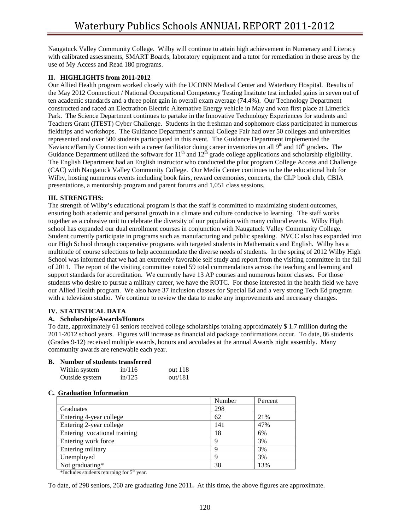Naugatuck Valley Community College. Wilby will continue to attain high achievement in Numeracy and Literacy with calibrated assessments, SMART Boards, laboratory equipment and a tutor for remediation in those areas by the use of My Access and Read 180 programs.

## **II. HIGHLIGHTS from 2011-2012**

Our Allied Health program worked closely with the UCONN Medical Center and Waterbury Hospital. Results of the May 2012 Connecticut / National Occupational Competency Testing Institute test included gains in seven out of ten academic standards and a three point gain in overall exam average (74.4%). Our Technology Department constructed and raced an Electrathon Electric Alternative Energy vehicle in May and won first place at Limerick Park. The Science Department continues to partake in the Innovative Technology Experiences for students and Teachers Grant (ITEST) Cyber Challenge. Students in the freshman and sophomore class participated in numerous fieldtrips and workshops. The Guidance Department's annual College Fair had over 50 colleges and universities represented and over 500 students participated in this event. The Guidance Department implemented the Naviance/Family Connection with a career facilitator doing career inventories on all  $9<sup>th</sup>$  and  $10<sup>th</sup>$  graders. The Guidance Department utilized the software for  $11<sup>th</sup>$  and  $12<sup>th</sup>$  grade college applications and scholarship eligibility. The English Department had an English instructor who conducted the pilot program College Access and Challenge (CAC) with Naugatuck Valley Community College. Our Media Center continues to be the educational hub for Wilby, hosting numerous events including book fairs, reward ceremonies, concerts, the CLP book club, CBIA presentations, a mentorship program and parent forums and 1,051 class sessions.

## **III. STRENGTHS:**

The strength of Wilby's educational program is that the staff is committed to maximizing student outcomes, ensuring both academic and personal growth in a climate and culture conducive to learning. The staff works together as a cohesive unit to celebrate the diversity of our population with many cultural events. Wilby High school has expanded our dual enrollment courses in conjunction with Naugatuck Valley Community College. Student currently participate in programs such as manufacturing and public speaking. NVCC also has expanded into our High School through cooperative programs with targeted students in Mathematics and English. Wilby has a multitude of course selections to help accommodate the diverse needs of students. In the spring of 2012 Wilby High School was informed that we had an extremely favorable self study and report from the visiting committee in the fall of 2011. The report of the visiting committee noted 59 total commendations across the teaching and learning and support standards for accreditation. We currently have 13 AP courses and numerous honor classes. For those students who desire to pursue a military career, we have the ROTC. For those interested in the health field we have our Allied Health program. We also have 37 inclusion classes for Special Ed and a very strong Tech Ed program with a television studio. We continue to review the data to make any improvements and necessary changes.

## **IV. STATISTICAL DATA**

## **A. Scholarships/Awards/Honors**

To date, approximately 61 seniors received college scholarships totaling approximately \$ 1.7 million during the 2011-2012 school years. Figures will increase as financial aid package confirmations occur. To date, 86 students (Grades 9-12) received multiple awards, honors and accolades at the annual Awards night assembly. Many community awards are renewable each year.

## **B. Number of students transferred**

| Within system  | in/116 | out 118 |
|----------------|--------|---------|
| Outside system | in/125 | out/181 |

## **C. Graduation Information**

|                              | Number | Percent |
|------------------------------|--------|---------|
| Graduates                    | 298    |         |
| Entering 4-year college      | 62     | 21%     |
| Entering 2-year college      | 141    | 47%     |
| Entering vocational training | 18     | 6%      |
| Entering work force          | 9      | 3%      |
| Entering military            | q      | 3%      |
| Unemployed                   | 9      | 3%      |
| Not graduating*              | 38     | 13%     |

\*Includes students returning for 5th year.

To date, of 298 seniors, 260 are graduating June 2011**.** At this time**,** the above figures are approximate.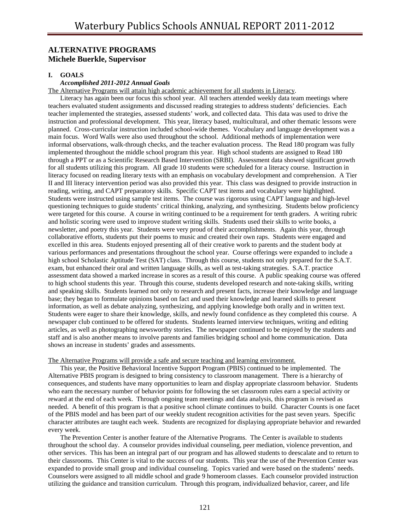# **ALTERNATIVE PROGRAMS Michele Buerkle, Supervisor**

## **I. GOALS**

#### *Accomplished 2011-2012 Annual Goals*

The Alternative Programs will attain high academic achievement for all students in Literacy.

 Literacy has again been our focus this school year. All teachers attended weekly data team meetings where teachers evaluated student assignments and discussed reading strategies to address students' deficiencies. Each teacher implemented the strategies, assessed students' work, and collected data. This data was used to drive the instruction and professional development. This year, literacy based, multicultural, and other thematic lessons were planned. Cross-curricular instruction included school-wide themes. Vocabulary and language development was a main focus. Word Walls were also used throughout the school. Additional methods of implementation were informal observations, walk-through checks, and the teacher evaluation process. The Read 180 program was fully implemented throughout the middle school program this year. High school students are assigned to Read 180 through a PPT or as a Scientific Research Based Intervention (SRBI). Assessment data showed significant growth for all students utilizing this program. All grade 10 students were scheduled for a literacy course. Instruction in literacy focused on reading literary texts with an emphasis on vocabulary development and comprehension. A Tier II and III literacy intervention period was also provided this year. This class was designed to provide instruction in reading, writing, and CAPT preparatory skills. Specific CAPT test items and vocabulary were highlighted. Students were instructed using sample test items. The course was rigorous using CAPT language and high-level questioning techniques to guide students' critical thinking, analyzing, and synthesizing. Students below proficiency were targeted for this course. A course in writing continued to be a requirement for tenth graders. A writing rubric and holistic scoring were used to improve student writing skills. Students used their skills to write books, a newsletter, and poetry this year. Students were very proud of their accomplishments. Again this year, through collaborative efforts, students put their poems to music and created their own raps. Students were engaged and excelled in this area. Students enjoyed presenting all of their creative work to parents and the student body at various performances and presentations throughout the school year. Course offerings were expanded to include a high school Scholastic Aptitude Test (SAT) class. Through this course, students not only prepared for the S.A.T. exam, but enhanced their oral and written language skills, as well as test-taking strategies. S.A.T. practice assessment data showed a marked increase in scores as a result of this course. A public speaking course was offered to high school students this year. Through this course, students developed research and note-taking skills, writing and speaking skills. Students learned not only to research and present facts, increase their knowledge and language base; they began to formulate opinions based on fact and used their knowledge and learned skills to present information, as well as debate analyzing, synthesizing, and applying knowledge both orally and in written text. Students were eager to share their knowledge, skills, and newly found confidence as they completed this course. A newspaper club continued to be offered for students. Students learned interview techniques, writing and editing articles, as well as photographing newsworthy stories. The newspaper continued to be enjoyed by the students and staff and is also another means to involve parents and families bridging school and home communication. Data shows an increase in students' grades and assessments.

#### The Alternative Programs will provide a safe and secure teaching and learning environment.

 This year, the Positive Behavioral Incentive Support Program (PBIS) continued to be implemented. The Alternative PBIS program is designed to bring consistency to classroom management. There is a hierarchy of consequences, and students have many opportunities to learn and display appropriate classroom behavior. Students who earn the necessary number of behavior points for following the set classroom rules earn a special activity or reward at the end of each week. Through ongoing team meetings and data analysis, this program is revised as needed. A benefit of this program is that a positive school climate continues to build. Character Counts is one facet of the PBIS model and has been part of our weekly student recognition activities for the past seven years. Specific character attributes are taught each week. Students are recognized for displaying appropriate behavior and rewarded every week.

 The Prevention Center is another feature of the Alternative Programs. The Center is available to students throughout the school day. A counselor provides individual counseling, peer mediation, violence prevention, and other services. This has been an integral part of our program and has allowed students to deescalate and to return to their classrooms. This Center is vital to the success of our students. This year the use of the Prevention Center was expanded to provide small group and individual counseling. Topics varied and were based on the students' needs. Counselors were assigned to all middle school and grade 9 homeroom classes. Each counselor provided instruction utilizing the guidance and transition curriculum. Through this program, individualized behavior, career, and life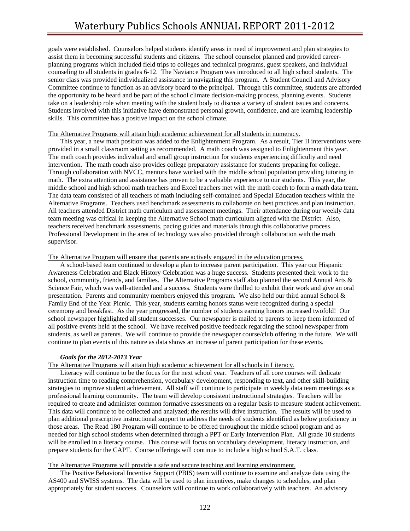goals were established. Counselors helped students identify areas in need of improvement and plan strategies to assist them in becoming successful students and citizens. The school counselor planned and provided careerplanning programs which included field trips to colleges and technical programs, guest speakers, and individual counseling to all students in grades 6-12. The Naviance Program was introduced to all high school students. The senior class was provided individualized assistance in navigating this program. A Student Council and Advisory Committee continue to function as an advisory board to the principal. Through this committee, students are afforded the opportunity to be heard and be part of the school climate decision-making process, planning events. Students take on a leadership role when meeting with the student body to discuss a variety of student issues and concerns. Students involved with this initiative have demonstrated personal growth, confidence, and are learning leadership skills. This committee has a positive impact on the school climate.

## The Alternative Programs will attain high academic achievement for all students in numeracy.

 This year, a new math position was added to the Enlightenment Program. As a result, Tier II interventions were provided in a small classroom setting as recommended. A math coach was assigned to Enlightenment this year. The math coach provides individual and small group instruction for students experiencing difficulty and need intervention. The math coach also provides college preparatory assistance for students preparing for college. Through collaboration with NVCC, mentors have worked with the middle school population providing tutoring in math. The extra attention and assistance has proven to be a valuable experience to our students. This year, the middle school and high school math teachers and Excel teachers met with the math coach to form a math data team. The data team consisted of all teachers of math including self-contained and Special Education teachers within the Alternative Programs. Teachers used benchmark assessments to collaborate on best practices and plan instruction. All teachers attended District math curriculum and assessment meetings. Their attendance during our weekly data team meeting was critical in keeping the Alternative School math curriculum aligned with the District. Also, teachers received benchmark assessments, pacing guides and materials through this collaborative process. Professional Development in the area of technology was also provided through collaboration with the math supervisor.

### The Alternative Program will ensure that parents are actively engaged in the education process.

 A school-based team continued to develop a plan to increase parent participation. This year our Hispanic Awareness Celebration and Black History Celebration was a huge success. Students presented their work to the school, community, friends, and families. The Alternative Programs staff also planned the second Annual Arts & Science Fair, which was well-attended and a success. Students were thrilled to exhibit their work and give an oral presentation. Parents and community members enjoyed this program. We also held our third annual School & Family End of the Year Picnic. This year, students earning honors status were recognized during a special ceremony and breakfast. As the year progressed, the number of students earning honors increased twofold! Our school newspaper highlighted all student successes. Our newspaper is mailed to parents to keep them informed of all positive events held at the school. We have received positive feedback regarding the school newspaper from students, as well as parents. We will continue to provide the newspaper course/club offering in the future. We will continue to plan events of this nature as data shows an increase of parent participation for these events.

## *Goals for the 2012-2013 Year*

## The Alternative Programs will attain high academic achievement for all schools in Literacy.

 Literacy will continue to be the focus for the next school year. Teachers of all core courses will dedicate instruction time to reading comprehension, vocabulary development, responding to text, and other skill-building strategies to improve student achievement. All staff will continue to participate in weekly data team meetings as a professional learning community. The team will develop consistent instructional strategies. Teachers will be required to create and administer common formative assessments on a regular basis to measure student achievement. This data will continue to be collected and analyzed; the results will drive instruction. The results will be used to plan additional prescriptive instructional support to address the needs of students identified as below proficiency in those areas. The Read 180 Program will continue to be offered throughout the middle school program and as needed for high school students when determined through a PPT or Early Intervention Plan. All grade 10 students will be enrolled in a literacy course. This course will focus on vocabulary development, literacy instruction, and prepare students for the CAPT. Course offerings will continue to include a high school S.A.T. class.

## The Alternative Programs will provide a safe and secure teaching and learning environment.

 The Positive Behavioral Incentive Support (PBIS) team will continue to examine and analyze data using the AS400 and SWISS systems. The data will be used to plan incentives, make changes to schedules, and plan appropriately for student success. Counselors will continue to work collaboratively with teachers. An advisory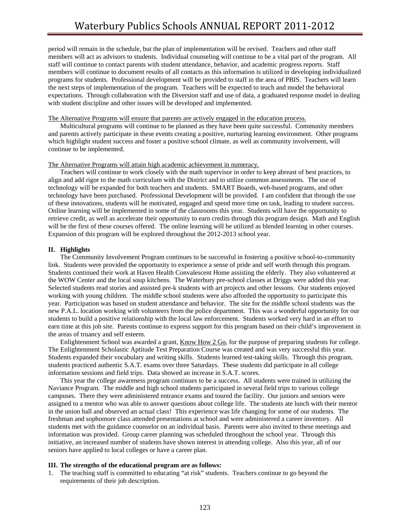period will remain in the schedule, but the plan of implementation will be revised. Teachers and other staff members will act as advisors to students. Individual counseling will continue to be a vital part of the program. All staff will continue to contact parents with student attendance, behavior, and academic progress reports. Staff members will continue to document results of all contacts as this information is utilized in developing individualized programs for students. Professional development will be provided to staff in the area of PBIS. Teachers will learn the next steps of implementation of the program. Teachers will be expected to teach and model the behavioral expectations. Through collaboration with the Diversion staff and use of data, a graduated response model in dealing with student discipline and other issues will be developed and implemented.

#### The Alternative Programs will ensure that parents are actively engaged in the education process.

 Multicultural programs will continue to be planned as they have been quite successful. Community members and parents actively participate in these events creating a positive, nurturing learning environment. Other programs which highlight student success and foster a positive school climate, as well as community involvement, will continue to be implemented.

#### The Alternative Programs will attain high academic achievement in numeracy.

 Teachers will continue to work closely with the math supervisor in order to keep abreast of best practices, to align and add rigor to the math curriculum with the District and to utilize common assessments. The use of technology will be expanded for both teachers and students. SMART Boards, web-based programs, and other technology have been purchased. Professional Development will be provided. I am confident that through the use of these innovations, students will be motivated, engaged and spend more time on task, leading to student success. Online learning will be implemented in some of the classrooms this year. Students will have the opportunity to retrieve credit, as well as accelerate their opportunity to earn credits through this program design. Math and English will be the first of these courses offered. The online learning will be utilized as blended learning in other courses. Expansion of this program will be explored throughout the 2012-2013 school year.

#### **II. Highlights**

 The Community Involvement Program continues to be successful in fostering a positive school-to-community link. Students were provided the opportunity to experience a sense of pride and self worth through this program. Students continued their work at Haven Health Convalescent Home assisting the elderly. They also volunteered at the WOW Center and the local soup kitchens. The Waterbury pre-school classes at Driggs were added this year. Selected students read stories and assisted pre-k students with art projects and other lessons. Our students enjoyed working with young children. The middle school students were also afforded the opportunity to participate this year. Participation was based on student attendance and behavior. The site for the middle school students was the new P.A.L. location working with volunteers from the police department. This was a wonderful opportunity for our students to build a positive relationship with the local law enforcement. Students worked very hard in an effort to earn time at this job site. Parents continue to express support for this program based on their child's improvement in the areas of truancy and self esteem.

Enlightenment School was awarded a grant, Know How 2 Go, for the purpose of preparing students for college. The Enlightenment Scholastic Aptitude Test Preparation Course was created and was very successful this year. Students expanded their vocabulary and writing skills. Students learned test-taking skills. Through this program, students practiced authentic S.A.T. exams over three Saturdays. These students did participate in all college information sessions and field trips. Data showed an increase in S.A.T. scores.

 This year the college awareness program continues to be a success. All students were trained in utilizing the Naviance Program. The middle and high school students participated in several field trips to various college campuses. There they were administered entrance exams and toured the facility. Our juniors and seniors were assigned to a mentor who was able to answer questions about college life. The students ate lunch with their mentor in the union hall and observed an actual class! This experience was life changing for some of our students. The freshman and sophomore class attended presentations at school and were administered a career inventory. All students met with the guidance counselor on an individual basis. Parents were also invited to these meetings and information was provided. Group career planning was scheduled throughout the school year. Through this initiative, an increased number of students have shown interest in attending college. Also this year, all of our seniors have applied to local colleges or have a career plan.

#### **III. The strengths of the educational program are as follows:**

1. The teaching staff is committed to educating "at risk" students. Teachers continue to go beyond the requirements of their job description.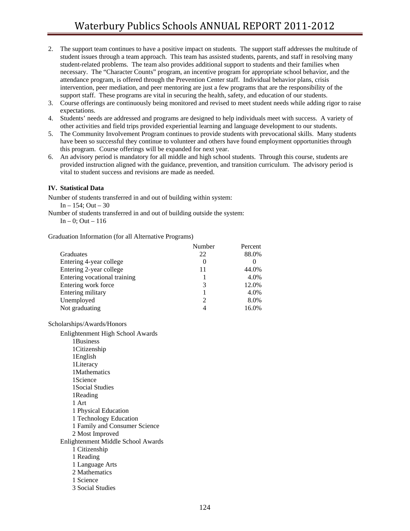- 2. The support team continues to have a positive impact on students. The support staff addresses the multitude of student issues through a team approach. This team has assisted students, parents, and staff in resolving many student-related problems. The team also provides additional support to students and their families when necessary. The "Character Counts" program, an incentive program for appropriate school behavior, and the attendance program, is offered through the Prevention Center staff. Individual behavior plans, crisis intervention, peer mediation, and peer mentoring are just a few programs that are the responsibility of the support staff. These programs are vital in securing the health, safety, and education of our students.
- 3. Course offerings are continuously being monitored and revised to meet student needs while adding rigor to raise expectations.
- 4. Students' needs are addressed and programs are designed to help individuals meet with success. A variety of other activities and field trips provided experiential learning and language development to our students.
- 5. The Community Involvement Program continues to provide students with prevocational skills. Many students have been so successful they continue to volunteer and others have found employment opportunities through this program. Course offerings will be expanded for next year.
- 6. An advisory period is mandatory for all middle and high school students. Through this course, students are provided instruction aligned with the guidance, prevention, and transition curriculum. The advisory period is vital to student success and revisions are made as needed.

## **IV. Statistical Data**

Number of students transferred in and out of building within system:

In  $-154$ ; Out  $-30$ 

Number of students transferred in and out of building outside the system:

In  $-0$ ; Out  $-116$ 

Graduation Information (for all Alternative Programs)

|                              | Number                      | Percent |
|------------------------------|-----------------------------|---------|
| Graduates                    | 22                          | 88.0%   |
| Entering 4-year college      | $\theta$                    |         |
| Entering 2-year college      | 11                          | 44.0%   |
| Entering vocational training |                             | 4.0%    |
| Entering work force          | 3                           | 12.0%   |
| Entering military            |                             | 4.0%    |
| Unemployed                   | $\mathcal{D}_{\mathcal{A}}$ | 8.0%    |
| Not graduating               |                             | 16.0%   |

Scholarships/Awards/Honors

 Enlightenment High School Awards 1Business 1Citizenship 1English 1Literacy 1Mathematics 1Science 1Social Studies 1Reading 1 Art 1 Physical Education 1 Technology Education 1 Family and Consumer Science 2 Most Improved Enlightenment Middle School Awards 1 Citizenship 1 Reading 1 Language Arts 2 Mathematics 1 Science 3 Social Studies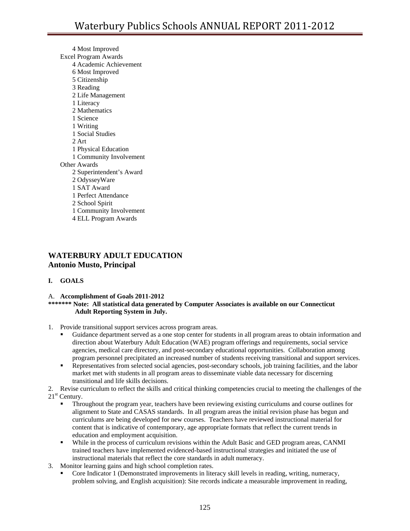4 Most Improved Excel Program Awards 4 Academic Achievement 6 Most Improved 5 Citizenship 3 Reading 2 Life Management 1 Literacy 2 Mathematics 1 Science 1 Writing 1 Social Studies 2 Art 1 Physical Education 1 Community Involvement Other Awards 2 Superintendent's Award 2 OdysseyWare 1 SAT Award 1 Perfect Attendance 2 School Spirit 1 Community Involvement 4 ELL Program Awards

# **WATERBURY ADULT EDUCATION Antonio Musto, Principal**

## **I. GOALS**

#### A. **Accomplishment of Goals 2011-2012 \*\*\*\*\*\*\* Note: All statistical data generated by Computer Associates is available on our Connecticut Adult Reporting System in July.**

- 1. Provide transitional support services across program areas.
	- Guidance department served as a one stop center for students in all program areas to obtain information and direction about Waterbury Adult Education (WAE) program offerings and requirements, social service agencies, medical care directory, and post-secondary educational opportunities. Collaboration among program personnel precipitated an increased number of students receiving transitional and support services.
	- **Representatives from selected social agencies, post-secondary schools, job training facilities, and the labor** market met with students in all program areas to disseminate viable data necessary for discerning transitional and life skills decisions.

2. Revise curriculum to reflect the skills and critical thinking competencies crucial to meeting the challenges of the  $21<sup>st</sup>$  Century.

- Throughout the program year, teachers have been reviewing existing curriculums and course outlines for alignment to State and CASAS standards. In all program areas the initial revision phase has begun and curriculums are being developed for new courses. Teachers have reviewed instructional material for content that is indicative of contemporary, age appropriate formats that reflect the current trends in education and employment acquisition.
- While in the process of curriculum revisions within the Adult Basic and GED program areas, CANMI trained teachers have implemented evidenced-based instructional strategies and initiated the use of instructional materials that reflect the core standards in adult numeracy.
- 3. Monitor learning gains and high school completion rates.
	- Core Indicator 1 (Demonstrated improvements in literacy skill levels in reading, writing, numeracy, problem solving, and English acquisition): Site records indicate a measurable improvement in reading,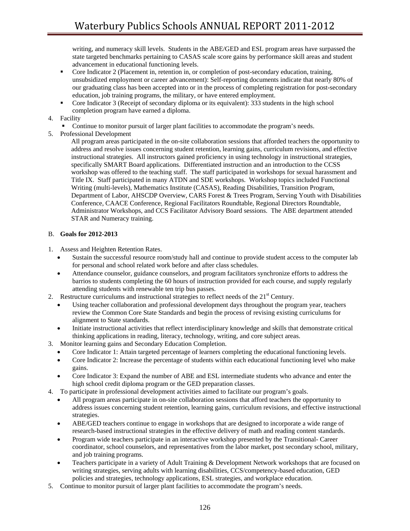writing, and numeracy skill levels. Students in the ABE/GED and ESL program areas have surpassed the state targeted benchmarks pertaining to CASAS scale score gains by performance skill areas and student advancement in educational functioning levels.

- Core Indicator 2 (Placement in, retention in, or completion of post-secondary education, training, unsubsidized employment or career advancement): Self-reporting documents indicate that nearly 80% of our graduating class has been accepted into or in the process of completing registration for post-secondary education, job training programs, the military, or have entered employment.
- Core Indicator 3 (Receipt of secondary diploma or its equivalent): 333 students in the high school completion program have earned a diploma.
- 4. Facility
	- Continue to monitor pursuit of larger plant facilities to accommodate the program's needs.
- 5. Professional Development

All program areas participated in the on-site collaboration sessions that afforded teachers the opportunity to address and resolve issues concerning student retention, learning gains, curriculum revisions, and effective instructional strategies. All instructors gained proficiency in using technology in instructional strategies, specifically SMART Board applications. Differentiated instruction and an introduction to the CCSS workshop was offered to the teaching staff. The staff participated in workshops for sexual harassment and Title IX. Staff participated in many ATDN and SDE workshops. Workshop topics included Functional Writing (multi-levels), Mathematics Institute (CASAS), Reading Disabilities, Transition Program, Department of Labor, AHSCDP Overview, CARS Forest & Trees Program, Serving Youth with Disabilities Conference, CAACE Conference, Regional Facilitators Roundtable, Regional Directors Roundtable, Administrator Workshops, and CCS Facilitator Advisory Board sessions. The ABE department attended STAR and Numeracy training.

## B. **Goals for 2012-2013**

- 1. Assess and Heighten Retention Rates.
	- Sustain the successful resource room/study hall and continue to provide student access to the computer lab for personal and school related work before and after class schedules.
	- Attendance counselor, guidance counselors, and program facilitators synchronize efforts to address the barrios to students completing the 60 hours of instruction provided for each course, and supply regularly attending students with renewable ten trip bus passes.
- 2. Restructure curriculums and instructional strategies to reflect needs of the  $21<sup>st</sup>$  Century.
	- Using teacher collaboration and professional development days throughout the program year, teachers review the Common Core State Standards and begin the process of revising existing curriculums for alignment to State standards.
	- Initiate instructional activities that reflect interdisciplinary knowledge and skills that demonstrate critical thinking applications in reading, literacy, technology, writing, and core subject areas.
- 3. Monitor learning gains and Secondary Education Completion.
	- Core Indicator 1: Attain targeted percentage of learners completing the educational functioning levels.
	- Core Indicator 2: Increase the percentage of students within each educational functioning level who make gains.
	- Core Indicator 3: Expand the number of ABE and ESL intermediate students who advance and enter the high school credit diploma program or the GED preparation classes.
- 4. To participate in professional development activities aimed to facilitate our program's goals.
	- All program areas participate in on-site collaboration sessions that afford teachers the opportunity to address issues concerning student retention, learning gains, curriculum revisions, and effective instructional strategies.
	- ABE/GED teachers continue to engage in workshops that are designed to incorporate a wide range of research-based instructional strategies in the effective delivery of math and reading content standards.
	- Program wide teachers participate in an interactive workshop presented by the Transitional- Career coordinator, school counselors, and representatives from the labor market, post secondary school, military, and job training programs.
	- Teachers participate in a variety of Adult Training & Development Network workshops that are focused on writing strategies, serving adults with learning disabilities, CCS/competency-based education, GED policies and strategies, technology applications, ESL strategies, and workplace education.
- 5. Continue to monitor pursuit of larger plant facilities to accommodate the program's needs.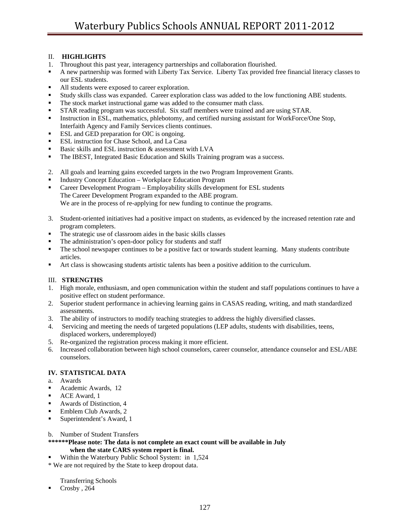## II. **HIGHLIGHTS**

- 1. Throughout this past year, interagency partnerships and collaboration flourished.
- A new partnership was formed with Liberty Tax Service. Liberty Tax provided free financial literacy classes to our ESL students.
- All students were exposed to career exploration.
- Study skills class was expanded. Career exploration class was added to the low functioning ABE students.
- The stock market instructional game was added to the consumer math class.
- STAR reading program was successful. Six staff members were trained and are using STAR.
- Instruction in ESL, mathematics, phlebotomy, and certified nursing assistant for WorkForce/One Stop, Interfaith Agency and Family Services clients continues.
- **ESL** and GED preparation for OIC is ongoing.
- ESL instruction for Chase School, and La Casa
- Basic skills and ESL instruction & assessment with LVA
- **The IBEST, Integrated Basic Education and Skills Training program was a success.**
- 2. All goals and learning gains exceeded targets in the two Program Improvement Grants.
- Industry Concept Education Workplace Education Program
- Career Development Program Employability skills development for ESL students The Career Development Program expanded to the ABE program. We are in the process of re-applying for new funding to continue the programs.
- 3. Student-oriented initiatives had a positive impact on students, as evidenced by the increased retention rate and program completers.
- The strategic use of classroom aides in the basic skills classes
- The administration's open-door policy for students and staff
- The school newspaper continues to be a positive fact or towards student learning. Many students contribute articles.
- Art class is showcasing students artistic talents has been a positive addition to the curriculum.

## III. **STRENGTHS**

- 1. High morale, enthusiasm, and open communication within the student and staff populations continues to have a positive effect on student performance.
- 2. Superior student performance in achieving learning gains in CASAS reading, writing, and math standardized assessments.
- 3. The ability of instructors to modify teaching strategies to address the highly diversified classes.
- 4. Servicing and meeting the needs of targeted populations (LEP adults, students with disabilities, teens, displaced workers, underemployed)
- 5. Re-organized the registration process making it more efficient.
- 6. Increased collaboration between high school counselors, career counselor, attendance counselor and ESL/ABE counselors.

## **IV. STATISTICAL DATA**

- a. Awards
- Academic Awards, 12
- ACE Award, 1
- Awards of Distinction, 4
- Emblem Club Awards, 2
- Superintendent's Award, 1
- b. Number of Student Transfers
- **\*\*\*\*\*\*Please note: The data is not complete an exact count will be available in July when the state CARS system report is final.**
- Within the Waterbury Public School System: in 1,524
- \* We are not required by the State to keep dropout data.

Transferring Schools

Crosby , 264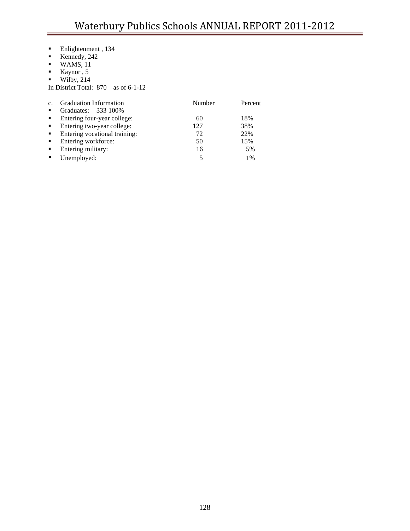- **Enlightenment**, 134
- Kennedy, 242
- $\blacksquare$  WAMS, 11
- $\blacksquare$  Kaynor, 5
- $\blacksquare$  Wilby, 214

In District Total: 870 as of 6-1-12

| C <sub>1</sub> | <b>Graduation Information</b> | Number | Percent |
|----------------|-------------------------------|--------|---------|
| $\blacksquare$ | Graduates: 333 100%           |        |         |
| $\blacksquare$ | Entering four-year college:   | 60     | 18%     |
| $\blacksquare$ | Entering two-year college:    | 127    | 38%     |
| $\blacksquare$ | Entering vocational training: | 72     | 22%     |
| $\blacksquare$ | Entering workforce:           | 50     | 15%     |
| $\blacksquare$ | Entering military:            | 16     | 5%      |
|                | Unemployed:                   |        | 1%      |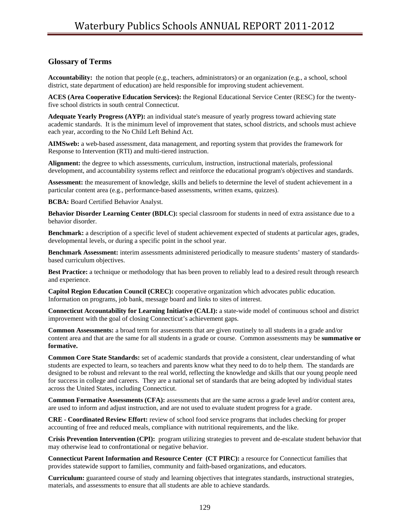## **Glossary of Terms**

**Accountability:** the notion that people (e.g., teachers, administrators) or an organization (e.g., a school, school district, state department of education) are held responsible for improving student achievement.

**ACES (Area Cooperative Education Services):** the Regional Educational Service Center (RESC) for the twentyfive school districts in south central Connecticut.

**Adequate Yearly Progress (AYP):** an individual state's measure of yearly progress toward achieving state academic standards. It is the minimum level of improvement that states, school districts, and schools must achieve each year, according to the No Child Left Behind Act.

**AIMSweb:** a web-based assessment, data management, and reporting system that provides the framework for Response to Intervention (RTI) and multi-tiered instruction.

**Alignment:** the degree to which assessments, curriculum, instruction, instructional materials, professional development, and accountability systems reflect and reinforce the educational program's objectives and standards.

**Assessment:** the measurement of knowledge, skills and beliefs to determine the level of student achievement in a particular content area (e.g., performance-based assessments, written exams, quizzes).

**BCBA:** Board Certified Behavior Analyst.

**Behavior Disorder Learning Center (BDLC):** special classroom for students in need of extra assistance due to a behavior disorder.

**Benchmark:** a description of a specific level of student achievement expected of students at particular ages, grades, developmental levels, or during a specific point in the school year.

**Benchmark Assessment:** interim assessments administered periodically to measure students' mastery of standardsbased curriculum objectives.

**Best Practice:** a technique or methodology that has been proven to reliably lead to a desired result through research and experience.

**Capitol Region Education Council (CREC):** cooperative organization which advocates public education. Information on programs, job bank, message board and links to sites of interest.

**Connecticut Accountability for Learning Initiative (CALI):** a state-wide model of continuous school and district improvement with the goal of closing Connecticut's achievement gaps.

**Common Assessments:** a broad term for assessments that are given routinely to all students in a grade and/or content area and that are the same for all students in a grade or course. Common assessments may be **summative or formative.** 

**Common Core State Standards:** set of academic standards that provide a consistent, clear understanding of what students are expected to learn, so teachers and parents know what they need to do to help them. The standards are designed to be robust and relevant to the real world, reflecting the knowledge and skills that our young people need for success in college and careers. They are a national set of standards that are being adopted by individual states across the United States, including Connecticut.

**Common Formative Assessments (CFA):** assessments that are the same across a grade level and/or content area, are used to inform and adjust instruction, and are not used to evaluate student progress for a grade.

**CRE - Coordinated Review Effort:** review of school food service programs that includes checking for proper accounting of free and reduced meals, compliance with nutritional requirements, and the like.

**Crisis Prevention Intervention (CPI):** program utilizing strategies to prevent and de-escalate student behavior that may otherwise lead to confrontational or negative behavior.

**Connecticut Parent Information and Resource Center (CT PIRC):** a resource for Connecticut families that provides statewide support to families, community and faith-based organizations, and educators.

**Curriculum:** guaranteed course of study and learning objectives that integrates standards, instructional strategies, materials, and assessments to ensure that all students are able to achieve standards.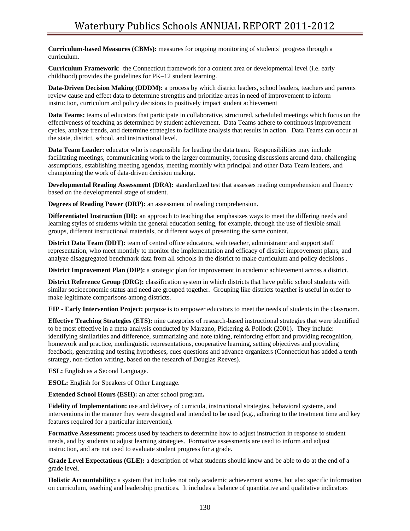**Curriculum-based Measures (CBMs):** measures for ongoing monitoring of students' progress through a curriculum.

**Curriculum Framework**: the Connecticut framework for a content area or developmental level (i.e. early childhood) provides the guidelines for PK–12 student learning.

**Data-Driven Decision Making (DDDM):** a process by which district leaders, school leaders, teachers and parents review cause and effect data to determine strengths and prioritize areas in need of improvement to inform instruction, curriculum and policy decisions to positively impact student achievement

**Data Teams:** teams of educators that participate in collaborative, structured, scheduled meetings which focus on the effectiveness of teaching as determined by student achievement. Data Teams adhere to continuous improvement cycles, analyze trends, and determine strategies to facilitate analysis that results in action. Data Teams can occur at the state, district, school, and instructional level.

**Data Team Leader:** educator who is responsible for leading the data team. Responsibilities may include facilitating meetings, communicating work to the larger community, focusing discussions around data, challenging assumptions, establishing meeting agendas, meeting monthly with principal and other Data Team leaders, and championing the work of data-driven decision making.

**Developmental Reading Assessment (DRA):** standardized test that assesses reading comprehension and fluency based on the developmental stage of student.

**Degrees of Reading Power (DRP):** an assessment of reading comprehension.

**Differentiated Instruction (DI):** an approach to teaching that emphasizes ways to meet the differing needs and learning styles of students within the general education setting, for example, through the use of flexible small groups, different instructional materials, or different ways of presenting the same content.

**District Data Team (DDT):** team of central office educators, with teacher, administrator and support staff representation, who meet monthly to monitor the implementation and efficacy of district improvement plans, and analyze disaggregated benchmark data from all schools in the district to make curriculum and policy decisions .

**District Improvement Plan (DIP):** a strategic plan for improvement in academic achievement across a district.

**District Reference Group (DRG):** classification system in which districts that have public school students with similar socioeconomic status and need are grouped together. Grouping like districts together is useful in order to make legitimate comparisons among districts.

**EIP - Early Intervention Project:** purpose is to empower educators to meet the needs of students in the classroom.

**Effective Teaching Strategies (ETS):** nine categories of research-based instructional strategies that were identified to be most effective in a meta-analysis conducted by Marzano, Pickering & Pollock (2001). They include: identifying similarities and difference, summarizing and note taking, reinforcing effort and providing recognition, homework and practice, nonlinguistic representations, cooperative learning, setting objectives and providing feedback, generating and testing hypotheses, cues questions and advance organizers (Connecticut has added a tenth strategy, non-fiction writing, based on the research of Douglas Reeves).

**ESL:** English as a Second Language.

**ESOL:** English for Speakers of Other Language.

**Extended School Hours (ESH):** an after school program**.** 

**Fidelity of Implementation:** use and delivery of curricula, instructional strategies, behavioral systems, and interventions in the manner they were designed and intended to be used (e.g., adhering to the treatment time and key features required for a particular intervention).

**Formative Assessment:** process used by teachers to determine how to adjust instruction in response to student needs, and by students to adjust learning strategies. Formative assessments are used to inform and adjust instruction, and are not used to evaluate student progress for a grade.

**Grade Level Expectations (GLE):** a description of what students should know and be able to do at the end of a grade level.

**Holistic Accountability:** a system that includes not only academic achievement scores, but also specific information on curriculum, teaching and leadership practices. It includes a balance of quantitative and qualitative indicators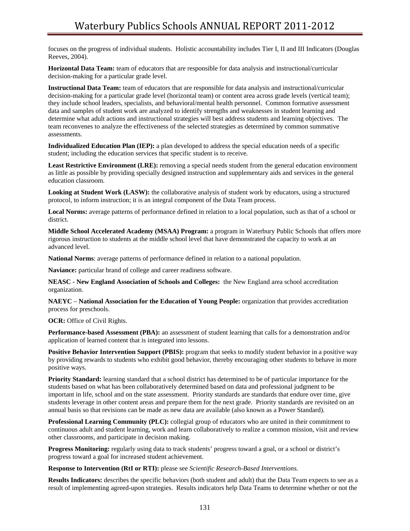focuses on the progress of individual students. Holistic accountability includes Tier I, II and III Indicators (Douglas Reeves, 2004).

**Horizontal Data Team:** team of educators that are responsible for data analysis and instructional/curricular decision-making for a particular grade level.

**Instructional Data Team:** team of educators that are responsible for data analysis and instructional/curricular decision-making for a particular grade level (horizontal team) or content area across grade levels (vertical team); they include school leaders, specialists, and behavioral/mental health personnel. Common formative assessment data and samples of student work are analyzed to identify strengths and weaknesses in student learning and determine what adult actions and instructional strategies will best address students and learning objectives. The team reconvenes to analyze the effectiveness of the selected strategies as determined by common summative assessments.

**Individualized Education Plan (IEP):** a plan developed to address the special education needs of a specific student; including the education services that specific student is to receive.

Least Restrictive Environment (LRE): removing a special needs student from the general education environment as little as possible by providing specially designed instruction and supplementary aids and services in the general education classroom.

**Looking at Student Work (LASW):** the collaborative analysis of student work by educators, using a structured protocol, to inform instruction; it is an integral component of the Data Team process.

**Local Norms:** average patterns of performance defined in relation to a local population, such as that of a school or district.

**Middle School Accelerated Academy (MSAA) Program:** a program in Waterbury Public Schools that offers more rigorous instruction to students at the middle school level that have demonstrated the capacity to work at an advanced level.

**National Norms**: average patterns of performance defined in relation to a national population.

**Naviance:** particular brand of college and career readiness software.

**NEASC - New England Association of Schools and Colleges:** the New England area school accreditation organization.

**NAEYC** – **National Association for the Education of Young People:** organization that provides accreditation process for preschools.

## **OCR:** Office of Civil Rights.

**Performance-based Assessment (PBA):** an assessment of student learning that calls for a demonstration and/or application of learned content that is integrated into lessons.

**Positive Behavior Intervention Support (PBIS):** program that seeks to modify student behavior in a positive way by providing rewards to students who exhibit good behavior, thereby encouraging other students to behave in more positive ways.

**Priority Standard:** learning standard that a school district has determined to be of particular importance for the students based on what has been collaboratively determined based on data and professional judgment to be important in life, school and on the state assessment. Priority standards are standards that endure over time, give students leverage in other content areas and prepare them for the next grade. Priority standards are revisited on an annual basis so that revisions can be made as new data are available (also known as a Power Standard).

**Professional Learning Community (PLC):** collegial group of educators who are united in their commitment to continuous adult and student learning, work and learn collaboratively to realize a common mission, visit and review other classrooms, and participate in decision making.

**Progress Monitoring:** regularly using data to track students' progress toward a goal, or a school or district's progress toward a goal for increased student achievement.

**Response to Intervention (RtI or RTI):** please see *Scientific Research-Based Interventions.*

**Results Indicators:** describes the specific behaviors (both student and adult) that the Data Team expects to see as a result of implementing agreed-upon strategies. Results indicators help Data Teams to determine whether or not the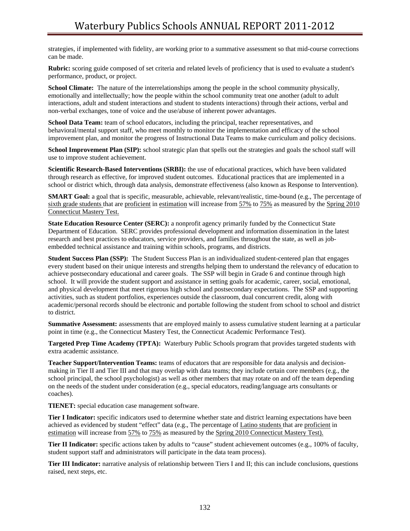strategies, if implemented with fidelity, are working prior to a summative assessment so that mid-course corrections can be made.

**Rubric:** scoring guide composed of set criteria and related levels of proficiency that is used to evaluate a student's performance, product, or project.

**School Climate:** The nature of the interrelationships among the people in the school community physically, emotionally and intellectually; how the people within the school community treat one another (adult to adult interactions, adult and student interactions and student to students interactions) through their actions, verbal and non-verbal exchanges, tone of voice and the use/abuse of inherent power advantages.

**School Data Team:** team of school educators, including the principal, teacher representatives, and behavioral/mental support staff, who meet monthly to monitor the implementation and efficacy of the school improvement plan, and monitor the progress of Instructional Data Teams to make curriculum and policy decisions.

**School Improvement Plan (SIP):** school strategic plan that spells out the strategies and goals the school staff will use to improve student achievement.

**Scientific Research-Based Interventions (SRBI):** the use of educational practices, which have been validated through research as effective, for improved student outcomes. Educational practices that are implemented in a school or district which, through data analysis, demonstrate effectiveness (also known as Response to Intervention).

**SMART Goal:** a goal that is specific, measurable, achievable, relevant/realistic, time-bound (e.g., The percentage of sixth grade students that are proficient in estimation will increase from 57% to 75% as measured by the Spring 2010 Connecticut Mastery Test.

**State Education Resource Center (SERC):** a nonprofit agency primarily funded by the Connecticut State Department of Education. SERC provides professional development and information dissemination in the latest research and best practices to educators, service providers, and families throughout the state, as well as jobembedded technical assistance and training within schools, programs, and districts.

**Student Success Plan (SSP):** The Student Success Plan is an individualized student-centered plan that engages every student based on their unique interests and strengths helping them to understand the relevancy of education to achieve postsecondary educational and career goals. The SSP will begin in Grade 6 and continue through high school. It will provide the student support and assistance in setting goals for academic, career, social, emotional, and physical development that meet rigorous high school and postsecondary expectations. The SSP and supporting activities, such as student portfolios, experiences outside the classroom, dual concurrent credit, along with academic/personal records should be electronic and portable following the student from school to school and district to district.

**Summative Assessment:** assessments that are employed mainly to assess cumulative student learning at a particular point in time (e.g., the Connecticut Mastery Test, the Connecticut Academic Performance Test).

**Targeted Prep Time Academy (TPTA):** Waterbury Public Schools program that provides targeted students with extra academic assistance.

**Teacher Support/Intervention Teams:** teams of educators that are responsible for data analysis and decisionmaking in Tier II and Tier III and that may overlap with data teams; they include certain core members (e.g., the school principal, the school psychologist) as well as other members that may rotate on and off the team depending on the needs of the student under consideration (e.g., special educators, reading/language arts consultants or coaches).

**TIENET:** special education case management software.

**Tier I Indicator:** specific indicators used to determine whether state and district learning expectations have been achieved as evidenced by student "effect" data (e.g., The percentage of Latino students that are proficient in estimation will increase from 57% to 75% as measured by the Spring 2010 Connecticut Mastery Test).

**Tier II Indicator:** specific actions taken by adults to "cause" student achievement outcomes (e.g., 100% of faculty, student support staff and administrators will participate in the data team process).

**Tier III Indicator:** narrative analysis of relationship between Tiers I and II; this can include conclusions, questions raised, next steps, etc.